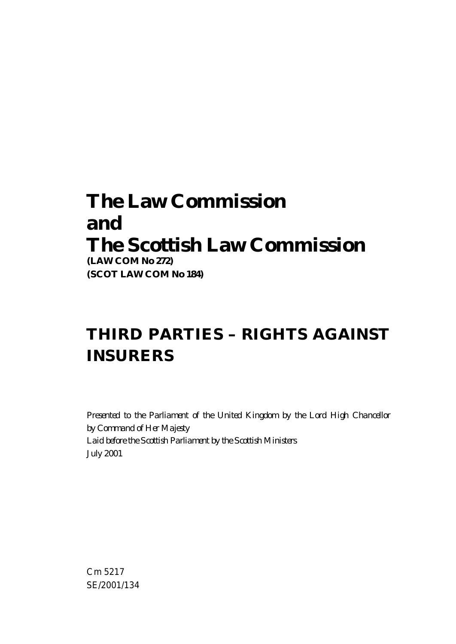# **The Law Commission and The Scottish Law Commission**

**(LAW COM No 272) (SCOT LAW COM No 184)**

# **THIRD PARTIES – RIGHTS AGAINST INSURERS**

*Presented to the Parliament of the United Kingdom by the Lord High Chancellor by Command of Her Majesty Laid before the Scottish Parliament by the Scottish Ministers July 2001*

Cm 5217 SE/2001/134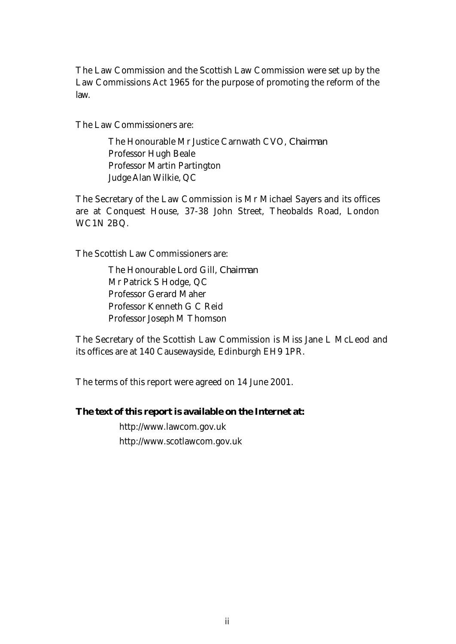The Law Commission and the Scottish Law Commission were set up by the Law Commissions Act 1965 for the purpose of promoting the reform of the law.

The Law Commissioners are:

The Honourable Mr Justice Carnwath CVO, *Chairman* Professor Hugh Beale Professor Martin Partington Judge Alan Wilkie, QC

The Secretary of the Law Commission is Mr Michael Sayers and its offices are at Conquest House, 37-38 John Street, Theobalds Road, London WC1N 2BQ.

The Scottish Law Commissioners are:

The Honourable Lord Gill, *Chairman* Mr Patrick S Hodge, QC Professor Gerard Maher Professor Kenneth G C Reid Professor Joseph M Thomson

The Secretary of the Scottish Law Commission is Miss Jane L McLeod and its offices are at 140 Causewayside, Edinburgh EH9 1PR.

The terms of this report were agreed on 14 June 2001.

#### **The text of this report is available on the Internet at:**

http://www.lawcom.gov.uk http://www.scotlawcom.gov.uk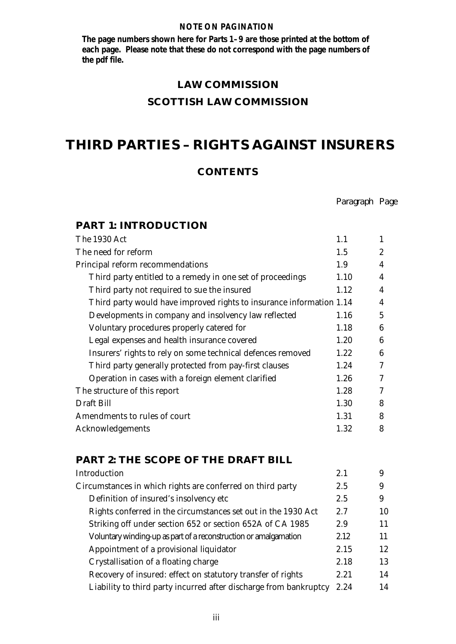#### **NOTE ON PAGINATION**

 **The page numbers shown here for Parts 1–9 are those printed at the bottom of each page. Please note that these do not correspond with the page numbers of the pdf file.**

#### **LAW COMMISSION**

#### **SCOTTISH LAW COMMISSION**

## **THIRD PARTIES – RIGHTS AGAINST INSURERS**

#### **CONTENTS**

*Paragraph Page*

| <b>PART 1: INTRODUCTION</b>                                          |      |                  |
|----------------------------------------------------------------------|------|------------------|
| The 1930 Act                                                         | 1.1  | 1                |
| The need for reform                                                  | 1.5  | $\overline{2}$   |
| Principal reform recommendations                                     | 1.9  | $\boldsymbol{4}$ |
| Third party entitled to a remedy in one set of proceedings           | 1.10 | $\boldsymbol{4}$ |
| Third party not required to sue the insured                          | 1.12 | $\overline{4}$   |
| Third party would have improved rights to insurance information 1.14 |      | $\overline{4}$   |
| Developments in company and insolvency law reflected                 | 1.16 | $\overline{5}$   |
| Voluntary procedures properly catered for                            | 1.18 | 6                |
| Legal expenses and health insurance covered                          | 1.20 | 6                |
| Insurers' rights to rely on some technical defences removed          | 1.22 | 6                |
| Third party generally protected from pay-first clauses               | 1.24 | 7                |
| Operation in cases with a foreign element clarified                  | 1.26 | 7                |
| The structure of this report                                         | 1.28 | 7                |
| Draft Bill                                                           | 1.30 | 8                |
| Amendments to rules of court                                         | 1.31 | 8                |
| Acknowledgements                                                     | 1.32 | 8                |
|                                                                      |      |                  |

### **PART 2: THE SCOPE OF THE DRAFT BILL**

| Introduction                                                      | 2.1  | 9  |
|-------------------------------------------------------------------|------|----|
| Circumstances in which rights are conferred on third party        | 2.5  | 9  |
| Definition of insured's insolvency etc                            | 2.5  | 9  |
| Rights conferred in the circumstances set out in the 1930 Act     | 2.7  | 10 |
| Striking off under section 652 or section 652A of CA 1985         | 2.9  | 11 |
| Voluntary winding-up as part of a reconstruction or amalgamation  | 2.12 | 11 |
| Appointment of a provisional liquidator                           | 2.15 | 12 |
| Crystallisation of a floating charge                              | 2.18 | 13 |
| Recovery of insured: effect on statutory transfer of rights       | 2.21 | 14 |
| Liability to third party incurred after discharge from bankruptcy | 2.24 | 14 |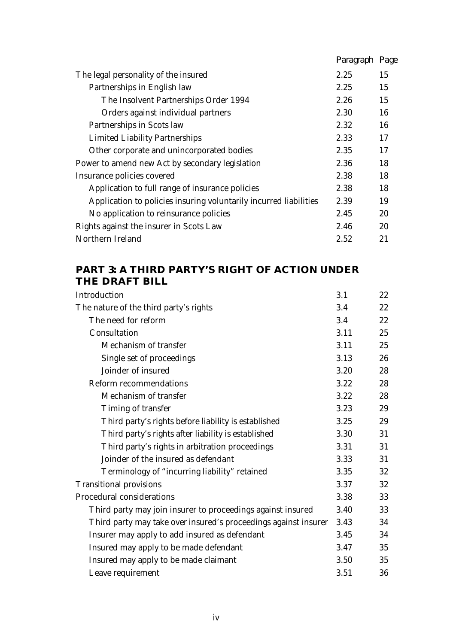|                                                                   | Paragraph Page |    |
|-------------------------------------------------------------------|----------------|----|
| The legal personality of the insured                              | 2.25           | 15 |
| Partnerships in English law                                       | 2.25           | 15 |
| The Insolvent Partnerships Order 1994                             | 2.26           | 15 |
| Orders against individual partners                                | 2.30           | 16 |
| Partnerships in Scots law                                         | 2.32           | 16 |
| <b>Limited Liability Partnerships</b>                             | 2.33           | 17 |
| Other corporate and unincorporated bodies                         | 2.35           | 17 |
| Power to amend new Act by secondary legislation                   | 2.36           | 18 |
| Insurance policies covered                                        | 2.38           | 18 |
| Application to full range of insurance policies                   | 2.38           | 18 |
| Application to policies insuring voluntarily incurred liabilities | 2.39           | 19 |
| No application to reinsurance policies                            | 2.45           | 20 |
| Rights against the insurer in Scots Law                           | 2.46           | 20 |
| Northern Ireland                                                  | 2.52           | 21 |

## **PART 3: A THIRD PARTY'S RIGHT OF ACTION UNDER THE DRAFT BILL**

| Introduction                                                    | 3.1  | 22 |
|-----------------------------------------------------------------|------|----|
| The nature of the third party's rights                          | 3.4  | 22 |
| The need for reform                                             | 3.4  | 22 |
| Consultation                                                    | 3.11 | 25 |
| Mechanism of transfer                                           | 3.11 | 25 |
| Single set of proceedings                                       | 3.13 | 26 |
| Joinder of insured                                              | 3.20 | 28 |
| <b>Reform recommendations</b>                                   | 3.22 | 28 |
| Mechanism of transfer                                           | 3.22 | 28 |
| Timing of transfer                                              | 3.23 | 29 |
| Third party's rights before liability is established            | 3.25 | 29 |
| Third party's rights after liability is established             | 3.30 | 31 |
| Third party's rights in arbitration proceedings                 | 3.31 | 31 |
| Joinder of the insured as defendant                             | 3.33 | 31 |
| Terminology of "incurring liability" retained                   | 3.35 | 32 |
| <b>Transitional provisions</b>                                  | 3.37 | 32 |
| Procedural considerations                                       | 3.38 | 33 |
| Third party may join insurer to proceedings against insured     | 3.40 | 33 |
| Third party may take over insured's proceedings against insurer | 3.43 | 34 |
| Insurer may apply to add insured as defendant                   | 3.45 | 34 |
| Insured may apply to be made defendant                          | 3.47 | 35 |
| Insured may apply to be made claimant                           | 3.50 | 35 |
| Leave requirement                                               | 3.51 | 36 |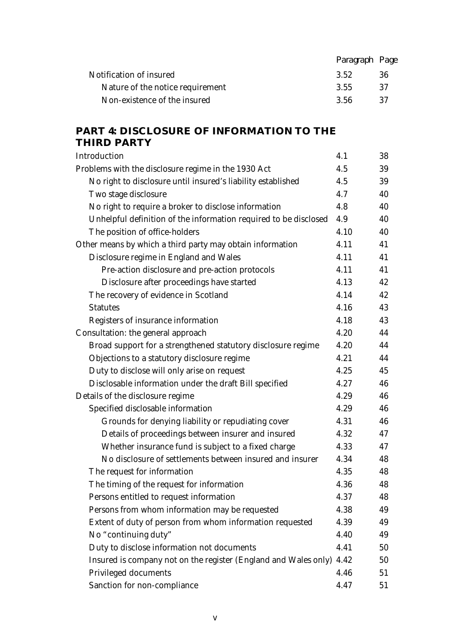|                                  | Paragraph Page |     |
|----------------------------------|----------------|-----|
| Notification of insured          | 3.52           | 36  |
| Nature of the notice requirement | 3.55           | -37 |
| Non-existence of the insured     | -3.56          | -37 |
|                                  |                |     |

### **PART 4: DISCLOSURE OF INFORMATION TO THE THIRD PARTY**

| Introduction                                                     | 4.1  | 38 |
|------------------------------------------------------------------|------|----|
| Problems with the disclosure regime in the 1930 Act              | 4.5  | 39 |
| No right to disclosure until insured's liability established     | 4.5  | 39 |
| Two stage disclosure                                             | 4.7  | 40 |
| No right to require a broker to disclose information             | 4.8  | 40 |
| Unhelpful definition of the information required to be disclosed | 4.9  | 40 |
| The position of office-holders                                   | 4.10 | 40 |
| Other means by which a third party may obtain information        | 4.11 | 41 |
| Disclosure regime in England and Wales                           | 4.11 | 41 |
| Pre-action disclosure and pre-action protocols                   | 4.11 | 41 |
| Disclosure after proceedings have started                        | 4.13 | 42 |
| The recovery of evidence in Scotland                             | 4.14 | 42 |
| <b>Statutes</b>                                                  | 4.16 | 43 |
| Registers of insurance information                               | 4.18 | 43 |
| Consultation: the general approach                               | 4.20 | 44 |
| Broad support for a strengthened statutory disclosure regime     | 4.20 | 44 |
| Objections to a statutory disclosure regime                      | 4.21 | 44 |
| Duty to disclose will only arise on request                      | 4.25 | 45 |
| Disclosable information under the draft Bill specified           | 4.27 | 46 |
| Details of the disclosure regime                                 | 4.29 | 46 |
| Specified disclosable information                                | 4.29 | 46 |
| Grounds for denying liability or repudiating cover               | 4.31 | 46 |
| Details of proceedings between insurer and insured               | 4.32 | 47 |
| Whether insurance fund is subject to a fixed charge              | 4.33 | 47 |
| No disclosure of settlements between insured and insurer         | 4.34 | 48 |
| The request for information                                      | 4.35 | 48 |
| The timing of the request for information                        | 4.36 | 48 |
| Persons entitled to request information                          | 4.37 | 48 |
| Persons from whom information may be requested                   | 4.38 | 49 |
| Extent of duty of person from whom information requested         | 4.39 | 49 |
| No "continuing duty"                                             | 4.40 | 49 |
| Duty to disclose information not documents                       | 4.41 | 50 |
| Insured is company not on the register (England and Wales only)  | 4.42 | 50 |
| Privileged documents                                             | 4.46 | 51 |
| Sanction for non-compliance                                      | 4.47 | 51 |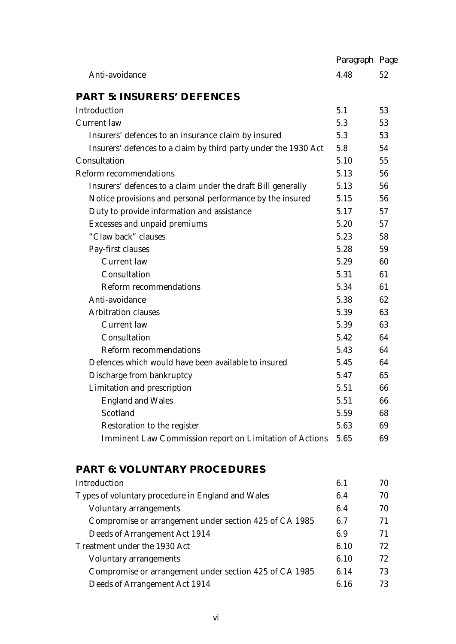|                                                                 | Paragraph Page |    |
|-----------------------------------------------------------------|----------------|----|
| Anti-avoidance                                                  | 4.48           | 52 |
| <b>PART 5: INSURERS' DEFENCES</b>                               |                |    |
| Introduction                                                    | 5.1            | 53 |
| <b>Current</b> law                                              | 5.3            | 53 |
| Insurers' defences to an insurance claim by insured             | 5.3            | 53 |
| Insurers' defences to a claim by third party under the 1930 Act | 5.8            | 54 |
| Consultation                                                    | 5.10           | 55 |
| <b>Reform recommendations</b>                                   | 5.13           | 56 |
| Insurers' defences to a claim under the draft Bill generally    | 5.13           | 56 |
| Notice provisions and personal performance by the insured       | 5.15           | 56 |
| Duty to provide information and assistance                      | 5.17           | 57 |
| Excesses and unpaid premiums                                    | 5.20           | 57 |
| "Claw back" clauses                                             | 5.23           | 58 |
| Pay-first clauses                                               | 5.28           | 59 |
| <b>Current</b> law                                              | 5.29           | 60 |
| Consultation                                                    | 5.31           | 61 |
| <b>Reform recommendations</b>                                   | 5.34           | 61 |
| Anti-avoidance                                                  | 5.38           | 62 |
| <b>Arbitration clauses</b>                                      | 5.39           | 63 |
| <b>Current</b> law                                              | 5.39           | 63 |
| Consultation                                                    | 5.42           | 64 |
| <b>Reform recommendations</b>                                   | 5.43           | 64 |
| Defences which would have been available to insured             | 5.45           | 64 |
| Discharge from bankruptcy                                       | 5.47           | 65 |
| Limitation and prescription                                     | 5.51           | 66 |
| <b>England and Wales</b>                                        | 5.51           | 66 |
| Scotland                                                        | 5.59           | 68 |
| Restoration to the register                                     | 5.63           | 69 |
| Imminent Law Commission report on Limitation of Actions         | 5.65           | 69 |

### **PART 6: VOLUNTARY PROCEDURES**

| Introduction                                           | 6.1  | 70 |
|--------------------------------------------------------|------|----|
| Types of voluntary procedure in England and Wales      | 6.4  | 70 |
| Voluntary arrangements                                 | 6.4  | 70 |
| Compromise or arrangement under section 425 of CA 1985 | 6.7  | 71 |
| Deeds of Arrangement Act 1914                          | 6.9  | 71 |
| Treatment under the 1930 Act                           | 6.10 | 72 |
| <b>Voluntary arrangements</b>                          | 6.10 | 72 |
| Compromise or arrangement under section 425 of CA 1985 | 6.14 | 73 |
| Deeds of Arrangement Act 1914                          | 6.16 | 73 |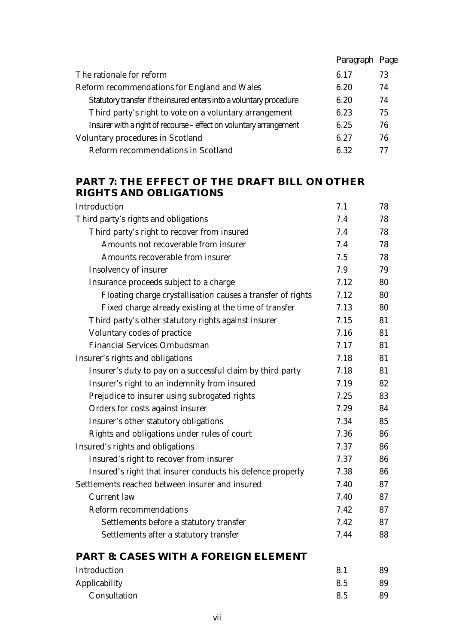|                                                                     | Paragraph Page |    |
|---------------------------------------------------------------------|----------------|----|
| The rationale for reform                                            | 6.17           | 73 |
| Reform recommendations for England and Wales                        | 6.20           | 74 |
| Statutory transfer if the insured enters into a voluntary procedure | 6.20           | 74 |
| Third party's right to vote on a voluntary arrangement              | 6.23           | 75 |
| Insurer with a right of recourse - effect on voluntary arrangement  | 6.25           | 76 |
| <b>Voluntary procedures in Scotland</b>                             | 6.27           | 76 |
| Reform recommendations in Scotland                                  | 6.32           | 77 |

### **PART 7: THE EFFECT OF THE DRAFT BILL ON OTHER RIGHTS AND OBLIGATIONS**

| Introduction                                                | 7.1  | 78 |
|-------------------------------------------------------------|------|----|
| Third party's rights and obligations                        | 7.4  | 78 |
| Third party's right to recover from insured                 | 7.4  | 78 |
| Amounts not recoverable from insurer                        | 7.4  | 78 |
| Amounts recoverable from insurer                            | 7.5  | 78 |
| Insolvency of insurer                                       | 7.9  | 79 |
| Insurance proceeds subject to a charge                      | 7.12 | 80 |
| Floating charge crystallisation causes a transfer of rights | 7.12 | 80 |
| Fixed charge already existing at the time of transfer       | 7.13 | 80 |
| Third party's other statutory rights against insurer        | 7.15 | 81 |
| Voluntary codes of practice                                 | 7.16 | 81 |
| <b>Financial Services Ombudsman</b>                         | 7.17 | 81 |
| Insurer's rights and obligations                            | 7.18 | 81 |
| Insurer's duty to pay on a successful claim by third party  | 7.18 | 81 |
| Insurer's right to an indemnity from insured                | 7.19 | 82 |
| Prejudice to insurer using subrogated rights                | 7.25 | 83 |
| Orders for costs against insurer                            | 7.29 | 84 |
| Insurer's other statutory obligations                       | 7.34 | 85 |
| Rights and obligations under rules of court                 | 7.36 | 86 |
| Insured's rights and obligations                            | 7.37 | 86 |
| Insured's right to recover from insurer                     | 7.37 | 86 |
| Insured's right that insurer conducts his defence properly  | 7.38 | 86 |
| Settlements reached between insurer and insured             | 7.40 | 87 |
| <b>Current</b> law                                          | 7.40 | 87 |
| <b>Reform recommendations</b>                               | 7.42 | 87 |
| Settlements before a statutory transfer                     | 7.42 | 87 |
| Settlements after a statutory transfer                      | 7.44 | 88 |
|                                                             |      |    |

### **PART 8: CASES WITH A FOREIGN ELEMENT**

| Introduction  | 8.1 | 89 |
|---------------|-----|----|
| Applicability | 8.5 | 89 |
| Consultation  | 8.5 | 89 |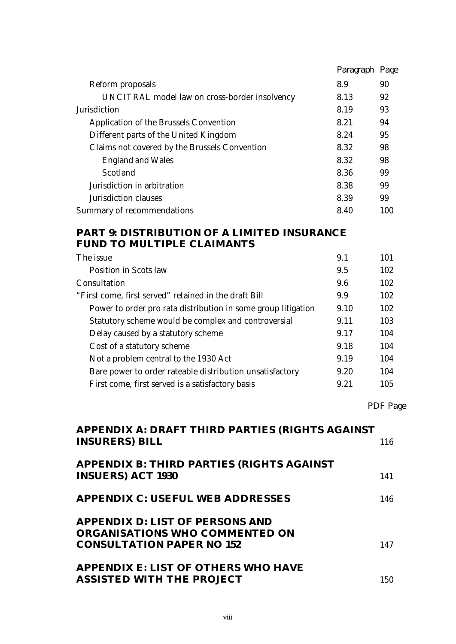|                                               | Paragraph Page |     |
|-----------------------------------------------|----------------|-----|
| Reform proposals                              | 8.9            | 90  |
| UNCITRAL model law on cross-border insolvency | 8.13           | 92  |
| <b>Jurisdiction</b>                           | 8.19           | 93  |
| Application of the Brussels Convention        | 8.21           | 94  |
| Different parts of the United Kingdom         | 8.24           | 95  |
| Claims not covered by the Brussels Convention | 8.32           | 98  |
| <b>England and Wales</b>                      | 8.32           | 98  |
| Scotland                                      | 8.36           | 99  |
| Jurisdiction in arbitration                   | 8.38           | 99  |
| Jurisdiction clauses                          | 8.39           | 99  |
| Summary of recommendations                    | 8.40           | 100 |

### **PART 9: DISTRIBUTION OF A LIMITED INSURANCE FUND TO MULTIPLE CLAIMANTS**

| 102<br>Position in Scots law<br>9.5<br>102<br>9.6<br>102<br>9.9<br>102<br>Power to order pro rata distribution in some group litigation<br>9.10<br>Statutory scheme would be complex and controversial<br>103<br>9.11<br>Delay caused by a statutory scheme<br>104<br>9.17<br>104<br>Cost of a statutory scheme<br>9.18<br>Not a problem central to the 1930 Act<br>104<br>9.19<br>Bare power to order rateable distribution unsatisfactory<br>104<br>9.20<br>9.21<br>105<br>First come, first served is a satisfactory basis | The issue                                             | 9.1 | 101 |
|-------------------------------------------------------------------------------------------------------------------------------------------------------------------------------------------------------------------------------------------------------------------------------------------------------------------------------------------------------------------------------------------------------------------------------------------------------------------------------------------------------------------------------|-------------------------------------------------------|-----|-----|
|                                                                                                                                                                                                                                                                                                                                                                                                                                                                                                                               |                                                       |     |     |
|                                                                                                                                                                                                                                                                                                                                                                                                                                                                                                                               | Consultation                                          |     |     |
|                                                                                                                                                                                                                                                                                                                                                                                                                                                                                                                               | "First come, first served" retained in the draft Bill |     |     |
|                                                                                                                                                                                                                                                                                                                                                                                                                                                                                                                               |                                                       |     |     |
|                                                                                                                                                                                                                                                                                                                                                                                                                                                                                                                               |                                                       |     |     |
|                                                                                                                                                                                                                                                                                                                                                                                                                                                                                                                               |                                                       |     |     |
|                                                                                                                                                                                                                                                                                                                                                                                                                                                                                                                               |                                                       |     |     |
|                                                                                                                                                                                                                                                                                                                                                                                                                                                                                                                               |                                                       |     |     |
|                                                                                                                                                                                                                                                                                                                                                                                                                                                                                                                               |                                                       |     |     |
|                                                                                                                                                                                                                                                                                                                                                                                                                                                                                                                               |                                                       |     |     |

 *PDF Page*

| <b>APPENDIX A: DRAFT THIRD PARTIES (RIGHTS AGAINST</b> |     |
|--------------------------------------------------------|-----|
| <b>INSURERS) BILL</b>                                  | 116 |
| <b>APPENDIX B: THIRD PARTIES (RIGHTS AGAINST)</b>      |     |
| <b>INSUERS) ACT 1930</b>                               | 141 |
| <b>APPENDIX C: USEFUL WEB ADDRESSES</b>                | 146 |
| <b>APPENDIX D: LIST OF PERSONS AND</b>                 |     |
| <b>ORGANISATIONS WHO COMMENTED ON</b>                  |     |
| <b>CONSULTATION PAPER NO 152</b>                       | 147 |
| <b>APPENDIX E: LIST OF OTHERS WHO HAVE</b>             |     |
| <b>ASSISTED WITH THE PROJECT</b>                       | 150 |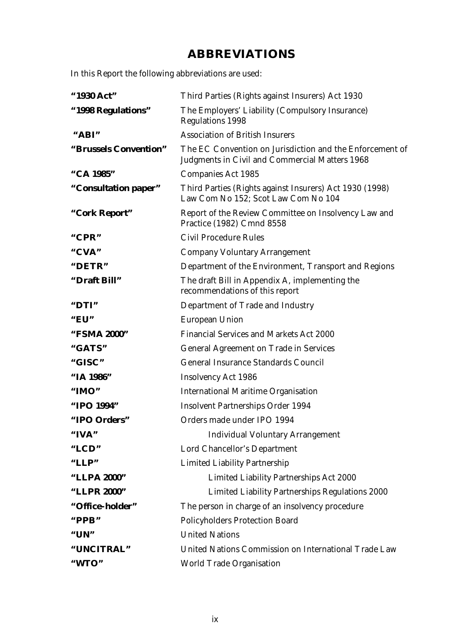## **ABBREVIATIONS**

In this Report the following abbreviations are used:

| "1930 Act"            | Third Parties (Rights against Insurers) Act 1930                                                           |
|-----------------------|------------------------------------------------------------------------------------------------------------|
| "1998 Regulations"    | The Employers' Liability (Compulsory Insurance)<br><b>Regulations 1998</b>                                 |
| "ABI"                 | <b>Association of British Insurers</b>                                                                     |
| "Brussels Convention" | The EC Convention on Jurisdiction and the Enforcement of<br>Judgments in Civil and Commercial Matters 1968 |
| "CA 1985"             | <b>Companies Act 1985</b>                                                                                  |
| "Consultation paper"  | Third Parties (Rights against Insurers) Act 1930 (1998)<br>Law Com No 152; Scot Law Com No 104             |
| "Cork Report"         | Report of the Review Committee on Insolvency Law and<br>Practice (1982) Cmnd 8558                          |
| " $CPR"$              | <b>Civil Procedure Rules</b>                                                                               |
| "CVA"                 | <b>Company Voluntary Arrangement</b>                                                                       |
| "DETR"                | Department of the Environment, Transport and Regions                                                       |
| "Draft Bill"          | The draft Bill in Appendix A, implementing the<br>recommendations of this report                           |
| "DTI"                 | Department of Trade and Industry                                                                           |
| " $EU"$               | <b>European Union</b>                                                                                      |
| "FSMA 2000"           | <b>Financial Services and Markets Act 2000</b>                                                             |
| "GATS"                | <b>General Agreement on Trade in Services</b>                                                              |
| "GISC"                | <b>General Insurance Standards Council</b>                                                                 |
| "IA 1986"             | <b>Insolvency Act 1986</b>                                                                                 |
| "IMO"                 | <b>International Maritime Organisation</b>                                                                 |
| "IPO 1994"            | <b>Insolvent Partnerships Order 1994</b>                                                                   |
| "IPO Orders"          | Orders made under IPO 1994                                                                                 |
| "IVA"                 | <b>Individual Voluntary Arrangement</b>                                                                    |
| "LCD"                 | Lord Chancellor's Department                                                                               |
| "LLP"                 | <b>Limited Liability Partnership</b>                                                                       |
| "LLPA 2000"           | <b>Limited Liability Partnerships Act 2000</b>                                                             |
| "LLPR 2000"           | Limited Liability Partnerships Regulations 2000                                                            |
| "Office-holder"       | The person in charge of an insolvency procedure                                                            |
| " $PPB"$              | <b>Policyholders Protection Board</b>                                                                      |
| " $UN"$               | <b>United Nations</b>                                                                                      |
| "UNCITRAL"            | United Nations Commission on International Trade Law                                                       |
| "WTO"                 | <b>World Trade Organisation</b>                                                                            |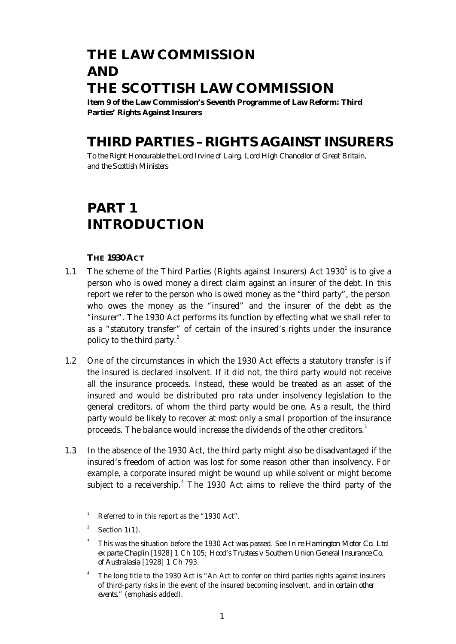## **THE LAW COMMISSION AND THE SCOTTISH LAW COMMISSION**

**Item 9 of the Law Commission's Seventh Programme of Law Reform: Third Parties' Rights Against Insurers**

## **THIRD PARTIES – RIGHTS AGAINST INSURERS**

*To the Right Honourable the Lord Irvine of Lairg, Lord High Chancellor of Great Britain, and the Scottish Ministers*

## **PART 1 INTRODUCTION**

#### **THE 1930 ACT**

- 1.1 The scheme of the Third Parties (Rights against Insurers) Act  $1930^1$  is to give a person who is owed money a direct claim against an insurer of the debt. In this report we refer to the person who is owed money as the "third party", the person who owes the money as the "insured" and the insurer of the debt as the "insurer". The 1930 Act performs its function by effecting what we shall refer to as a "statutory transfer" of certain of the insured's rights under the insurance policy to the third party. $^{2}$ 
	- 1.2 One of the circumstances in which the 1930 Act effects a statutory transfer is if the insured is declared insolvent. If it did not, the third party would not receive all the insurance proceeds. Instead, these would be treated as an asset of the insured and would be distributed pro rata under insolvency legislation to the general creditors, of whom the third party would be one. As a result, the third party would be likely to recover at most only a small proportion of the insurance proceeds. The balance would increase the dividends of the other creditors.<sup>3</sup>
	- 1.3 In the absence of the 1930 Act, the third party might also be disadvantaged if the insured's freedom of action was lost for some reason other than insolvency. For example, a corporate insured might be wound up while solvent or might become subject to a receivership.<sup>4</sup> The 1930 Act aims to relieve the third party of the

<sup>&</sup>lt;sup>1</sup> Referred to in this report as the "1930 Act".

<sup>2</sup> Section 1(1).

<sup>3</sup> This was the situation before the 1930 Act was passed. See *In re Harrington Motor Co. Ltd ex parte Chaplin* [1928] 1 Ch 105; *Hood's Trustees v Southern Union General Insurance Co. of Australasia* [1928] 1 Ch 793.

The long title to the 1930 Act is "An Act to confer on third parties rights against insurers of third-party risks in the event of the insured becoming insolvent, *and in certain other events.*" (emphasis added).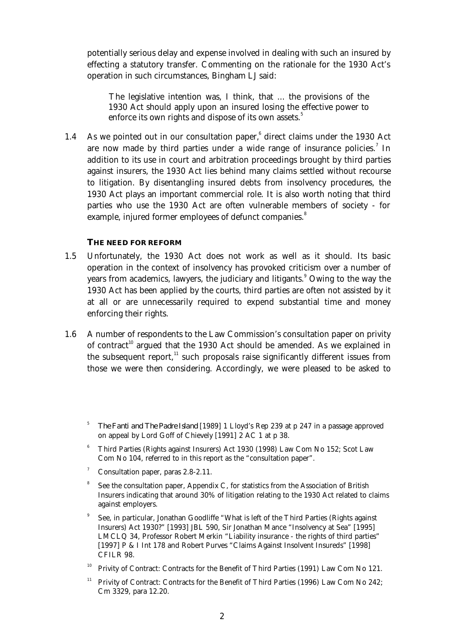potentially serious delay and expense involved in dealing with such an insured by effecting a statutory transfer. Commenting on the rationale for the 1930 Act's operation in such circumstances, Bingham LJ said:

The legislative intention was, I think, that ... the provisions of the 1930 Act should apply upon an insured losing the effective power to enforce its own rights and dispose of its own assets.<sup>5</sup>

1.4 As we pointed out in our consultation paper,<sup>6</sup> direct claims under the 1930 Act are now made by third parties under a wide range of insurance policies.<sup>7</sup> In addition to its use in court and arbitration proceedings brought by third parties against insurers, the 1930 Act lies behind many claims settled without recourse to litigation. By disentangling insured debts from insolvency procedures, the 1930 Act plays an important commercial role. It is also worth noting that third parties who use the 1930 Act are often vulnerable members of society - for example, injured former employees of defunct companies.<sup>8</sup>

#### **THE NEED FOR REFORM**

- 1.5 Unfortunately, the 1930 Act does not work as well as it should. Its basic operation in the context of insolvency has provoked criticism over a number of years from academics, lawyers, the judiciary and litigants.<sup>9</sup> Owing to the way the 1930 Act has been applied by the courts, third parties are often not assisted by it at all or are unnecessarily required to expend substantial time and money enforcing their rights.
- 1.6 A number of respondents to the Law Commission's consultation paper on privity of contract<sup>10</sup> argued that the 1930 Act should be amended. As we explained in the subsequent report, $11$  such proposals raise significantly different issues from those we were then considering. Accordingly, we were pleased to be asked to
	- 5 *The Fanti and The Padre Island* [1989] 1 Lloyd's Rep 239 at p 247 in a passage approved on appeal by Lord Goff of Chievely [1991] 2 AC 1 at p 38.
	- <sup>6</sup> Third Parties (Rights against Insurers) Act 1930 (1998) Law Com No 152; Scot Law Com No 104, referred to in this report as the "consultation paper".
	- Consultation paper, paras 2.8-2.11.
	- 8 See the consultation paper, Appendix C, for statistics from the Association of British Insurers indicating that around 30% of litigation relating to the 1930 Act related to claims against employers.
	- 9 See, in particular, Jonathan Goodliffe "What is left of the Third Parties (Rights against Insurers) Act 1930?" [1993] JBL 590, Sir Jonathan Mance "Insolvency at Sea" [1995] LMCLQ 34, Professor Robert Merkin "Liability insurance - the rights of third parties" [1997] P & I Int 178 and Robert Purves "Claims Against Insolvent Insureds" [1998] CFILR 98.
	- <sup>10</sup> Privity of Contract: Contracts for the Benefit of Third Parties (1991) Law Com No 121.
	- <sup>11</sup> Privity of Contract: Contracts for the Benefit of Third Parties (1996) Law Com No 242; Cm 3329, para 12.20.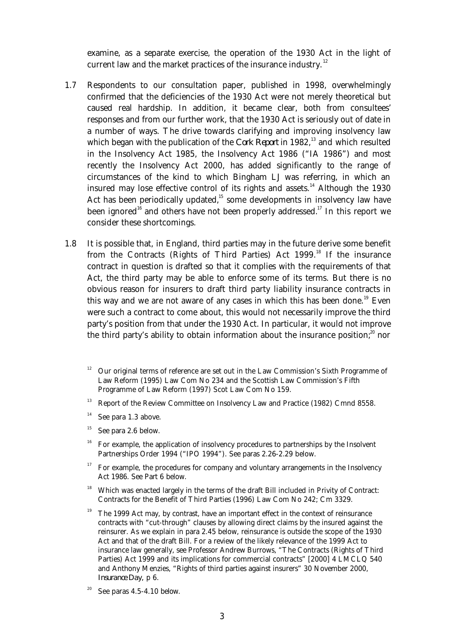examine, as a separate exercise, the operation of the 1930 Act in the light of current law and the market practices of the insurance industry.<sup>12</sup>

- 1.7 Respondents to our consultation paper, published in 1998, overwhelmingly confirmed that the deficiencies of the 1930 Act were not merely theoretical but caused real hardship. In addition, it became clear, both from consultees' responses and from our further work, that the 1930 Act is seriously out of date in a number of ways. The drive towards clarifying and improving insolvency law which began with the publication of the *Cork Report* in 1982,<sup>13</sup> and which resulted in the Insolvency Act 1985, the Insolvency Act 1986 ("IA 1986") and most recently the Insolvency Act 2000, has added significantly to the range of circumstances of the kind to which Bingham LJ was referring, in which an insured may lose effective control of its rights and assets.<sup>14</sup> Although the 1930 Act has been periodically updated,<sup>15</sup> some developments in insolvency law have been ignored<sup>16</sup> and others have not been properly addressed.<sup>17</sup> In this report we consider these shortcomings.
- 1.8 It is possible that, in England, third parties may in the future derive some benefit from the Contracts (Rights of Third Parties) Act 1999.<sup>18</sup> If the insurance contract in question is drafted so that it complies with the requirements of that Act, the third party may be able to enforce some of its terms. But there is no obvious reason for insurers to draft third party liability insurance contracts in this way and we are not aware of any cases in which this has been done.<sup>19</sup> Even were such a contract to come about, this would not necessarily improve the third party's position from that under the 1930 Act. In particular, it would not improve the third party's ability to obtain information about the insurance position; $^{20}$  nor

- <sup>13</sup> Report of the Review Committee on Insolvency Law and Practice (1982) Cmnd 8558.
- $14$  See para 1.3 above.
- $15$  See para 2.6 below.
- $16$  For example, the application of insolvency procedures to partnerships by the Insolvent Partnerships Order 1994 ("IPO 1994"). See paras 2.26-2.29 below.
- $17$  For example, the procedures for company and voluntary arrangements in the Insolvency Act 1986. See Part 6 below.
- <sup>18</sup> Which was enacted largely in the terms of the draft Bill included in Privity of Contract: Contracts for the Benefit of Third Parties (1996) Law Com No 242; Cm 3329.
- <sup>19</sup> The 1999 Act may, by contrast, have an important effect in the context of reinsurance contracts with "cut-through" clauses by allowing direct claims by the insured against the reinsurer. As we explain in para 2.45 below, reinsurance is outside the scope of the 1930 Act and that of the draft Bill. For a review of the likely relevance of the 1999 Act to insurance law generally, see Professor Andrew Burrows, "The Contracts (Rights of Third Parties) Act 1999 and its implications for commercial contracts" [2000] 4 LMCLQ 540 and Anthony Menzies, "Rights of third parties against insurers" 30 November 2000, *Insurance Day,* p 6.
- See paras 4.5-4.10 below.

<sup>12</sup> Our original terms of reference are set out in the Law Commission's Sixth Programme of Law Reform (1995) Law Com No 234 and the Scottish Law Commission's Fifth Programme of Law Reform (1997) Scot Law Com No 159.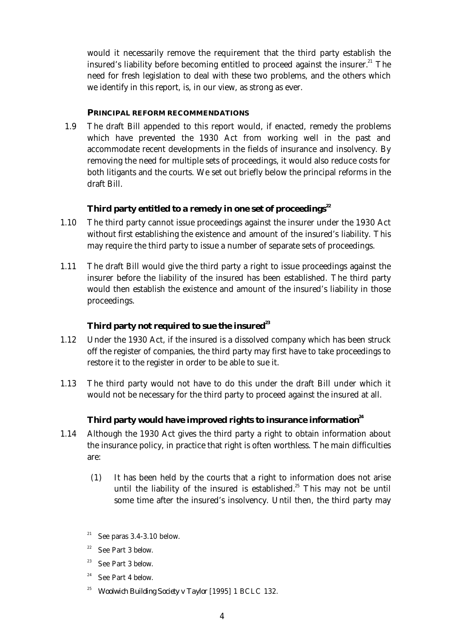would it necessarily remove the requirement that the third party establish the insured's liability before becoming entitled to proceed against the insurer. $^{21}$  The need for fresh legislation to deal with these two problems, and the others which we identify in this report, is, in our view, as strong as ever.

#### **PRINCIPAL REFORM RECOMMENDATIONS**

 1.9 The draft Bill appended to this report would, if enacted, remedy the problems which have prevented the 1930 Act from working well in the past and accommodate recent developments in the fields of insurance and insolvency. By removing the need for multiple sets of proceedings, it would also reduce costs for both litigants and the courts. We set out briefly below the principal reforms in the draft Bill.

#### **Third party entitled to a remedy in one set of proceedings<sup>22</sup>**

- 1.10 The third party cannot issue proceedings against the insurer under the 1930 Act without first establishing the existence and amount of the insured's liability. This may require the third party to issue a number of separate sets of proceedings.
- 1.11 The draft Bill would give the third party a right to issue proceedings against the insurer before the liability of the insured has been established. The third party would then establish the existence and amount of the insured's liability in those proceedings.

#### **Third party not required to sue the insured<sup>23</sup>**

- 1.12 Under the 1930 Act, if the insured is a dissolved company which has been struck off the register of companies, the third party may first have to take proceedings to restore it to the register in order to be able to sue it.
- 1.13 The third party would not have to do this under the draft Bill under which it would not be necessary for the third party to proceed against the insured at all.

#### **Third party would have improved rights to insurance information<sup>24</sup>**

- 1.14 Although the 1930 Act gives the third party a right to obtain information about the insurance policy, in practice that right is often worthless. The main difficulties are:
	- (1) It has been held by the courts that a right to information does not arise until the liability of the insured is established.<sup>25</sup> This may not be until some time after the insured's insolvency. Until then, the third party may
	- <sup>21</sup> See paras  $3.4$ - $3.10$  below.
	- $22$  See Part 3 below.
	- <sup>23</sup> See Part 3 below.
	- $24$  See Part 4 below.
	- <sup>25</sup> *Woolwich Building Society v Taylor* [1995] 1 BCLC 132.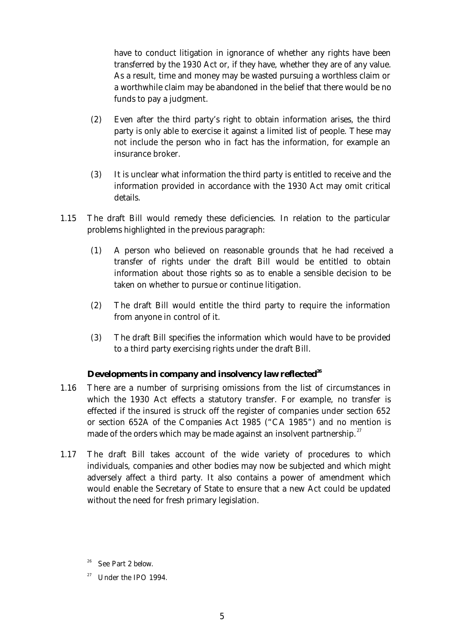have to conduct litigation in ignorance of whether any rights have been transferred by the 1930 Act or, if they have, whether they are of any value. As a result, time and money may be wasted pursuing a worthless claim or a worthwhile claim may be abandoned in the belief that there would be no funds to pay a judgment.

- (2) Even after the third party's right to obtain information arises, the third party is only able to exercise it against a limited list of people. These may not include the person who in fact has the information, for example an insurance broker.
- (3) It is unclear what information the third party is entitled to receive and the information provided in accordance with the 1930 Act may omit critical details.
- 1.15 The draft Bill would remedy these deficiencies. In relation to the particular problems highlighted in the previous paragraph:
	- (1) A person who believed on reasonable grounds that he had received a transfer of rights under the draft Bill would be entitled to obtain information about those rights so as to enable a sensible decision to be taken on whether to pursue or continue litigation.
	- (2) The draft Bill would entitle the third party to require the information from anyone in control of it.
	- (3) The draft Bill specifies the information which would have to be provided to a third party exercising rights under the draft Bill.

#### **Developments in company and insolvency law reflected<sup>26</sup>**

- 1.16 There are a number of surprising omissions from the list of circumstances in which the 1930 Act effects a statutory transfer. For example, no transfer is effected if the insured is struck off the register of companies under section 652 or section 652A of the Companies Act 1985 ("CA 1985") and no mention is made of the orders which may be made against an insolvent partnership. $27$
- 1.17 The draft Bill takes account of the wide variety of procedures to which individuals, companies and other bodies may now be subjected and which might adversely affect a third party. It also contains a power of amendment which would enable the Secretary of State to ensure that a new Act could be updated without the need for fresh primary legislation.

<sup>&</sup>lt;sup>26</sup> See Part 2 below.

<sup>&</sup>lt;sup>27</sup> Under the IPO 1994.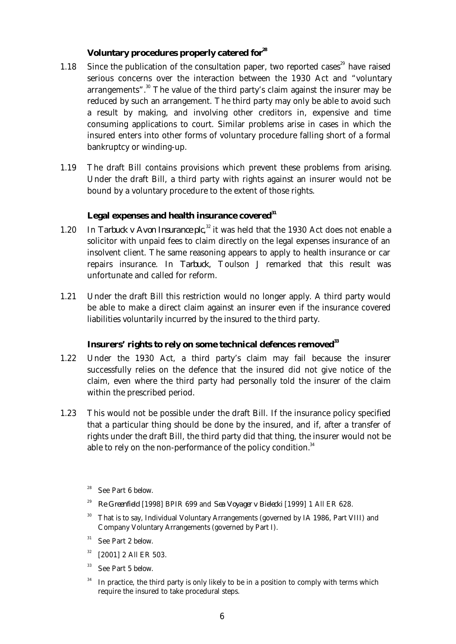#### **Voluntary procedures properly catered for<sup>28</sup>**

- 1.18 Since the publication of the consultation paper, two reported cases<sup>29</sup> have raised serious concerns over the interaction between the 1930 Act and "voluntary arrangements". $30$  The value of the third party's claim against the insurer may be reduced by such an arrangement. The third party may only be able to avoid such a result by making, and involving other creditors in, expensive and time consuming applications to court. Similar problems arise in cases in which the insured enters into other forms of voluntary procedure falling short of a formal bankruptcy or winding-up.
- 1.19 The draft Bill contains provisions which prevent these problems from arising. Under the draft Bill, a third party with rights against an insurer would not be bound by a voluntary procedure to the extent of those rights.

#### **Legal expenses and health insurance covered<sup>31</sup>**

- 1.20 In *Tarbuck v Avon Insurance plc*,<sup>32</sup> it was held that the 1930 Act does not enable a solicitor with unpaid fees to claim directly on the legal expenses insurance of an insolvent client. The same reasoning appears to apply to health insurance or car repairs insurance. In *Tarbuck*, Toulson J remarked that this result was unfortunate and called for reform.
	- 1.21 Under the draft Bill this restriction would no longer apply. A third party would be able to make a direct claim against an insurer even if the insurance covered liabilities voluntarily incurred by the insured to the third party.

#### **Insurers' rights to rely on some technical defences removed<sup>33</sup>**

- 1.22 Under the 1930 Act, a third party's claim may fail because the insurer successfully relies on the defence that the insured did not give notice of the claim, even where the third party had personally told the insurer of the claim within the prescribed period.
- 1.23 This would not be possible under the draft Bill. If the insurance policy specified that a particular thing should be done by the insured, and if, after a transfer of rights under the draft Bill, the third party did that thing, the insurer would not be able to rely on the non-performance of the policy condition. $34$ 
	- See Part 6 below.
	- <sup>29</sup> *Re Greenfield* [1998] BPIR 699 and *Sea Voyager v Bielecki* [1999] 1 All ER 628.
	- <sup>30</sup> That is to say, Individual Voluntary Arrangements (governed by IA 1986, Part VIII) and Company Voluntary Arrangements (governed by Part I).
	- $31$  See Part 2 below.
	- $32$  [2001] 2 All ER 503.
	- <sup>33</sup> See Part 5 below.
	- $34$  In practice, the third party is only likely to be in a position to comply with terms which require the insured to take procedural steps.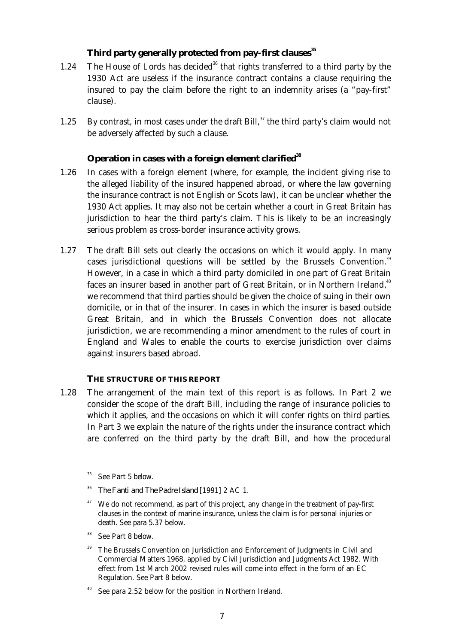#### **Third party generally protected from pay-first clauses<sup>35</sup>**

- 1.24 The House of Lords has decided<sup>36</sup> that rights transferred to a third party by the 1930 Act are useless if the insurance contract contains a clause requiring the insured to pay the claim before the right to an indemnity arises (a "pay-first" clause).
- 1.25 By contrast, in most cases under the draft Bill, $37$  the third party's claim would not be adversely affected by such a clause.

#### **Operation in cases with a foreign element clarified<sup>38</sup>**

- 1.26 In cases with a foreign element (where, for example, the incident giving rise to the alleged liability of the insured happened abroad, or where the law governing the insurance contract is not English or Scots law), it can be unclear whether the 1930 Act applies. It may also not be certain whether a court in Great Britain has jurisdiction to hear the third party's claim. This is likely to be an increasingly serious problem as cross-border insurance activity grows.
- 1.27 The draft Bill sets out clearly the occasions on which it would apply. In many cases jurisdictional questions will be settled by the Brussels Convention.<sup>39</sup> However, in a case in which a third party domiciled in one part of Great Britain faces an insurer based in another part of Great Britain, or in Northern Ireland,<sup>40</sup> we recommend that third parties should be given the choice of suing in their own domicile, or in that of the insurer. In cases in which the insurer is based outside Great Britain, and in which the Brussels Convention does not allocate jurisdiction, we are recommending a minor amendment to the rules of court in England and Wales to enable the courts to exercise jurisdiction over claims against insurers based abroad.

#### **THE STRUCTURE OF THIS REPORT**

- 1.28 The arrangement of the main text of this report is as follows. In Part 2 we consider the scope of the draft Bill, including the range of insurance policies to which it applies, and the occasions on which it will confer rights on third parties. In Part 3 we explain the nature of the rights under the insurance contract which are conferred on the third party by the draft Bill, and how the procedural
	- See Part 5 below.
	- <sup>36</sup> *The Fanti and The Padre Island* [1991] 2 AC 1.
	- $37$  We do not recommend, as part of this project, any change in the treatment of pay-first clauses in the context of marine insurance, unless the claim is for personal injuries or death. See para 5.37 below.
	- <sup>38</sup> See Part 8 below.
	- <sup>39</sup> The Brussels Convention on Jurisdiction and Enforcement of Judgments in Civil and Commercial Matters 1968, applied by Civil Jurisdiction and Judgments Act 1982. With effect from 1st March 2002 revised rules will come into effect in the form of an EC Regulation. See Part 8 below.
	- See para 2.52 below for the position in Northern Ireland.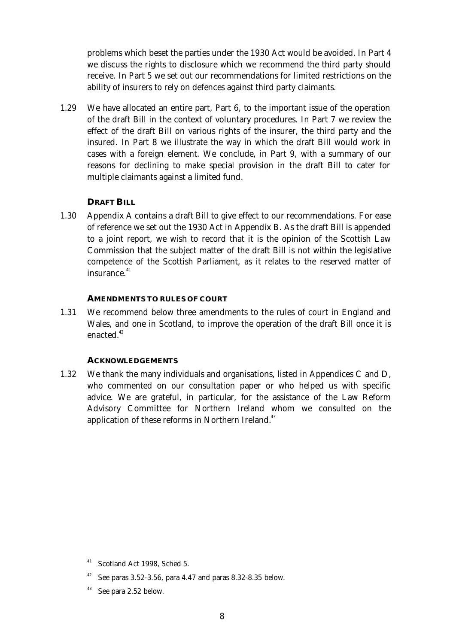problems which beset the parties under the 1930 Act would be avoided. In Part 4 we discuss the rights to disclosure which we recommend the third party should receive. In Part 5 we set out our recommendations for limited restrictions on the ability of insurers to rely on defences against third party claimants.

 1.29 We have allocated an entire part, Part 6, to the important issue of the operation of the draft Bill in the context of voluntary procedures. In Part 7 we review the effect of the draft Bill on various rights of the insurer, the third party and the insured. In Part 8 we illustrate the way in which the draft Bill would work in cases with a foreign element. We conclude, in Part 9, with a summary of our reasons for declining to make special provision in the draft Bill to cater for multiple claimants against a limited fund.

#### **DRAFT BILL**

 1.30 Appendix A contains a draft Bill to give effect to our recommendations. For ease of reference we set out the 1930 Act in Appendix B. As the draft Bill is appended to a joint report, we wish to record that it is the opinion of the Scottish Law Commission that the subject matter of the draft Bill is not within the legislative competence of the Scottish Parliament, as it relates to the reserved matter of  $insurance<sup>41</sup>$ 

#### **AMENDMENTS TO RULES OF COURT**

 1.31 We recommend below three amendments to the rules of court in England and Wales, and one in Scotland, to improve the operation of the draft Bill once it is enacted.<sup>42</sup>

#### **ACKNOWLEDGEMENTS**

 1.32 We thank the many individuals and organisations, listed in Appendices C and D, who commented on our consultation paper or who helped us with specific advice. We are grateful, in particular, for the assistance of the Law Reform Advisory Committee for Northern Ireland whom we consulted on the application of these reforms in Northern Ireland.<sup>43</sup>

<sup>42</sup> See paras 3.52-3.56, para 4.47 and paras 8.32-8.35 below.

<sup>&</sup>lt;sup>41</sup> Scotland Act 1998, Sched 5.

See para 2.52 below.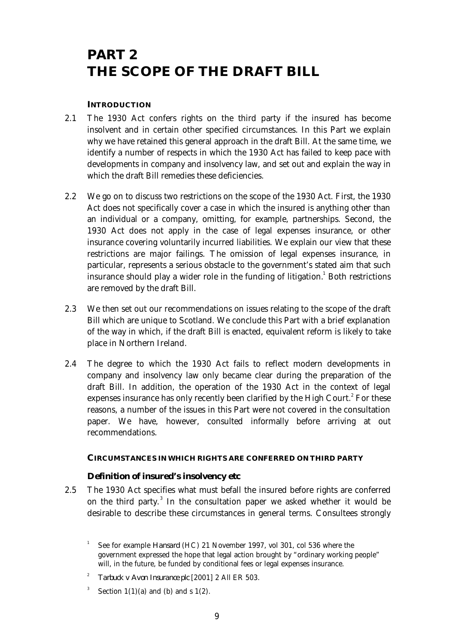## **PART 2 THE SCOPE OF THE DRAFT BILL**

#### **INTRODUCTION**

- 2.1 The 1930 Act confers rights on the third party if the insured has become insolvent and in certain other specified circumstances. In this Part we explain why we have retained this general approach in the draft Bill. At the same time, we identify a number of respects in which the 1930 Act has failed to keep pace with developments in company and insolvency law, and set out and explain the way in which the draft Bill remedies these deficiencies.
- 2.2 We go on to discuss two restrictions on the scope of the 1930 Act. First, the 1930 Act does not specifically cover a case in which the insured is anything other than an individual or a company, omitting, for example, partnerships. Second, the 1930 Act does not apply in the case of legal expenses insurance, or other insurance covering voluntarily incurred liabilities. We explain our view that these restrictions are major failings. The omission of legal expenses insurance, in particular, represents a serious obstacle to the government's stated aim that such insurance should play a wider role in the funding of litigation. $^{\rm 1}$  Both restrictions are removed by the draft Bill.
- 2.3 We then set out our recommendations on issues relating to the scope of the draft Bill which are unique to Scotland. We conclude this Part with a brief explanation of the way in which, if the draft Bill is enacted, equivalent reform is likely to take place in Northern Ireland.
- 2.4 The degree to which the 1930 Act fails to reflect modern developments in company and insolvency law only became clear during the preparation of the draft Bill. In addition, the operation of the 1930 Act in the context of legal expenses insurance has only recently been clarified by the High Court. $^2$  For these reasons, a number of the issues in this Part were not covered in the consultation paper. We have, however, consulted informally before arriving at out recommendations.

#### **CIRCUMSTANCES IN WHICH RIGHTS ARE CONFERRED ON THIRD PARTY**

#### **Definition of insured's insolvency etc**

 2.5 The 1930 Act specifies what must befall the insured before rights are conferred on the third party.<sup>3</sup> In the consultation paper we asked whether it would be desirable to describe these circumstances in general terms. Consultees strongly

- 2 *Tarbuck v Avon Insurance plc* [2001] 2 All ER 503.
- 3 Section  $1(1)(a)$  and (b) and s  $1(2)$ .

<sup>1</sup> See for example *Hansard* (HC) 21 November 1997, vol 301, col 536 where the government expressed the hope that legal action brought by "ordinary working people" will, in the future, be funded by conditional fees or legal expenses insurance.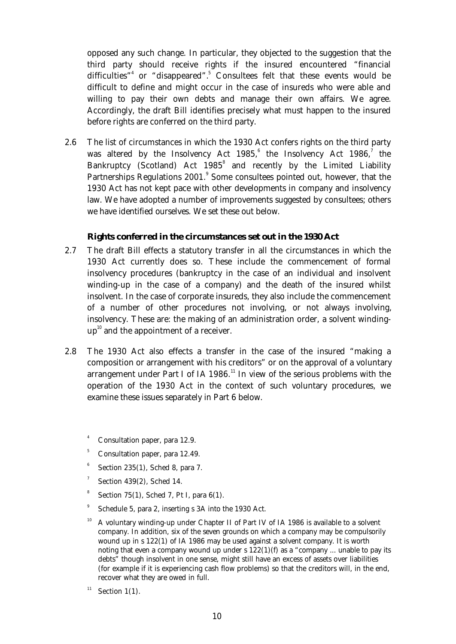opposed any such change. In particular, they objected to the suggestion that the third party should receive rights if the insured encountered "financial difficulties"<sup>4</sup> or "disappeared".<sup>5</sup> Consultees felt that these events would be difficult to define and might occur in the case of insureds who were able and willing to pay their own debts and manage their own affairs. We agree. Accordingly, the draft Bill identifies precisely what must happen to the insured before rights are conferred on the third party.

 2.6 The list of circumstances in which the 1930 Act confers rights on the third party was altered by the Insolvency Act  $1985$ , the Insolvency Act  $1986$ , the Bankruptcy (Scotland) Act 1985<sup>8</sup> and recently by the Limited Liability Partnerships Regulations 2001.<sup>9</sup> Some consultees pointed out, however, that the 1930 Act has not kept pace with other developments in company and insolvency law. We have adopted a number of improvements suggested by consultees; others we have identified ourselves. We set these out below.

#### **Rights conferred in the circumstances set out in the 1930 Act**

- 2.7 The draft Bill effects a statutory transfer in all the circumstances in which the 1930 Act currently does so. These include the commencement of formal insolvency procedures (bankruptcy in the case of an individual and insolvent winding-up in the case of a company) and the death of the insured whilst insolvent. In the case of corporate insureds, they also include the commencement of a number of other procedures not involving, or not always involving, insolvency. These are: the making of an administration order, a solvent winding $up^{10}$  and the appointment of a receiver.
- 2.8 The 1930 Act also effects a transfer in the case of the insured "making a composition or arrangement with his creditors" or on the approval of a voluntary  $\frac{1}{2}$  arrangement under Part I of IA 1986.<sup>11</sup> In view of the serious problems with the operation of the 1930 Act in the context of such voluntary procedures, we examine these issues separately in Part 6 below.
	- Consultation paper, para 12.9.
	- <sup>5</sup> Consultation paper, para 12.49.
	- 6 Section 235(1), Sched 8, para 7.
	- 7 Section 439(2), Sched 14.
	- 8 Section 75(1), Sched 7, Pt I, para 6(1).
	- 9 Schedule 5, para 2, inserting s 3A into the 1930 Act.
	- $10$  A voluntary winding-up under Chapter II of Part IV of IA 1986 is available to a solvent company. In addition, six of the seven grounds on which a company may be compulsorily wound up in s 122(1) of IA 1986 may be used against a solvent company. It is worth noting that even a company wound up under s  $122(1)(f)$  as a "company ... unable to pay its debts" though insolvent in one sense, might still have an excess of assets over liabilities (for example if it is experiencing cash flow problems) so that the creditors will, in the end, recover what they are owed in full.
	- <sup>11</sup> Section 1(1).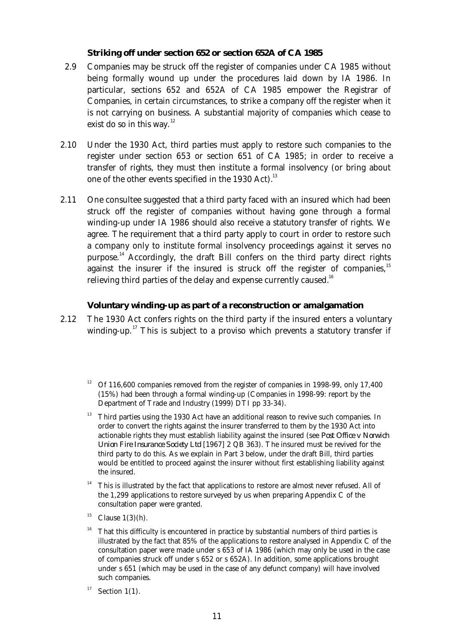#### **Striking off under section 652 or section 652A of CA 1985**

- 2.9 Companies may be struck off the register of companies under CA 1985 without being formally wound up under the procedures laid down by IA 1986. In particular, sections 652 and 652A of CA 1985 empower the Registrar of Companies, in certain circumstances, to strike a company off the register when it is not carrying on business. A substantial majority of companies which cease to exist do so in this way. $12$
- 2.10 Under the 1930 Act, third parties must apply to restore such companies to the register under section 653 or section 651 of CA 1985; in order to receive a transfer of rights, they must then institute a formal insolvency (or bring about one of the other events specified in the 1930 Act).<sup>13</sup>
- 2.11 One consultee suggested that a third party faced with an insured which had been struck off the register of companies without having gone through a formal winding-up under IA 1986 should also receive a statutory transfer of rights. We agree. The requirement that a third party apply to court in order to restore such a company only to institute formal insolvency proceedings against it serves no purpose.<sup>14</sup> Accordingly, the draft Bill confers on the third party direct rights against the insurer if the insured is struck off the register of companies, $15$ relieving third parties of the delay and expense currently caused.<sup>16</sup>

#### **Voluntary winding-up as part of a reconstruction or amalgamation**

- 2.12 The 1930 Act confers rights on the third party if the insured enters a voluntary winding-up.<sup>17</sup> This is subject to a proviso which prevents a statutory transfer if
	- <sup>12</sup> Of 116,600 companies removed from the register of companies in 1998-99, only 17,400 (15%) had been through a formal winding-up (Companies in 1998-99: report by the Department of Trade and Industry (1999) DTI pp 33-34).
	- $13$  Third parties using the 1930 Act have an additional reason to revive such companies. In order to convert the rights against the insurer transferred to them by the 1930 Act into actionable rights they must establish liability against the insured (see *Post Office v Norwich Union Fire Insurance Society Ltd* [1967] 2 QB 363). The insured must be revived for the third party to do this. As we explain in Part 3 below, under the draft Bill, third parties would be entitled to proceed against the insurer without first establishing liability against the insured.
	- <sup>14</sup> This is illustrated by the fact that applications to restore are almost never refused. All of the 1,299 applications to restore surveyed by us when preparing Appendix C of the consultation paper were granted.
	- <sup>15</sup> Clause  $1(3)(h)$ .
	- <sup>16</sup> That this difficulty is encountered in practice by substantial numbers of third parties is illustrated by the fact that 85% of the applications to restore analysed in Appendix C of the consultation paper were made under s 653 of IA 1986 (which may only be used in the case of companies struck off under s 652 or s 652A). In addition, some applications brought under s 651 (which may be used in the case of any defunct company) will have involved such companies.
	- <sup>17</sup> Section 1(1).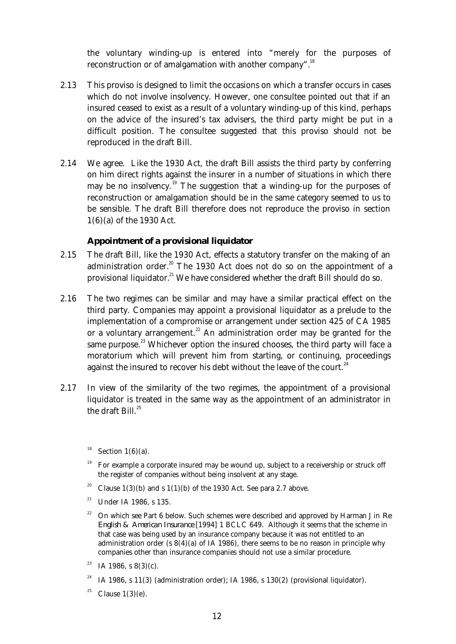the voluntary winding-up is entered into "merely for the purposes of reconstruction or of amalgamation with another company".<sup>18</sup>

- 2.13 This proviso is designed to limit the occasions on which a transfer occurs in cases which do not involve insolvency. However, one consultee pointed out that if an insured ceased to exist as a result of a voluntary winding-up of this kind, perhaps on the advice of the insured's tax advisers, the third party might be put in a difficult position. The consultee suggested that this proviso should not be reproduced in the draft Bill.
- 2.14 We agree. Like the 1930 Act, the draft Bill assists the third party by conferring on him direct rights against the insurer in a number of situations in which there may be no insolvency.<sup>19</sup> The suggestion that a winding-up for the purposes of reconstruction or amalgamation should be in the same category seemed to us to be sensible. The draft Bill therefore does not reproduce the proviso in section 1(6)(a) of the 1930 Act.

#### **Appointment of a provisional liquidator**

- 2.15 The draft Bill, like the 1930 Act, effects a statutory transfer on the making of an administration order.<sup>20</sup> The 1930 Act does not do so on the appointment of a provisional liquidator.<sup>21</sup> We have considered whether the draft Bill should do so.
- 2.16 The two regimes can be similar and may have a similar practical effect on the third party. Companies may appoint a provisional liquidator as a prelude to the implementation of a compromise or arrangement under section 425 of CA 1985 or a voluntary arrangement.<sup>22</sup> An administration order may be granted for the same purpose. $^{\text{23}}$  Whichever option the insured chooses, the third party will face a moratorium which will prevent him from starting, or continuing, proceedings against the insured to recover his debt without the leave of the court.<sup>24</sup>
- 2.17 In view of the similarity of the two regimes, the appointment of a provisional liquidator is treated in the same way as the appointment of an administrator in the draft Bill. $25$

- <sup>19</sup> For example a corporate insured may be wound up, subject to a receivership or struck off the register of companies without being insolvent at any stage.
- <sup>20</sup> Clause 1(3)(b) and s 1(1)(b) of the 1930 Act. See para 2.7 above.
- <sup>21</sup> Under IA 1986, s 135.
- <sup>22</sup> On which see Part 6 below. Such schemes were described and approved by Harman J in *Re English & American Insurance* [1994] 1 BCLC 649. Although it seems that the scheme in that case was being used by an insurance company because it was not entitled to an administration order (s  $8(4)(a)$  of IA 1986), there seems to be no reason in principle why companies other than insurance companies should not use a similar procedure.
- <sup>23</sup> IA 1986, s  $8(3)(c)$ .
- <sup>24</sup> IA 1986, s 11(3) (administration order); IA 1986, s 130(2) (provisional liquidator).
- <sup>25</sup> Clause  $1(3)(e)$ .

Section  $1(6)(a)$ .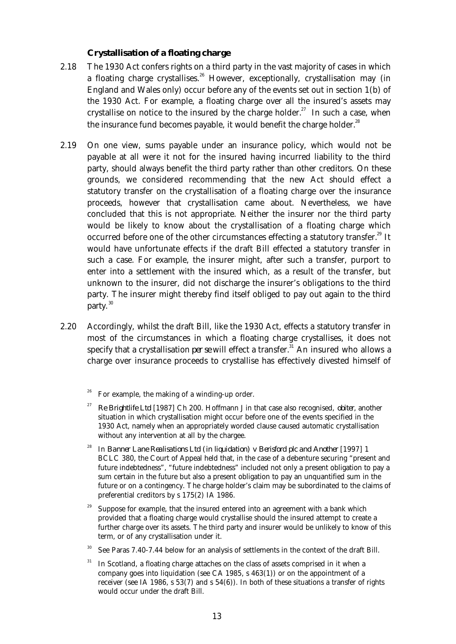#### **Crystallisation of a floating charge**

- 2.18 The 1930 Act confers rights on a third party in the vast majority of cases in which a floating charge crystallises.<sup>26</sup> However, exceptionally, crystallisation may (in England and Wales only) occur before any of the events set out in section 1(b) of the 1930 Act. For example, a floating charge over all the insured's assets may crystallise on notice to the insured by the charge holder.<sup>27</sup> In such a case, when the insurance fund becomes payable, it would benefit the charge holder.<sup>28</sup>
- 2.19 On one view, sums payable under an insurance policy, which would not be payable at all were it not for the insured having incurred liability to the third party, should always benefit the third party rather than other creditors. On these grounds, we considered recommending that the new Act should effect a statutory transfer on the crystallisation of a floating charge over the insurance proceeds, however that crystallisation came about. Nevertheless, we have concluded that this is not appropriate. Neither the insurer nor the third party would be likely to know about the crystallisation of a floating charge which occurred before one of the other circumstances effecting a statutory transfer.<sup>29</sup> It would have unfortunate effects if the draft Bill effected a statutory transfer in such a case. For example, the insurer might, after such a transfer, purport to enter into a settlement with the insured which, as a result of the transfer, but unknown to the insurer, did not discharge the insurer's obligations to the third party. The insurer might thereby find itself obliged to pay out again to the third party.<sup>30</sup>
- 2.20 Accordingly, whilst the draft Bill, like the 1930 Act, effects a statutory transfer in most of the circumstances in which a floating charge crystallises, it does not specify that a crystallisation *per se* will effect a transfer.<sup>31</sup> An insured who allows a charge over insurance proceeds to crystallise has effectively divested himself of
	- For example, the making of a winding-up order.
	- <sup>27</sup> *Re Brightlife Ltd* [1987] Ch 200. Hoffmann J in that case also recognised, *obiter*, another situation in which crystallisation might occur before one of the events specified in the 1930 Act, namely when an appropriately worded clause caused automatic crystallisation without any intervention at all by the chargee.
	- <sup>28</sup> In *Banner Lane Realisations Ltd (in liquidation) v Berisford plc and Another* [1997] 1 BCLC 380, the Court of Appeal held that, in the case of a debenture securing "present and future indebtedness", "future indebtedness" included not only a present obligation to pay a sum certain in the future but also a present obligation to pay an unquantified sum in the future or on a contingency. The charge holder's claim may be subordinated to the claims of preferential creditors by s 175(2) IA 1986.
	- Suppose for example, that the insured entered into an agreement with a bank which provided that a floating charge would crystallise should the insured attempt to create a further charge over its assets. The third party and insurer would be unlikely to know of this term, or of any crystallisation under it.
	- See Paras 7.40-7.44 below for an analysis of settlements in the context of the draft Bill.
	- In Scotland, a floating charge attaches on the class of assets comprised in it when a company goes into liquidation (see CA 1985,  $s$  463(1)) or on the appointment of a receiver (see IA 1986, s 53(7) and s 54(6)). In both of these situations a transfer of rights would occur under the draft Bill.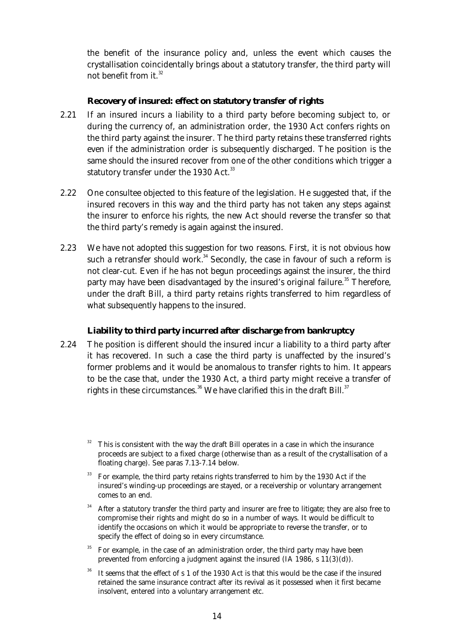the benefit of the insurance policy and, unless the event which causes the crystallisation coincidentally brings about a statutory transfer, the third party will not benefit from it. $32$ 

#### **Recovery of insured: effect on statutory transfer of rights**

- 2.21 If an insured incurs a liability to a third party before becoming subject to, or during the currency of, an administration order, the 1930 Act confers rights on the third party against the insurer. The third party retains these transferred rights even if the administration order is subsequently discharged. The position is the same should the insured recover from one of the other conditions which trigger a statutory transfer under the 1930 Act. $33$
- 2.22 One consultee objected to this feature of the legislation. He suggested that, if the insured recovers in this way and the third party has not taken any steps against the insurer to enforce his rights, the new Act should reverse the transfer so that the third party's remedy is again against the insured.
- 2.23 We have not adopted this suggestion for two reasons. First, it is not obvious how such a retransfer should work. $34$  Secondly, the case in favour of such a reform is not clear-cut. Even if he has not begun proceedings against the insurer, the third party may have been disadvantaged by the insured's original failure.<sup>35</sup> Therefore, under the draft Bill, a third party retains rights transferred to him regardless of what subsequently happens to the insured.

#### **Liability to third party incurred after discharge from bankruptcy**

 2.24 The position is different should the insured incur a liability to a third party after it has recovered. In such a case the third party is unaffected by the insured's former problems and it would be anomalous to transfer rights to him. It appears to be the case that, under the 1930 Act, a third party might receive a transfer of rights in these circumstances.<sup>36</sup> We have clarified this in the draft Bill.<sup>37</sup>

- <sup>33</sup> For example, the third party retains rights transferred to him by the 1930 Act if the insured's winding-up proceedings are stayed, or a receivership or voluntary arrangement comes to an end.
- After a statutory transfer the third party and insurer are free to litigate; they are also free to compromise their rights and might do so in a number of ways. It would be difficult to identify the occasions on which it would be appropriate to reverse the transfer, or to specify the effect of doing so in every circumstance.
- <sup>35</sup> For example, in the case of an administration order, the third party may have been prevented from enforcing a judgment against the insured (IA 1986, s 11(3)(d)).
- It seems that the effect of s 1 of the 1930 Act is that this would be the case if the insured retained the same insurance contract after its revival as it possessed when it first became insolvent, entered into a voluntary arrangement etc.

This is consistent with the way the draft Bill operates in a case in which the insurance proceeds are subject to a fixed charge (otherwise than as a result of the crystallisation of a floating charge). See paras 7.13-7.14 below.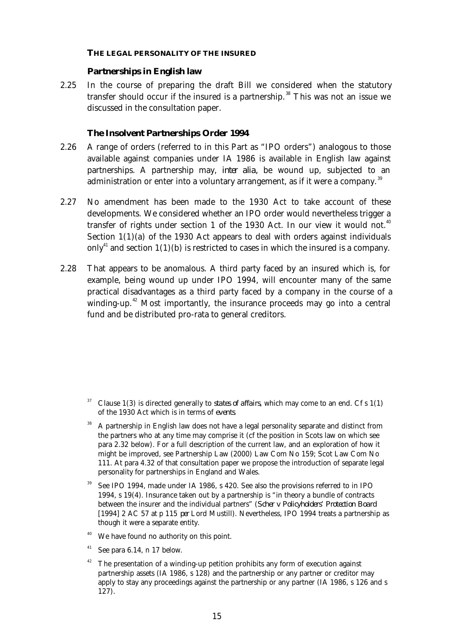#### **THE LEGAL PERSONALITY OF THE INSURED**

#### **Partnerships in English law**

 2.25 In the course of preparing the draft Bill we considered when the statutory transfer should occur if the insured is a partnership.<sup>38</sup> This was not an issue we discussed in the consultation paper.

#### *The Insolvent Partnerships Order 1994*

- 2.26 A range of orders (referred to in this Part as "IPO orders") analogous to those available against companies under IA 1986 is available in English law against partnerships. A partnership may, *inter alia,* be wound up, subjected to an administration or enter into a voluntary arrangement, as if it were a company.<sup>39</sup>
- 2.27 No amendment has been made to the 1930 Act to take account of these developments. We considered whether an IPO order would nevertheless trigger a transfer of rights under section 1 of the 1930 Act. In our view it would not.<sup>40</sup> Section 1(1)(a) of the 1930 Act appears to deal with orders against individuals only<sup>41</sup> and section  $1(1)(b)$  is restricted to cases in which the insured is a company.
- 2.28 That appears to be anomalous. A third party faced by an insured which is, for example, being wound up under IPO 1994, will encounter many of the same practical disadvantages as a third party faced by a company in the course of a winding-up.<sup>42</sup> Most importantly, the insurance proceeds may go into a central fund and be distributed pro-rata to general creditors.

- <sup>37</sup> Clause 1(3) is directed generally to *states of affairs*, which may come to an end. Cf s 1(1) of the 1930 Act which is in terms of *events*.
- <sup>38</sup> A partnership in English law does not have a legal personality separate and distinct from the partners who at any time may comprise it (cf the position in Scots law on which see para 2.32 below). For a full description of the current law, and an exploration of how it might be improved, see Partnership Law (2000) Law Com No 159; Scot Law Com No 111. At para 4.32 of that consultation paper we propose the introduction of separate legal personality for partnerships in England and Wales.
- See IPO 1994, made under IA 1986, s 420. See also the provisions referred to in IPO 1994, s 19(4). Insurance taken out by a partnership is "in theory a bundle of contracts between the insurer and the individual partners" (*Scher v Policyholders' Protection Board* [1994] 2 AC 57 at p 115 *per* Lord Mustill). Nevertheless, IPO 1994 treats a partnership as though it were a separate entity.
- <sup>40</sup> We have found no authority on this point.
- $41$  See para 6.14, n 17 below.
- $42$  The presentation of a winding-up petition prohibits any form of execution against partnership assets (IA 1986, s 128) and the partnership or any partner or creditor may apply to stay any proceedings against the partnership or any partner (IA 1986, s 126 and s 127).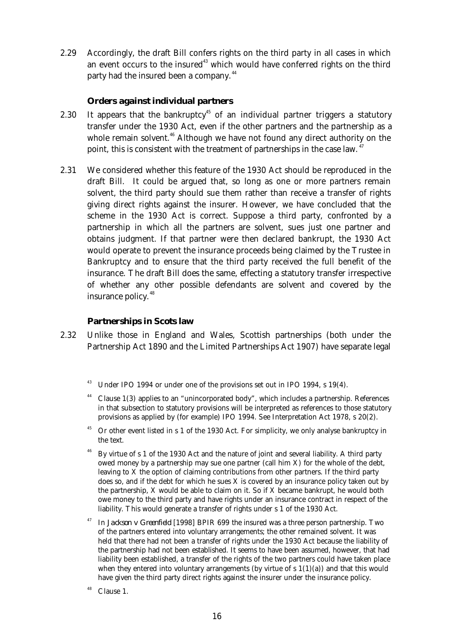2.29 Accordingly, the draft Bill confers rights on the third party in all cases in which an event occurs to the insured $43$  which would have conferred rights on the third party had the insured been a company.<sup>44</sup>

#### *Orders against individual partners*

- 2.30 It appears that the bankruptcy<sup>45</sup> of an individual partner triggers a statutory transfer under the 1930 Act, even if the other partners and the partnership as a whole remain solvent.<sup>46</sup> Although we have not found any direct authority on the point, this is consistent with the treatment of partnerships in the case law.  $47$
- 2.31 We considered whether this feature of the 1930 Act should be reproduced in the draft Bill. It could be argued that, so long as one or more partners remain solvent, the third party should sue them rather than receive a transfer of rights giving direct rights against the insurer. However, we have concluded that the scheme in the 1930 Act is correct. Suppose a third party, confronted by a partnership in which all the partners are solvent, sues just one partner and obtains judgment. If that partner were then declared bankrupt, the 1930 Act would operate to prevent the insurance proceeds being claimed by the Trustee in Bankruptcy and to ensure that the third party received the full benefit of the insurance. The draft Bill does the same, effecting a statutory transfer irrespective of whether any other possible defendants are solvent and covered by the insurance policy.<sup>48</sup>

#### **Partnerships in Scots law**

- 2.32 Unlike those in England and Wales, Scottish partnerships (both under the Partnership Act 1890 and the Limited Partnerships Act 1907) have separate legal
	- $43$  Under IPO 1994 or under one of the provisions set out in IPO 1994, s 19(4).
	- $44$  Clause 1(3) applies to an "unincorporated body", which includes a partnership. References in that subsection to statutory provisions will be interpreted as references to those statutory provisions as applied by (for example) IPO 1994. See Interpretation Act 1978, s 20(2).
	- <sup>45</sup> Or other event listed in s 1 of the 1930 Act. For simplicity, we only analyse bankruptcy in the text.
	- <sup>46</sup> By virtue of s 1 of the 1930 Act and the nature of joint and several liability. A third party owed money by a partnership may sue one partner (call him X) for the whole of the debt, leaving to X the option of claiming contributions from other partners. If the third party does so, and if the debt for which he sues  $X$  is covered by an insurance policy taken out by the partnership, X would be able to claim on it. So if X became bankrupt, he would both owe money to the third party and have rights under an insurance contract in respect of the liability. This would generate a transfer of rights under s 1 of the 1930 Act.
	- <sup>47</sup> In *Jackson v Greenfield* [1998] BPIR 699 the insured was a three person partnership. Two of the partners entered into voluntary arrangements; the other remained solvent. It was held that there had not been a transfer of rights under the 1930 Act because the liability of the partnership had not been established. It seems to have been assumed, however, that had liability been established, a transfer of the rights of the two partners could have taken place when they entered into voluntary arrangements (by virtue of  $s 1(1)(a)$ ) and that this would have given the third party direct rights against the insurer under the insurance policy.
	- $48$  Clause 1.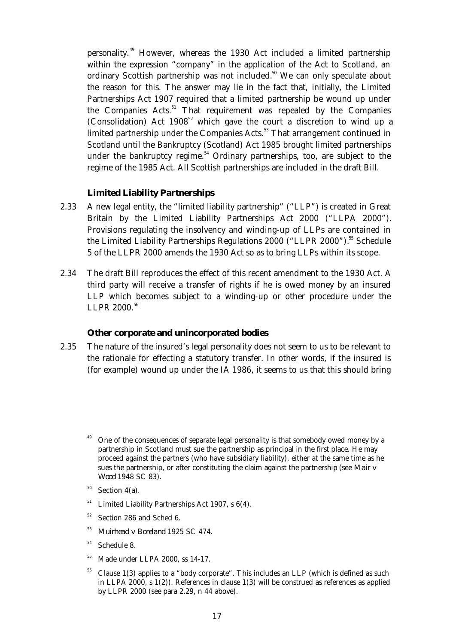personality.<sup>49</sup> However, whereas the 1930 Act included a limited partnership within the expression "company" in the application of the Act to Scotland, an ordinary Scottish partnership was not included.<sup>50</sup> We can only speculate about the reason for this. The answer may lie in the fact that, initially, the Limited Partnerships Act 1907 required that a limited partnership be wound up under the Companies Acts.<sup>51</sup> That requirement was repealed by the Companies (Consolidation) Act  $1908^{52}$  which gave the court a discretion to wind up a limited partnership under the Companies Acts.<sup>53</sup> That arrangement continued in Scotland until the Bankruptcy (Scotland) Act 1985 brought limited partnerships under the bankruptcy regime.<sup>54</sup> Ordinary partnerships, too, are subject to the regime of the 1985 Act. All Scottish partnerships are included in the draft Bill.

#### **Limited Liability Partnerships**

- 2.33 A new legal entity, the "limited liability partnership" ("LLP") is created in Great Britain by the Limited Liability Partnerships Act 2000 ("LLPA 2000"). Provisions regulating the insolvency and winding-up of LLPs are contained in the Limited Liability Partnerships Regulations 2000 ("LLPR 2000").<sup>55</sup> Schedule 5 of the LLPR 2000 amends the 1930 Act so as to bring LLPs within its scope.
- 2.34 The draft Bill reproduces the effect of this recent amendment to the 1930 Act. A third party will receive a transfer of rights if he is owed money by an insured LLP which becomes subject to a winding-up or other procedure under the LLPR 2000.<sup>56</sup>

#### **Other corporate and unincorporated bodies**

- 2.35 The nature of the insured's legal personality does not seem to us to be relevant to the rationale for effecting a statutory transfer. In other words, if the insured is (for example) wound up under the IA 1986, it seems to us that this should bring
	- One of the consequences of separate legal personality is that somebody owed money by a partnership in Scotland must sue the partnership as principal in the first place. He may proceed against the partners (who have subsidiary liability), either at the same time as he sues the partnership, or after constituting the claim against the partnership (see *Mair v Wood* 1948 SC 83).
	- $50$  Section 4(a).
	- $^{51}$  Limited Liability Partnerships Act 1907, s 6(4).
	- $52$  Section 286 and Sched 6.
	- <sup>53</sup> *Muirhead v Boreland* 1925 SC 474.
	- <sup>54</sup> Schedule 8.
	- <sup>55</sup> Made under LLPA 2000, ss 14-17.
	- <sup>56</sup> Clause 1(3) applies to a "body corporate". This includes an LLP (which is defined as such in LLPA 2000, s 1(2)). References in clause 1(3) will be construed as references as applied by LLPR 2000 (see para 2.29, n 44 above).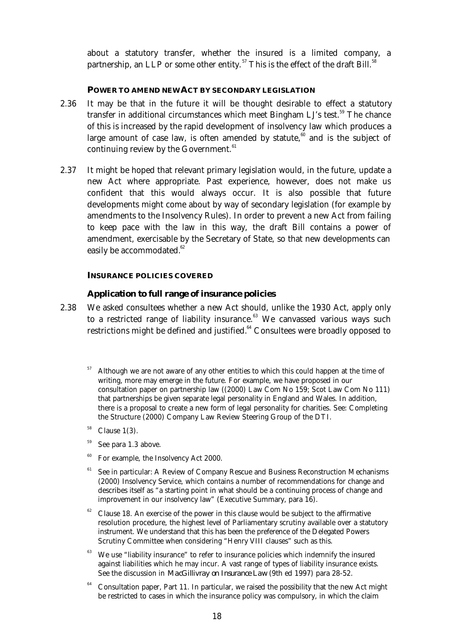about a statutory transfer, whether the insured is a limited company, a partnership, an LLP or some other entity.<sup>57</sup> This is the effect of the draft Bill.<sup>58</sup>

#### **POWER TO AMEND NEW ACT BY SECONDARY LEGISLATION**

- 2.36 It may be that in the future it will be thought desirable to effect a statutory transfer in additional circumstances which meet Bingham LJ's test.<sup>59</sup> The chance of this is increased by the rapid development of insolvency law which produces a large amount of case law, is often amended by statute,<sup>60</sup> and is the subject of continuing review by the Government.<sup>61</sup>
- 2.37 It might be hoped that relevant primary legislation would, in the future, update a new Act where appropriate. Past experience, however, does not make us confident that this would always occur. It is also possible that future developments might come about by way of secondary legislation (for example by amendments to the Insolvency Rules). In order to prevent a new Act from failing to keep pace with the law in this way, the draft Bill contains a power of amendment, exercisable by the Secretary of State, so that new developments can easily be accommodated.<sup>62</sup>

#### **INSURANCE POLICIES COVERED**

#### **Application to full range of insurance policies**

- 2.38 We asked consultees whether a new Act should, unlike the 1930 Act, apply only to a restricted range of liability insurance. $63$  We canvassed various ways such restrictions might be defined and justified.<sup>64</sup> Consultees were broadly opposed to
	- <sup>57</sup> Although we are not aware of any other entities to which this could happen at the time of writing, more may emerge in the future. For example, we have proposed in our consultation paper on partnership law ((2000) Law Com No 159; Scot Law Com No 111) that partnerships be given separate legal personality in England and Wales. In addition, there is a proposal to create a new form of legal personality for charities. See: Completing the Structure (2000) Company Law Review Steering Group of the DTI.
	- <sup>58</sup> Clause 1(3).
	- See para 1.3 above.
	- <sup>60</sup> For example, the Insolvency Act 2000.
	- $61$  See in particular: A Review of Company Rescue and Business Reconstruction Mechanisms (2000) Insolvency Service, which contains a number of recommendations for change and describes itself as "a starting point in what should be a continuing process of change and improvement in our insolvency law" (Executive Summary, para 16).
	- $62$  Clause 18. An exercise of the power in this clause would be subject to the affirmative resolution procedure, the highest level of Parliamentary scrutiny available over a statutory instrument. We understand that this has been the preference of the Delegated Powers Scrutiny Committee when considering "Henry VIII clauses" such as this.
	- $63$  We use "liability insurance" to refer to insurance policies which indemnify the insured against liabilities which he may incur. A vast range of types of liability insurance exists. See the discussion in *MacGillivray on Insurance Law* (9th ed 1997) para 28-52.
	- <sup>64</sup> Consultation paper, Part 11. In particular, we raised the possibility that the new Act might be restricted to cases in which the insurance policy was compulsory, in which the claim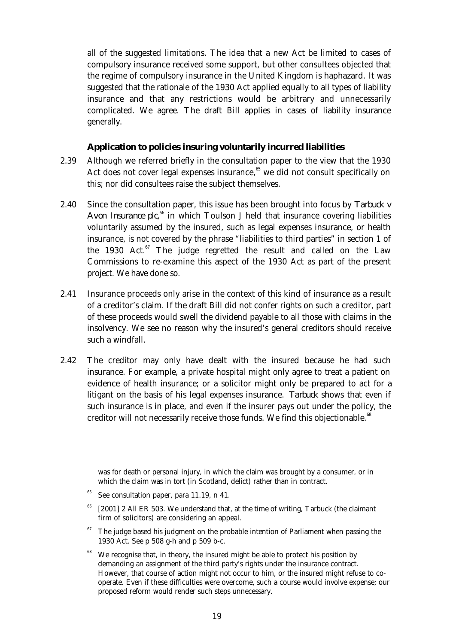all of the suggested limitations. The idea that a new Act be limited to cases of compulsory insurance received some support, but other consultees objected that the regime of compulsory insurance in the United Kingdom is haphazard. It was suggested that the rationale of the 1930 Act applied equally to all types of liability insurance and that any restrictions would be arbitrary and unnecessarily complicated. We agree. The draft Bill applies in cases of liability insurance generally.

#### **Application to policies insuring voluntarily incurred liabilities**

- 2.39 Although we referred briefly in the consultation paper to the view that the 1930 Act does not cover legal expenses insurance, $65$  we did not consult specifically on this; nor did consultees raise the subject themselves.
- 2.40 Since the consultation paper, this issue has been brought into focus by *Tarbuck v* Avon Insurance plc,<sup>66</sup> in which Toulson J held that insurance covering liabilities voluntarily assumed by the insured, such as legal expenses insurance, or health insurance, is not covered by the phrase "liabilities to third parties" in section 1 of the 1930 Act. $57$  The judge regretted the result and called on the Law Commissions to re-examine this aspect of the 1930 Act as part of the present project. We have done so.
- 2.41 Insurance proceeds only arise in the context of this kind of insurance as a result of a creditor's claim. If the draft Bill did not confer rights on such a creditor, part of these proceeds would swell the dividend payable to all those with claims in the insolvency. We see no reason why the insured's general creditors should receive such a windfall.
- 2.42 The creditor may only have dealt with the insured because he had such insurance. For example, a private hospital might only agree to treat a patient on evidence of health insurance; or a solicitor might only be prepared to act for a litigant on the basis of his legal expenses insurance. *Tarbuck* shows that even if such insurance is in place, and even if the insurer pays out under the policy, the creditor will not necessarily receive those funds. We find this objectionable.<sup>68</sup>

- [2001] 2 All ER 503. We understand that, at the time of writing, Tarbuck (the claimant firm of solicitors) are considering an appeal.
- The judge based his judgment on the probable intention of Parliament when passing the 1930 Act. See p 508 g-h and p 509 b-c.
- <sup>68</sup> We recognise that, in theory, the insured might be able to protect his position by demanding an assignment of the third party's rights under the insurance contract. However, that course of action might not occur to him, or the insured might refuse to cooperate. Even if these difficulties were overcome, such a course would involve expense; our proposed reform would render such steps unnecessary.

was for death or personal injury, in which the claim was brought by a consumer, or in which the claim was in tort (in Scotland, delict) rather than in contract.

See consultation paper, para 11.19, n 41.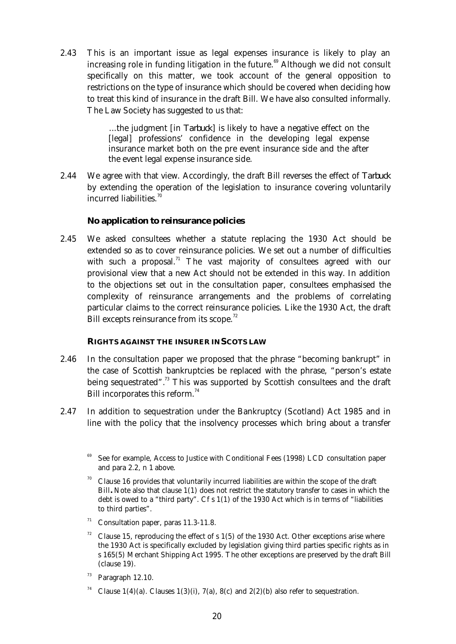2.43 This is an important issue as legal expenses insurance is likely to play an increasing role in funding litigation in the future.<sup>69</sup> Although we did not consult specifically on this matter, we took account of the general opposition to restrictions on the type of insurance which should be covered when deciding how to treat this kind of insurance in the draft Bill. We have also consulted informally. The Law Society has suggested to us that:

> ...the judgment [in *Tarbuck*] is likely to have a negative effect on the [legal] professions' confidence in the developing legal expense insurance market both on the pre event insurance side and the after the event legal expense insurance side.

 2.44 We agree with that view. Accordingly, the draft Bill reverses the effect of *Tarbuck* by extending the operation of the legislation to insurance covering voluntarily incurred liabilities. $70$ 

#### **No application to reinsurance policies**

 2.45 We asked consultees whether a statute replacing the 1930 Act should be extended so as to cover reinsurance policies. We set out a number of difficulties with such a proposal.<sup>71</sup> The vast majority of consultees agreed with our provisional view that a new Act should not be extended in this way. In addition to the objections set out in the consultation paper, consultees emphasised the complexity of reinsurance arrangements and the problems of correlating particular claims to the correct reinsurance policies. Like the 1930 Act, the draft Bill excepts reinsurance from its scope.<sup>72</sup>

#### **RIGHTS AGAINST THE INSURER IN SCOTS LAW**

- 2.46 In the consultation paper we proposed that the phrase "becoming bankrupt" in the case of Scottish bankruptcies be replaced with the phrase, "person's estate being sequestrated".<sup>73</sup> This was supported by Scottish consultees and the draft Bill incorporates this reform.<sup>74</sup>
- 2.47 In addition to sequestration under the Bankruptcy (Scotland) Act 1985 and in line with the policy that the insolvency processes which bring about a transfer

- $71$  Consultation paper, paras 11.3-11.8.
- <sup>72</sup> Clause 15, reproducing the effect of s 1(5) of the 1930 Act. Other exceptions arise where the 1930 Act is specifically excluded by legislation giving third parties specific rights as in s 165(5) Merchant Shipping Act 1995. The other exceptions are preserved by the draft Bill (clause 19).
- $73$  Paragraph 12.10.
- <sup>74</sup> Clause 1(4)(a). Clauses 1(3)(i), 7(a), 8(c) and 2(2)(b) also refer to sequestration.

See for example, Access to Justice with Conditional Fees (1998) LCD consultation paper and para 2.2, n 1 above.

 $70$  Clause 16 provides that voluntarily incurred liabilities are within the scope of the draft Bill**.** Note also that clause 1(1) does not restrict the statutory transfer to cases in which the debt is owed to a "third party". Cf s 1(1) of the 1930 Act which is in terms of "liabilities to third parties".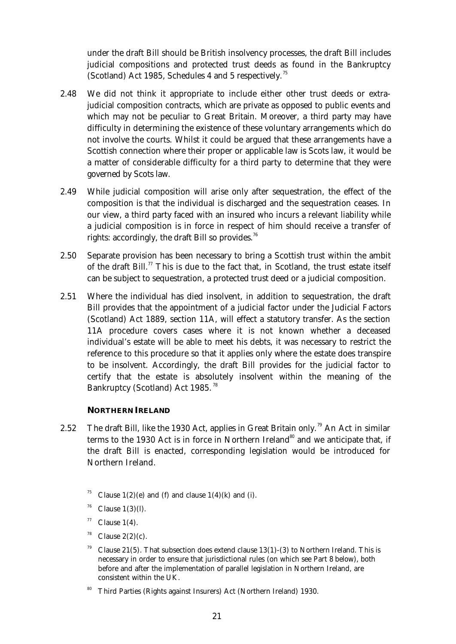under the draft Bill should be British insolvency processes, the draft Bill includes judicial compositions and protected trust deeds as found in the Bankruptcy (Scotland) Act 1985, Schedules 4 and 5 respectively.<sup>75</sup>

- 2.48 We did not think it appropriate to include either other trust deeds or extrajudicial composition contracts, which are private as opposed to public events and which may not be peculiar to Great Britain. Moreover, a third party may have difficulty in determining the existence of these voluntary arrangements which do not involve the courts. Whilst it could be argued that these arrangements have a Scottish connection where their proper or applicable law is Scots law, it would be a matter of considerable difficulty for a third party to determine that they were governed by Scots law.
- 2.49 While judicial composition will arise only after sequestration, the effect of the composition is that the individual is discharged and the sequestration ceases. In our view, a third party faced with an insured who incurs a relevant liability while a judicial composition is in force in respect of him should receive a transfer of rights: accordingly, the draft Bill so provides.<sup>76</sup>
- 2.50 Separate provision has been necessary to bring a Scottish trust within the ambit of the draft Bill.<sup>77</sup> This is due to the fact that, in Scotland, the trust estate itself can be subject to sequestration, a protected trust deed or a judicial composition.
- 2.51 Where the individual has died insolvent, in addition to sequestration, the draft Bill provides that the appointment of a judicial factor under the Judicial Factors (Scotland) Act 1889, section 11A, will effect a statutory transfer. As the section 11A procedure covers cases where it is not known whether a deceased individual's estate will be able to meet his debts, it was necessary to restrict the reference to this procedure so that it applies only where the estate does transpire to be insolvent. Accordingly, the draft Bill provides for the judicial factor to certify that the estate is absolutely insolvent within the meaning of the Bankruptcy (Scotland) Act 1985.<sup>78</sup>

#### **NORTHERN IRELAND**

- 2.52 The draft Bill, like the 1930 Act, applies in Great Britain only.<sup>79</sup> An Act in similar terms to the 1930 Act is in force in Northern Ireland<sup>80</sup> and we anticipate that, if the draft Bill is enacted, corresponding legislation would be introduced for Northern Ireland.
	- Clause  $1(2)(e)$  and (f) and clause  $1(4)(k)$  and (i).
	- Clause  $1(3)(l)$ .
	- $77$  Clause 1(4).
	- Clause  $2(2)(c)$ .
	- <sup>79</sup> Clause 21(5). That subsection does extend clause 13(1)-(3) to Northern Ireland. This is necessary in order to ensure that jurisdictional rules (on which see Part 8 below), both before and after the implementation of parallel legislation in Northern Ireland, are consistent within the UK.
	- <sup>80</sup> Third Parties (Rights against Insurers) Act (Northern Ireland) 1930.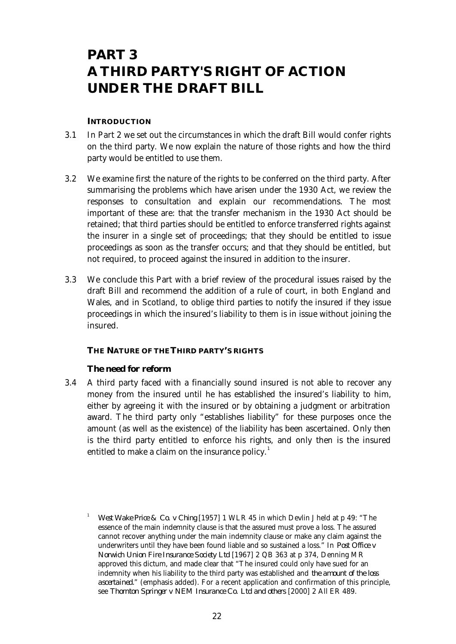## **PART 3 A THIRD PARTY'S RIGHT OF ACTION UNDER THE DRAFT BILL**

#### **INTRODUCTION**

- 3.1 In Part 2 we set out the circumstances in which the draft Bill would confer rights on the third party. We now explain the nature of those rights and how the third party would be entitled to use them.
- 3.2 We examine first the nature of the rights to be conferred on the third party. After summarising the problems which have arisen under the 1930 Act, we review the responses to consultation and explain our recommendations. The most important of these are: that the transfer mechanism in the 1930 Act should be retained; that third parties should be entitled to enforce transferred rights against the insurer in a single set of proceedings; that they should be entitled to issue proceedings as soon as the transfer occurs; and that they should be entitled, but not required, to proceed against the insured in addition to the insurer.
- 3.3 We conclude this Part with a brief review of the procedural issues raised by the draft Bill and recommend the addition of a rule of court, in both England and Wales, and in Scotland, to oblige third parties to notify the insured if they issue proceedings in which the insured's liability to them is in issue without joining the insured.

#### **THE NATURE OF THE THIRD PARTY'S RIGHTS**

#### **The need for reform**

 3.4 A third party faced with a financially sound insured is not able to recover any money from the insured until he has established the insured's liability to him, either by agreeing it with the insured or by obtaining a judgment or arbitration award. The third party only "establishes liability" for these purposes once the amount (as well as the existence) of the liability has been ascertained. Only then is the third party entitled to enforce his rights, and only then is the insured entitled to make a claim on the insurance policy.<sup>1</sup>

<sup>1</sup> *West Wake Price & Co. v Ching* [1957] 1 WLR 45 in which Devlin J held at p 49: "The essence of the main indemnity clause is that the assured must prove a loss. The assured cannot recover anything under the main indemnity clause or make any claim against the underwriters until they have been found liable and so sustained a loss." In *Post Office v Norwich Union Fire Insurance Society Ltd* [1967] 2 QB 363 at p 374, Denning MR approved this dictum, and made clear that "The insured could only have sued for an indemnity when his liability to the third party was established and *the amount of the loss ascertained.*" (emphasis added). For a recent application and confirmation of this principle, see *Thornton Springer v NEM Insurance Co. Ltd and others* [2000] 2 All ER 489.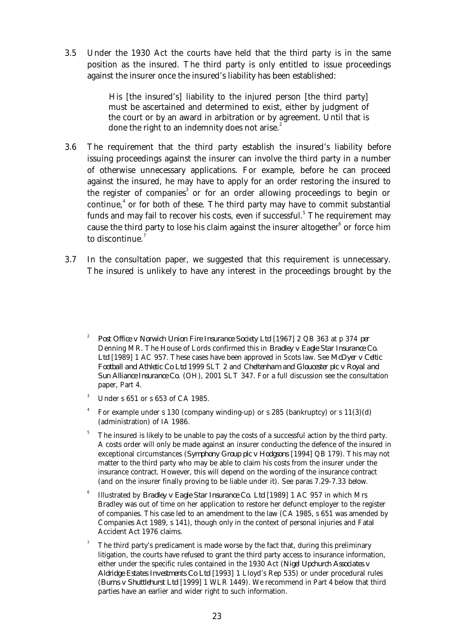3.5 Under the 1930 Act the courts have held that the third party is in the same position as the insured. The third party is only entitled to issue proceedings against the insurer once the insured's liability has been established:

> His [the insured's] liability to the injured person [the third party] must be ascertained and determined to exist, either by judgment of the court or by an award in arbitration or by agreement. Until that is done the right to an indemnity does not arise.<sup>2</sup>

- 3.6 The requirement that the third party establish the insured's liability before issuing proceedings against the insurer can involve the third party in a number of otherwise unnecessary applications. For example, before he can proceed against the insured, he may have to apply for an order restoring the insured to the register of companies<sup>3</sup> or for an order allowing proceedings to begin or continue, $4$  or for both of these. The third party may have to commit substantial funds and may fail to recover his costs, even if successful. $^5$  The requirement may cause the third party to lose his claim against the insurer altogether $^6$  or force him to discontinue.<sup>7</sup>
- 3.7 In the consultation paper, we suggested that this requirement is unnecessary. The insured is unlikely to have any interest in the proceedings brought by the

- $3$  Under s 651 or s 653 of CA 1985.
- 4 For example under s 130 (company winding-up) or s 285 (bankruptcy) or s 11(3)(d) (administration) of IA 1986.
- $5$  The insured is likely to be unable to pay the costs of a successful action by the third party. A costs order will only be made against an insurer conducting the defence of the insured in exceptional circumstances (*Symphony Group plc v Hodgsons* [1994] QB 179). This may not matter to the third party who may be able to claim his costs from the insurer under the insurance contract. However, this will depend on the wording of the insurance contract (and on the insurer finally proving to be liable under it). See paras 7.29-7.33 below.
- 6 Illustrated by *Bradley v Eagle Star Insurance Co. Ltd* [1989] 1 AC 957 in which Mrs Bradley was out of time on her application to restore her defunct employer to the register of companies. This case led to an amendment to the law (CA 1985, s 651 was amended by Companies Act 1989, s 141), though only in the context of personal injuries and Fatal Accident Act 1976 claims.
- The third party's predicament is made worse by the fact that, during this preliminary litigation, the courts have refused to grant the third party access to insurance information, either under the specific rules contained in the 1930 Act (*Nigel Upchurch Associates v Aldridge Estates Investments Co Ltd* [1993] 1 Lloyd's Rep 535) or under procedural rules (*Burns v Shuttlehurst Ltd* [1999] 1 WLR 1449). We recommend in Part 4 below that third parties have an earlier and wider right to such information.

<sup>2</sup> *Post Office v Norwich Union Fire Insurance Society Ltd* [1967] 2 QB 363 at p 374 *per* Denning MR. The House of Lords confirmed this in *Bradley v Eagle Star Insurance Co. Ltd* [1989] 1 AC 957. These cases have been approved in Scots law. See *McDyer v Celtic Football and Athletic Co Ltd* 1999 SLT 2 and *Cheltenham and Gloucester plc v Royal and Sun Alliance Insurance Co.* (OH), 2001 SLT 347. For a full discussion see the consultation paper, Part 4.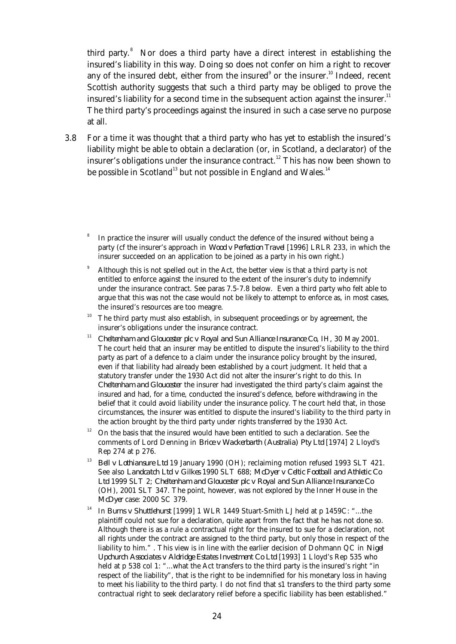third party.<sup>8</sup> Nor does a third party have a direct interest in establishing the insured's liability in this way. Doing so does not confer on him a right to recover any of the insured debt, either from the insured $^{\circ}$  or the insurer. $^{10}$  Indeed, recent Scottish authority suggests that such a third party may be obliged to prove the insured's liability for a second time in the subsequent action against the insurer. $11$ The third party's proceedings against the insured in such a case serve no purpose at all.

 3.8 For a time it was thought that a third party who has yet to establish the insured's liability might be able to obtain a declaration (or, in Scotland, a declarator) of the insurer's obligations under the insurance contract.<sup>12</sup> This has now been shown to be possible in Scotland<sup>13</sup> but not possible in England and Wales.<sup>14</sup>

- <sup>11</sup> *Cheltenham and Gloucester plc v Royal and Sun Alliance Insurance Co, IH, 30 May 2001.* The court held that an insurer may be entitled to dispute the insured's liability to the third party as part of a defence to a claim under the insurance policy brought by the insured, even if that liability had already been established by a court judgment. It held that a statutory transfer under the 1930 Act did not alter the insurer's right to do this. In *Cheltenham and Gloucester* the insurer had investigated the third party's claim against the insured and had, for a time, conducted the insured's defence, before withdrawing in the belief that it could avoid liability under the insurance policy. The court held that, in those circumstances, the insurer was entitled to dispute the insured's liability to the third party in the action brought by the third party under rights transferred by the 1930 Act.
- $12$  On the basis that the insured would have been entitled to such a declaration. See the comments of Lord Denning in *Brice v Wackerbarth (Australia) Pty Ltd* [1974] 2 Lloyd's Rep 274 at p 276.
- <sup>13</sup> *Bell v Lothiansure Ltd* 19 January 1990 (OH); reclaiming motion refused 1993 SLT 421. See also *Landcatch Ltd v Gilkes* 1990 SLT 688; *McDyer v Celtic Football and Athletic Co Ltd* 1999 SLT 2; *Cheltenham and Gloucester plc v Royal and Sun Alliance Insurance Co* (OH), 2001 SLT 347. The point, however, was not explored by the Inner House in the *McDyer* case: 2000 SC 379.
- <sup>14</sup> In *Burns v Shuttlehurst* [1999] 1 WLR 1449 Stuart-Smith LJ held at p 1459C: "...the plaintiff could not sue for a declaration, quite apart from the fact that he has not done so. Although there is as a rule a contractual right for the insured to sue for a declaration, not all rights under the contract are assigned to the third party, but only those in respect of the liability to him." . This view is in line with the earlier decision of Dohmann QC in *Nigel Upchurch Associates v Aldridge Estates Investment Co Ltd* [1993] 1 Lloyd's Rep 535 who held at p 538 col 1: "...what the Act transfers to the third party is the insured's right "in respect of the liability", that is the right to be indemnified for his monetary loss in having to meet his liability to the third party. I do not find that s1 transfers to the third party some contractual right to seek declaratory relief before a specific liability has been established."

<sup>8</sup> In practice the insurer will usually conduct the defence of the insured without being a party (cf the insurer's approach in *Wood v Perfection Travel* [1996] LRLR 233, in which the insurer succeeded on an application to be joined as a party in his own right.)

<sup>9</sup> Although this is not spelled out in the Act, the better view is that a third party is not entitled to enforce against the insured to the extent of the insurer's duty to indemnify under the insurance contract. See paras 7.5-7.8 below. Even a third party who felt able to argue that this was not the case would not be likely to attempt to enforce as, in most cases, the insured's resources are too meagre.

The third party must also establish, in subsequent proceedings or by agreement, the insurer's obligations under the insurance contract.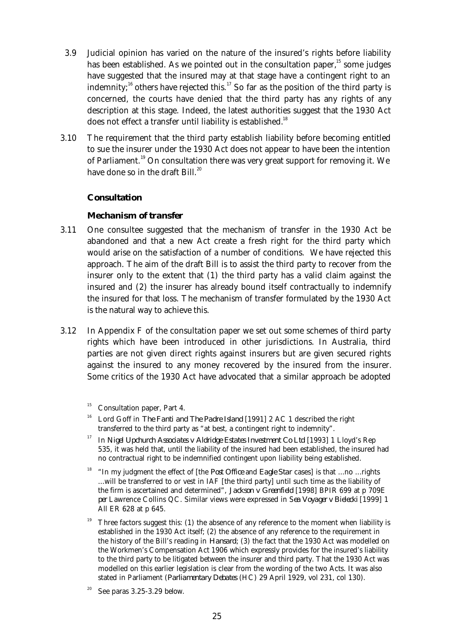- 3.9 Judicial opinion has varied on the nature of the insured's rights before liability has been established. As we pointed out in the consultation paper, $15$  some judges have suggested that the insured may at that stage have a contingent right to an indemnity;<sup>16</sup> others have rejected this.<sup>17</sup> So far as the position of the third party is concerned, the courts have denied that the third party has any rights of any description at this stage. Indeed, the latest authorities suggest that the 1930 Act does not effect a transfer until liability is established.<sup>18</sup>
- 3.10 The requirement that the third party establish liability before becoming entitled to sue the insurer under the 1930 Act does not appear to have been the intention of Parliament.<sup>19</sup> On consultation there was very great support for removing it. We have done so in the draft Bill.<sup>20</sup>

#### **Consultation**

#### *Mechanism of transfer*

- 3.11 One consultee suggested that the mechanism of transfer in the 1930 Act be abandoned and that a new Act create a fresh right for the third party which would arise on the satisfaction of a number of conditions. We have rejected this approach. The aim of the draft Bill is to assist the third party to recover from the insurer only to the extent that (1) the third party has a valid claim against the insured and (2) the insurer has already bound itself contractually to indemnify the insured for that loss. The mechanism of transfer formulated by the 1930 Act is the natural way to achieve this.
- 3.12 In Appendix F of the consultation paper we set out some schemes of third party rights which have been introduced in other jurisdictions. In Australia, third parties are not given direct rights against insurers but are given secured rights against the insured to any money recovered by the insured from the insurer. Some critics of the 1930 Act have advocated that a similar approach be adopted

- <sup>16</sup> Lord Goff in *The Fanti and The Padre Island* [1991] 2 AC 1 described the right transferred to the third party as "at best, a contingent right to indemnity".
- <sup>17</sup> In *Nigel Upchurch Associates v Aldridge Estates Investment Co Ltd* [1993] 1 Lloyd's Rep 535, it was held that, until the liability of the insured had been established, the insured had no contractual right to be indemnified contingent upon liability being established.
- <sup>18</sup> "In my judgment the effect of [the *Post Office and Eagle Star cases*] is that ...no ...rights ...will be transferred to or vest in IAF [the third party] until such time as the liability of the firm is ascertained and determined", *Jackson v Greenfield* [1998] BPIR 699 at p 709E *per* Lawrence Collins QC. Similar views were expressed in S*ea Voyager v Bielecki* [1999] 1 All ER 628 at p 645.
- <sup>19</sup> Three factors suggest this: (1) the absence of any reference to the moment when liability is established in the 1930 Act itself; (2) the absence of any reference to the requirement in the history of the Bill's reading in *Hansard*; (3) the fact that the 1930 Act was modelled on the Workmen's Compensation Act 1906 which expressly provides for the insured's liability to the third party to be litigated between the insurer and third party. That the 1930 Act was modelled on this earlier legislation is clear from the wording of the two Acts. It was also stated in Parliament (*Parliamentary Debates* (HC) 29 April 1929, vol 231, col 130).

Consultation paper, Part 4.

See paras 3.25-3.29 below.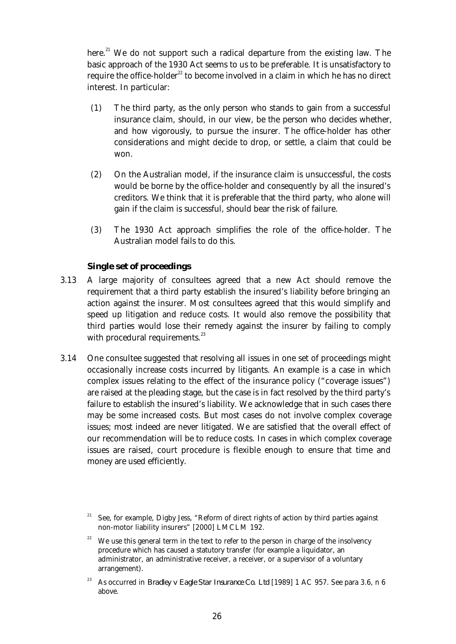here.<sup>21</sup> We do not support such a radical departure from the existing law. The basic approach of the 1930 Act seems to us to be preferable. It is unsatisfactory to require the office-holder<sup>22</sup> to become involved in a claim in which he has no direct interest. In particular:

- (1) The third party, as the only person who stands to gain from a successful insurance claim, should, in our view, be the person who decides whether, and how vigorously, to pursue the insurer. The office-holder has other considerations and might decide to drop, or settle, a claim that could be won.
- (2) On the Australian model, if the insurance claim is unsuccessful, the costs would be borne by the office-holder and consequently by all the insured's creditors. We think that it is preferable that the third party, who alone will gain if the claim is successful, should bear the risk of failure.
- (3) The 1930 Act approach simplifies the role of the office-holder. The Australian model fails to do this.

#### *Single set of proceedings*

- 3.13 A large majority of consultees agreed that a new Act should remove the requirement that a third party establish the insured's liability before bringing an action against the insurer. Most consultees agreed that this would simplify and speed up litigation and reduce costs. It would also remove the possibility that third parties would lose their remedy against the insurer by failing to comply with procedural requirements.<sup>23</sup>
- 3.14 One consultee suggested that resolving all issues in one set of proceedings might occasionally increase costs incurred by litigants. An example is a case in which complex issues relating to the effect of the insurance policy ("coverage issues") are raised at the pleading stage, but the case is in fact resolved by the third party's failure to establish the insured's liability. We acknowledge that in such cases there may be some increased costs. But most cases do not involve complex coverage issues; most indeed are never litigated. We are satisfied that the overall effect of our recommendation will be to reduce costs. In cases in which complex coverage issues are raised, court procedure is flexible enough to ensure that time and money are used efficiently.

See, for example, Digby Jess, "Reform of direct rights of action by third parties against non-motor liability insurers" [2000] LMCLM 192.

We use this general term in the text to refer to the person in charge of the insolvency procedure which has caused a statutory transfer (for example a liquidator, an administrator, an administrative receiver, a receiver, or a supervisor of a voluntary arrangement).

<sup>&</sup>lt;sup>23</sup> As occurred in *Bradley v Eagle Star Insurance Co. Ltd* [1989] 1 AC 957. See para 3.6, n 6 above.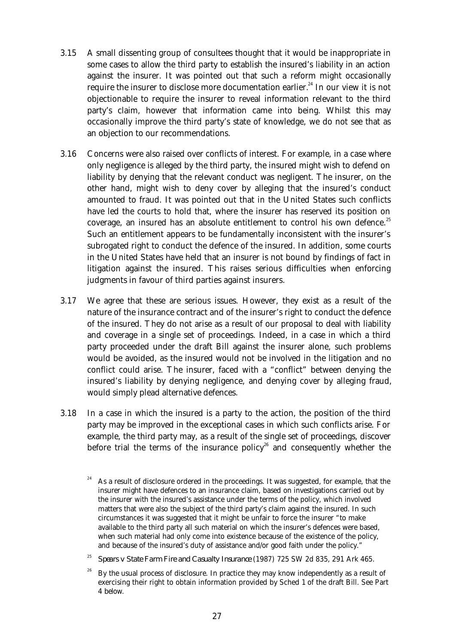- 3.15 A small dissenting group of consultees thought that it would be inappropriate in some cases to allow the third party to establish the insured's liability in an action against the insurer. It was pointed out that such a reform might occasionally require the insurer to disclose more documentation earlier.<sup>24</sup> In our view it is not objectionable to require the insurer to reveal information relevant to the third party's claim, however that information came into being. Whilst this may occasionally improve the third party's state of knowledge, we do not see that as an objection to our recommendations.
- 3.16 Concerns were also raised over conflicts of interest. For example, in a case where only negligence is alleged by the third party, the insured might wish to defend on liability by denying that the relevant conduct was negligent. The insurer, on the other hand, might wish to deny cover by alleging that the insured's conduct amounted to fraud. It was pointed out that in the United States such conflicts have led the courts to hold that, where the insurer has reserved its position on coverage, an insured has an absolute entitlement to control his own defence.<sup>25</sup> Such an entitlement appears to be fundamentally inconsistent with the insurer's subrogated right to conduct the defence of the insured. In addition, some courts in the United States have held that an insurer is not bound by findings of fact in litigation against the insured. This raises serious difficulties when enforcing judgments in favour of third parties against insurers.
- 3.17 We agree that these are serious issues. However, they exist as a result of the nature of the insurance contract and of the insurer's right to conduct the defence of the insured. They do not arise as a result of our proposal to deal with liability and coverage in a single set of proceedings. Indeed, in a case in which a third party proceeded under the draft Bill against the insurer alone, such problems would be avoided, as the insured would not be involved in the litigation and no conflict could arise. The insurer, faced with a "conflict" between denying the insured's liability by denying negligence, and denying cover by alleging fraud, would simply plead alternative defences.
- 3.18 In a case in which the insured is a party to the action, the position of the third party may be improved in the exceptional cases in which such conflicts arise. For example, the third party may, as a result of the single set of proceedings, discover before trial the terms of the insurance policy<sup>26</sup> and consequently whether the
	- <sup>24</sup> As a result of disclosure ordered in the proceedings. It was suggested, for example, that the insurer might have defences to an insurance claim, based on investigations carried out by the insurer with the insured's assistance under the terms of the policy, which involved matters that were also the subject of the third party's claim against the insured. In such circumstances it was suggested that it might be unfair to force the insurer "to make available to the third party all such material on which the insurer's defences were based, when such material had only come into existence because of the existence of the policy, and because of the insured's duty of assistance and/or good faith under the policy."
	- <sup>25</sup> *Spears v State Farm Fire and Casualty Insurance* (1987) 725 SW 2d 835, 291 Ark 465.
	- <sup>26</sup> By the usual process of disclosure. In practice they may know independently as a result of exercising their right to obtain information provided by Sched 1 of the draft Bill. See Part 4 below.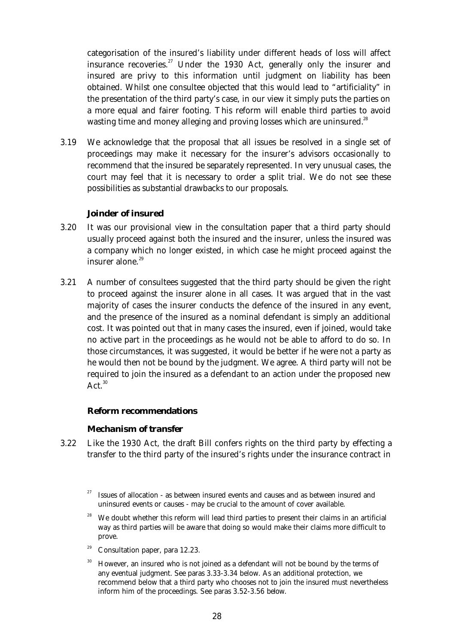categorisation of the insured's liability under different heads of loss will affect insurance recoveries.<sup>27</sup> Under the 1930 Act, generally only the insurer and insured are privy to this information until judgment on liability has been obtained. Whilst one consultee objected that this would lead to "artificiality" in the presentation of the third party's case, in our view it simply puts the parties on a more equal and fairer footing. This reform will enable third parties to avoid wasting time and money alleging and proving losses which are uninsured.<sup>28</sup>

 3.19 We acknowledge that the proposal that all issues be resolved in a single set of proceedings may make it necessary for the insurer's advisors occasionally to recommend that the insured be separately represented. In very unusual cases, the court may feel that it is necessary to order a split trial. We do not see these possibilities as substantial drawbacks to our proposals.

# *Joinder of insured*

- 3.20 It was our provisional view in the consultation paper that a third party should usually proceed against both the insured and the insurer, unless the insured was a company which no longer existed, in which case he might proceed against the insurer alone.<sup>29</sup>
- 3.21 A number of consultees suggested that the third party should be given the right to proceed against the insurer alone in all cases. It was argued that in the vast majority of cases the insurer conducts the defence of the insured in any event, and the presence of the insured as a nominal defendant is simply an additional cost. It was pointed out that in many cases the insured, even if joined, would take no active part in the proceedings as he would not be able to afford to do so. In those circumstances, it was suggested, it would be better if he were not a party as he would then not be bound by the judgment. We agree. A third party will not be required to join the insured as a defendant to an action under the proposed new  $Act.<sup>30</sup>$

## **Reform recommendations**

## *Mechanism of transfer*

 3.22 Like the 1930 Act, the draft Bill confers rights on the third party by effecting a transfer to the third party of the insured's rights under the insurance contract in

- We doubt whether this reform will lead third parties to present their claims in an artificial way as third parties will be aware that doing so would make their claims more difficult to prove.
- Consultation paper, para 12.23.
- <sup>30</sup> However, an insured who is not joined as a defendant will not be bound by the terms of any eventual judgment. See paras 3.33-3.34 below. As an additional protection, we recommend below that a third party who chooses not to join the insured must nevertheless inform him of the proceedings. See paras 3.52-3.56 below.

Issues of allocation - as between insured events and causes and as between insured and uninsured events or causes - may be crucial to the amount of cover available.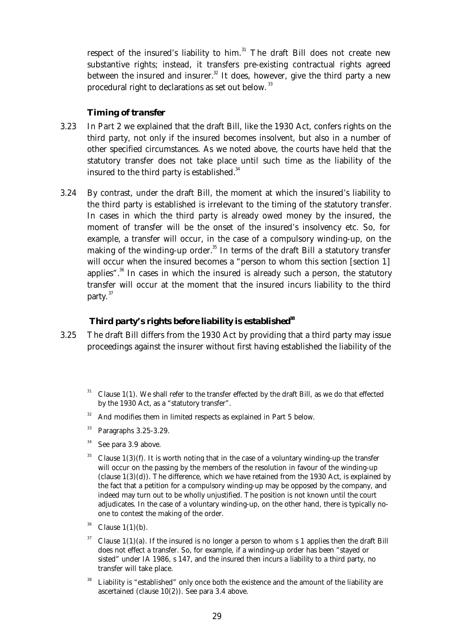respect of the insured's liability to him.<sup>31</sup> The draft Bill does not create new substantive rights; instead, it transfers pre-existing contractual rights agreed between the insured and insurer. $32$  It does, however, give the third party a new procedural right to declarations as set out below.<sup>33</sup>

## *Timing of transfer*

- 3.23 In Part 2 we explained that the draft Bill, like the 1930 Act, confers rights on the third party, not only if the insured becomes insolvent, but also in a number of other specified circumstances. As we noted above, the courts have held that the statutory transfer does not take place until such time as the liability of the insured to the third party is established. $34$
- 3.24 By contrast, under the draft Bill, the moment at which the insured's liability to the third party is established is irrelevant to the timing of the statutory transfer. In cases in which the third party is already owed money by the insured, the moment of transfer will be the onset of the insured's insolvency etc. So, for example, a transfer will occur, in the case of a compulsory winding-up, on the making of the winding-up order. $35$  In terms of the draft Bill a statutory transfer will occur when the insured becomes a "person to whom this section [section 1] applies".<sup>36</sup> In cases in which the insured is already such a person, the statutory transfer will occur at the moment that the insured incurs liability to the third party.<sup>37</sup>

# *Third party's rights before liability is established<sup>38</sup>*

- 3.25 The draft Bill differs from the 1930 Act by providing that a third party may issue proceedings against the insurer without first having established the liability of the
	- Clause  $1(1)$ . We shall refer to the transfer effected by the draft Bill, as we do that effected by the 1930 Act, as a "statutory transfer".
	- <sup>32</sup> And modifies them in limited respects as explained in Part 5 below.
	- <sup>33</sup> Paragraphs 3.25-3.29.
	- $34$  See para 3.9 above.
	- <sup>35</sup> Clause 1(3)(f). It is worth noting that in the case of a voluntary winding-up the transfer will occur on the passing by the members of the resolution in favour of the winding-up (clause  $1(3)(d)$ ). The difference, which we have retained from the 1930 Act, is explained by the fact that a petition for a compulsory winding-up may be opposed by the company, and indeed may turn out to be wholly unjustified. The position is not known until the court adjudicates. In the case of a voluntary winding-up, on the other hand, there is typically noone to contest the making of the order.
	- $36$  Clause 1(1)(b).
	- Clause  $1(1)(a)$ . If the insured is no longer a person to whom s 1 applies then the draft Bill does not effect a transfer. So, for example, if a winding-up order has been "stayed or sisted" under IA 1986, s 147, and the insured then incurs a liability to a third party, no transfer will take place.
	- <sup>38</sup> Liability is "established" only once both the existence and the amount of the liability are ascertained (clause 10(2)). See para 3.4 above.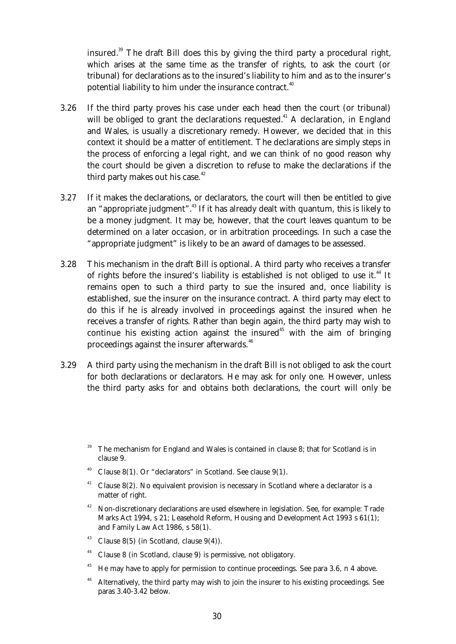insured.<sup>39</sup> The draft Bill does this by giving the third party a procedural right, which arises at the same time as the transfer of rights, to ask the court (or tribunal) for declarations as to the insured's liability to him and as to the insurer's potential liability to him under the insurance contract.<sup>40</sup>

- 3.26 If the third party proves his case under each head then the court (or tribunal) will be obliged to grant the declarations requested.<sup>41</sup> A declaration, in England and Wales, is usually a discretionary remedy. However, we decided that in this context it should be a matter of entitlement. The declarations are simply steps in the process of enforcing a legal right, and we can think of no good reason why the court should be given a discretion to refuse to make the declarations if the third party makes out his case. $42$
- 3.27 If it makes the declarations, or declarators, the court will then be entitled to give an "appropriate judgment".<sup>43</sup> If it has already dealt with quantum, this is likely to be a money judgment. It may be, however, that the court leaves quantum to be determined on a later occasion, or in arbitration proceedings. In such a case the "appropriate judgment" is likely to be an award of damages to be assessed.
- 3.28 This mechanism in the draft Bill is optional. A third party who receives a transfer of rights before the insured's liability is established is not obliged to use it.<sup>44</sup> It remains open to such a third party to sue the insured and, once liability is established, sue the insurer on the insurance contract. A third party may elect to do this if he is already involved in proceedings against the insured when he receives a transfer of rights. Rather than begin again, the third party may wish to continue his existing action against the insured<sup>45</sup> with the aim of bringing proceedings against the insurer afterwards.<sup>46</sup>
- 3.29 A third party using the mechanism in the draft Bill is not obliged to ask the court for both declarations or declarators. He may ask for only one. However, unless the third party asks for and obtains both declarations, the court will only be

- <sup>40</sup> Clause 8(1). Or "declarators" in Scotland. See clause 9(1).
- <sup>41</sup> Clause 8(2). No equivalent provision is necessary in Scotland where a declarator is a matter of right.
- <sup>42</sup> Non-discretionary declarations are used elsewhere in legislation. See, for example: Trade Marks Act 1994, s 21; Leasehold Reform, Housing and Development Act 1993 s 61(1); and Family Law Act 1986, s 58(1).
- <sup>43</sup> Clause 8(5) (in Scotland, clause  $9(4)$ ).
- <sup>44</sup> Clause 8 (in Scotland, clause 9) is permissive, not obligatory.
- <sup>45</sup> He may have to apply for permission to continue proceedings. See para 3.6, n 4 above.
- <sup>46</sup> Alternatively, the third party may wish to join the insurer to his existing proceedings. See paras 3.40-3.42 below.

The mechanism for England and Wales is contained in clause 8; that for Scotland is in clause 9.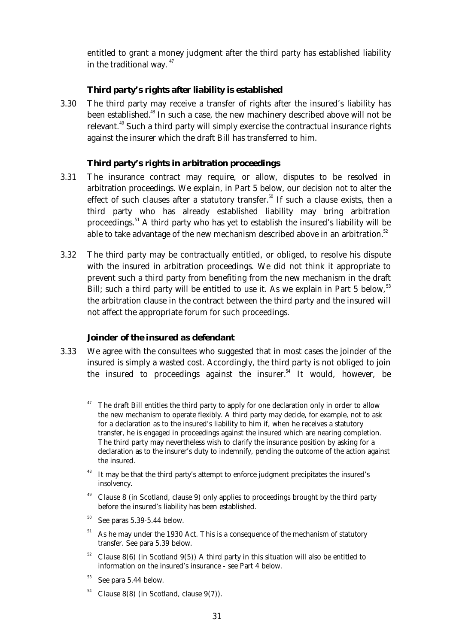entitled to grant a money judgment after the third party has established liability in the traditional way.  $47$ 

#### *Third party's rights after liability is established*

 3.30 The third party may receive a transfer of rights after the insured's liability has been established.<sup>48</sup> In such a case, the new machinery described above will not be relevant.<sup>49</sup> Such a third party will simply exercise the contractual insurance rights against the insurer which the draft Bill has transferred to him.

#### *Third party's rights in arbitration proceedings*

- 3.31 The insurance contract may require, or allow, disputes to be resolved in arbitration proceedings. We explain, in Part 5 below, our decision not to alter the effect of such clauses after a statutory transfer.<sup>50</sup> If such a clause exists, then a third party who has already established liability may bring arbitration proceedings.<sup>51</sup> A third party who has yet to establish the insured's liability will be able to take advantage of the new mechanism described above in an arbitration.<sup>52</sup>
- 3.32 The third party may be contractually entitled, or obliged, to resolve his dispute with the insured in arbitration proceedings. We did not think it appropriate to prevent such a third party from benefiting from the new mechanism in the draft Bill; such a third party will be entitled to use it. As we explain in Part 5 below,  $53$ the arbitration clause in the contract between the third party and the insured will not affect the appropriate forum for such proceedings.

#### *Joinder of the insured as defendant*

- 3.33 We agree with the consultees who suggested that in most cases the joinder of the insured is simply a wasted cost. Accordingly, the third party is not obliged to join the insured to proceedings against the insurer.<sup>54</sup> It would, however, be
	- The draft Bill entitles the third party to apply for one declaration only in order to allow the new mechanism to operate flexibly. A third party may decide, for example, not to ask for a declaration as to the insured's liability to him if, when he receives a statutory transfer, he is engaged in proceedings against the insured which are nearing completion. The third party may nevertheless wish to clarify the insurance position by asking for a declaration as to the insurer's duty to indemnify, pending the outcome of the action against the insured.
	- It may be that the third party's attempt to enforce judgment precipitates the insured's insolvency.
	- <sup>49</sup> Clause 8 (in Scotland, clause 9) only applies to proceedings brought by the third party before the insured's liability has been established.
	- $50$  See paras 5.39-5.44 below.
	- $51$  As he may under the 1930 Act. This is a consequence of the mechanism of statutory transfer. See para 5.39 below.
	- Clause  $8(6)$  (in Scotland  $9(5)$ ) A third party in this situation will also be entitled to information on the insured's insurance - see Part 4 below.
	- <sup>53</sup> See para 5.44 below.
	- $54$  Clause 8(8) (in Scotland, clause 9(7)).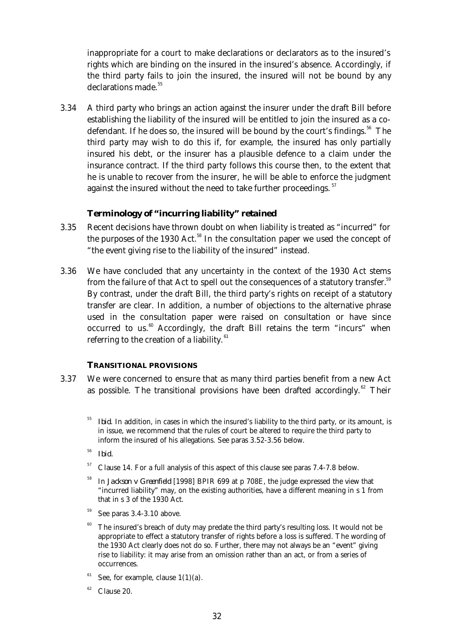inappropriate for a court to make declarations or declarators as to the insured's rights which are binding on the insured in the insured's absence. Accordingly, if the third party fails to join the insured, the insured will not be bound by any declarations made.<sup>55</sup>

 3.34 A third party who brings an action against the insurer under the draft Bill before establishing the liability of the insured will be entitled to join the insured as a codefendant. If he does so, the insured will be bound by the court's findings.<sup>56</sup> The third party may wish to do this if, for example, the insured has only partially insured his debt, or the insurer has a plausible defence to a claim under the insurance contract. If the third party follows this course then, to the extent that he is unable to recover from the insurer, he will be able to enforce the judgment against the insured without the need to take further proceedings.<sup>57</sup>

# *Terminology of "incurring liability" retained*

- 3.35 Recent decisions have thrown doubt on when liability is treated as "incurred" for the purposes of the 1930 Act. $58$  In the consultation paper we used the concept of "the event giving rise to the liability of the insured" instead.
- 3.36 We have concluded that any uncertainty in the context of the 1930 Act stems from the failure of that Act to spell out the consequences of a statutory transfer.<sup>59</sup> By contrast, under the draft Bill, the third party's rights on receipt of a statutory transfer are clear. In addition, a number of objections to the alternative phrase used in the consultation paper were raised on consultation or have since occurred to us. $60$  Accordingly, the draft Bill retains the term "incurs" when referring to the creation of a liability.<sup>61</sup>

## **TRANSITIONAL PROVISIONS**

- 3.37 We were concerned to ensure that as many third parties benefit from a new Act as possible. The transitional provisions have been drafted accordingly.<sup>62</sup> Their
	- <sup>55</sup> *Ibid*. In addition, in cases in which the insured's liability to the third party, or its amount, is in issue, we recommend that the rules of court be altered to require the third party to inform the insured of his allegations. See paras 3.52-3.56 below.
	- <sup>56</sup> *Ibid.*
	- $57$  Clause 14. For a full analysis of this aspect of this clause see paras 7.4-7.8 below.
	- <sup>58</sup> In *Jackson v Greenfield* [1998] BPIR 699 at p 708E, the judge expressed the view that "incurred liability" may, on the existing authorities, have a different meaning in s 1 from that in s 3 of the 1930 Act.
	- See paras 3.4-3.10 above.
	- <sup>60</sup> The insured's breach of duty may predate the third party's resulting loss. It would not be appropriate to effect a statutory transfer of rights before a loss is suffered. The wording of the 1930 Act clearly does not do so. Further, there may not always be an "event" giving rise to liability: it may arise from an omission rather than an act, or from a series of occurrences.
	- $61$  See, for example, clause 1(1)(a).
	- $62$  Clause 20.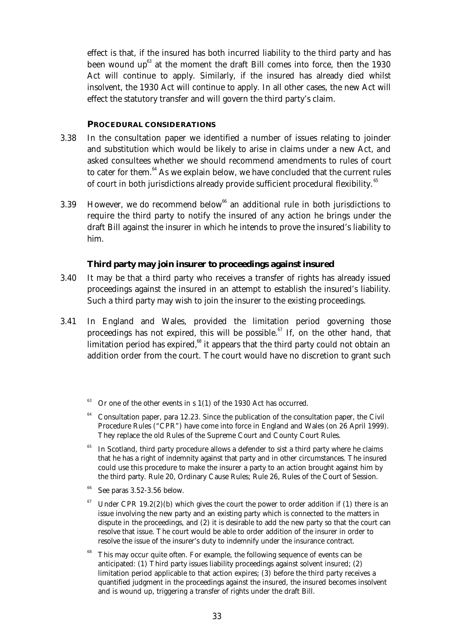effect is that, if the insured has both incurred liability to the third party and has been wound  $up^{63}$  at the moment the draft Bill comes into force, then the 1930 Act will continue to apply. Similarly, if the insured has already died whilst insolvent, the 1930 Act will continue to apply. In all other cases, the new Act will effect the statutory transfer and will govern the third party's claim.

#### **PROCEDURAL CONSIDERATIONS**

- 3.38 In the consultation paper we identified a number of issues relating to joinder and substitution which would be likely to arise in claims under a new Act, and asked consultees whether we should recommend amendments to rules of court to cater for them. $64$  As we explain below, we have concluded that the current rules of court in both jurisdictions already provide sufficient procedural flexibility.<sup>65</sup>
- 3.39 However, we do recommend below<sup>66</sup> an additional rule in both jurisdictions to require the third party to notify the insured of any action he brings under the draft Bill against the insurer in which he intends to prove the insured's liability to him.

## **Third party may join insurer to proceedings against insured**

- 3.40 It may be that a third party who receives a transfer of rights has already issued proceedings against the insured in an attempt to establish the insured's liability. Such a third party may wish to join the insurer to the existing proceedings.
- 3.41 In England and Wales, provided the limitation period governing those proceedings has not expired, this will be possible.<sup>67</sup> If, on the other hand, that limitation period has expired, $68$  it appears that the third party could not obtain an addition order from the court. The court would have no discretion to grant such
	- Or one of the other events in s  $1(1)$  of the 1930 Act has occurred.
	- $64$  Consultation paper, para 12.23. Since the publication of the consultation paper, the Civil Procedure Rules ("CPR") have come into force in England and Wales (on 26 April 1999). They replace the old Rules of the Supreme Court and County Court Rules.
	- In Scotland, third party procedure allows a defender to sist a third party where he claims that he has a right of indemnity against that party and in other circumstances. The insured could use this procedure to make the insurer a party to an action brought against him by the third party. Rule 20, Ordinary Cause Rules; Rule 26, Rules of the Court of Session.
	- See paras 3.52-3.56 below.
	- Under CPR 19.2(2)(b) which gives the court the power to order addition if (1) there is an issue involving the new party and an existing party which is connected to the matters in dispute in the proceedings, and (2) it is desirable to add the new party so that the court can resolve that issue. The court would be able to order addition of the insurer in order to resolve the issue of the insurer's duty to indemnify under the insurance contract.
	- This may occur quite often. For example, the following sequence of events can be anticipated: (1) Third party issues liability proceedings against solvent insured; (2) limitation period applicable to that action expires; (3) before the third party receives a quantified judgment in the proceedings against the insured, the insured becomes insolvent and is wound up, triggering a transfer of rights under the draft Bill.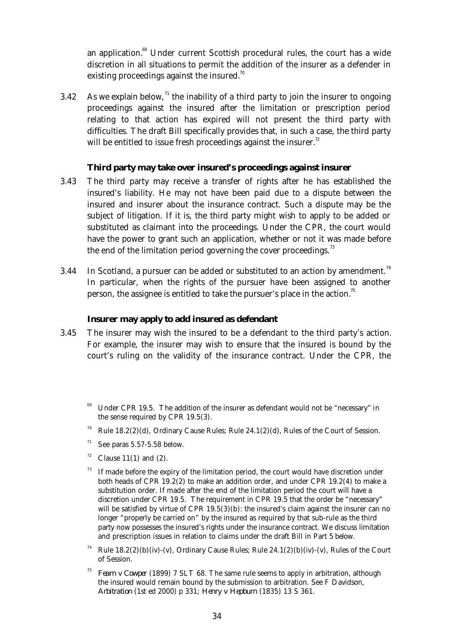an application.<sup>69</sup> Under current Scottish procedural rules, the court has a wide discretion in all situations to permit the addition of the insurer as a defender in existing proceedings against the insured.<sup>70</sup>

3.42 As we explain below,  $\frac{1}{1}$  the inability of a third party to join the insurer to ongoing proceedings against the insured after the limitation or prescription period relating to that action has expired will not present the third party with difficulties. The draft Bill specifically provides that, in such a case, the third party will be entitled to issue fresh proceedings against the insurer.<sup>72</sup>

## **Third party may take over insured's proceedings against insurer**

- 3.43 The third party may receive a transfer of rights after he has established the insured's liability. He may not have been paid due to a dispute between the insured and insurer about the insurance contract. Such a dispute may be the subject of litigation. If it is, the third party might wish to apply to be added or substituted as claimant into the proceedings. Under the CPR, the court would have the power to grant such an application, whether or not it was made before the end of the limitation period governing the cover proceedings. $^{73}$
- 3.44 In Scotland, a pursuer can be added or substituted to an action by amendment.<sup>74</sup> In particular, when the rights of the pursuer have been assigned to another person, the assignee is entitled to take the pursuer's place in the action.<sup>75</sup>

#### **Insurer may apply to add insured as defendant**

- 3.45 The insurer may wish the insured to be a defendant to the third party's action. For example, the insurer may wish to ensure that the insured is bound by the court's ruling on the validity of the insurance contract. Under the CPR, the
	- Under CPR 19.5. The addition of the insurer as defendant would not be "necessary" in the sense required by CPR 19.5(3).
	- Rule  $18.2(2)(d)$ , Ordinary Cause Rules; Rule  $24.1(2)(d)$ , Rules of the Court of Session.
	- $71$  See paras 5.57-5.58 below.
	- $72$  Clause 11(1) and (2).
	- If made before the expiry of the limitation period, the court would have discretion under both heads of CPR 19.2(2) to make an addition order, and under CPR 19.2(4) to make a substitution order. If made after the end of the limitation period the court will have a discretion under CPR 19.5. The requirement in CPR 19.5 that the order be "necessary" will be satisfied by virtue of CPR 19.5(3)(b): the insured's claim against the insurer can no longer "properly be carried on" by the insured as required by that sub-rule as the third party now possesses the insured's rights under the insurance contract. We discuss limitation and prescription issues in relation to claims under the draft Bill in Part 5 below.
	- Rule  $18.2(2)(b)(iv)$ -(v), Ordinary Cause Rules; Rule  $24.1(2)(b)(iv)$ -(v), Rules of the Court of Session.
	- <sup>75</sup> *Fearn v Cowper* (1899) 7 SLT 68. The same rule seems to apply in arbitration, although the insured would remain bound by the submission to arbitration. See F Davidson, *Arbitration* (1st ed 2000) p 331; *Henry v Hepburn* (1835) 13 S 361.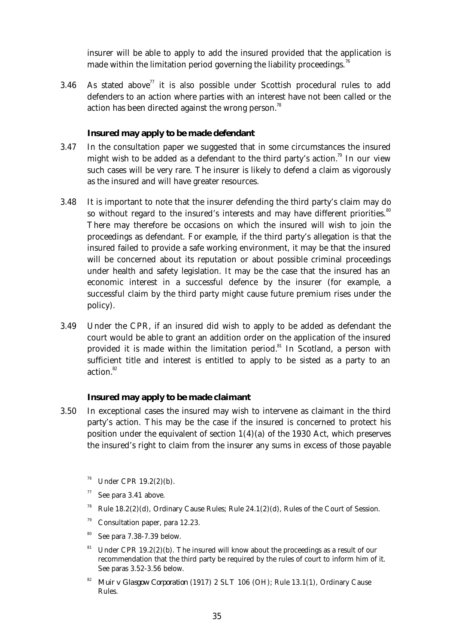insurer will be able to apply to add the insured provided that the application is made within the limitation period governing the liability proceedings.<sup>76</sup>

3.46 As stated above<sup>77</sup> it is also possible under Scottish procedural rules to add defenders to an action where parties with an interest have not been called or the action has been directed against the wrong person.<sup>78</sup>

## **Insured may apply to be made defendant**

- 3.47 In the consultation paper we suggested that in some circumstances the insured might wish to be added as a defendant to the third party's action.<sup>79</sup> In our view such cases will be very rare. The insurer is likely to defend a claim as vigorously as the insured and will have greater resources.
- 3.48 It is important to note that the insurer defending the third party's claim may do so without regard to the insured's interests and may have different priorities. $80$ There may therefore be occasions on which the insured will wish to join the proceedings as defendant. For example, if the third party's allegation is that the insured failed to provide a safe working environment, it may be that the insured will be concerned about its reputation or about possible criminal proceedings under health and safety legislation. It may be the case that the insured has an economic interest in a successful defence by the insurer (for example, a successful claim by the third party might cause future premium rises under the policy).
- 3.49 Under the CPR, if an insured did wish to apply to be added as defendant the court would be able to grant an addition order on the application of the insured provided it is made within the limitation period.<sup>81</sup> In Scotland, a person with sufficient title and interest is entitled to apply to be sisted as a party to an action.<sup>82</sup>

## **Insured may apply to be made claimant**

- 3.50 In exceptional cases the insured may wish to intervene as claimant in the third party's action. This may be the case if the insured is concerned to protect his position under the equivalent of section 1(4)(a) of the 1930 Act, which preserves the insured's right to claim from the insurer any sums in excess of those payable
	- Under CPR 19.2(2)(b).
	- See para 3.41 above.
	- <sup>78</sup> Rule 18.2(2)(d), Ordinary Cause Rules; Rule 24.1(2)(d), Rules of the Court of Session.
	- $79$  Consultation paper, para 12.23.
	- <sup>80</sup> See para 7.38-7.39 below.
	- <sup>81</sup> Under CPR 19.2(2)(b). The insured will know about the proceedings as a result of our recommendation that the third party be required by the rules of court to inform him of it. See paras 3.52-3.56 below.
	- <sup>82</sup> *Muir v Glasgow Corporation* (1917) 2 SLT 106 (OH); Rule 13.1(1), Ordinary Cause Rules.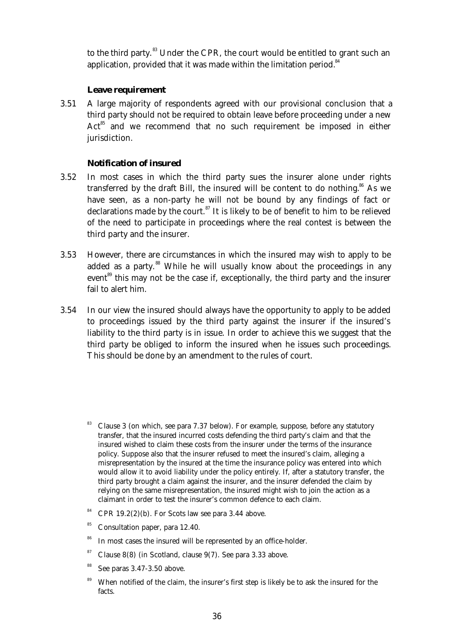to the third party.<sup>83</sup> Under the CPR, the court would be entitled to grant such an application, provided that it was made within the limitation period. $84$ 

## **Leave requirement**

 3.51 A large majority of respondents agreed with our provisional conclusion that a third party should not be required to obtain leave before proceeding under a new  $Act<sup>85</sup>$  and we recommend that no such requirement be imposed in either jurisdiction.

## **Notification of insured**

- 3.52 In most cases in which the third party sues the insurer alone under rights transferred by the draft Bill, the insured will be content to do nothing.<sup>86</sup> As we have seen, as a non-party he will not be bound by any findings of fact or declarations made by the court.<sup>87</sup> It is likely to be of benefit to him to be relieved of the need to participate in proceedings where the real contest is between the third party and the insurer.
- 3.53 However, there are circumstances in which the insured may wish to apply to be added as a party.<sup>88</sup> While he will usually know about the proceedings in any event<sup>89</sup> this may not be the case if, exceptionally, the third party and the insurer fail to alert him.
- 3.54 In our view the insured should always have the opportunity to apply to be added to proceedings issued by the third party against the insurer if the insured's liability to the third party is in issue. In order to achieve this we suggest that the third party be obliged to inform the insured when he issues such proceedings. This should be done by an amendment to the rules of court.
	- <sup>83</sup> Clause 3 (on which, see para 7.37 below). For example, suppose, before any statutory transfer, that the insured incurred costs defending the third party's claim and that the insured wished to claim these costs from the insurer under the terms of the insurance policy. Suppose also that the insurer refused to meet the insured's claim, alleging a misrepresentation by the insured at the time the insurance policy was entered into which would allow it to avoid liability under the policy entirely. If, after a statutory transfer, the third party brought a claim against the insurer, and the insurer defended the claim by relying on the same misrepresentation, the insured might wish to join the action as a claimant in order to test the insurer's common defence to each claim.
	- $84$  CPR 19.2(2)(b). For Scots law see para 3.44 above.
	- <sup>85</sup> Consultation paper, para 12.40.
	- <sup>86</sup> In most cases the insured will be represented by an office-holder.
	- $87$  Clause 8(8) (in Scotland, clause 9(7). See para 3.33 above.
	- See paras 3.47-3.50 above.
	- <sup>89</sup> When notified of the claim, the insurer's first step is likely be to ask the insured for the facts.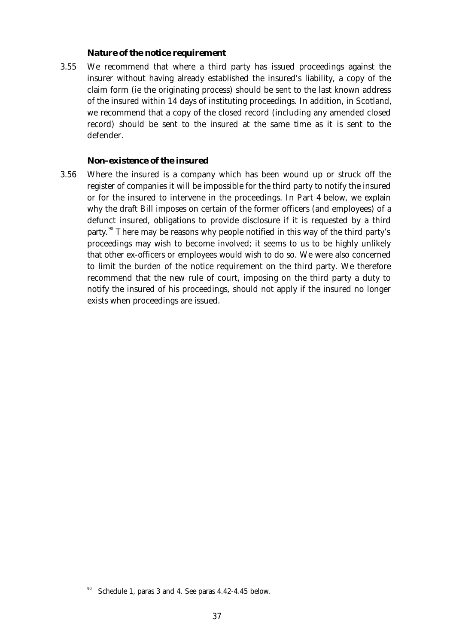#### *Nature of the notice requirement*

 3.55 We recommend that where a third party has issued proceedings against the insurer without having already established the insured's liability, a copy of the claim form (ie the originating process) should be sent to the last known address of the insured within 14 days of instituting proceedings. In addition, in Scotland, we recommend that a copy of the closed record (including any amended closed record) should be sent to the insured at the same time as it is sent to the defender.

#### *Non-existence of the insured*

 3.56 Where the insured is a company which has been wound up or struck off the register of companies it will be impossible for the third party to notify the insured or for the insured to intervene in the proceedings. In Part 4 below, we explain why the draft Bill imposes on certain of the former officers (and employees) of a defunct insured, obligations to provide disclosure if it is requested by a third party.<sup>90</sup> There may be reasons why people notified in this way of the third party's proceedings may wish to become involved; it seems to us to be highly unlikely that other ex-officers or employees would wish to do so. We were also concerned to limit the burden of the notice requirement on the third party. We therefore recommend that the new rule of court, imposing on the third party a duty to notify the insured of his proceedings, should not apply if the insured no longer exists when proceedings are issued.

Schedule 1, paras 3 and 4. See paras 4.42-4.45 below.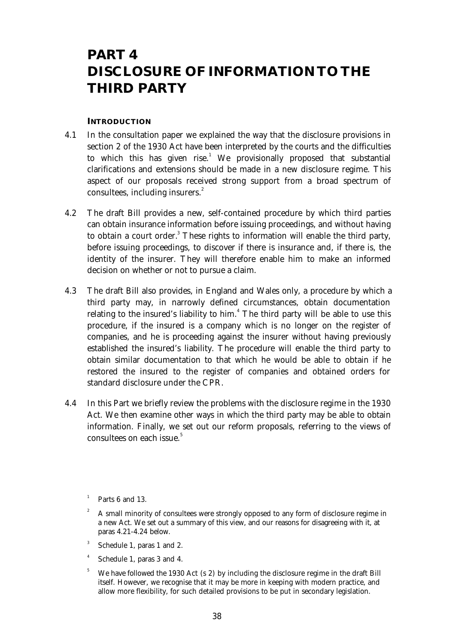# **PART 4 DISCLOSURE OF INFORMATION TO THE THIRD PARTY**

#### **INTRODUCTION**

- 4.1 In the consultation paper we explained the way that the disclosure provisions in section 2 of the 1930 Act have been interpreted by the courts and the difficulties to which this has given rise. $^1$  We provisionally proposed that substantial clarifications and extensions should be made in a new disclosure regime. This aspect of our proposals received strong support from a broad spectrum of consultees, including insurers.<sup>2</sup>
- 4.2 The draft Bill provides a new, self-contained procedure by which third parties can obtain insurance information before issuing proceedings, and without having to obtain a court order.<sup>3</sup> These rights to information will enable the third party, before issuing proceedings, to discover if there is insurance and, if there is, the identity of the insurer. They will therefore enable him to make an informed decision on whether or not to pursue a claim.
- 4.3 The draft Bill also provides, in England and Wales only, a procedure by which a third party may, in narrowly defined circumstances, obtain documentation relating to the insured's liability to him.<sup>4</sup> The third party will be able to use this procedure, if the insured is a company which is no longer on the register of companies, and he is proceeding against the insurer without having previously established the insured's liability. The procedure will enable the third party to obtain similar documentation to that which he would be able to obtain if he restored the insured to the register of companies and obtained orders for standard disclosure under the CPR.
- 4.4 In this Part we briefly review the problems with the disclosure regime in the 1930 Act. We then examine other ways in which the third party may be able to obtain information. Finally, we set out our reform proposals, referring to the views of consultees on each issue.<sup>5</sup>

- 3 Schedule 1, paras 1 and 2.
- 4 Schedule 1, paras 3 and 4.
- <sup>5</sup> We have followed the 1930 Act (s 2) by including the disclosure regime in the draft Bill itself. However, we recognise that it may be more in keeping with modern practice, and allow more flexibility, for such detailed provisions to be put in secondary legislation.

<sup>1</sup> Parts 6 and 13.

<sup>2</sup> A small minority of consultees were strongly opposed to any form of disclosure regime in a new Act. We set out a summary of this view, and our reasons for disagreeing with it, at paras 4.21-4.24 below.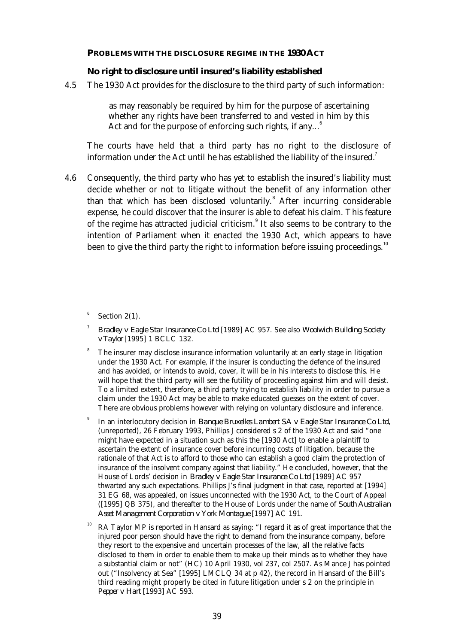#### **PROBLEMS WITH THE DISCLOSURE REGIME IN THE 1930 ACT**

#### **No right to disclosure until insured's liability established**

4.5 The 1930 Act provides for the disclosure to the third party of such information:

as may reasonably be required by him for the purpose of ascertaining whether any rights have been transferred to and vested in him by this Act and for the purpose of enforcing such rights, if any... $^6$ 

The courts have held that a third party has no right to the disclosure of information under the Act until he has established the liability of the insured.<sup>7</sup>

 4.6 Consequently, the third party who has yet to establish the insured's liability must decide whether or not to litigate without the benefit of any information other than that which has been disclosed voluntarily.<sup>8</sup> After incurring considerable expense, he could discover that the insurer is able to defeat his claim. This feature of the regime has attracted judicial criticism.<sup>9</sup> It also seems to be contrary to the intention of Parliament when it enacted the 1930 Act, which appears to have been to give the third party the right to information before issuing proceedings.<sup>10</sup>

6 Section 2(1).

- 7 *Bradley v Eagle Star Insurance Co Ltd* [1989] AC 957. See also *Woolwich Building Society v Taylor* [1995] 1 BCLC 132.
- The insurer may disclose insurance information voluntarily at an early stage in litigation under the 1930 Act. For example, if the insurer is conducting the defence of the insured and has avoided, or intends to avoid, cover, it will be in his interests to disclose this. He will hope that the third party will see the futility of proceeding against him and will desist. To a limited extent, therefore, a third party trying to establish liability in order to pursue a claim under the 1930 Act may be able to make educated guesses on the extent of cover. There are obvious problems however with relying on voluntary disclosure and inference.
- 9 In an interlocutory decision in *Banque Bruxelles Lambert SA v Eagle Star Insurance Co Ltd,* (unreported), 26 February 1993, Phillips J considered s 2 of the 1930 Act and said "one might have expected in a situation such as this the [1930 Act] to enable a plaintiff to ascertain the extent of insurance cover before incurring costs of litigation, because the rationale of that Act is to afford to those who can establish a good claim the protection of insurance of the insolvent company against that liability." He concluded, however, that the House of Lords' decision in *Bradley v Eagle Star Insurance Co Ltd* [1989] AC 957 thwarted any such expectations. Phillips J's final judgment in that case, reported at [1994] 31 EG 68, was appealed, on issues unconnected with the 1930 Act, to the Court of Appeal ([1995] QB 375), and thereafter to the House of Lords under the name of *South Australian Asset Management Corporation v York Montague* [1997] AC 191.
- RA Taylor MP is reported in Hansard as saying: "I regard it as of great importance that the injured poor person should have the right to demand from the insurance company, before they resort to the expensive and uncertain processes of the law, all the relative facts disclosed to them in order to enable them to make up their minds as to whether they have a substantial claim or not" (HC) 10 April 1930, vol 237, col 2507. As Mance J has pointed out ("Insolvency at Sea" [1995] LMCLQ 34 at p 42), the record in Hansard of the Bill's third reading might properly be cited in future litigation under s 2 on the principle in *Pepper v Hart* [1993] AC 593.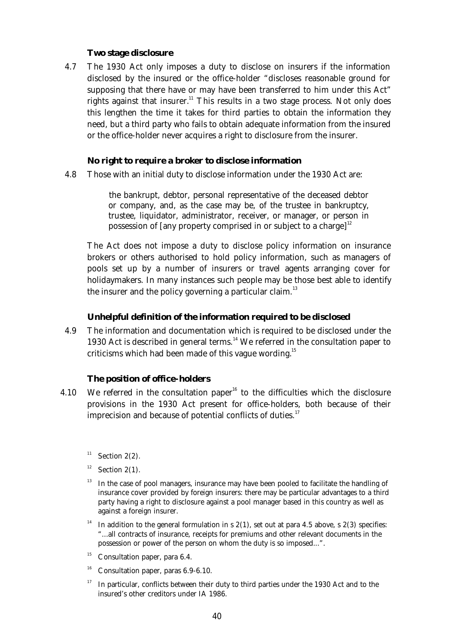#### **Two stage disclosure**

 4.7 The 1930 Act only imposes a duty to disclose on insurers if the information disclosed by the insured or the office-holder "discloses reasonable ground for supposing that there have or may have been transferred to him under this Act" rights against that insurer.<sup>11</sup> This results in a two stage process. Not only does this lengthen the time it takes for third parties to obtain the information they need, but a third party who fails to obtain adequate information from the insured or the office-holder never acquires a right to disclosure from the insurer.

#### **No right to require a broker to disclose information**

4.8 Those with an initial duty to disclose information under the 1930 Act are:

the bankrupt, debtor, personal representative of the deceased debtor or company, and, as the case may be, of the trustee in bankruptcy, trustee, liquidator, administrator, receiver, or manager, or person in possession of [any property comprised in or subject to a charge]<sup>12</sup>

The Act does not impose a duty to disclose policy information on insurance brokers or others authorised to hold policy information, such as managers of pools set up by a number of insurers or travel agents arranging cover for holidaymakers. In many instances such people may be those best able to identify the insurer and the policy governing a particular claim.<sup>13</sup>

#### **Unhelpful definition of the information required to be disclosed**

 4.9 The information and documentation which is required to be disclosed under the 1930 Act is described in general terms.<sup>14</sup> We referred in the consultation paper to criticisms which had been made of this vague wording.<sup>15</sup>

#### **The position of office-holders**

- 4.10 We referred in the consultation paper<sup>16</sup> to the difficulties which the disclosure provisions in the 1930 Act present for office-holders, both because of their imprecision and because of potential conflicts of duties. $17$ 
	- <sup>11</sup> Section 2(2).
	- Section  $2(1)$ .
	- $13$  In the case of pool managers, insurance may have been pooled to facilitate the handling of insurance cover provided by foreign insurers: there may be particular advantages to a third party having a right to disclosure against a pool manager based in this country as well as against a foreign insurer.
	- <sup>14</sup> In addition to the general formulation in s  $2(1)$ , set out at para 4.5 above, s  $2(3)$  specifies: "...all contracts of insurance, receipts for premiums and other relevant documents in the possession or power of the person on whom the duty is so imposed...".
	- $^{15}$  Consultation paper, para 6.4.
	- $16$  Consultation paper, paras 6.9-6.10.
	- $17$  In particular, conflicts between their duty to third parties under the 1930 Act and to the insured's other creditors under IA 1986.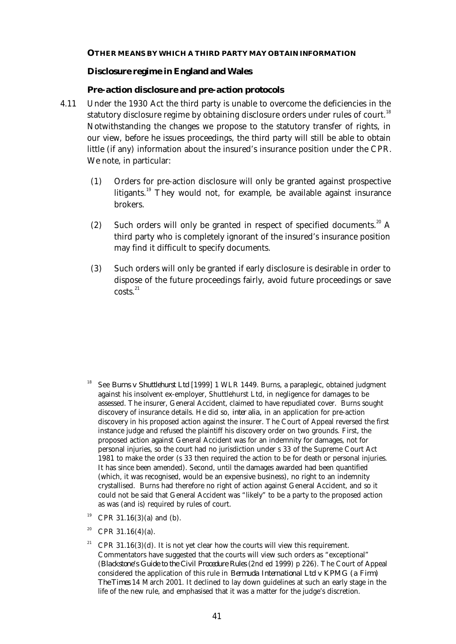#### **OTHER MEANS BY WHICH A THIRD PARTY MAY OBTAIN INFORMATION**

#### **Disclosure regime in England and Wales**

#### *Pre-action disclosure and pre-action protocols*

- 4.11 Under the 1930 Act the third party is unable to overcome the deficiencies in the statutory disclosure regime by obtaining disclosure orders under rules of court.<sup>18</sup> Notwithstanding the changes we propose to the statutory transfer of rights, in our view, before he issues proceedings, the third party will still be able to obtain little (if any) information about the insured's insurance position under the CPR. We note, in particular:
	- (1) Orders for pre-action disclosure will only be granted against prospective litigants.<sup>19</sup> They would not, for example, be available against insurance brokers.
	- (2) Such orders will only be granted in respect of specified documents.<sup>20</sup> A third party who is completely ignorant of the insured's insurance position may find it difficult to specify documents.
	- (3) Such orders will only be granted if early disclosure is desirable in order to dispose of the future proceedings fairly, avoid future proceedings or save  $costs<sup>21</sup>$

- <sup>18</sup> See *Burns v Shuttlehurst Ltd* [1999] 1 WLR 1449. Burns, a paraplegic, obtained judgment against his insolvent ex-employer, Shuttlehurst Ltd, in negligence for damages to be assessed. The insurer, General Accident, claimed to have repudiated cover. Burns sought discovery of insurance details. He did so, *inter alia,* in an application for pre-action discovery in his proposed action against the insurer. The Court of Appeal reversed the first instance judge and refused the plaintiff his discovery order on two grounds. First, the proposed action against General Accident was for an indemnity for damages, not for personal injuries, so the court had no jurisdiction under s 33 of the Supreme Court Act 1981 to make the order (s 33 then required the action to be for death or personal injuries. It has since been amended). Second, until the damages awarded had been quantified (which, it was recognised, would be an expensive business), no right to an indemnity crystallised. Burns had therefore no right of action against General Accident, and so it could not be said that General Accident was "likely" to be a party to the proposed action as was (and is) required by rules of court.
- <sup>19</sup> CPR 31.16(3)(a) and (b).
- <sup>20</sup> CPR 31.16(4)(a).
- <sup>21</sup> CPR 31.16(3)(d). It is not yet clear how the courts will view this requirement. Commentators have suggested that the courts will view such orders as "exceptional" (*Blackstone's Guide to the Civil Procedure Rules* (2nd ed 1999) p 226). The Court of Appeal considered the application of this rule in *Bermuda International Ltd v KPMG (a Firm) The Times* 14 March 2001. It declined to lay down guidelines at such an early stage in the life of the new rule, and emphasised that it was a matter for the judge's discretion.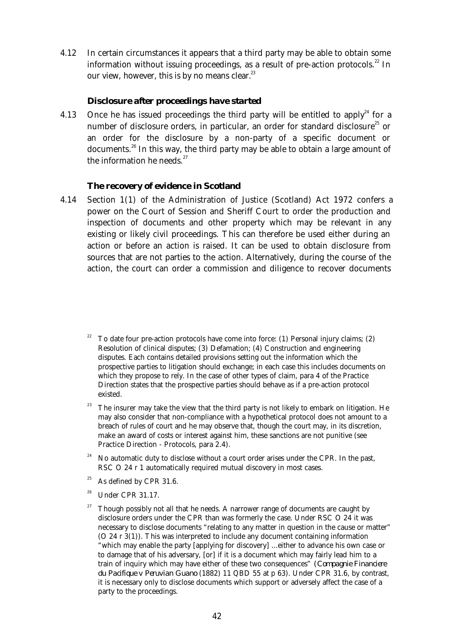4.12 In certain circumstances it appears that a third party may be able to obtain some information without issuing proceedings, as a result of pre-action protocols. $^{22}$  In our view, however, this is by no means clear. $23$ 

## *Disclosure after proceedings have started*

4.13 Once he has issued proceedings the third party will be entitled to apply<sup>24</sup> for a number of disclosure orders, in particular, an order for standard disclosure $^{25}$  or an order for the disclosure by a non-party of a specific document or documents.<sup>26</sup> In this way, the third party may be able to obtain a large amount of the information he needs. $27$ 

#### **The recovery of evidence in Scotland**

 4.14 Section 1(1) of the Administration of Justice (Scotland) Act 1972 confers a power on the Court of Session and Sheriff Court to order the production and inspection of documents and other property which may be relevant in any existing or likely civil proceedings. This can therefore be used either during an action or before an action is raised. It can be used to obtain disclosure from sources that are not parties to the action. Alternatively, during the course of the action, the court can order a commission and diligence to recover documents

- $23$  The insurer may take the view that the third party is not likely to embark on litigation. He may also consider that non-compliance with a hypothetical protocol does not amount to a breach of rules of court and he may observe that, though the court may, in its discretion, make an award of costs or interest against him, these sanctions are not punitive (see Practice Direction - Protocols, para 2.4).
- $24$  No automatic duty to disclose without a court order arises under the CPR. In the past, RSC O 24 r 1 automatically required mutual discovery in most cases.
- $25$  As defined by CPR 31.6.
- <sup>26</sup> Under CPR 31.17.
- <sup>27</sup> Though possibly not all that he needs. A narrower range of documents are caught by disclosure orders under the CPR than was formerly the case. Under RSC O 24 it was necessary to disclose documents "relating to any matter in question in the cause or matter" (O 24 r 3(1)). This was interpreted to include any document containing information "which may enable the party [applying for discovery] ...either to advance his own case or to damage that of his adversary, [or] if it is a document which may fairly lead him to a train of inquiry which may have either of these two consequences" *(Compagnie Financiere du Pacifique v Peruvian Guano* (1882) 11 QBD 55 at p 63). Under CPR 31.6, by contrast, it is necessary only to disclose documents which support or adversely affect the case of a party to the proceedings.

<sup>22</sup> To date four pre-action protocols have come into force: (1) Personal injury claims; (2) Resolution of clinical disputes; (3) Defamation; (4) Construction and engineering disputes. Each contains detailed provisions setting out the information which the prospective parties to litigation should exchange; in each case this includes documents on which they propose to rely. In the case of other types of claim, para 4 of the Practice Direction states that the prospective parties should behave as if a pre-action protocol existed.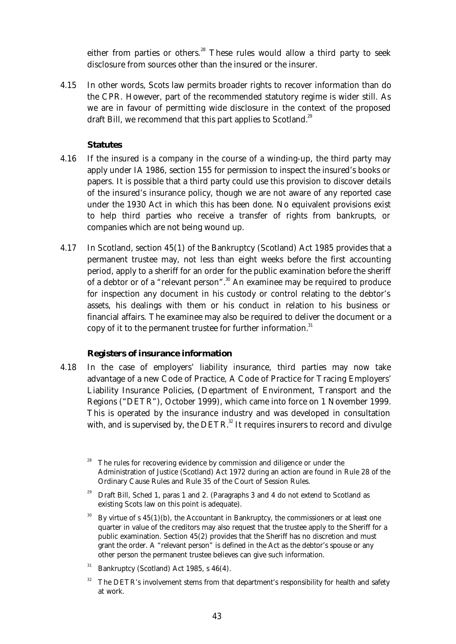either from parties or others.<sup>28</sup> These rules would allow a third party to seek disclosure from sources other than the insured or the insurer.

 4.15 In other words, Scots law permits broader rights to recover information than do the CPR. However, part of the recommended statutory regime is wider still. As we are in favour of permitting wide disclosure in the context of the proposed draft Bill, we recommend that this part applies to Scotland.<sup>29</sup>

# **Statutes**

- 4.16 If the insured is a company in the course of a winding-up, the third party may apply under IA 1986, section 155 for permission to inspect the insured's books or papers. It is possible that a third party could use this provision to discover details of the insured's insurance policy, though we are not aware of any reported case under the 1930 Act in which this has been done. No equivalent provisions exist to help third parties who receive a transfer of rights from bankrupts, or companies which are not being wound up.
- 4.17 In Scotland, section 45(1) of the Bankruptcy (Scotland) Act 1985 provides that a permanent trustee may, not less than eight weeks before the first accounting period, apply to a sheriff for an order for the public examination before the sheriff of a debtor or of a "relevant person".<sup>30</sup> An examinee may be required to produce for inspection any document in his custody or control relating to the debtor's assets, his dealings with them or his conduct in relation to his business or financial affairs. The examinee may also be required to deliver the document or a copy of it to the permanent trustee for further information.<sup>31</sup>

## **Registers of insurance information**

 4.18 In the case of employers' liability insurance, third parties may now take advantage of a new Code of Practice, A Code of Practice for Tracing Employers' Liability Insurance Policies*, (*Department of Environment, Transport and the Regions ("DETR"), October 1999), which came into force on 1 November 1999. This is operated by the insurance industry and was developed in consultation with, and is supervised by, the  $DETR$ <sup>32</sup> It requires insurers to record and divulge

- <sup>29</sup> Draft Bill, Sched 1, paras 1 and 2. (Paragraphs 3 and 4 do not extend to Scotland as existing Scots law on this point is adequate).
- $30$  By virtue of s 45(1)(b), the Accountant in Bankruptcy, the commissioners or at least one quarter in value of the creditors may also request that the trustee apply to the Sheriff for a public examination. Section 45(2) provides that the Sheriff has no discretion and must grant the order. A "relevant person" is defined in the Act as the debtor's spouse or any other person the permanent trustee believes can give such information.
- $31$  Bankruptcy (Scotland) Act 1985, s 46(4).
- $32$  The DETR's involvement stems from that department's responsibility for health and safety at work.

The rules for recovering evidence by commission and diligence or under the Administration of Justice (Scotland) Act 1972 during an action are found in Rule 28 of the Ordinary Cause Rules and Rule 35 of the Court of Session Rules.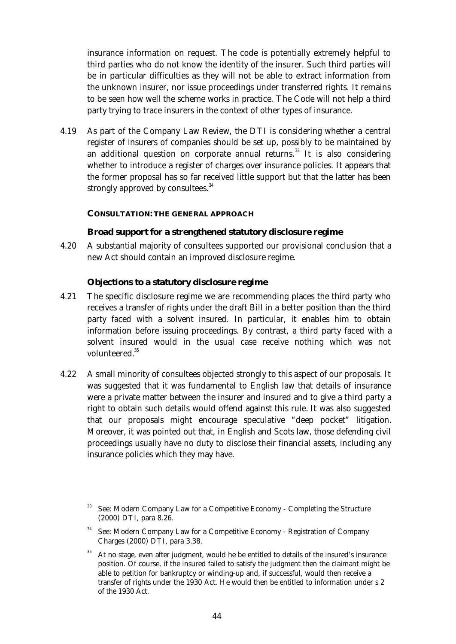insurance information on request. The code is potentially extremely helpful to third parties who do not know the identity of the insurer. Such third parties will be in particular difficulties as they will not be able to extract information from the unknown insurer, nor issue proceedings under transferred rights. It remains to be seen how well the scheme works in practice. The Code will not help a third party trying to trace insurers in the context of other types of insurance.

 4.19 As part of the Company Law Review, the DTI is considering whether a central register of insurers of companies should be set up, possibly to be maintained by an additional question on corporate annual returns.<sup>33</sup> It is also considering whether to introduce a register of charges over insurance policies. It appears that the former proposal has so far received little support but that the latter has been strongly approved by consultees.<sup>34</sup>

## **CONSULTATION: THE GENERAL APPROACH**

# **Broad support for a strengthened statutory disclosure regime**

 4.20 A substantial majority of consultees supported our provisional conclusion that a new Act should contain an improved disclosure regime.

# **Objections to a statutory disclosure regime**

- 4.21 The specific disclosure regime we are recommending places the third party who receives a transfer of rights under the draft Bill in a better position than the third party faced with a solvent insured. In particular, it enables him to obtain information before issuing proceedings. By contrast, a third party faced with a solvent insured would in the usual case receive nothing which was not volunteered.<sup>35</sup>
- 4.22 A small minority of consultees objected strongly to this aspect of our proposals. It was suggested that it was fundamental to English law that details of insurance were a private matter between the insurer and insured and to give a third party a right to obtain such details would offend against this rule*.* It was also suggested that our proposals might encourage speculative "deep pocket" litigation. Moreover, it was pointed out that, in English and Scots law, those defending civil proceedings usually have no duty to disclose their financial assets, including any insurance policies which they may have.

<sup>&</sup>lt;sup>33</sup> See: Modern Company Law for a Competitive Economy - Completing the Structure (2000) DTI, para 8.26.

<sup>34</sup> See: Modern Company Law for a Competitive Economy - Registration of Company Charges (2000) DTI, para 3.38.

<sup>&</sup>lt;sup>35</sup> At no stage, even after judgment, would he be entitled to details of the insured's insurance position. Of course, if the insured failed to satisfy the judgment then the claimant might be able to petition for bankruptcy or winding-up and, if successful, would then receive a transfer of rights under the 1930 Act. He would then be entitled to information under s 2 of the 1930 Act.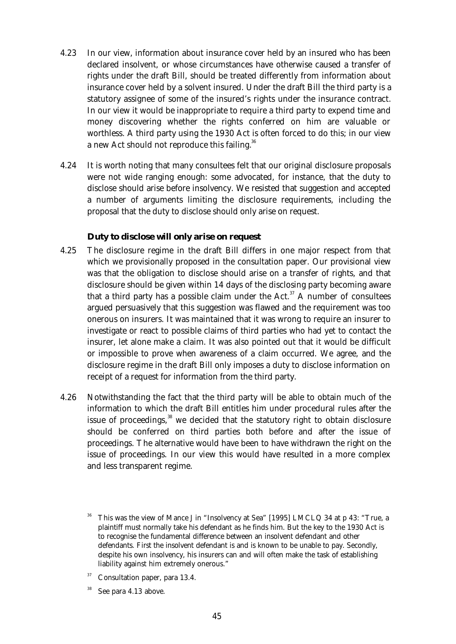- 4.23 In our view, information about insurance cover held by an insured who has been declared insolvent, or whose circumstances have otherwise caused a transfer of rights under the draft Bill, should be treated differently from information about insurance cover held by a solvent insured. Under the draft Bill the third party is a statutory assignee of some of the insured's rights under the insurance contract. In our view it would be inappropriate to require a third party to expend time and money discovering whether the rights conferred on him are valuable or worthless. A third party using the 1930 Act is often forced to do this; in our view a new Act should not reproduce this failing.<sup>36</sup>
- 4.24 It is worth noting that many consultees felt that our original disclosure proposals were not wide ranging enough: some advocated, for instance, that the duty to disclose should arise before insolvency. We resisted that suggestion and accepted a number of arguments limiting the disclosure requirements, including the proposal that the duty to disclose should only arise on request.

## **Duty to disclose will only arise on request**

- 4.25 The disclosure regime in the draft Bill differs in one major respect from that which we provisionally proposed in the consultation paper. Our provisional view was that the obligation to disclose should arise on a transfer of rights, and that disclosure should be given within 14 days of the disclosing party becoming aware that a third party has a possible claim under the Act.<sup>37</sup> A number of consultees argued persuasively that this suggestion was flawed and the requirement was too onerous on insurers. It was maintained that it was wrong to require an insurer to investigate or react to possible claims of third parties who had yet to contact the insurer, let alone make a claim. It was also pointed out that it would be difficult or impossible to prove when awareness of a claim occurred. We agree, and the disclosure regime in the draft Bill only imposes a duty to disclose information on receipt of a request for information from the third party.
- 4.26 Notwithstanding the fact that the third party will be able to obtain much of the information to which the draft Bill entitles him under procedural rules after the issue of proceedings, $38$  we decided that the statutory right to obtain disclosure should be conferred on third parties both before and after the issue of proceedings. The alternative would have been to have withdrawn the right on the issue of proceedings. In our view this would have resulted in a more complex and less transparent regime.

<sup>36</sup> This was the view of Mance J in "Insolvency at Sea" [1995] LMCLQ 34 at p 43: "True, a plaintiff must normally take his defendant as he finds him. But the key to the 1930 Act is to recognise the fundamental difference between an insolvent defendant and other defendants. First the insolvent defendant is and is known to be unable to pay. Secondly, despite his own insolvency, his insurers can and will often make the task of establishing liability against him extremely onerous."

Consultation paper, para 13.4.

See para 4.13 above.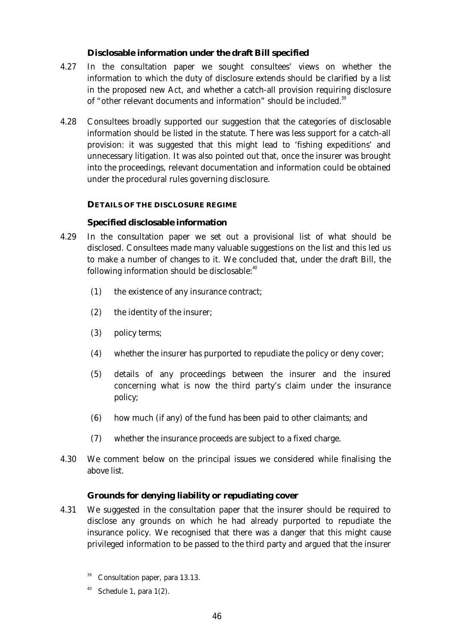# **Disclosable information under the draft Bill specified**

- 4.27 In the consultation paper we sought consultees' views on whether the information to which the duty of disclosure extends should be clarified by a list in the proposed new Act, and whether a catch-all provision requiring disclosure of "other relevant documents and information" should be included.<sup>39</sup>
- 4.28 Consultees broadly supported our suggestion that the categories of disclosable information should be listed in the statute. There was less support for a catch-all provision: it was suggested that this might lead to 'fishing expeditions' and unnecessary litigation. It was also pointed out that, once the insurer was brought into the proceedings, relevant documentation and information could be obtained under the procedural rules governing disclosure.

# **DETAILS OF THE DISCLOSURE REGIME**

## **Specified disclosable information**

- 4.29 In the consultation paper we set out a provisional list of what should be disclosed. Consultees made many valuable suggestions on the list and this led us to make a number of changes to it. We concluded that, under the draft Bill, the following information should be disclosable: $40$ 
	- (1) the existence of any insurance contract;
	- (2) the identity of the insurer;
	- (3) policy terms;
	- (4) whether the insurer has purported to repudiate the policy or deny cover;
	- (5) details of any proceedings between the insurer and the insured concerning what is now the third party's claim under the insurance policy;
	- (6) how much (if any) of the fund has been paid to other claimants; and
	- (7) whether the insurance proceeds are subject to a fixed charge.
- 4.30 We comment below on the principal issues we considered while finalising the above list.

# *Grounds for denying liability or repudiating cover*

- 4.31 We suggested in the consultation paper that the insurer should be required to disclose any grounds on which he had already purported to repudiate the insurance policy. We recognised that there was a danger that this might cause privileged information to be passed to the third party and argued that the insurer
	- Consultation paper, para 13.13.
	- Schedule 1, para  $1(2)$ .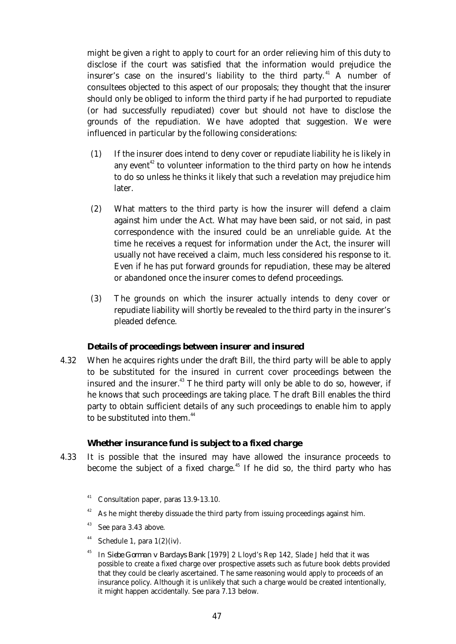might be given a right to apply to court for an order relieving him of this duty to disclose if the court was satisfied that the information would prejudice the insurer's case on the insured's liability to the third party. $41$  A number of consultees objected to this aspect of our proposals; they thought that the insurer should only be obliged to inform the third party if he had purported to repudiate (or had successfully repudiated) cover but should not have to disclose the grounds of the repudiation. We have adopted that suggestion. We were influenced in particular by the following considerations:

- (1) If the insurer does intend to deny cover or repudiate liability he is likely in any event<sup> $42$ </sup> to volunteer information to the third party on how he intends to do so unless he thinks it likely that such a revelation may prejudice him later.
- (2) What matters to the third party is how the insurer will defend a claim against him under the Act. What may have been said, or not said, in past correspondence with the insured could be an unreliable guide. At the time he receives a request for information under the Act, the insurer will usually not have received a claim, much less considered his response to it. Even if he has put forward grounds for repudiation, these may be altered or abandoned once the insurer comes to defend proceedings.
- (3) The grounds on which the insurer actually intends to deny cover or repudiate liability will shortly be revealed to the third party in the insurer's pleaded defence.

## *Details of proceedings between insurer and insured*

 4.32 When he acquires rights under the draft Bill, the third party will be able to apply to be substituted for the insured in current cover proceedings between the insured and the insurer. $^{43}$  The third party will only be able to do so, however, if he knows that such proceedings are taking place. The draft Bill enables the third party to obtain sufficient details of any such proceedings to enable him to apply to be substituted into them.<sup>44</sup>

#### *Whether insurance fund is subject to a fixed charge*

- 4.33 It is possible that the insured may have allowed the insurance proceeds to become the subject of a fixed charge.<sup> $45$ </sup> If he did so, the third party who has
	- Consultation paper, paras 13.9-13.10.
	- $42$  As he might thereby dissuade the third party from issuing proceedings against him.
	- <sup>43</sup> See para 3.43 above.
	- <sup>44</sup> Schedule 1, para  $1(2)(iv)$ .
	- <sup>45</sup> In *Siebe Gorman v Barclays Bank* [1979] 2 Lloyd's Rep 142, Slade J held that it was possible to create a fixed charge over prospective assets such as future book debts provided that they could be clearly ascertained. The same reasoning would apply to proceeds of an insurance policy. Although it is unlikely that such a charge would be created intentionally, it might happen accidentally. See para 7.13 below.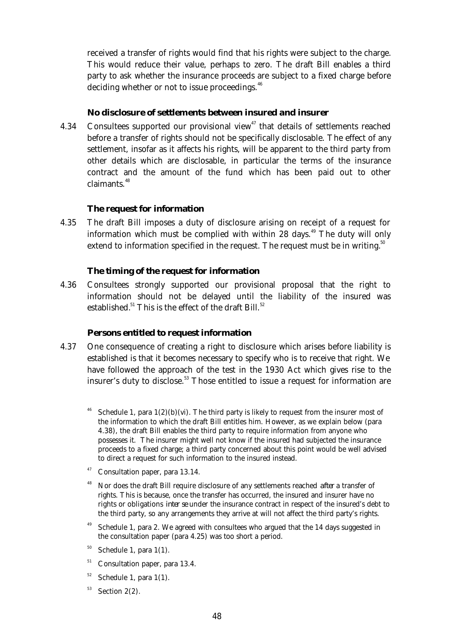received a transfer of rights would find that his rights were subject to the charge. This would reduce their value, perhaps to zero. The draft Bill enables a third party to ask whether the insurance proceeds are subject to a fixed charge before deciding whether or not to issue proceedings.<sup>46</sup>

# *No disclosure of settlements between insured and insurer*

4.34 Consultees supported our provisional view<sup>47</sup> that details of settlements reached before a transfer of rights should not be specifically disclosable. The effect of any settlement, insofar as it affects his rights, will be apparent to the third party from other details which are disclosable, in particular the terms of the insurance contract and the amount of the fund which has been paid out to other claimants.<sup>48</sup>

## **The request for information**

 4.35 The draft Bill imposes a duty of disclosure arising on receipt of a request for information which must be complied with within  $28 \text{ days}$ .<sup>49</sup> The duty will only extend to information specified in the request. The request must be in writing.<sup>50</sup>

# **The timing of the request for information**

 4.36 Consultees strongly supported our provisional proposal that the right to information should not be delayed until the liability of the insured was established.<sup>51</sup> This is the effect of the draft Bill.<sup>52</sup>

## **Persons entitled to request information**

- 4.37 One consequence of creating a right to disclosure which arises before liability is established is that it becomes necessary to specify who is to receive that right. We have followed the approach of the test in the 1930 Act which gives rise to the insurer's duty to disclose.<sup>53</sup> Those entitled to issue a request for information are
	- Schedule 1, para  $1(2)(b)(vi)$ . The third party is likely to request from the insurer most of the information to which the draft Bill entitles him. However, as we explain below (para 4.38), the draft Bill enables the third party to require information from anyone who possesses it. The insurer might well not know if the insured had subjected the insurance proceeds to a fixed charge; a third party concerned about this point would be well advised to direct a request for such information to the insured instead.
	- Consultation paper, para 13.14.
	- <sup>48</sup> Nor does the draft Bill require disclosure of any settlements reached *after* a transfer of rights. This is because, once the transfer has occurred, the insured and insurer have no rights or obligations *inter se* under the insurance contract in respect of the insured's debt to the third party, so any arrangements they arrive at will not affect the third party's rights.
	- Schedule 1, para 2. We agreed with consultees who argued that the 14 days suggested in the consultation paper (para 4.25) was too short a period.
	- $50$  Schedule 1, para 1(1).
	- <sup>51</sup> Consultation paper, para 13.4.
	- $52$  Schedule 1, para 1(1).
	- $53$  Section 2(2).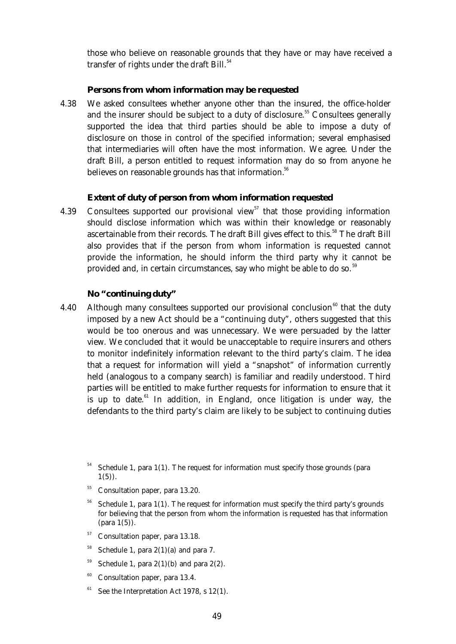those who believe on reasonable grounds that they have or may have received a transfer of rights under the draft Bill.<sup>54</sup>

#### **Persons from whom information may be requested**

 4.38 We asked consultees whether anyone other than the insured, the office-holder and the insurer should be subject to a duty of disclosure.<sup>55</sup> Consultees generally supported the idea that third parties should be able to impose a duty of disclosure on those in control of the specified information; several emphasised that intermediaries will often have the most information. We agree. Under the draft Bill, a person entitled to request information may do so from anyone he believes on reasonable grounds has that information.<sup>56</sup>

#### **Extent of duty of person from whom information requested**

4.39 Consultees supported our provisional view<sup>57</sup> that those providing information should disclose information which was within their knowledge or reasonably ascertainable from their records. The draft Bill gives effect to this.<sup>58</sup> The draft Bill also provides that if the person from whom information is requested cannot provide the information, he should inform the third party why it cannot be provided and, in certain circumstances, say who might be able to do so.<sup>59</sup>

#### **No "continuing duty"**

4.40 Although many consultees supported our provisional conclusion<sup>60</sup> that the duty imposed by a new Act should be a "continuing duty", others suggested that this would be too onerous and was unnecessary. We were persuaded by the latter view. We concluded that it would be unacceptable to require insurers and others to monitor indefinitely information relevant to the third party's claim. The idea that a request for information will yield a "snapshot" of information currently held (analogous to a company search) is familiar and readily understood. Third parties will be entitled to make further requests for information to ensure that it is up to date.<sup>61</sup> In addition, in England, once litigation is under way, the defendants to the third party's claim are likely to be subject to continuing duties

- <sup>55</sup> Consultation paper, para 13.20.
- <sup>56</sup> Schedule 1, para 1(1). The request for information must specify the third party's grounds for believing that the person from whom the information is requested has that information (para 1(5)).
- <sup>57</sup> Consultation paper, para 13.18.
- <sup>58</sup> Schedule 1, para  $2(1)(a)$  and para 7.
- $59$  Schedule 1, para 2(1)(b) and para 2(2).
- $60$  Consultation paper, para 13.4.
- $61$  See the Interpretation Act 1978, s 12(1).

Schedule 1, para  $1(1)$ . The request for information must specify those grounds (para  $1(5)$ .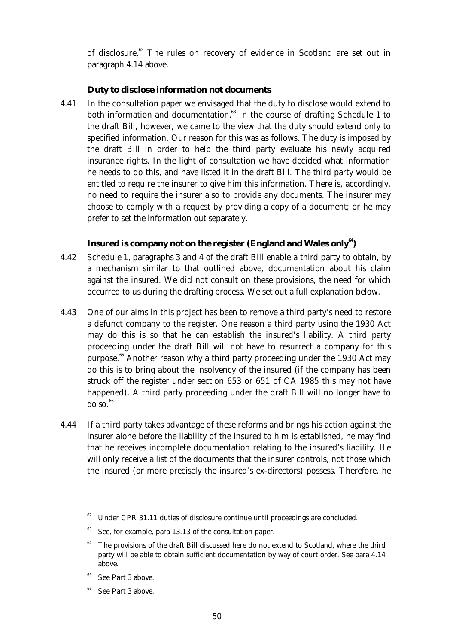of disclosure.<sup>62</sup> The rules on recovery of evidence in Scotland are set out in paragraph 4.14 above.

# **Duty to disclose information not documents**

 4.41 In the consultation paper we envisaged that the duty to disclose would extend to both information and documentation. $63$  In the course of drafting Schedule 1 to the draft Bill, however, we came to the view that the duty should extend only to specified information. Our reason for this was as follows. The duty is imposed by the draft Bill in order to help the third party evaluate his newly acquired insurance rights. In the light of consultation we have decided what information he needs to do this, and have listed it in the draft Bill. The third party would be entitled to require the insurer to give him this information. There is, accordingly, no need to require the insurer also to provide any documents. The insurer may choose to comply with a request by providing a copy of a document; or he may prefer to set the information out separately.

# **Insured is company not on the register (England and Wales only<sup>64</sup>)**

- 4.42 Schedule 1, paragraphs 3 and 4 of the draft Bill enable a third party to obtain, by a mechanism similar to that outlined above, documentation about his claim against the insured. We did not consult on these provisions, the need for which occurred to us during the drafting process. We set out a full explanation below.
- 4.43 One of our aims in this project has been to remove a third party's need to restore a defunct company to the register. One reason a third party using the 1930 Act may do this is so that he can establish the insured's liability. A third party proceeding under the draft Bill will not have to resurrect a company for this purpose.<sup>65</sup> Another reason why a third party proceeding under the 1930 Act may do this is to bring about the insolvency of the insured (if the company has been struck off the register under section 653 or 651 of CA 1985 this may not have happened). A third party proceeding under the draft Bill will no longer have to  $\overline{d}$ o so.  $^{66}$
- 4.44 If a third party takes advantage of these reforms and brings his action against the insurer alone before the liability of the insured to him is established, he may find that he receives incomplete documentation relating to the insured's liability. He will only receive a list of the documents that the insurer controls, not those which the insured (or more precisely the insured's ex-directors) possess. Therefore, he

 $62$  Under CPR 31.11 duties of disclosure continue until proceedings are concluded.

See, for example, para 13.13 of the consultation paper.

 $64$  The provisions of the draft Bill discussed here do not extend to Scotland, where the third party will be able to obtain sufficient documentation by way of court order. See para 4.14 above.

See Part 3 above.

See Part 3 above.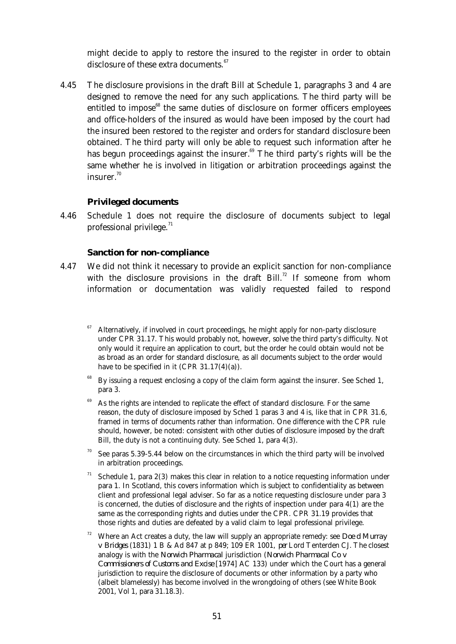might decide to apply to restore the insured to the register in order to obtain disclosure of these extra documents.<sup>67</sup>

 4.45 The disclosure provisions in the draft Bill at Schedule 1, paragraphs 3 and 4 are designed to remove the need for any such applications. The third party will be entitled to impose<sup>68</sup> the same duties of disclosure on former officers employees and office-holders of the insured as would have been imposed by the court had the insured been restored to the register and orders for standard disclosure been obtained. The third party will only be able to request such information after he has begun proceedings against the insurer.<sup>69</sup> The third party's rights will be the same whether he is involved in litigation or arbitration proceedings against the insurer.<sup>70</sup>

#### **Privileged documents**

 4.46 Schedule 1 does not require the disclosure of documents subject to legal professional privilege. $71$ 

#### **Sanction for non-compliance**

- 4.47 We did not think it necessary to provide an explicit sanction for non-compliance with the disclosure provisions in the draft Bill.<sup>72</sup> If someone from whom information or documentation was validly requested failed to respond
	- <sup>67</sup> Alternatively, if involved in court proceedings, he might apply for non-party disclosure under CPR 31.17. This would probably not, however, solve the third party's difficulty. Not only would it require an application to court, but the order he could obtain would not be as broad as an order for standard disclosure, as all documents subject to the order would have to be specified in it  $(CPR 31.17(4)(a))$ .
	- By issuing a request enclosing a copy of the claim form against the insurer. See Sched 1, para 3.
	- As the rights are intended to replicate the effect of standard disclosure. For the same reason, the duty of disclosure imposed by Sched 1 paras 3 and 4 is, like that in CPR 31.6, framed in terms of documents rather than information. One difference with the CPR rule should, however, be noted: consistent with other duties of disclosure imposed by the draft Bill, the duty is not a continuing duty. See Sched 1, para 4(3).
	- See paras 5.39-5.44 below on the circumstances in which the third party will be involved in arbitration proceedings.
	- Schedule 1, para 2(3) makes this clear in relation to a notice requesting information under para 1. In Scotland, this covers information which is subject to confidentiality as between client and professional legal adviser. So far as a notice requesting disclosure under para 3 is concerned, the duties of disclosure and the rights of inspection under para 4(1) are the same as the corresponding rights and duties under the CPR. CPR 31.19 provides that those rights and duties are defeated by a valid claim to legal professional privilege.
	- <sup>72</sup> Where an Act creates a duty, the law will supply an appropriate remedy: see *Doe d Murray v Bridges* (1831) 1 B & Ad 847 at p 849; 109 ER 1001, *per* Lord Tenterden CJ. The closest analogy is with the *Norwich Pharmacal* jurisdiction (*Norwich Pharmacal Co v Commissioners of Customs and Excise* [1974] AC 133) under which the Court has a general jurisdiction to require the disclosure of documents or other information by a party who (albeit blamelessly) has become involved in the wrongdoing of others (see White Book 2001, Vol 1, para 31.18.3).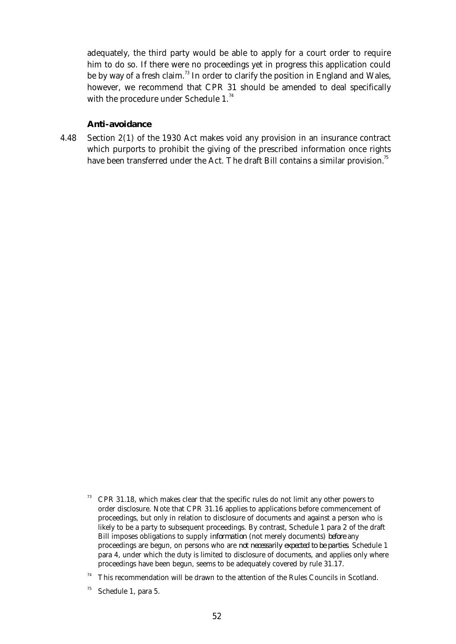adequately, the third party would be able to apply for a court order to require him to do so. If there were no proceedings yet in progress this application could be by way of a fresh claim.<sup>73</sup> In order to clarify the position in England and Wales, however, we recommend that CPR 31 should be amended to deal specifically with the procedure under Schedule 1.<sup>74</sup>

#### **Anti-avoidance**

 4.48 Section 2(1) of the 1930 Act makes void any provision in an insurance contract which purports to prohibit the giving of the prescribed information once rights have been transferred under the Act. The draft Bill contains a similar provision.<sup>75</sup>

<sup>73</sup> CPR 31.18, which makes clear that the specific rules do not limit any other powers to order disclosure. Note that CPR 31.16 applies to applications before commencement of proceedings, but only in relation to disclosure of documents and against a person who is likely to be a party to subsequent proceedings. By contrast, Schedule 1 para 2 of the draft Bill imposes obligations to supply *information* (not merely documents) *before* any proceedings are begun, on persons who are *not necessarily expected to be parties*. Schedule 1 para 4, under which the duty is limited to disclosure of documents, and applies only where proceedings have been begun, seems to be adequately covered by rule 31.17.

 $74$  This recommendation will be drawn to the attention of the Rules Councils in Scotland.

 $75$  Schedule 1, para 5.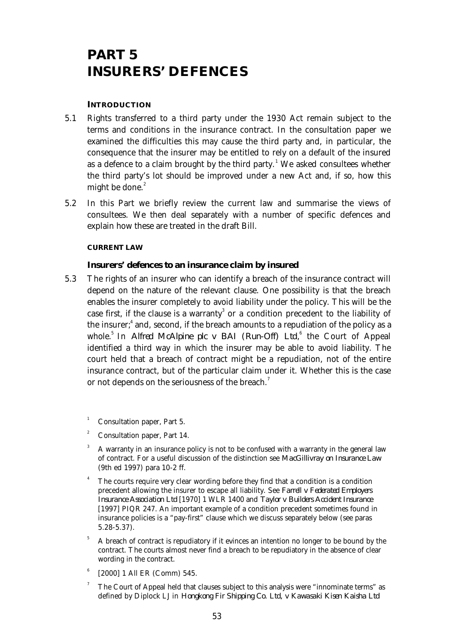# **PART 5 INSURERS' DEFENCES**

## **INTRODUCTION**

- 5.1 Rights transferred to a third party under the 1930 Act remain subject to the terms and conditions in the insurance contract. In the consultation paper we examined the difficulties this may cause the third party and, in particular, the consequence that the insurer may be entitled to rely on a default of the insured as a defence to a claim brought by the third party.<sup>1</sup> We asked consultees whether the third party's lot should be improved under a new Act and, if so, how this might be done. $2$
- 5.2 In this Part we briefly review the current law and summarise the views of consultees. We then deal separately with a number of specific defences and explain how these are treated in the draft Bill.

#### **CURRENT LAW**

## **Insurers' defences to an insurance claim by insured**

 5.3 The rights of an insurer who can identify a breach of the insurance contract will depend on the nature of the relevant clause. One possibility is that the breach enables the insurer completely to avoid liability under the policy. This will be the case first, if the clause is a warranty<sup>3</sup> or a condition precedent to the liability of the insurer; $\phantom{i}^4$  and, second, if the breach amounts to a repudiation of the policy as a whole.<sup>5</sup> In *Alfred McAlpine plc v BAI (Run-Off) Ltd*,<sup>6</sup> the Court of Appeal identified a third way in which the insurer may be able to avoid liability. The court held that a breach of contract might be a repudiation, not of the entire insurance contract, but of the particular claim under it. Whether this is the case or not depends on the seriousness of the breach.<sup>7</sup>

Consultation paper, Part 5.

- <sup>2</sup> Consultation paper, Part 14.
- <sup>3</sup> A warranty in an insurance policy is not to be confused with a warranty in the general law of contract. For a useful discussion of the distinction see *MacGillivray on Insurance Law* (9th ed 1997) para 10-2 ff.
- <sup>4</sup> The courts require very clear wording before they find that a condition is a condition precedent allowing the insurer to escape all liability. See *Farrell v Federated Employers Insurance Association Ltd* [1970] 1 WLR 1400 and *Taylor v Builders Accident Insurance* [1997] PIQR 247. An important example of a condition precedent sometimes found in insurance policies is a "pay-first" clause which we discuss separately below (see paras 5.28-5.37).
- <sup>5</sup> A breach of contract is repudiatory if it evinces an intention no longer to be bound by the contract. The courts almost never find a breach to be repudiatory in the absence of clear wording in the contract.
- 6 [2000] 1 All ER (Comm) 545.
- <sup>7</sup> The Court of Appeal held that clauses subject to this analysis were "innominate terms" as defined by Diplock LJ in *Hongkong Fir Shipping Co. Ltd, v Kawasaki Kisen Kaisha Ltd*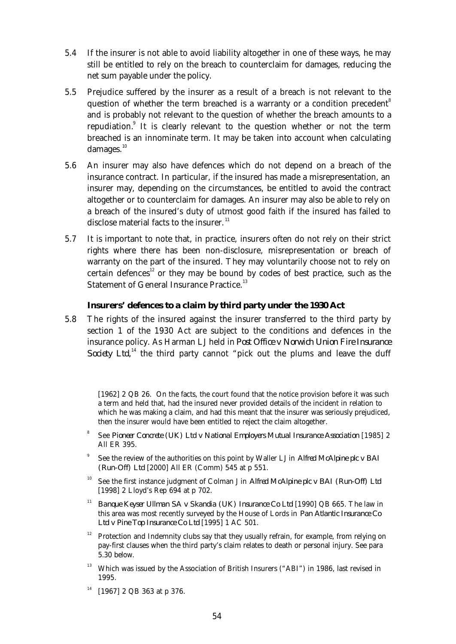- 5.4 If the insurer is not able to avoid liability altogether in one of these ways, he may still be entitled to rely on the breach to counterclaim for damages, reducing the net sum payable under the policy.
- 5.5 Prejudice suffered by the insurer as a result of a breach is not relevant to the question of whether the term breached is a warranty or a condition precedent<sup>8</sup> and is probably not relevant to the question of whether the breach amounts to a repudiation.<sup>9</sup> It is clearly relevant to the question whether or not the term breached is an innominate term. It may be taken into account when calculating damages.<sup>10</sup>
- 5.6 An insurer may also have defences which do not depend on a breach of the insurance contract. In particular, if the insured has made a misrepresentation, an insurer may, depending on the circumstances, be entitled to avoid the contract altogether or to counterclaim for damages. An insurer may also be able to rely on a breach of the insured's duty of utmost good faith if the insured has failed to disclose material facts to the insurer. $11$
- 5.7 It is important to note that, in practice, insurers often do not rely on their strict rights where there has been non-disclosure, misrepresentation or breach of warranty on the part of the insured. They may voluntarily choose not to rely on certain defences<sup>12</sup> or they may be bound by codes of best practice, such as the Statement of General Insurance Practice.<sup>13</sup>

## **Insurers' defences to a claim by third party under the 1930 Act**

 5.8 The rights of the insured against the insurer transferred to the third party by section 1 of the 1930 Act are subject to the conditions and defences in the insurance policy. As Harman LJ held in *Post Office v Norwich Union Fire Insurance Society Ltd*,<sup>14</sup> the third party cannot "pick out the plums and leave the duff

[1962] 2 QB 26. On the facts, the court found that the notice provision before it was such a term and held that, had the insured never provided details of the incident in relation to which he was making a claim, and had this meant that the insurer was seriously prejudiced, then the insurer would have been entitled to reject the claim altogether.

- 8 See *Pioneer Concrete (UK) Ltd v National Employers Mutual Insurance Association* [1985] 2 All ER 395.
- 9 See the review of the authorities on this point by Waller LJ in *Alfred McAlpine plc v BAI (Run-Off) Ltd* [2000] All ER (Comm) 545 at p 551.
- <sup>10</sup> See the first instance judgment of Colman J in *Alfred McAlpine plc v BAI (Run-Off) Ltd* [1998] 2 Lloyd's Rep 694 at p 702.
- <sup>11</sup> *Banque Keyser Ullman SA v Skandia (UK) Insurance Co Ltd* [1990] QB 665. The law in this area was most recently surveyed by the House of Lords in *Pan Atlantic Insurance Co Ltd v Pine Top Insurance Co Ltd* [1995] 1 AC 501.
- <sup>12</sup> Protection and Indemnity clubs say that they usually refrain, for example, from relying on pay-first clauses when the third party's claim relates to death or personal injury. See para 5.30 below.
- $^{13}$  Which was issued by the Association of British Insurers ("ABI") in 1986, last revised in 1995.
- $14$  [1967] 2 QB 363 at p 376.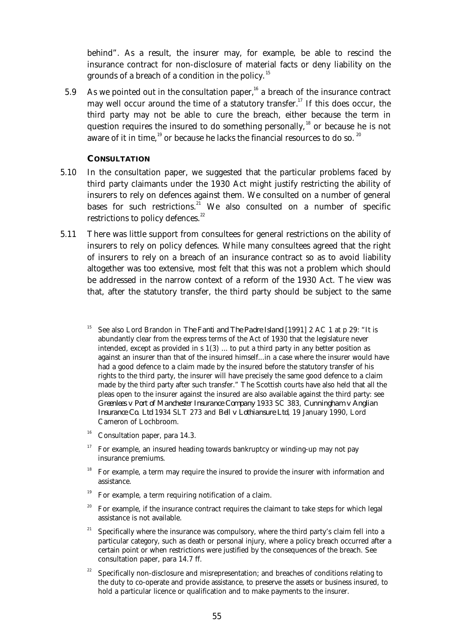behind". As a result, the insurer may, for example, be able to rescind the insurance contract for non-disclosure of material facts or deny liability on the grounds of a breach of a condition in the policy.<sup>15</sup>

5.9 As we pointed out in the consultation paper,<sup>16</sup> a breach of the insurance contract may well occur around the time of a statutory transfer.<sup>17</sup> If this does occur, the third party may not be able to cure the breach, either because the term in question requires the insured to do something personally,  $18$  or because he is not aware of it in time,  $19$  or because he lacks the financial resources to do so.  $20$ 

## **CONSULTATION**

- 5.10 In the consultation paper, we suggested that the particular problems faced by third party claimants under the 1930 Act might justify restricting the ability of insurers to rely on defences against them. We consulted on a number of general bases for such restrictions.<sup>21</sup> We also consulted on a number of specific restrictions to policy defences.<sup>22</sup>
- 5.11 There was little support from consultees for general restrictions on the ability of insurers to rely on policy defences. While many consultees agreed that the right of insurers to rely on a breach of an insurance contract so as to avoid liability altogether was too extensive, most felt that this was not a problem which should be addressed in the narrow context of a reform of the 1930 Act. The view was that, after the statutory transfer, the third party should be subject to the same
	- <sup>15</sup> See also Lord Brandon in *The Fanti and The Padre Island* [1991] 2 AC 1 at p 29: "It is abundantly clear from the express terms of the Act of 1930 that the legislature never intended, except as provided in s 1(3) ... to put a third party in any better position as against an insurer than that of the insured himself...in a case where the insurer would have had a good defence to a claim made by the insured before the statutory transfer of his rights to the third party, the insurer will have precisely the same good defence to a claim made by the third party after such transfer." The Scottish courts have also held that all the pleas open to the insurer against the insured are also available against the third party: see *Greenlees v Port of Manchester Insurance Company* 1933 SC 383, *Cunningham v Anglian Insurance Co. Ltd* 1934 SLT 273 and *Bell v Lothiansure Ltd*, 19 January 1990, Lord Cameron of Lochbroom.
	- $16$  Consultation paper, para 14.3.
	- $17$  For example, an insured heading towards bankruptcy or winding-up may not pay insurance premiums.
	- <sup>18</sup> For example, a term may require the insured to provide the insurer with information and assistance.
	- $19$  For example, a term requiring notification of a claim.
	- <sup>20</sup> For example, if the insurance contract requires the claimant to take steps for which legal assistance is not available.
	- $21$  Specifically where the insurance was compulsory, where the third party's claim fell into a particular category, such as death or personal injury, where a policy breach occurred after a certain point or when restrictions were justified by the consequences of the breach. See consultation paper, para 14.7 ff.
	- Specifically non-disclosure and misrepresentation; and breaches of conditions relating to the duty to co-operate and provide assistance, to preserve the assets or business insured, to hold a particular licence or qualification and to make payments to the insurer.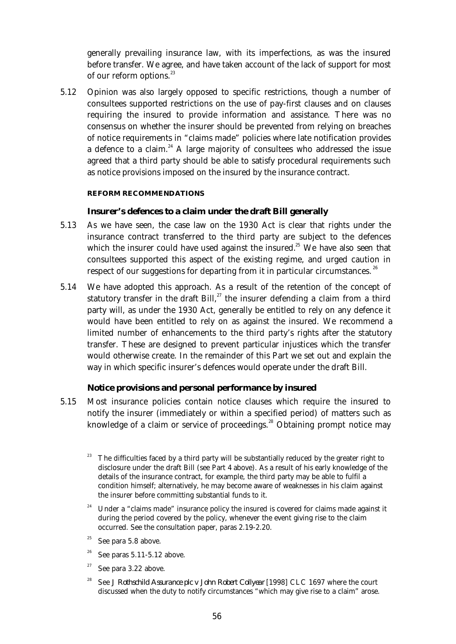generally prevailing insurance law, with its imperfections, as was the insured before transfer. We agree, and have taken account of the lack of support for most of our reform options.<sup>23</sup>

 5.12 Opinion was also largely opposed to specific restrictions, though a number of consultees supported restrictions on the use of pay-first clauses and on clauses requiring the insured to provide information and assistance. There was no consensus on whether the insurer should be prevented from relying on breaches of notice requirements in "claims made" policies where late notification provides a defence to a claim.<sup>24</sup> A large majority of consultees who addressed the issue agreed that a third party should be able to satisfy procedural requirements such as notice provisions imposed on the insured by the insurance contract.

#### **REFORM RECOMMENDATIONS**

## **Insurer's defences to a claim under the draft Bill generally**

- 5.13 As we have seen, the case law on the 1930 Act is clear that rights under the insurance contract transferred to the third party are subject to the defences which the insurer could have used against the insured.<sup>25</sup> We have also seen that consultees supported this aspect of the existing regime, and urged caution in respect of our suggestions for departing from it in particular circumstances.<sup>26</sup>
- 5.14 We have adopted this approach. As a result of the retention of the concept of statutory transfer in the draft Bill, $^{27}$  the insurer defending a claim from a third party will, as under the 1930 Act, generally be entitled to rely on any defence it would have been entitled to rely on as against the insured. We recommend a limited number of enhancements to the third party's rights after the statutory transfer. These are designed to prevent particular injustices which the transfer would otherwise create. In the remainder of this Part we set out and explain the way in which specific insurer's defences would operate under the draft Bill.

## **Notice provisions and personal performance by insured**

 5.15 Most insurance policies contain notice clauses which require the insured to notify the insurer (immediately or within a specified period) of matters such as knowledge of a claim or service of proceedings.<sup>28</sup> Obtaining prompt notice may

- Under a "claims made" insurance policy the insured is covered for claims made against it during the period covered by the policy, whenever the event giving rise to the claim occurred. See the consultation paper, paras 2.19-2.20.
- $25$  See para 5.8 above.
- $26$  See paras 5.11-5.12 above.
- See para 3.22 above.
- <sup>28</sup> See *J Rothschild Assurance plc v John Robert Collyear* [1998] CLC 1697 where the court discussed when the duty to notify circumstances "which may give rise to a claim" arose.

 $23$  The difficulties faced by a third party will be substantially reduced by the greater right to disclosure under the draft Bill (see Part 4 above). As a result of his early knowledge of the details of the insurance contract, for example, the third party may be able to fulfil a condition himself; alternatively, he may become aware of weaknesses in his claim against the insurer before committing substantial funds to it.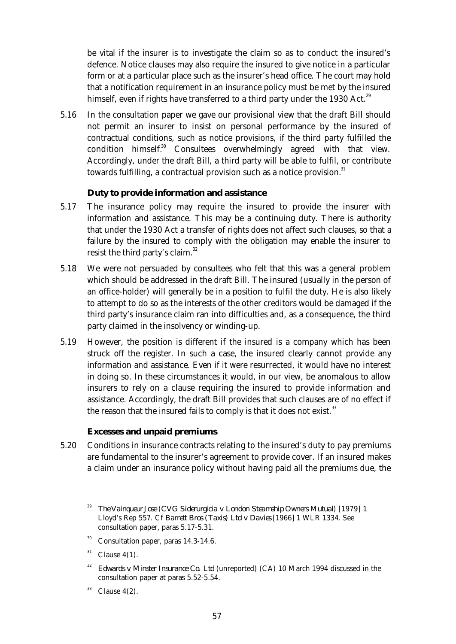be vital if the insurer is to investigate the claim so as to conduct the insured's defence. Notice clauses may also require the insured to give notice in a particular form or at a particular place such as the insurer's head office. The court may hold that a notification requirement in an insurance policy must be met by the insured himself, even if rights have transferred to a third party under the 1930 Act.<sup>29</sup>

 5.16 In the consultation paper we gave our provisional view that the draft Bill should not permit an insurer to insist on personal performance by the insured of contractual conditions, such as notice provisions, if the third party fulfilled the condition himself.<sup>30</sup> Consultees overwhelmingly agreed with that view. Accordingly, under the draft Bill, a third party will be able to fulfil, or contribute towards fulfilling, a contractual provision such as a notice provision.<sup>31</sup>

## **Duty to provide information and assistance**

- 5.17 The insurance policy may require the insured to provide the insurer with information and assistance. This may be a continuing duty. There is authority that under the 1930 Act a transfer of rights does not affect such clauses, so that a failure by the insured to comply with the obligation may enable the insurer to resist the third party's claim.<sup>32</sup>
- 5.18 We were not persuaded by consultees who felt that this was a general problem which should be addressed in the draft Bill. The insured (usually in the person of an office-holder) will generally be in a position to fulfil the duty. He is also likely to attempt to do so as the interests of the other creditors would be damaged if the third party's insurance claim ran into difficulties and, as a consequence, the third party claimed in the insolvency or winding-up.
- 5.19 However, the position is different if the insured is a company which has been struck off the register. In such a case, the insured clearly cannot provide any information and assistance. Even if it were resurrected, it would have no interest in doing so. In these circumstances it would, in our view, be anomalous to allow insurers to rely on a clause requiring the insured to provide information and assistance. Accordingly, the draft Bill provides that such clauses are of no effect if the reason that the insured fails to comply is that it does not exist.<sup>33</sup>

#### **Excesses and unpaid premiums**

 5.20 Conditions in insurance contracts relating to the insured's duty to pay premiums are fundamental to the insurer's agreement to provide cover. If an insured makes a claim under an insurance policy without having paid all the premiums due, the

 $30$  Consultation paper, paras 14.3-14.6.

- <sup>32</sup> *Edwards v Minster Insurance Co. Ltd* (unreported) (CA) 10 March 1994 discussed in the consultation paper at paras 5.52-5.54.
- $33$  Clause 4(2).

<sup>29</sup> *The Vainqueur Jose* (*CVG Siderurgicia v London Steamship Owners Mutual*) [1979] 1 Lloyd's Rep 557. Cf *Barrett Bros (Taxis) Ltd v Davies* [1966] 1 WLR 1334. See consultation paper, paras 5.17-5.31.

 $31$  Clause 4(1).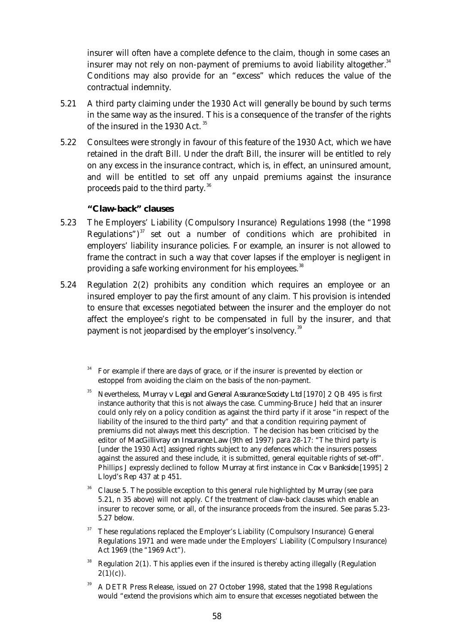insurer will often have a complete defence to the claim, though in some cases an insurer may not rely on non-payment of premiums to avoid liability altogether. $34$ Conditions may also provide for an "excess" which reduces the value of the contractual indemnity.

- 5.21 A third party claiming under the 1930 Act will generally be bound by such terms in the same way as the insured. This is a consequence of the transfer of the rights of the insured in the 1930 Act.<sup>35</sup>
- 5.22 Consultees were strongly in favour of this feature of the 1930 Act, which we have retained in the draft Bill. Under the draft Bill, the insurer will be entitled to rely on any excess in the insurance contract, which is, in effect, an uninsured amount, and will be entitled to set off any unpaid premiums against the insurance proceeds paid to the third party.<sup>36</sup>

# **"Claw-back" clauses**

- 5.23 The Employers' Liability (Compulsory Insurance) Regulations 1998 (the "1998 Regulations") $37$  set out a number of conditions which are prohibited in employers' liability insurance policies. For example, an insurer is not allowed to frame the contract in such a way that cover lapses if the employer is negligent in providing a safe working environment for his employees.<sup>38</sup>
- 5.24 Regulation 2(2) prohibits any condition which requires an employee or an insured employer to pay the first amount of any claim. This provision is intended to ensure that excesses negotiated between the insurer and the employer do not affect the employee's right to be compensated in full by the insurer, and that payment is not jeopardised by the employer's insolvency.<sup>39</sup>
	- <sup>34</sup> For example if there are days of grace, or if the insurer is prevented by election or estoppel from avoiding the claim on the basis of the non-payment.
	- <sup>35</sup> Nevertheless, *Murray v Legal and General Assurance Society Ltd* [1970] 2 QB 495 is first instance authority that this is not always the case. Cumming-Bruce J held that an insurer could only rely on a policy condition as against the third party if it arose "in respect of the liability of the insured to the third party" and that a condition requiring payment of premiums did not always meet this description. The decision has been criticised by the editor of *MacGillivray on Insurance Law* (9th ed 1997) para 28-17: "The third party is [under the 1930 Act] assigned rights subject to any defences which the insurers possess against the assured and these include, it is submitted, general equitable rights of set-off". Phillips J expressly declined to follow *Murray* at first instance in *Cox v Bankside* [1995] 2 Lloyd's Rep 437 at p 451.
	- <sup>36</sup> Clause 5. The possible exception to this general rule highlighted by *Murray* (see para 5.21, n 35 above) will not apply. Cf the treatment of claw-back clauses which enable an insurer to recover some, or all, of the insurance proceeds from the insured. See paras 5.23- 5.27 below.
	- <sup>37</sup> These regulations replaced the Employer's Liability (Compulsory Insurance) General Regulations 1971 and were made under the Employers' Liability (Compulsory Insurance) Act 1969 (the "1969 Act").
	- <sup>38</sup> Regulation 2(1). This applies even if the insured is thereby acting illegally (Regulation  $2(1)(c)$ .
	- <sup>39</sup> A DETR Press Release, issued on 27 October 1998, stated that the 1998 Regulations would "extend the provisions which aim to ensure that excesses negotiated between the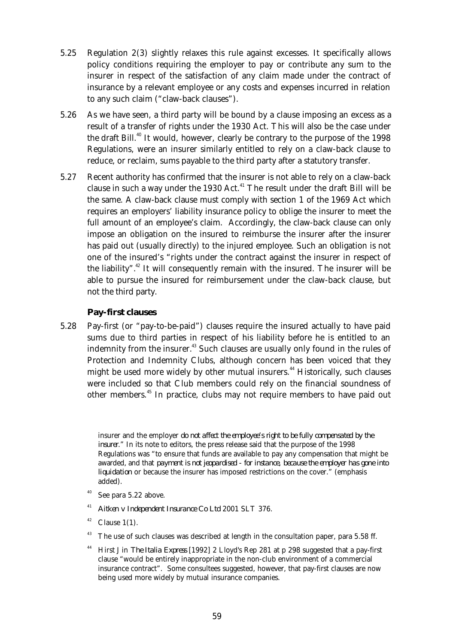- 5.25 Regulation 2(3) slightly relaxes this rule against excesses. It specifically allows policy conditions requiring the employer to pay or contribute any sum to the insurer in respect of the satisfaction of any claim made under the contract of insurance by a relevant employee or any costs and expenses incurred in relation to any such claim ("claw-back clauses").
- 5.26 As we have seen, a third party will be bound by a clause imposing an excess as a result of a transfer of rights under the 1930 Act. This will also be the case under the draft Bill.<sup>40</sup> It would, however, clearly be contrary to the purpose of the 1998 Regulations, were an insurer similarly entitled to rely on a claw-back clause to reduce, or reclaim, sums payable to the third party after a statutory transfer.
- 5.27 Recent authority has confirmed that the insurer is not able to rely on a claw-back clause in such a way under the 1930 Act. $41$  The result under the draft Bill will be the same. A claw-back clause must comply with section 1 of the 1969 Act which requires an employers' liability insurance policy to oblige the insurer to meet the full amount of an employee's claim. Accordingly, the claw-back clause can only impose an obligation on the insured to reimburse the insurer after the insurer has paid out (usually directly) to the injured employee. Such an obligation is not one of the insured's "rights under the contract against the insurer in respect of the liability".<sup>42</sup> It will consequently remain with the insured. The insurer will be able to pursue the insured for reimbursement under the claw-back clause, but not the third party.

## **Pay-first clauses**

 5.28 Pay-first (or "pay-to-be-paid") clauses require the insured actually to have paid sums due to third parties in respect of his liability before he is entitled to an indemnity from the insurer.<sup>43</sup> Such clauses are usually only found in the rules of Protection and Indemnity Clubs, although concern has been voiced that they might be used more widely by other mutual insurers.<sup>44</sup> Historically, such clauses were included so that Club members could rely on the financial soundness of other members.<sup>45</sup> In practice, clubs may not require members to have paid out

> insurer and the employer *do not affect the employee's right to be fully compensated by the insurer*." In its note to editors, the press release said that the purpose of the 1998 Regulations was "to ensure that funds are available to pay any compensation that might be awarded, and that *payment is not jeopardised - for instance, because the employer has gone into liquidation* or because the insurer has imposed restrictions on the cover." (emphasis added).

- $40$  See para 5.22 above.
- <sup>41</sup> *Aitken v Independent Insurance Co Ltd* 2001 SLT 376.
- $42$  Clause 1(1).
- The use of such clauses was described at length in the consultation paper, para 5.58 ff.
- <sup>44</sup> Hirst J in *The Italia Express* [1992] 2 Lloyd's Rep 281 at p 298 suggested that a pay-first clause "would be entirely inappropriate in the non-club environment of a commercial insurance contract". Some consultees suggested, however, that pay-first clauses are now being used more widely by mutual insurance companies.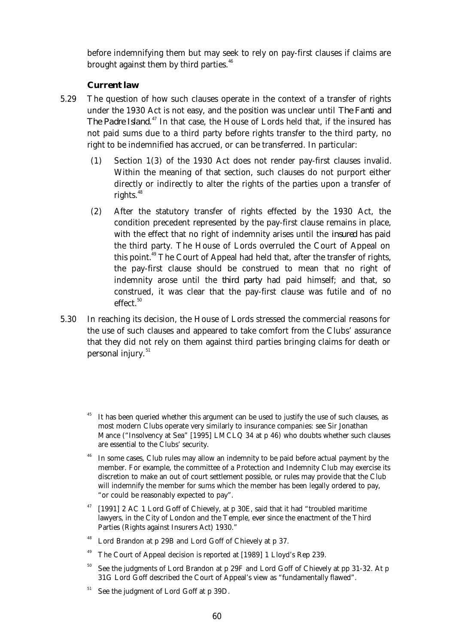before indemnifying them but may seek to rely on pay-first clauses if claims are brought against them by third parties. $46$ 

#### *Current law*

- 5.29 The question of how such clauses operate in the context of a transfer of rights under the 1930 Act is not easy, and the position was unclear until *The Fanti and The Padre Island.*<sup>47</sup> In that case, the House of Lords held that, if the insured has not paid sums due to a third party before rights transfer to the third party, no right to be indemnified has accrued, or can be transferred. In particular:
	- (1) Section 1(3) of the 1930 Act does not render pay-first clauses invalid. Within the meaning of that section, such clauses do not purport either directly or indirectly to alter the rights of the parties upon a transfer of rights. $48$
	- (2) After the statutory transfer of rights effected by the 1930 Act, the condition precedent represented by the pay-first clause remains in place, with the effect that no right of indemnity arises until the *insured* has paid the third party. The House of Lords overruled the Court of Appeal on this point.<sup>49</sup> The Court of Appeal had held that, after the transfer of rights, the pay-first clause should be construed to mean that no right of indemnity arose until the *third party* had paid himself; and that, so construed, it was clear that the pay-first clause was futile and of no  $effect.$ <sup>50</sup>
- 5.30 In reaching its decision, the House of Lords stressed the commercial reasons for the use of such clauses and appeared to take comfort from the Clubs' assurance that they did not rely on them against third parties bringing claims for death or personal injury.<sup>51</sup>
	- It has been queried whether this argument can be used to justify the use of such clauses, as most modern Clubs operate very similarly to insurance companies: see Sir Jonathan Mance ("Insolvency at Sea" [1995] LMCLQ 34 at p 46) who doubts whether such clauses are essential to the Clubs' security.
	- <sup>46</sup> In some cases, Club rules may allow an indemnity to be paid before actual payment by the member. For example, the committee of a Protection and Indemnity Club may exercise its discretion to make an out of court settlement possible, or rules may provide that the Club will indemnify the member for sums which the member has been legally ordered to pay, "or could be reasonably expected to pay".
	- <sup>47</sup> [1991] 2 AC 1 Lord Goff of Chievely, at p 30E, said that it had "troubled maritime lawyers, in the City of London and the Temple, ever since the enactment of the Third Parties (Rights against Insurers Act) 1930."
	- Lord Brandon at p 29B and Lord Goff of Chievely at p 37.
	- <sup>49</sup> The Court of Appeal decision is reported at [1989] 1 Lloyd's Rep 239.
	- See the judgments of Lord Brandon at p 29F and Lord Goff of Chievely at pp 31-32. At p 31G Lord Goff described the Court of Appeal's view as "fundamentally flawed".
	- See the judgment of Lord Goff at p 39D.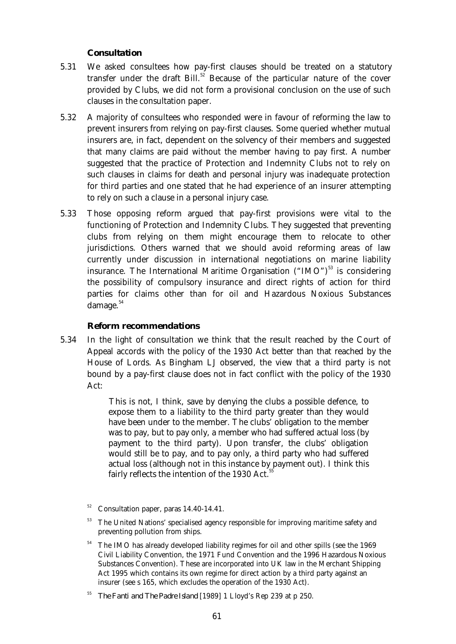# *Consultation*

- 5.31 We asked consultees how pay-first clauses should be treated on a statutory transfer under the draft  $Bill.<sup>52</sup>$  Because of the particular nature of the cover provided by Clubs, we did not form a provisional conclusion on the use of such clauses in the consultation paper.
- 5.32 A majority of consultees who responded were in favour of reforming the law to prevent insurers from relying on pay-first clauses. Some queried whether mutual insurers are, in fact, dependent on the solvency of their members and suggested that many claims are paid without the member having to pay first. A number suggested that the practice of Protection and Indemnity Clubs not to rely on such clauses in claims for death and personal injury was inadequate protection for third parties and one stated that he had experience of an insurer attempting to rely on such a clause in a personal injury case.
- 5.33 Those opposing reform argued that pay-first provisions were vital to the functioning of Protection and Indemnity Clubs. They suggested that preventing clubs from relying on them might encourage them to relocate to other jurisdictions. Others warned that we should avoid reforming areas of law currently under discussion in international negotiations on marine liability insurance. The International Maritime Organisation  $("IMO")^{53}$  is considering the possibility of compulsory insurance and direct rights of action for third parties for claims other than for oil and Hazardous Noxious Substances damage. $54$

## *Reform recommendations*

 5.34 In the light of consultation we think that the result reached by the Court of Appeal accords with the policy of the 1930 Act better than that reached by the House of Lords. As Bingham LJ observed, the view that a third party is not bound by a pay-first clause does not in fact conflict with the policy of the 1930 Act:

> This is not, I think, save by denying the clubs a possible defence, to expose them to a liability to the third party greater than they would have been under to the member. The clubs' obligation to the member was to pay, but to pay only, a member who had suffered actual loss (by payment to the third party). Upon transfer, the clubs' obligation would still be to pay, and to pay only, a third party who had suffered actual loss (although not in this instance by payment out). I think this fairly reflects the intention of the 1930 Act. $5$

- <sup>52</sup> Consultation paper, paras 14.40-14.41.
- The United Nations' specialised agency responsible for improving maritime safety and preventing pollution from ships.
- <sup>54</sup> The IMO has already developed liability regimes for oil and other spills (see the 1969 Civil Liability Convention, the 1971 Fund Convention and the 1996 Hazardous Noxious Substances Convention). These are incorporated into UK law in the Merchant Shipping Act 1995 which contains its own regime for direct action by a third party against an insurer (see s 165, which excludes the operation of the 1930 Act).

<sup>55</sup> *The Fanti and The Padre Island* [1989] 1 Lloyd's Rep 239 at p 250.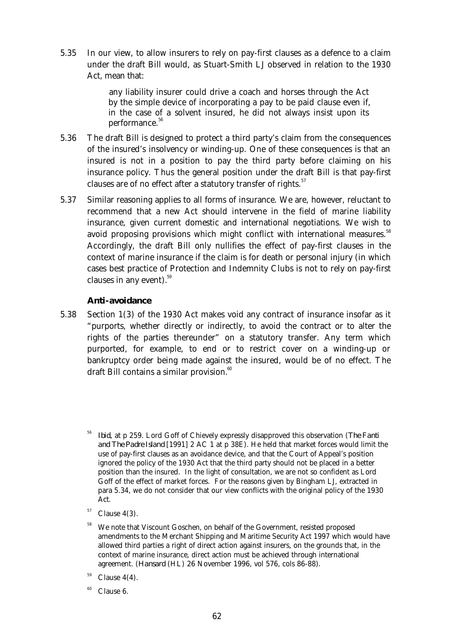5.35 In our view, to allow insurers to rely on pay-first clauses as a defence to a claim under the draft Bill would, as Stuart-Smith LJ observed in relation to the 1930 Act, mean that:

> any liability insurer could drive a coach and horses through the Act by the simple device of incorporating a pay to be paid clause even if, in the case of a solvent insured, he did not always insist upon its performance.<sup>56</sup>

- 5.36 The draft Bill is designed to protect a third party's claim from the consequences of the insured's insolvency or winding-up. One of these consequences is that an insured is not in a position to pay the third party before claiming on his insurance policy. Thus the general position under the draft Bill is that pay-first clauses are of no effect after a statutory transfer of rights.<sup>57</sup>
- 5.37 Similar reasoning applies to all forms of insurance. We are, however, reluctant to recommend that a new Act should intervene in the field of marine liability insurance, given current domestic and international negotiations. We wish to avoid proposing provisions which might conflict with international measures.<sup>58</sup> Accordingly, the draft Bill only nullifies the effect of pay-first clauses in the context of marine insurance if the claim is for death or personal injury (in which cases best practice of Protection and Indemnity Clubs is not to rely on pay-first clauses in any event). $59$

## **Anti-avoidance**

- 5.38 Section 1(3) of the 1930 Act makes void any contract of insurance insofar as it "purports, whether directly or indirectly, to avoid the contract or to alter the rights of the parties thereunder" on a statutory transfer. Any term which purported, for example, to end or to restrict cover on a winding-up or bankruptcy order being made against the insured, would be of no effect. The draft Bill contains a similar provision.<sup>60</sup>
	- <sup>56</sup> *Ibid,* at p 259. Lord Goff of Chievely expressly disapproved this observation (*The Fanti and The Padre Island* [1991] 2 AC 1 at p 38E). He held that market forces would limit the use of pay-first clauses as an avoidance device, and that the Court of Appeal's position ignored the policy of the 1930 Act that the third party should not be placed in a better position than the insured. In the light of consultation, we are not so confident as Lord Goff of the effect of market forces. For the reasons given by Bingham LJ, extracted in para 5.34, we do not consider that our view conflicts with the original policy of the 1930 Act.
	- Clause  $4(3)$ .
	- We note that Viscount Goschen, on behalf of the Government, resisted proposed amendments to the Merchant Shipping and Maritime Security Act 1997 which would have allowed third parties a right of direct action against insurers, on the grounds that, in the context of marine insurance, direct action must be achieved through international agreement. (*Hansard* (HL) 26 November 1996, vol 576, cols 86-88).
	- $59$  Clause 4(4).
	- $60$  Clause 6.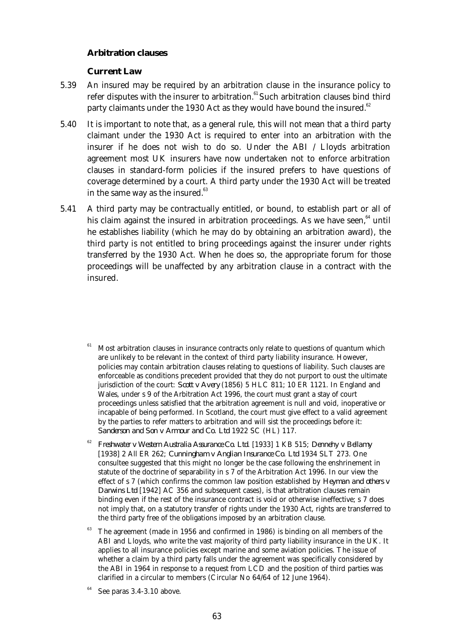## **Arbitration clauses**

## *Current Law*

- 5.39 An insured may be required by an arbitration clause in the insurance policy to refer disputes with the insurer to arbitration. $61$ Such arbitration clauses bind third party claimants under the 1930 Act as they would have bound the insured. $62$
- 5.40 It is important to note that, as a general rule, this will not mean that a third party claimant under the 1930 Act is required to enter into an arbitration with the insurer if he does not wish to do so. Under the ABI / Lloyds arbitration agreement most UK insurers have now undertaken not to enforce arbitration clauses in standard-form policies if the insured prefers to have questions of coverage determined by a court. A third party under the 1930 Act will be treated in the same way as the insured. $63$
- 5.41 A third party may be contractually entitled, or bound, to establish part or all of his claim against the insured in arbitration proceedings. As we have seen, $64$  until he establishes liability (which he may do by obtaining an arbitration award), the third party is not entitled to bring proceedings against the insurer under rights transferred by the 1930 Act. When he does so, the appropriate forum for those proceedings will be unaffected by any arbitration clause in a contract with the insured.
	- Most arbitration clauses in insurance contracts only relate to questions of quantum which are unlikely to be relevant in the context of third party liability insurance. However, policies may contain arbitration clauses relating to questions of liability. Such clauses are enforceable as conditions precedent provided that they do not purport to oust the ultimate jurisdiction of the court: *Scott v Avery* (1856) 5 HLC 811; 10 ER 1121. In England and Wales, under s 9 of the Arbitration Act 1996, the court must grant a stay of court proceedings unless satisfied that the arbitration agreement is null and void, inoperative or incapable of being performed. In Scotland, the court must give effect to a valid agreement by the parties to refer matters to arbitration and will sist the proceedings before it: *Sanderson and Son v Armour and Co. Ltd* 1922 SC (HL) 117.
	- <sup>62</sup> *Freshwater v Western Australia Assurance Co. Ltd*. [1933] 1 KB 515; *Dennehy v Bellamy* [1938] 2 All ER 262; *Cunningham v Anglian Insurance Co. Ltd* 1934 SLT 273. One consultee suggested that this might no longer be the case following the enshrinement in statute of the doctrine of separability in s 7 of the Arbitration Act 1996. In our view the effect of s 7 (which confirms the common law position established by *Heyman and others v Darwins Ltd* [1942] AC 356 and subsequent cases), is that arbitration clauses remain binding even if the rest of the insurance contract is void or otherwise ineffective; s 7 does not imply that, on a statutory transfer of rights under the 1930 Act, rights are transferred to the third party free of the obligations imposed by an arbitration clause.
	- <sup>63</sup> The agreement (made in 1956 and confirmed in 1986) is binding on all members of the ABI and Lloyds, who write the vast majority of third party liability insurance in the UK. It applies to all insurance policies except marine and some aviation policies. The issue of whether a claim by a third party falls under the agreement was specifically considered by the ABI in 1964 in response to a request from LCD and the position of third parties was clarified in a circular to members (Circular No 64/64 of 12 June 1964).

See paras 3.4-3.10 above.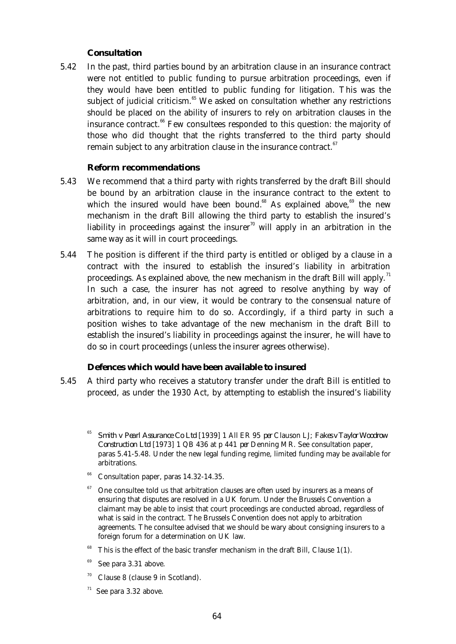## *Consultation*

 5.42 In the past, third parties bound by an arbitration clause in an insurance contract were not entitled to public funding to pursue arbitration proceedings, even if they would have been entitled to public funding for litigation. This was the subject of judicial criticism. $65$  We asked on consultation whether any restrictions should be placed on the ability of insurers to rely on arbitration clauses in the insurance contract.<sup>66</sup> Few consultees responded to this question: the majority of those who did thought that the rights transferred to the third party should remain subject to any arbitration clause in the insurance contract.<sup>67</sup>

## *Reform recommendations*

- 5.43 We recommend that a third party with rights transferred by the draft Bill should be bound by an arbitration clause in the insurance contract to the extent to which the insured would have been bound.<sup>68</sup> As explained above,<sup>69</sup> the new mechanism in the draft Bill allowing the third party to establish the insured's liability in proceedings against the insurer<sup>70</sup> will apply in an arbitration in the same way as it will in court proceedings.
- 5.44 The position is different if the third party is entitled or obliged by a clause in a contract with the insured to establish the insured's liability in arbitration proceedings. As explained above, the new mechanism in the draft Bill will apply.<sup>71</sup> In such a case, the insurer has not agreed to resolve anything by way of arbitration, and, in our view, it would be contrary to the consensual nature of arbitrations to require him to do so. Accordingly, if a third party in such a position wishes to take advantage of the new mechanism in the draft Bill to establish the insured's liability in proceedings against the insurer, he will have to do so in court proceedings (unless the insurer agrees otherwise).

## **Defences which would have been available to insured**

- 5.45 A third party who receives a statutory transfer under the draft Bill is entitled to proceed, as under the 1930 Act, by attempting to establish the insured's liability
	- <sup>65</sup> *Smith v Pearl Assurance Co Ltd* [1939] 1 All ER 95 *per* Clauson LJ; *Fakes v Taylor Woodrow Construction Ltd* [1973] 1 QB 436 at p 441 *per* Denning MR. See consultation paper, paras 5.41-5.48. Under the new legal funding regime, limited funding may be available for arbitrations.
	- $66$  Consultation paper, paras 14.32-14.35.
	- <sup>67</sup> One consultee told us that arbitration clauses are often used by insurers as a means of ensuring that disputes are resolved in a UK forum. Under the Brussels Convention a claimant may be able to insist that court proceedings are conducted abroad, regardless of what is said in the contract. The Brussels Convention does not apply to arbitration agreements. The consultee advised that we should be wary about consigning insurers to a foreign forum for a determination on UK law.
	- This is the effect of the basic transfer mechanism in the draft Bill, Clause 1(1).
	- <sup>69</sup> See para 3.31 above.
	- $70$  Clause 8 (clause 9 in Scotland).
	- $71$  See para 3.32 above.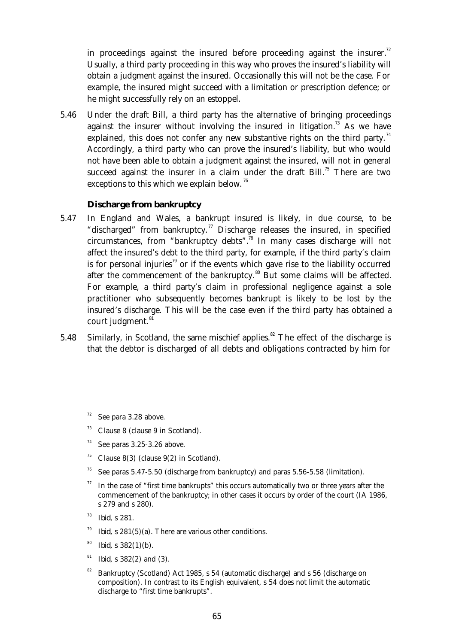in proceedings against the insured before proceeding against the insurer.<sup>72</sup> Usually, a third party proceeding in this way who proves the insured's liability will obtain a judgment against the insured. Occasionally this will not be the case. For example, the insured might succeed with a limitation or prescription defence; or he might successfully rely on an estoppel.

 5.46 Under the draft Bill, a third party has the alternative of bringing proceedings against the insurer without involving the insured in litigation.<sup>73</sup> As we have explained, this does not confer any new substantive rights on the third party.<sup>74</sup> Accordingly, a third party who can prove the insured's liability, but who would not have been able to obtain a judgment against the insured, will not in general succeed against the insurer in a claim under the draft Bill.<sup>75</sup> There are two exceptions to this which we explain below.<sup>76</sup>

## **Discharge from bankruptcy**

- 5.47 In England and Wales, a bankrupt insured is likely, in due course, to be "discharged" from bankruptcy.<sup>77</sup> Discharge releases the insured, in specified circumstances, from "bankruptcy debts".<sup>78</sup> In many cases discharge will not affect the insured's debt to the third party, for example, if the third party's claim is for personal injuries<sup>79</sup> or if the events which gave rise to the liability occurred after the commencement of the bankruptcy. $80$  But some claims will be affected. For example, a third party's claim in professional negligence against a sole practitioner who subsequently becomes bankrupt is likely to be lost by the insured's discharge. This will be the case even if the third party has obtained a court judgment.<sup>81</sup>
- 5.48 Similarly, in Scotland, the same mischief applies.<sup>82</sup> The effect of the discharge is that the debtor is discharged of all debts and obligations contracted by him for

- Clause 8 (clause 9 in Scotland).
- $74$  See paras 3.25-3.26 above.
- <sup>75</sup> Clause 8(3) (clause 9(2) in Scotland).
- <sup>76</sup> See paras 5.47-5.50 (discharge from bankruptcy) and paras 5.56-5.58 (limitation).
- $77$  In the case of "first time bankrupts" this occurs automatically two or three years after the commencement of the bankruptcy; in other cases it occurs by order of the court (IA 1986, s 279 and s 280).
- <sup>78</sup> *Ibid,* s 281.
- <sup>79</sup> *Ibid,* s 281(5)(a). There are various other conditions.
- <sup>80</sup> *Ibid,* s 382(1)(b).
- <sup>81</sup> *Ibid,* s 382(2) and (3).
- Bankruptcy (Scotland) Act 1985, s 54 (automatic discharge) and s 56 (discharge on composition). In contrast to its English equivalent, s 54 does not limit the automatic discharge to "first time bankrupts".

See para 3.28 above.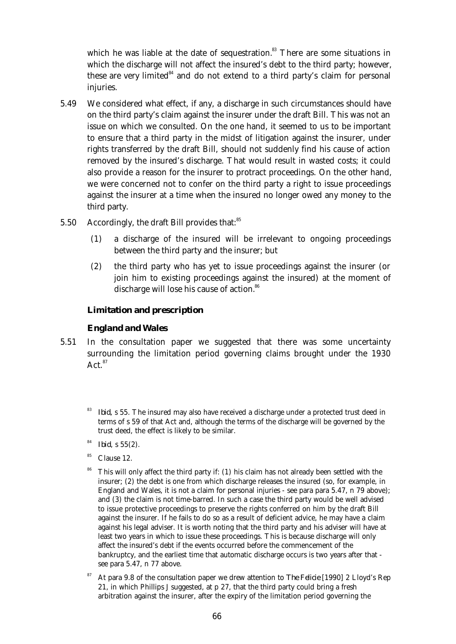which he was liable at the date of sequestration. $83$  There are some situations in which the discharge will not affect the insured's debt to the third party; however, these are very limited $^{84}$  and do not extend to a third party's claim for personal injuries.

- 5.49 We considered what effect, if any, a discharge in such circumstances should have on the third party's claim against the insurer under the draft Bill. This was not an issue on which we consulted. On the one hand, it seemed to us to be important to ensure that a third party in the midst of litigation against the insurer, under rights transferred by the draft Bill, should not suddenly find his cause of action removed by the insured's discharge. That would result in wasted costs; it could also provide a reason for the insurer to protract proceedings. On the other hand, we were concerned not to confer on the third party a right to issue proceedings against the insurer at a time when the insured no longer owed any money to the third party.
- 5.50 Accordingly, the draft Bill provides that: $85$ 
	- (1) a discharge of the insured will be irrelevant to ongoing proceedings between the third party and the insurer; but
	- (2) the third party who has yet to issue proceedings against the insurer (or join him to existing proceedings against the insured) at the moment of discharge will lose his cause of action.<sup>86</sup>

## **Limitation and prescription**

## *England and Wales*

- 5.51 In the consultation paper we suggested that there was some uncertainty surrounding the limitation period governing claims brought under the 1930 Act. $87$ 
	- <sup>83</sup> *Ibid,* s 55. The insured may also have received a discharge under a protected trust deed in terms of s 59 of that Act and, although the terms of the discharge will be governed by the trust deed, the effect is likely to be similar.
	- <sup>84</sup> *Ibid*, s 55(2).
	- $85$  Clause 12.
	- <sup>86</sup> This will only affect the third party if: (1) his claim has not already been settled with the insurer; (2) the debt is one from which discharge releases the insured (so, for example, in England and Wales, it is not a claim for personal injuries - see para para 5.47, n 79 above); and (3) the claim is not time-barred. In such a case the third party would be well advised to issue protective proceedings to preserve the rights conferred on him by the draft Bill against the insurer. If he fails to do so as a result of deficient advice, he may have a claim against his legal adviser. It is worth noting that the third party and his adviser will have at least two years in which to issue these proceedings. This is because discharge will only affect the insured's debt if the events occurred before the commencement of the bankruptcy, and the earliest time that automatic discharge occurs is two years after that see para 5.47, n 77 above.
	- <sup>87</sup> At para 9.8 of the consultation paper we drew attention to *The Felicie* [1990] 2 Lloyd's Rep 21, in which Phillips J suggested, at p 27, that the third party could bring a fresh arbitration against the insurer, after the expiry of the limitation period governing the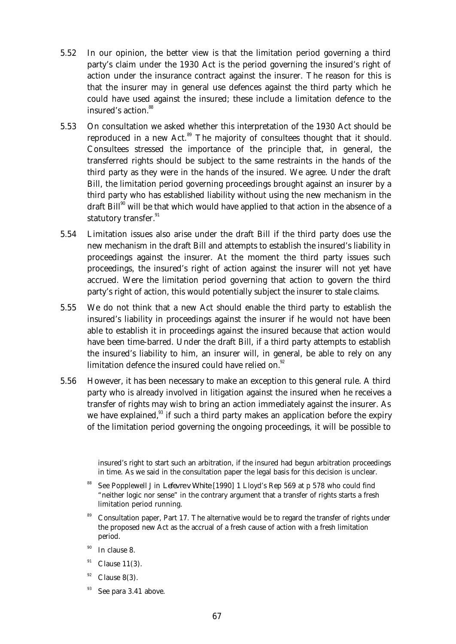- 5.52 In our opinion, the better view is that the limitation period governing a third party's claim under the 1930 Act is the period governing the insured's right of action under the insurance contract against the insurer. The reason for this is that the insurer may in general use defences against the third party which he could have used against the insured; these include a limitation defence to the insured's action.<sup>88</sup>
- 5.53 On consultation we asked whether this interpretation of the 1930 Act should be reproduced in a new Act.<sup>89</sup> The majority of consultees thought that it should. Consultees stressed the importance of the principle that, in general, the transferred rights should be subject to the same restraints in the hands of the third party as they were in the hands of the insured. We agree. Under the draft Bill, the limitation period governing proceedings brought against an insurer by a third party who has established liability without using the new mechanism in the draft  $\text{Bill}^{90}$  will be that which would have applied to that action in the absence of a statutory transfer.<sup>91</sup>
- 5.54 Limitation issues also arise under the draft Bill if the third party does use the new mechanism in the draft Bill and attempts to establish the insured's liability in proceedings against the insurer. At the moment the third party issues such proceedings, the insured's right of action against the insurer will not yet have accrued. Were the limitation period governing that action to govern the third party's right of action, this would potentially subject the insurer to stale claims.
- 5.55 We do not think that a new Act should enable the third party to establish the insured's liability in proceedings against the insurer if he would not have been able to establish it in proceedings against the insured because that action would have been time-barred. Under the draft Bill, if a third party attempts to establish the insured's liability to him, an insurer will, in general, be able to rely on any limitation defence the insured could have relied on.<sup>92</sup>
- 5.56 However, it has been necessary to make an exception to this general rule. A third party who is already involved in litigation against the insured when he receives a transfer of rights may wish to bring an action immediately against the insurer. As we have explained, $93$  if such a third party makes an application before the expiry of the limitation period governing the ongoing proceedings, it will be possible to

insured's right to start such an arbitration, if the insured had begun arbitration proceedings in time. As we said in the consultation paper the legal basis for this decision is unclear.

- <sup>88</sup> See Popplewell J in *Lefevre v White* [1990] 1 Lloyd's Rep 569 at p 578 who could find "neither logic nor sense" in the contrary argument that a transfer of rights starts a fresh limitation period running.
- <sup>89</sup> Consultation paper, Part 17. The alternative would be to regard the transfer of rights under the proposed new Act as the accrual of a fresh cause of action with a fresh limitation period.
- $90$  In clause 8.
- $91$  Clause 11(3).
- Clause  $8(3)$ .
- $93$  See para 3.41 above.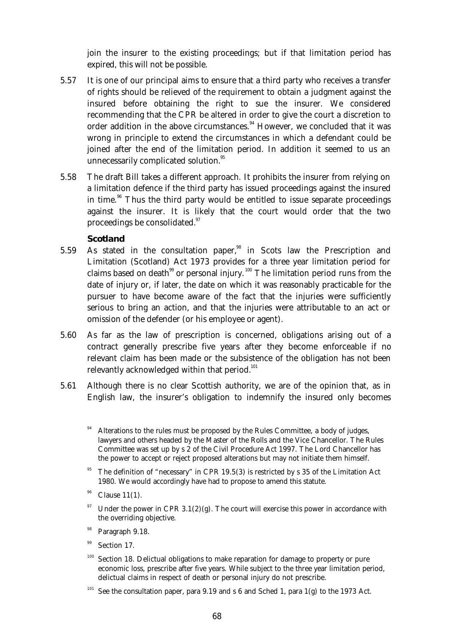join the insurer to the existing proceedings; but if that limitation period has expired, this will not be possible.

- 5.57 It is one of our principal aims to ensure that a third party who receives a transfer of rights should be relieved of the requirement to obtain a judgment against the insured before obtaining the right to sue the insurer. We considered recommending that the CPR be altered in order to give the court a discretion to order addition in the above circumstances.<sup>94</sup> However, we concluded that it was wrong in principle to extend the circumstances in which a defendant could be joined after the end of the limitation period. In addition it seemed to us an unnecessarily complicated solution.<sup>95</sup>
- 5.58 The draft Bill takes a different approach. It prohibits the insurer from relying on a limitation defence if the third party has issued proceedings against the insured in time. $96$  Thus the third party would be entitled to issue separate proceedings against the insurer. It is likely that the court would order that the two proceedings be consolidated.<sup>97</sup>

## *Scotland*

- 5.59 As stated in the consultation paper,<sup>98</sup> in Scots law the Prescription and Limitation (Scotland) Act 1973 provides for a three year limitation period for claims based on death $99$  or personal injury.<sup>100</sup> The limitation period runs from the date of injury or, if later, the date on which it was reasonably practicable for the pursuer to have become aware of the fact that the injuries were sufficiently serious to bring an action, and that the injuries were attributable to an act or omission of the defender (or his employee or agent).
- 5.60 As far as the law of prescription is concerned, obligations arising out of a contract generally prescribe five years after they become enforceable if no relevant claim has been made or the subsistence of the obligation has not been relevantly acknowledged within that period.<sup>101</sup>
- 5.61 Although there is no clear Scottish authority, we are of the opinion that, as in English law, the insurer's obligation to indemnify the insured only becomes
	- Alterations to the rules must be proposed by the Rules Committee, a body of judges, lawyers and others headed by the Master of the Rolls and the Vice Chancellor. The Rules Committee was set up by s 2 of the Civil Procedure Act 1997. The Lord Chancellor has the power to accept or reject proposed alterations but may not initiate them himself.
	- The definition of "necessary" in CPR 19.5(3) is restricted by s 35 of the Limitation Act 1980. We would accordingly have had to propose to amend this statute.
	- Clause  $11(1)$ .
	- Under the power in CPR  $3.1(2)(g)$ . The court will exercise this power in accordance with the overriding objective.
	- <sup>98</sup> Paragraph 9.18.
	- $99$  Section 17.
	- <sup>100</sup> Section 18. Delictual obligations to make reparation for damage to property or pure economic loss, prescribe after five years. While subject to the three year limitation period, delictual claims in respect of death or personal injury do not prescribe.
	- <sup>101</sup> See the consultation paper, para 9.19 and s 6 and Sched 1, para 1(g) to the 1973 Act.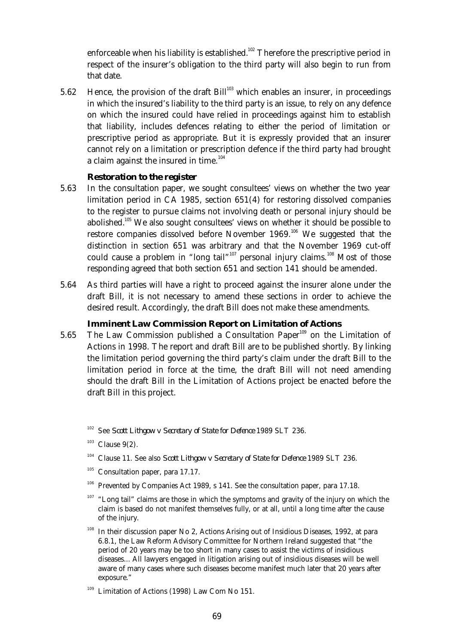enforceable when his liability is established.<sup>102</sup> Therefore the prescriptive period in respect of the insurer's obligation to the third party will also begin to run from that date.

5.62 Hence, the provision of the draft Bill<sup>103</sup> which enables an insurer, in proceedings in which the insured's liability to the third party is an issue, to rely on any defence on which the insured could have relied in proceedings against him to establish that liability, includes defences relating to either the period of limitation or prescriptive period as appropriate. But it is expressly provided that an insurer cannot rely on a limitation or prescription defence if the third party had brought a claim against the insured in time. $104$ 

#### *Restoration to the register*

- 5.63 In the consultation paper, we sought consultees' views on whether the two year limitation period in CA 1985, section 651(4) for restoring dissolved companies to the register to pursue claims not involving death or personal injury should be abolished.<sup>105</sup> We also sought consultees' views on whether it should be possible to restore companies dissolved before November 1969.<sup>106</sup> We suggested that the distinction in section 651 was arbitrary and that the November 1969 cut-off could cause a problem in "long tail"<sup>107</sup> personal injury claims.<sup>108</sup> Most of those responding agreed that both section 651 and section 141 should be amended.
- 5.64 As third parties will have a right to proceed against the insurer alone under the draft Bill, it is not necessary to amend these sections in order to achieve the desired result. Accordingly, the draft Bill does not make these amendments.

# *Imminent Law Commission Report on Limitation of Actions*

5.65 The Law Commission published a Consultation Paper<sup>109</sup> on the Limitation of Actions in 1998. The report and draft Bill are to be published shortly. By linking the limitation period governing the third party's claim under the draft Bill to the limitation period in force at the time, the draft Bill will not need amending should the draft Bill in the Limitation of Actions project be enacted before the draft Bill in this project.

- <sup>104</sup> Clause 11. See also *Scott Lithgow v Secretary of State for Defence* 1989 SLT 236.
- $105$  Consultation paper, para 17.17.
- $106$  Prevented by Companies Act 1989, s 141. See the consultation paper, para 17.18.
- $107$  "Long tail" claims are those in which the symptoms and gravity of the injury on which the claim is based do not manifest themselves fully, or at all, until a long time after the cause of the injury.
- In their discussion paper No 2, Actions Arising out of Insidious Diseases, 1992, at para 6.8.1, the Law Reform Advisory Committee for Northern Ireland suggested that "the period of 20 years may be too short in many cases to assist the victims of insidious diseases... All lawyers engaged in litigation arising out of insidious diseases will be well aware of many cases where such diseases become manifest much later that 20 years after exposure."

<sup>102</sup> See *Scott Lithgow v Secretary of State for Defence* 1989 SLT 236.

 $103$  Clause 9(2).

<sup>&</sup>lt;sup>109</sup> Limitation of Actions (1998) Law Com No 151.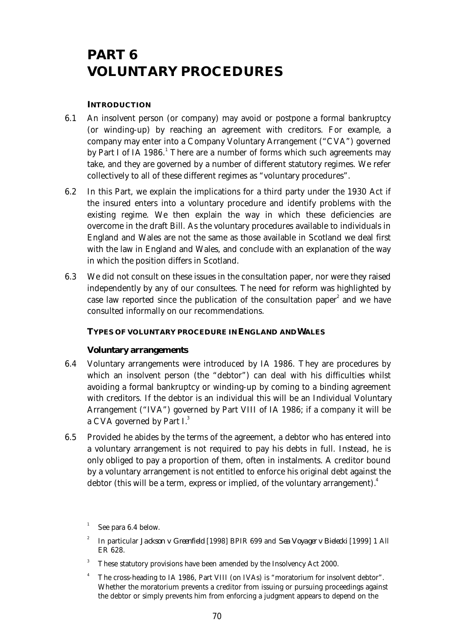# **PART 6 VOLUNTARY PROCEDURES**

## **INTRODUCTION**

- 6.1 An insolvent person (or company) may avoid or postpone a formal bankruptcy (or winding-up) by reaching an agreement with creditors. For example, a company may enter into a Company Voluntary Arrangement ("CVA") governed by Part I of IA 1986.<sup>1</sup> There are a number of forms which such agreements may take, and they are governed by a number of different statutory regimes. We refer collectively to all of these different regimes as "voluntary procedures".
- 6.2 In this Part, we explain the implications for a third party under the 1930 Act if the insured enters into a voluntary procedure and identify problems with the existing regime. We then explain the way in which these deficiencies are overcome in the draft Bill. As the voluntary procedures available to individuals in England and Wales are not the same as those available in Scotland we deal first with the law in England and Wales, and conclude with an explanation of the way in which the position differs in Scotland.
- 6.3 We did not consult on these issues in the consultation paper, nor were they raised independently by any of our consultees. The need for reform was highlighted by case law reported since the publication of the consultation paper<sup>2</sup> and we have consulted informally on our recommendations.

## **TYPES OF VOLUNTARY PROCEDURE IN ENGLAND AND WALES**

## **Voluntary arrangements**

- 6.4 Voluntary arrangements were introduced by IA 1986. They are procedures by which an insolvent person (the "debtor") can deal with his difficulties whilst avoiding a formal bankruptcy or winding-up by coming to a binding agreement with creditors. If the debtor is an individual this will be an Individual Voluntary Arrangement ("IVA") governed by Part VIII of IA 1986; if a company it will be a CVA governed by Part I.<sup>3</sup>
- 6.5 Provided he abides by the terms of the agreement, a debtor who has entered into a voluntary arrangement is not required to pay his debts in full. Instead, he is only obliged to pay a proportion of them, often in instalments. A creditor bound by a voluntary arrangement is not entitled to enforce his original debt against the debtor (this will be a term, express or implied, of the voluntary arrangement).<sup>4</sup>

- These statutory provisions have been amended by the Insolvency Act 2000.
- The cross-heading to IA 1986, Part VIII (on IVAs) is "moratorium for insolvent debtor". Whether the moratorium prevents a creditor from issuing or pursuing proceedings against the debtor or simply prevents him from enforcing a judgment appears to depend on the

<sup>1</sup> See para 6.4 below.

<sup>2</sup> In particular *Jackson v Greenfield* [1998] BPIR 699 and *Sea Voyager v Bielecki* [1999] 1 All ER 628.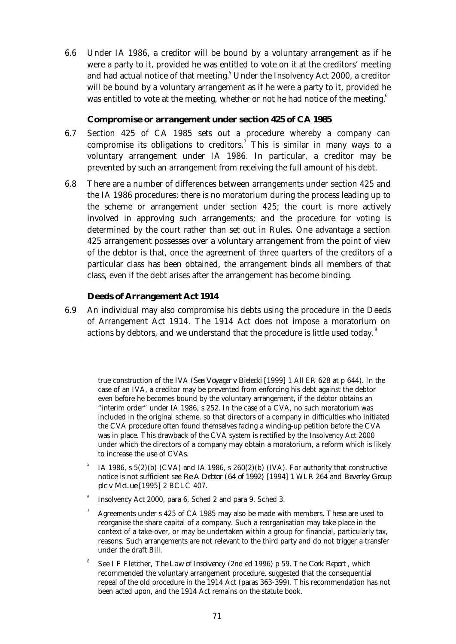6.6 Under IA 1986, a creditor will be bound by a voluntary arrangement as if he were a party to it, provided he was entitled to vote on it at the creditors' meeting and had actual notice of that meeting. $^5$  Under the Insolvency Act 2000, a creditor will be bound by a voluntary arrangement as if he were a party to it, provided he was entitled to vote at the meeting, whether or not he had notice of the meeting.<sup>6</sup>

#### **Compromise or arrangement under section 425 of CA 1985**

- 6.7 Section 425 of CA 1985 sets out a procedure whereby a company can compromise its obligations to creditors.<sup>7</sup> This is similar in many ways to a voluntary arrangement under IA 1986. In particular, a creditor may be prevented by such an arrangement from receiving the full amount of his debt.
- 6.8 There are a number of differences between arrangements under section 425 and the IA 1986 procedures: there is no moratorium during the process leading up to the scheme or arrangement under section 425; the court is more actively involved in approving such arrangements; and the procedure for voting is determined by the court rather than set out in Rules. One advantage a section 425 arrangement possesses over a voluntary arrangement from the point of view of the debtor is that, once the agreement of three quarters of the creditors of a particular class has been obtained, the arrangement binds all members of that class, even if the debt arises after the arrangement has become binding.

## **Deeds of Arrangement Act 1914**

 6.9 An individual may also compromise his debts using the procedure in the Deeds of Arrangement Act 1914. The 1914 Act does not impose a moratorium on actions by debtors, and we understand that the procedure is little used today. $^8$ 

true construction of the IVA (*Sea Voyager v Bielecki* [1999] 1 All ER 628 at p 644). In the case of an IVA, a creditor may be prevented from enforcing his debt against the debtor even before he becomes bound by the voluntary arrangement, if the debtor obtains an "interim order" under IA 1986, s 252. In the case of a CVA, no such moratorium was included in the original scheme, so that directors of a company in difficulties who initiated the CVA procedure often found themselves facing a winding-up petition before the CVA was in place. This drawback of the CVA system is rectified by the Insolvency Act 2000 under which the directors of a company may obtain a moratorium, a reform which is likely to increase the use of CVAs.

- 5 IA 1986, s  $5(2)(b)$  (CVA) and IA 1986, s  $260(2)(b)$  (IVA). For authority that constructive notice is not sufficient see *Re A Debtor (64 of 1992)* [1994] 1 WLR 264 and *Beverley Group plc v McLue* [1995] 2 BCLC 407.
- 6 Insolvency Act 2000, para 6, Sched 2 and para 9, Sched 3.
- <sup>7</sup> Agreements under s 425 of CA 1985 may also be made with members. These are used to reorganise the share capital of a company. Such a reorganisation may take place in the context of a take-over, or may be undertaken within a group for financial, particularly tax, reasons. Such arrangements are not relevant to the third party and do not trigger a transfer under the draft Bill.
- 8 See I F Fletcher, *The Law of Insolvency* (2nd ed 1996) p 59. The *Cork Report* , which recommended the voluntary arrangement procedure, suggested that the consequential repeal of the old procedure in the 1914 Act (paras 363-399). This recommendation has not been acted upon, and the 1914 Act remains on the statute book.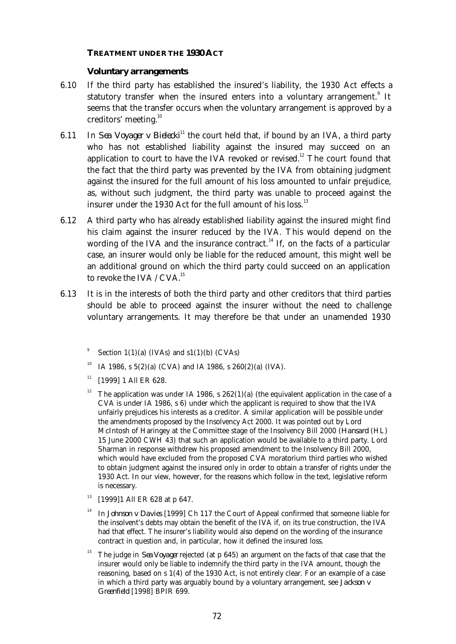#### **TREATMENT UNDER THE 1930 ACT**

#### **Voluntary arrangements**

- 6.10 If the third party has established the insured's liability, the 1930 Act effects a statutory transfer when the insured enters into a voluntary arrangement.<sup>9</sup> It seems that the transfer occurs when the voluntary arrangement is approved by a creditors' meeting.<sup>10</sup>
- 6.11 In *Sea Voyager v Bielecki*<sup>11</sup> the court held that, if bound by an IVA, a third party who has not established liability against the insured may succeed on an application to court to have the IVA revoked or revised.<sup>12</sup> The court found that the fact that the third party was prevented by the IVA from obtaining judgment against the insured for the full amount of his loss amounted to unfair prejudice, as, without such judgment, the third party was unable to proceed against the insurer under the 1930 Act for the full amount of his loss.<sup>13</sup>
- 6.12 A third party who has already established liability against the insured might find his claim against the insurer reduced by the IVA. This would depend on the wording of the IVA and the insurance contract.<sup>14</sup> If, on the facts of a particular case, an insurer would only be liable for the reduced amount, this might well be an additional ground on which the third party could succeed on an application to revoke the IVA / CVA.<sup>15</sup>
- 6.13 It is in the interests of both the third party and other creditors that third parties should be able to proceed against the insurer without the need to challenge voluntary arrangements. It may therefore be that under an unamended 1930
	- 9 Section  $1(1)(a)$  (IVAs) and  $s1(1)(b)$  (CVAs)
	- <sup>10</sup> IA 1986, s 5(2)(a) (CVA) and IA 1986, s  $260(2)(a)$  (IVA).
	- $11$  [1999] 1 All ER 628.
	- <sup>12</sup> The application was under IA 1986, s  $262(1)(a)$  (the equivalent application in the case of a CVA is under IA 1986, s 6) under which the applicant is required to show that the IVA unfairly prejudices his interests as a creditor. A similar application will be possible under the amendments proposed by the Insolvency Act 2000. It was pointed out by Lord McIntosh of Haringey at the Committee stage of the Insolvency Bill 2000 (*Hansard* (HL) 15 June 2000 CWH 43) that such an application would be available to a third party. Lord Sharman in response withdrew his proposed amendment to the Insolvency Bill 2000, which would have excluded from the proposed CVA moratorium third parties who wished to obtain judgment against the insured only in order to obtain a transfer of rights under the 1930 Act. In our view, however, for the reasons which follow in the text, legislative reform is necessary.
	- $13$  [1999]1 All ER 628 at p 647.
	- <sup>14</sup> In *Johnson v Davies* [1999] Ch 117 the Court of Appeal confirmed that someone liable for the insolvent's debts may obtain the benefit of the IVA if, on its true construction, the IVA had that effect. The insurer's liability would also depend on the wording of the insurance contract in question and, in particular, how it defined the insured loss.
	- <sup>15</sup> The judge in *Sea Voyager* rejected (at p 645) an argument on the facts of that case that the insurer would only be liable to indemnify the third party in the IVA amount, though the reasoning, based on s 1(4) of the 1930 Act, is not entirely clear. For an example of a case in which a third party was arguably bound by a voluntary arrangement, see *Jackson v Greenfield* [1998] BPIR 699.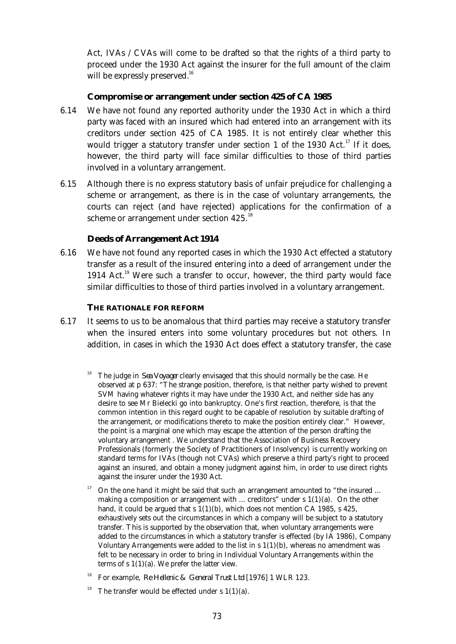Act, IVAs / CVAs will come to be drafted so that the rights of a third party to proceed under the 1930 Act against the insurer for the full amount of the claim will be expressly preserved.<sup>16</sup>

## **Compromise or arrangement under section 425 of CA 1985**

- 6.14 We have not found any reported authority under the 1930 Act in which a third party was faced with an insured which had entered into an arrangement with its creditors under section 425 of CA 1985. It is not entirely clear whether this would trigger a statutory transfer under section 1 of the 1930 Act.<sup>17</sup> If it does, however, the third party will face similar difficulties to those of third parties involved in a voluntary arrangement.
- 6.15 Although there is no express statutory basis of unfair prejudice for challenging a scheme or arrangement, as there is in the case of voluntary arrangements, the courts can reject (and have rejected) applications for the confirmation of a scheme or arrangement under section 425.<sup>18</sup>

# **Deeds of Arrangement Act 1914**

 6.16 We have not found any reported cases in which the 1930 Act effected a statutory transfer as a result of the insured entering into a deed of arrangement under the 1914 Act.<sup>19</sup> Were such a transfer to occur, however, the third party would face similar difficulties to those of third parties involved in a voluntary arrangement.

## **THE RATIONALE FOR REFORM**

- 6.17 It seems to us to be anomalous that third parties may receive a statutory transfer when the insured enters into some voluntary procedures but not others. In addition, in cases in which the 1930 Act does effect a statutory transfer, the case
	- <sup>16</sup> The judge in *Sea Voyager* clearly envisaged that this should normally be the case. He observed at p 637: "The strange position, therefore, is that neither party wished to prevent SVM having whatever rights it may have under the 1930 Act, and neither side has any desire to see Mr Bielecki go into bankruptcy. One's first reaction, therefore, is that the common intention in this regard ought to be capable of resolution by suitable drafting of the arrangement, or modifications thereto to make the position entirely clear." However, the point is a marginal one which may escape the attention of the person drafting the voluntary arrangement . We understand that the Association of Business Recovery Professionals (formerly the Society of Practitioners of Insolvency) is currently working on standard terms for IVAs (though not CVAs) which preserve a third party's right to proceed against an insured, and obtain a money judgment against him, in order to use direct rights against the insurer under the 1930 Act.
	- On the one hand it might be said that such an arrangement amounted to "the insured ... making a composition or arrangement with  $\ldots$  creditors" under s  $1(1)(a)$ . On the other hand, it could be argued that s  $1(1)(b)$ , which does not mention CA 1985, s 425, exhaustively sets out the circumstances in which a company will be subject to a statutory transfer. This is supported by the observation that, when voluntary arrangements were added to the circumstances in which a statutory transfer is effected (by IA 1986), Company Voluntary Arrangements were added to the list in  $s$   $1(1)(b)$ , whereas no amendment was felt to be necessary in order to bring in Individual Voluntary Arrangements within the terms of  $s \ 1(1)(a)$ . We prefer the latter view.
	- <sup>18</sup> For example, *Re Hellenic & General Trust Ltd* [1976] 1 WLR 123.
	- <sup>19</sup> The transfer would be effected under s  $1(1)(a)$ .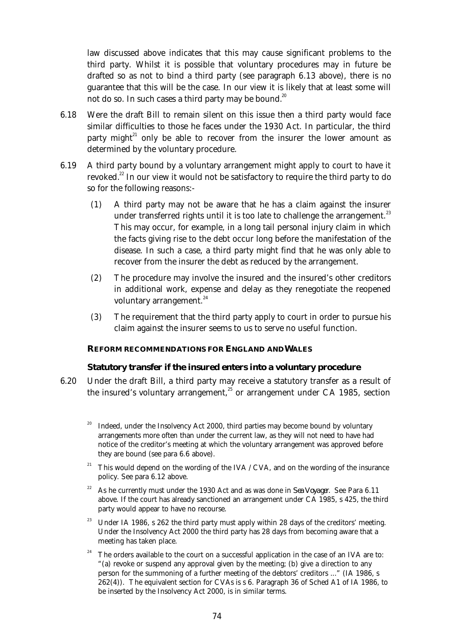law discussed above indicates that this may cause significant problems to the third party. Whilst it is possible that voluntary procedures may in future be drafted so as not to bind a third party (see paragraph 6.13 above), there is no guarantee that this will be the case. In our view it is likely that at least some will not do so. In such cases a third party may be bound.<sup>20</sup>

- 6.18 Were the draft Bill to remain silent on this issue then a third party would face similar difficulties to those he faces under the 1930 Act. In particular, the third party might<sup>21</sup> only be able to recover from the insurer the lower amount as determined by the voluntary procedure.
- 6.19 A third party bound by a voluntary arrangement might apply to court to have it revoked.<sup>22</sup> In our view it would not be satisfactory to require the third party to do so for the following reasons:-
	- (1) A third party may not be aware that he has a claim against the insurer under transferred rights until it is too late to challenge the arrangement.<sup>23</sup> This may occur, for example, in a long tail personal injury claim in which the facts giving rise to the debt occur long before the manifestation of the disease. In such a case, a third party might find that he was only able to recover from the insurer the debt as reduced by the arrangement.
	- (2) The procedure may involve the insured and the insured's other creditors in additional work, expense and delay as they renegotiate the reopened voluntary arrangement.<sup>24</sup>
	- (3) The requirement that the third party apply to court in order to pursue his claim against the insurer seems to us to serve no useful function.

## **REFORM RECOMMENDATIONS FOR ENGLAND AND WALES**

## **Statutory transfer if the insured enters into a voluntary procedure**

- 6.20 Under the draft Bill, a third party may receive a statutory transfer as a result of the insured's voluntary arrangement, $^{25}$  or arrangement under CA 1985, section
	- <sup>20</sup> Indeed, under the Insolvency Act 2000, third parties may become bound by voluntary arrangements more often than under the current law, as they will not need to have had notice of the creditor's meeting at which the voluntary arrangement was approved before they are bound (see para 6.6 above).
	- <sup>21</sup> This would depend on the wording of the IVA / CVA, and on the wording of the insurance policy. See para 6.12 above.
	- <sup>22</sup> As he currently must under the 1930 Act and as was done in *Sea Voyager.* See Para 6.11 above. If the court has already sanctioned an arrangement under CA 1985, s 425, the third party would appear to have no recourse.
	- <sup>23</sup> Under IA 1986, s 262 the third party must apply within 28 days of the creditors' meeting. Under the Insolvency Act 2000 the third party has 28 days from becoming aware that a meeting has taken place.
	- $24$  The orders available to the court on a successful application in the case of an IVA are to: "(a) revoke or suspend any approval given by the meeting; (b) give a direction to any person for the summoning of a further meeting of the debtors' creditors ..." (IA 1986, s 262(4)). The equivalent section for CVAs is s 6. Paragraph 36 of Sched A1 of IA 1986, to be inserted by the Insolvency Act 2000, is in similar terms.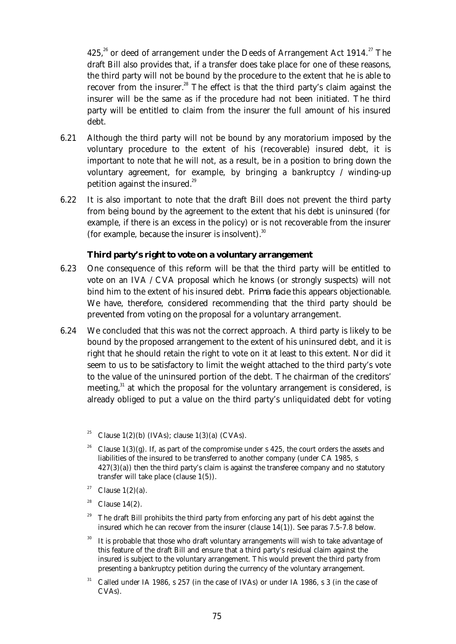425,<sup>26</sup> or deed of arrangement under the Deeds of Arrangement Act 1914.<sup>27</sup> The draft Bill also provides that, if a transfer does take place for one of these reasons, the third party will not be bound by the procedure to the extent that he is able to recover from the insurer.<sup>28</sup> The effect is that the third party's claim against the insurer will be the same as if the procedure had not been initiated. The third party will be entitled to claim from the insurer the full amount of his insured debt.

- 6.21 Although the third party will not be bound by any moratorium imposed by the voluntary procedure to the extent of his (recoverable) insured debt, it is important to note that he will not, as a result, be in a position to bring down the voluntary agreement, for example, by bringing a bankruptcy / winding-up petition against the insured.<sup>29</sup>
- 6.22 It is also important to note that the draft Bill does not prevent the third party from being bound by the agreement to the extent that his debt is uninsured (for example, if there is an excess in the policy) or is not recoverable from the insurer (for example, because the insurer is insolvent). $30$

## **Third party's right to vote on a voluntary arrangement**

- 6.23 One consequence of this reform will be that the third party will be entitled to vote on an IVA / CVA proposal which he knows (or strongly suspects) will not bind him to the extent of his insured debt. *Prima facie* this appears objectionable. We have, therefore, considered recommending that the third party should be prevented from voting on the proposal for a voluntary arrangement.
- 6.24 We concluded that this was not the correct approach. A third party is likely to be bound by the proposed arrangement to the extent of his uninsured debt, and it is right that he should retain the right to vote on it at least to this extent. Nor did it seem to us to be satisfactory to limit the weight attached to the third party's vote to the value of the uninsured portion of the debt. The chairman of the creditors' meeting, $31$  at which the proposal for the voluntary arrangement is considered, is already obliged to put a value on the third party's unliquidated debt for voting
	- Clause  $1(2)(b)$  (IVAs); clause  $1(3)(a)$  (CVAs).
	- Clause  $1(3)(g)$ . If, as part of the compromise under s 425, the court orders the assets and liabilities of the insured to be transferred to another company (under CA 1985, s  $427(3)(a)$ ) then the third party's claim is against the transferee company and no statutory transfer will take place (clause 1(5)).
	- <sup>27</sup> Clause  $1(2)(a)$ .
	- $28$  Clause 14(2).
	- The draft Bill prohibits the third party from enforcing any part of his debt against the insured which he can recover from the insurer (clause  $14(1)$ ). See paras 7.5-7.8 below.
	- It is probable that those who draft voluntary arrangements will wish to take advantage of this feature of the draft Bill and ensure that a third party's residual claim against the insured is subject to the voluntary arrangement. This would prevent the third party from presenting a bankruptcy petition during the currency of the voluntary arrangement.
	- $31$  Called under IA 1986, s 257 (in the case of IVAs) or under IA 1986, s 3 (in the case of CVAs).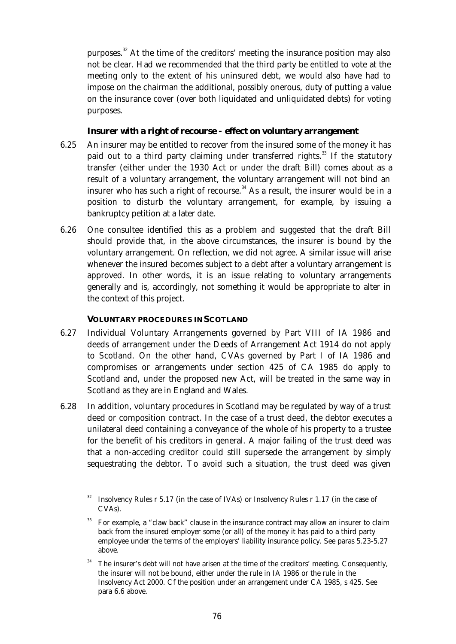purposes.<sup>32</sup> At the time of the creditors' meeting the insurance position may also not be clear. Had we recommended that the third party be entitled to vote at the meeting only to the extent of his uninsured debt, we would also have had to impose on the chairman the additional, possibly onerous, duty of putting a value on the insurance cover (over both liquidated and unliquidated debts) for voting purposes.

## **Insurer with a right of recourse - effect on voluntary arrangement**

- 6.25 An insurer may be entitled to recover from the insured some of the money it has paid out to a third party claiming under transferred rights.<sup>33</sup> If the statutory transfer (either under the 1930 Act or under the draft Bill) comes about as a result of a voluntary arrangement, the voluntary arrangement will not bind an insurer who has such a right of recourse.<sup>34</sup> As a result, the insurer would be in a position to disturb the voluntary arrangement, for example, by issuing a bankruptcy petition at a later date.
- 6.26 One consultee identified this as a problem and suggested that the draft Bill should provide that, in the above circumstances, the insurer is bound by the voluntary arrangement. On reflection, we did not agree. A similar issue will arise whenever the insured becomes subject to a debt after a voluntary arrangement is approved. In other words, it is an issue relating to voluntary arrangements generally and is, accordingly, not something it would be appropriate to alter in the context of this project.

## **VOLUNTARY PROCEDURES IN SCOTLAND**

- 6.27 Individual Voluntary Arrangements governed by Part VIII of IA 1986 and deeds of arrangement under the Deeds of Arrangement Act 1914 do not apply to Scotland. On the other hand, CVAs governed by Part I of IA 1986 and compromises or arrangements under section 425 of CA 1985 do apply to Scotland and, under the proposed new Act, will be treated in the same way in Scotland as they are in England and Wales.
- 6.28 In addition, voluntary procedures in Scotland may be regulated by way of a trust deed or composition contract. In the case of a trust deed, the debtor executes a unilateral deed containing a conveyance of the whole of his property to a trustee for the benefit of his creditors in general. A major failing of the trust deed was that a non-acceding creditor could still supersede the arrangement by simply sequestrating the debtor. To avoid such a situation, the trust deed was given

Insolvency Rules r 5.17 (in the case of IVAs) or Insolvency Rules r 1.17 (in the case of CVAs).

<sup>33</sup> For example, a "claw back" clause in the insurance contract may allow an insurer to claim back from the insured employer some (or all) of the money it has paid to a third party employee under the terms of the employers' liability insurance policy. See paras 5.23-5.27 above.

The insurer's debt will not have arisen at the time of the creditors' meeting. Consequently, the insurer will not be bound, either under the rule in IA 1986 or the rule in the Insolvency Act 2000. Cf the position under an arrangement under CA 1985, s 425. See para 6.6 above.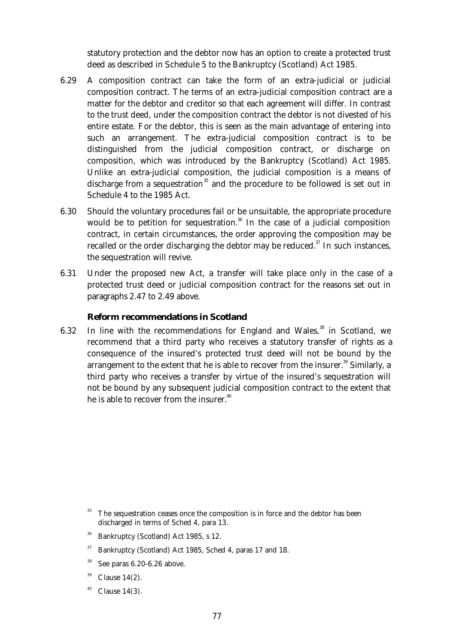statutory protection and the debtor now has an option to create a protected trust deed as described in Schedule 5 to the Bankruptcy (Scotland) Act 1985.

- 6.29 A composition contract can take the form of an extra-judicial or judicial composition contract. The terms of an extra-judicial composition contract are a matter for the debtor and creditor so that each agreement will differ. In contrast to the trust deed, under the composition contract the debtor is not divested of his entire estate. For the debtor, this is seen as the main advantage of entering into such an arrangement. The extra-judicial composition contract is to be distinguished from the judicial composition contract, or discharge on composition, which was introduced by the Bankruptcy (Scotland) Act 1985. Unlike an extra-judicial composition, the judicial composition is a means of discharge from a sequestration<sup>35</sup> and the procedure to be followed is set out in Schedule 4 to the 1985 Act.
- 6.30 Should the voluntary procedures fail or be unsuitable, the appropriate procedure would be to petition for sequestration.<sup>36</sup> In the case of a judicial composition contract, in certain circumstances, the order approving the composition may be recalled or the order discharging the debtor may be reduced. $37$  In such instances, the sequestration will revive.
- 6.31 Under the proposed new Act, a transfer will take place only in the case of a protected trust deed or judicial composition contract for the reasons set out in paragraphs 2.47 to 2.49 above.

## **Reform recommendations in Scotland**

6.32 In line with the recommendations for England and Wales.<sup>38</sup> in Scotland. we recommend that a third party who receives a statutory transfer of rights as a consequence of the insured's protected trust deed will not be bound by the arrangement to the extent that he is able to recover from the insurer.<sup>39</sup> Similarly, a third party who receives a transfer by virtue of the insured's sequestration will not be bound by any subsequent judicial composition contract to the extent that he is able to recover from the insurer.<sup>40</sup>

- <sup>36</sup> Bankruptcy (Scotland) Act 1985, s 12.
- $37$  Bankruptcy (Scotland) Act 1985, Sched 4, paras 17 and 18.
- $38$  See paras 6.20-6.26 above.
- $39$  Clause 14(2).
- $40$  Clause 14(3).

The sequestration ceases once the composition is in force and the debtor has been discharged in terms of Sched 4, para 13.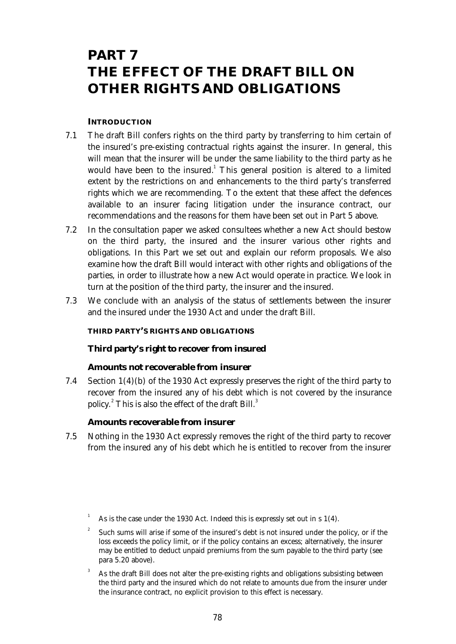# **PART 7 THE EFFECT OF THE DRAFT BILL ON OTHER RIGHTS AND OBLIGATIONS**

## **INTRODUCTION**

- 7.1 The draft Bill confers rights on the third party by transferring to him certain of the insured's pre-existing contractual rights against the insurer. In general, this will mean that the insurer will be under the same liability to the third party as he would have been to the insured.<sup>1</sup> This general position is altered to a limited extent by the restrictions on and enhancements to the third party's transferred rights which we are recommending. To the extent that these affect the defences available to an insurer facing litigation under the insurance contract, our recommendations and the reasons for them have been set out in Part 5 above.
- 7.2 In the consultation paper we asked consultees whether a new Act should bestow on the third party, the insured and the insurer various other rights and obligations. In this Part we set out and explain our reform proposals. We also examine how the draft Bill would interact with other rights and obligations of the parties, in order to illustrate how a new Act would operate in practice. We look in turn at the position of the third party, the insurer and the insured.
- 7.3 We conclude with an analysis of the status of settlements between the insurer and the insured under the 1930 Act and under the draft Bill.

# **THIRD PARTY'S RIGHTS AND OBLIGATIONS**

# **Third party's right to recover from insured**

## *Amounts not recoverable from insurer*

 7.4 Section 1(4)(b) of the 1930 Act expressly preserves the right of the third party to recover from the insured any of his debt which is not covered by the insurance policy.<sup>2</sup> This is also the effect of the draft Bill.<sup>3</sup>

## *Amounts recoverable from insurer*

 7.5 Nothing in the 1930 Act expressly removes the right of the third party to recover from the insured any of his debt which he is entitled to recover from the insurer

<sup>3</sup> As the draft Bill does not alter the pre-existing rights and obligations subsisting between the third party and the insured which do not relate to amounts due from the insurer under the insurance contract, no explicit provision to this effect is necessary.

As is the case under the 1930 Act. Indeed this is expressly set out in s 1(4).

<sup>2</sup> Such sums will arise if some of the insured's debt is not insured under the policy, or if the loss exceeds the policy limit, or if the policy contains an excess; alternatively, the insurer may be entitled to deduct unpaid premiums from the sum payable to the third party (see para 5.20 above).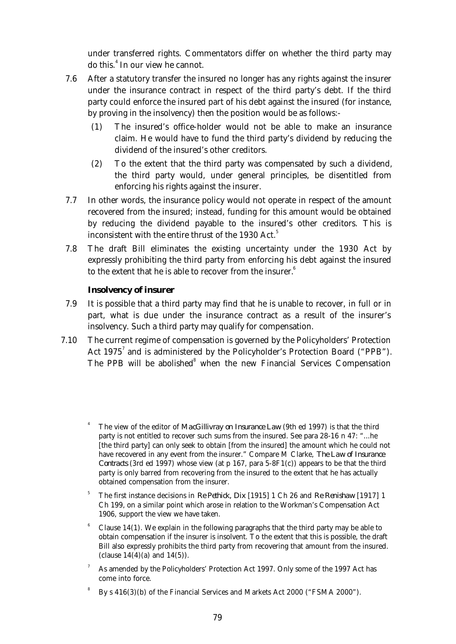under transferred rights. Commentators differ on whether the third party may do this.<sup>4</sup> In our view he cannot.

- 7.6 After a statutory transfer the insured no longer has any rights against the insurer under the insurance contract in respect of the third party's debt. If the third party could enforce the insured part of his debt against the insured (for instance, by proving in the insolvency) then the position would be as follows:-
	- (1) The insured's office-holder would not be able to make an insurance claim. He would have to fund the third party's dividend by reducing the dividend of the insured's other creditors.
	- (2) To the extent that the third party was compensated by such a dividend, the third party would, under general principles, be disentitled from enforcing his rights against the insurer.
- 7.7 In other words, the insurance policy would not operate in respect of the amount recovered from the insured; instead, funding for this amount would be obtained by reducing the dividend payable to the insured's other creditors. This is inconsistent with the entire thrust of the 1930 Act.<sup>5</sup>
- 7.8 The draft Bill eliminates the existing uncertainty under the 1930 Act by expressly prohibiting the third party from enforcing his debt against the insured to the extent that he is able to recover from the insurer. $6$

## **Insolvency of insurer**

- 7.9 It is possible that a third party may find that he is unable to recover, in full or in part, what is due under the insurance contract as a result of the insurer's insolvency. Such a third party may qualify for compensation.
- 7.10 The current regime of compensation is governed by the Policyholders' Protection Act 1975<sup>7</sup> and is administered by the Policyholder's Protection Board ("PPB"). The PPB will be abolished<sup>8</sup> when the new Financial Services Compensation
	- <sup>4</sup> The view of the editor of *MacGillivray on Insurance Law* (9th ed 1997) is that the third party is not entitled to recover such sums from the insured. See para 28-16 n 47: "...he [the third party] can only seek to obtain [from the insured] the amount which he could not have recovered in any event from the insurer." Compare M Clarke, *The Law of Insurance Contracts* (3rd ed 1997) whose view (at p 167, para 5-8F1(c)) appears to be that the third party is only barred from recovering from the insured to the extent that he has actually obtained compensation from the insurer.
	- <sup>5</sup> The first instance decisions in *Re Pethick, Dix* [1915] 1 Ch 26 and *Re Renishaw* [1917] 1 Ch 199, on a similar point which arose in relation to the Workman's Compensation Act 1906, support the view we have taken.
	- Clause  $14(1)$ . We explain in the following paragraphs that the third party may be able to obtain compensation if the insurer is insolvent. To the extent that this is possible, the draft Bill also expressly prohibits the third party from recovering that amount from the insured. (clause  $14(4)$  (a) and  $14(5)$ ).
	- <sup>7</sup> As amended by the Policyholders' Protection Act 1997. Only some of the 1997 Act has come into force.
	- 8 By s 416(3)(b) of the Financial Services and Markets Act 2000 ("FSMA 2000").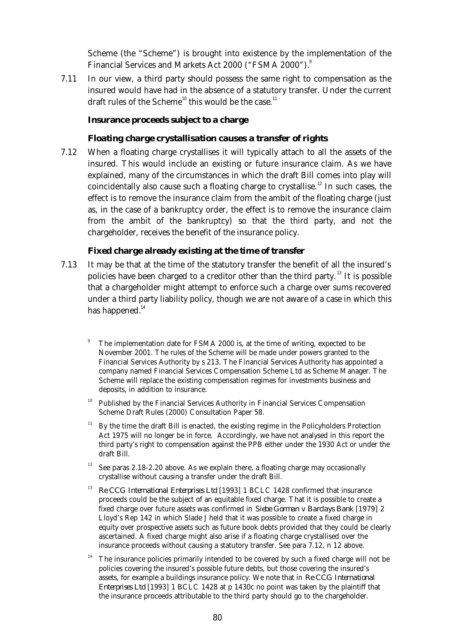Scheme (the "Scheme") is brought into existence by the implementation of the Financial Services and Markets Act 2000 ("FSMA 2000").<sup>9</sup>

 7.11 In our view, a third party should possess the same right to compensation as the insured would have had in the absence of a statutory transfer. Under the current draft rules of the Scheme<sup>10</sup> this would be the case.<sup>11</sup>

#### **Insurance proceeds subject to a charge**

#### *Floating charge crystallisation causes a transfer of rights*

 7.12 When a floating charge crystallises it will typically attach to all the assets of the insured. This would include an existing or future insurance claim. As we have explained, many of the circumstances in which the draft Bill comes into play will coincidentally also cause such a floating charge to crystallise.<sup>12</sup> In such cases, the effect is to remove the insurance claim from the ambit of the floating charge (just as, in the case of a bankruptcy order, the effect is to remove the insurance claim from the ambit of the bankruptcy) so that the third party, and not the chargeholder, receives the benefit of the insurance policy.

#### *Fixed charge already existing at the time of transfer*

- 7.13 It may be that at the time of the statutory transfer the benefit of all the insured's policies have been charged to a creditor other than the third party.<sup>13</sup> It is possible that a chargeholder might attempt to enforce such a charge over sums recovered under a third party liability policy, though we are not aware of a case in which this has happened. $14$ 
	- The implementation date for FSMA 2000 is, at the time of writing, expected to be November 2001. The rules of the Scheme will be made under powers granted to the Financial Services Authority by s 213. The Financial Services Authority has appointed a company named Financial Services Compensation Scheme Ltd as Scheme Manager. The Scheme will replace the existing compensation regimes for investments business and deposits, in addition to insurance.
	- <sup>10</sup> Published by the Financial Services Authority in Financial Services Compensation Scheme Draft Rules (2000) Consultation Paper 58.
	- <sup>11</sup> By the time the draft Bill is enacted, the existing regime in the Policyholders Protection Act 1975 will no longer be in force. Accordingly, we have not analysed in this report the third party's right to compensation against the PPB either under the 1930 Act or under the draft Bill.
	- <sup>12</sup> See paras 2.18-2.20 above. As we explain there, a floating charge may occasionally crystallise without causing a transfer under the draft Bill.
	- <sup>13</sup> *Re CCG International Enterprises Ltd* [1993] 1 BCLC 1428 confirmed that insurance proceeds could be the subject of an equitable fixed charge. That it is possible to create a fixed charge over future assets was confirmed in *Siebe Gorman v Barclays Bank* [1979] 2 Lloyd's Rep 142 in which Slade J held that it was possible to create a fixed charge in equity over prospective assets such as future book debts provided that they could be clearly ascertained. A fixed charge might also arise if a floating charge crystallised over the insurance proceeds without causing a statutory transfer. See para 7.12, n 12 above.
	- The insurance policies primarily intended to be covered by such a fixed charge will not be policies covering the insured's possible future debts, but those covering the insured's assets, for example a buildings insurance policy. We note that in *Re CCG International Enterprises Ltd* [1993] 1 BCLC 1428 at p 1430c no point was taken by the plaintiff that the insurance proceeds attributable to the third party should go to the chargeholder.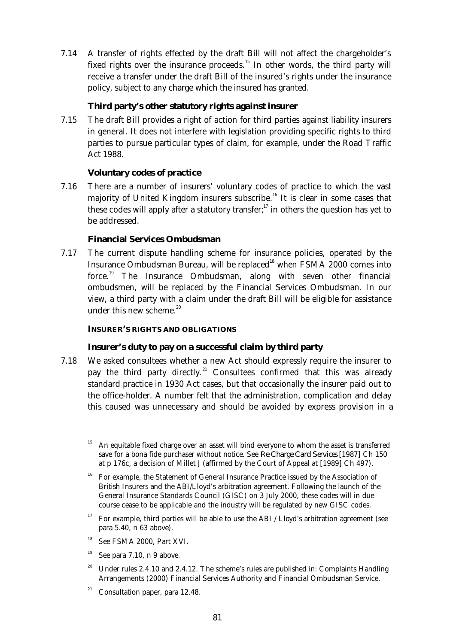7.14 A transfer of rights effected by the draft Bill will not affect the chargeholder's fixed rights over the insurance proceeds.<sup>15</sup> In other words, the third party will receive a transfer under the draft Bill of the insured's rights under the insurance policy, subject to any charge which the insured has granted.

# **Third party's other statutory rights against insurer**

 7.15 The draft Bill provides a right of action for third parties against liability insurers in general. It does not interfere with legislation providing specific rights to third parties to pursue particular types of claim, for example, under the Road Traffic Act 1988.

# **Voluntary codes of practice**

 7.16 There are a number of insurers' voluntary codes of practice to which the vast majority of United Kingdom insurers subscribe.<sup>16</sup> It is clear in some cases that these codes will apply after a statutory transfer; $^{17}$  in others the question has yet to be addressed.

# **Financial Services Ombudsman**

 7.17 The current dispute handling scheme for insurance policies, operated by the Insurance Ombudsman Bureau, will be replaced<sup>18</sup> when FSMA 2000 comes into force.<sup>19</sup> The Insurance Ombudsman, along with seven other financial ombudsmen, will be replaced by the Financial Services Ombudsman. In our view, a third party with a claim under the draft Bill will be eligible for assistance under this new scheme. $20$ 

## **INSURER'S RIGHTS AND OBLIGATIONS**

# **Insurer's duty to pay on a successful claim by third party**

 7.18 We asked consultees whether a new Act should expressly require the insurer to pay the third party directly.<sup>21</sup> Consultees confirmed that this was already standard practice in 1930 Act cases, but that occasionally the insurer paid out to the office-holder. A number felt that the administration, complication and delay this caused was unnecessary and should be avoided by express provision in a

- <sup>16</sup> For example, the Statement of General Insurance Practice issued by the Association of British Insurers and the ABI/Lloyd's arbitration agreement. Following the launch of the General Insurance Standards Council (GISC) on 3 July 2000, these codes will in due course cease to be applicable and the industry will be regulated by new GISC codes.
- <sup>17</sup> For example, third parties will be able to use the ABI / Lloyd's arbitration agreement (see para 5.40, n 63 above).
- 18 See FSMA 2000, Part XVI.
- $19$  See para 7.10, n 9 above.
- 20 Under rules 2.4.10 and 2.4.12. The scheme's rules are published in: Complaints Handling Arrangements (2000) Financial Services Authority and Financial Ombudsman Service.
- <sup>21</sup> Consultation paper, para 12.48.

<sup>15</sup> An equitable fixed charge over an asset will bind everyone to whom the asset is transferred save for a bona fide purchaser without notice. See *Re Charge Card Services* [1987] Ch 150 at p 176c, a decision of Millet J (affirmed by the Court of Appeal at [1989] Ch 497).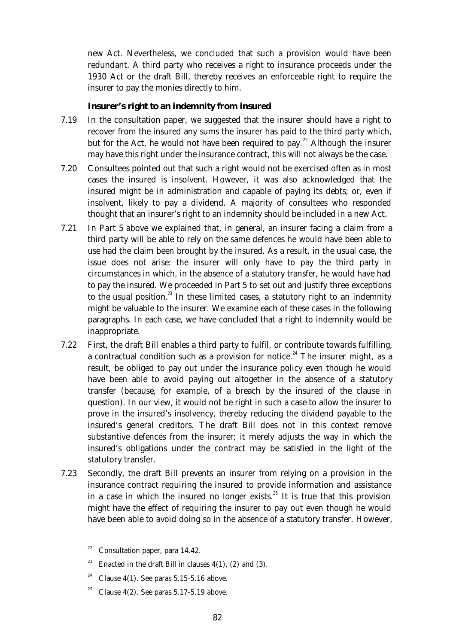new Act. Nevertheless, we concluded that such a provision would have been redundant. A third party who receives a right to insurance proceeds under the 1930 Act or the draft Bill, thereby receives an enforceable right to require the insurer to pay the monies directly to him.

## **Insurer's right to an indemnity from insured**

- 7.19 In the consultation paper, we suggested that the insurer should have a right to recover from the insured any sums the insurer has paid to the third party which, but for the Act, he would not have been required to pay.<sup>22</sup> Although the insurer may have this right under the insurance contract, this will not always be the case.
- 7.20 Consultees pointed out that such a right would not be exercised often as in most cases the insured is insolvent. However, it was also acknowledged that the insured might be in administration and capable of paying its debts; or, even if insolvent, likely to pay a dividend. A majority of consultees who responded thought that an insurer's right to an indemnity should be included in a new Act.
- 7.21 In Part 5 above we explained that, in general, an insurer facing a claim from a third party will be able to rely on the same defences he would have been able to use had the claim been brought by the insured. As a result, in the usual case, the issue does not arise: the insurer will only have to pay the third party in circumstances in which, in the absence of a statutory transfer, he would have had to pay the insured. We proceeded in Part 5 to set out and justify three exceptions to the usual position.<sup>23</sup> In these limited cases, a statutory right to an indemnity might be valuable to the insurer. We examine each of these cases in the following paragraphs. In each case, we have concluded that a right to indemnity would be inappropriate.
- 7.22 First, the draft Bill enables a third party to fulfil, or contribute towards fulfilling, a contractual condition such as a provision for notice.<sup>24</sup> The insurer might, as a result, be obliged to pay out under the insurance policy even though he would have been able to avoid paying out altogether in the absence of a statutory transfer (because, for example, of a breach by the insured of the clause in question). In our view, it would not be right in such a case to allow the insurer to prove in the insured's insolvency, thereby reducing the dividend payable to the insured's general creditors. The draft Bill does not in this context remove substantive defences from the insurer; it merely adjusts the way in which the insured's obligations under the contract may be satisfied in the light of the statutory transfer.
- 7.23 Secondly, the draft Bill prevents an insurer from relying on a provision in the insurance contract requiring the insured to provide information and assistance in a case in which the insured no longer exists.<sup>25</sup> It is true that this provision might have the effect of requiring the insurer to pay out even though he would have been able to avoid doing so in the absence of a statutory transfer. However,

- <sup>24</sup> Clause 4(1). See paras 5.15-5.16 above.
- <sup>25</sup> Clause 4(2). See paras  $5.17 5.19$  above.

Consultation paper, para 14.42.

<sup>&</sup>lt;sup>23</sup> Enacted in the draft Bill in clauses  $4(1)$ , (2) and (3).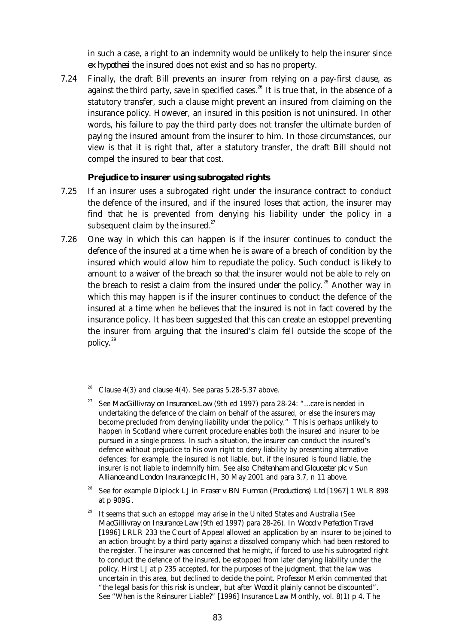in such a case, a right to an indemnity would be unlikely to help the insurer since *ex hypothesi* the insured does not exist and so has no property.

 7.24 Finally, the draft Bill prevents an insurer from relying on a pay-first clause, as against the third party, save in specified cases.<sup>26</sup> It is true that, in the absence of a statutory transfer, such a clause might prevent an insured from claiming on the insurance policy. However, an insured in this position is not uninsured. In other words, his failure to pay the third party does not transfer the ultimate burden of paying the insured amount from the insurer to him. In those circumstances, our view is that it is right that, after a statutory transfer, the draft Bill should not compel the insured to bear that cost.

#### **Prejudice to insurer using subrogated rights**

- 7.25 If an insurer uses a subrogated right under the insurance contract to conduct the defence of the insured, and if the insured loses that action, the insurer may find that he is prevented from denying his liability under the policy in a subsequent claim by the insured. $27$
- 7.26 One way in which this can happen is if the insurer continues to conduct the defence of the insured at a time when he is aware of a breach of condition by the insured which would allow him to repudiate the policy. Such conduct is likely to amount to a waiver of the breach so that the insurer would not be able to rely on the breach to resist a claim from the insured under the policy.<sup>28</sup> Another way in which this may happen is if the insurer continues to conduct the defence of the insured at a time when he believes that the insured is not in fact covered by the insurance policy. It has been suggested that this can create an estoppel preventing the insurer from arguing that the insured's claim fell outside the scope of the policy.<sup>29</sup>
	- Clause  $4(3)$  and clause  $4(4)$ . See paras  $5.28-5.37$  above.
	- <sup>27</sup> See *MacGillivray on Insurance Law* (9th ed 1997) para 28-24: "...care is needed in undertaking the defence of the claim on behalf of the assured, or else the insurers may become precluded from denying liability under the policy." This is perhaps unlikely to happen in Scotland where current procedure enables both the insured and insurer to be pursued in a single process. In such a situation, the insurer can conduct the insured's defence without prejudice to his own right to deny liability by presenting alternative defences: for example, the insured is not liable, but, if the insured is found liable, the insurer is not liable to indemnify him. See also *Cheltenham and Gloucester plc v Sun Alliance and London Insurance plc* IH, 30 May 2001 and para 3.7, n 11 above.
	- <sup>28</sup> See for example Diplock LJ in *Fraser v BN Furman (Productions) Ltd* [1967] 1 WLR 898 at p 909G.
	- It seems that such an estoppel may arise in the United States and Australia (See *MacGillivray on Insurance Law* (9th ed 1997) para 28-26). In *Wood v Perfection Travel* [1996] LRLR 233 the Court of Appeal allowed an application by an insurer to be joined to an action brought by a third party against a dissolved company which had been restored to the register. The insurer was concerned that he might, if forced to use his subrogated right to conduct the defence of the insured, be estopped from later denying liability under the policy. Hirst LJ at p 235 accepted, for the purposes of the judgment, that the law was uncertain in this area, but declined to decide the point. Professor Merkin commented that "the legal basis for this risk is unclear, but after *Wood* it plainly cannot be discounted". See "When is the Reinsurer Liable?" [1996] Insurance Law Monthly, vol. 8(1) p 4. The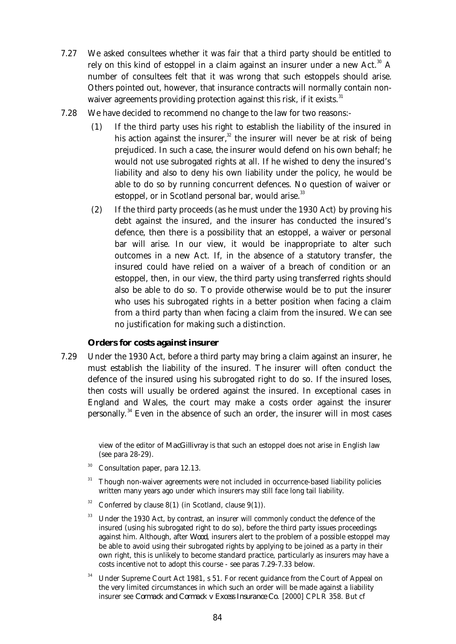- 7.27 We asked consultees whether it was fair that a third party should be entitled to rely on this kind of estoppel in a claim against an insurer under a new Act.<sup>30</sup> A number of consultees felt that it was wrong that such estoppels should arise. Others pointed out, however, that insurance contracts will normally contain nonwaiver agreements providing protection against this risk, if it exists.<sup>31</sup>
- 7.28 We have decided to recommend no change to the law for two reasons:-
	- (1) If the third party uses his right to establish the liability of the insured in his action against the insurer, $32$  the insurer will never be at risk of being prejudiced. In such a case, the insurer would defend on his own behalf; he would not use subrogated rights at all. If he wished to deny the insured's liability and also to deny his own liability under the policy, he would be able to do so by running concurrent defences. No question of waiver or estoppel, or in Scotland personal bar, would arise.<sup>33</sup>
	- (2) If the third party proceeds (as he must under the 1930 Act) by proving his debt against the insured, and the insurer has conducted the insured's defence, then there is a possibility that an estoppel, a waiver or personal bar will arise. In our view, it would be inappropriate to alter such outcomes in a new Act. If, in the absence of a statutory transfer, the insured could have relied on a waiver of a breach of condition or an estoppel, then, in our view, the third party using transferred rights should also be able to do so. To provide otherwise would be to put the insurer who uses his subrogated rights in a better position when facing a claim from a third party than when facing a claim from the insured. We can see no justification for making such a distinction.

## **Orders for costs against insurer**

 7.29 Under the 1930 Act, before a third party may bring a claim against an insurer, he must establish the liability of the insured. The insurer will often conduct the defence of the insured using his subrogated right to do so. If the insured loses, then costs will usually be ordered against the insured. In exceptional cases in England and Wales, the court may make a costs order against the insurer personally.<sup>34</sup> Even in the absence of such an order, the insurer will in most cases

> view of the editor of *MacGillivray* is that such an estoppel does not arise in English law (see para 28-29).

- $30$  Consultation paper, para 12.13.
- $31$  Though non-waiver agreements were not included in occurrence-based liability policies written many years ago under which insurers may still face long tail liability.
- <sup>32</sup> Conferred by clause 8(1) (in Scotland, clause 9(1)).
- <sup>33</sup> Under the 1930 Act, by contrast, an insurer will commonly conduct the defence of the insured (using his subrogated right to do so), before the third party issues proceedings against him. Although, after *Wood*, insurers alert to the problem of a possible estoppel may be able to avoid using their subrogated rights by applying to be joined as a party in their own right, this is unlikely to become standard practice, particularly as insurers may have a costs incentive not to adopt this course - see paras 7.29-7.33 below.
- <sup>34</sup> Under Supreme Court Act 1981, s 51. For recent guidance from the Court of Appeal on the very limited circumstances in which such an order will be made against a liability insurer see *Cormack and Cormack v Excess Insurance Co.* [2000] CPLR 358. But cf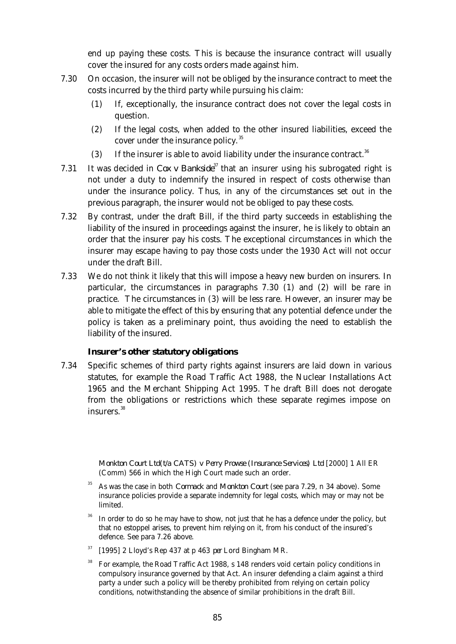end up paying these costs. This is because the insurance contract will usually cover the insured for any costs orders made against him.

- 7.30 On occasion, the insurer will not be obliged by the insurance contract to meet the costs incurred by the third party while pursuing his claim:
	- (1) If, exceptionally, the insurance contract does not cover the legal costs in question.
	- (2) If the legal costs, when added to the other insured liabilities, exceed the cover under the insurance policy.<sup>35</sup>
	- (3) If the insurer is able to avoid liability under the insurance contract.<sup>36</sup>
- 7.31 It was decided in *Cox v Bankside*<sup>37</sup> that an insurer using his subrogated right is not under a duty to indemnify the insured in respect of costs otherwise than under the insurance policy. Thus, in any of the circumstances set out in the previous paragraph, the insurer would not be obliged to pay these costs.
- 7.32 By contrast, under the draft Bill, if the third party succeeds in establishing the liability of the insured in proceedings against the insurer, he is likely to obtain an order that the insurer pay his costs. The exceptional circumstances in which the insurer may escape having to pay those costs under the 1930 Act will not occur under the draft Bill.
- 7.33 We do not think it likely that this will impose a heavy new burden on insurers. In particular, the circumstances in paragraphs 7.30 (1) and (2) will be rare in practice. The circumstances in (3) will be less rare. However, an insurer may be able to mitigate the effect of this by ensuring that any potential defence under the policy is taken as a preliminary point, thus avoiding the need to establish the liability of the insured.

## **Insurer's other statutory obligations**

 7.34 Specific schemes of third party rights against insurers are laid down in various statutes, for example the Road Traffic Act 1988, the Nuclear Installations Act 1965 and the Merchant Shipping Act 1995. The draft Bill does not derogate from the obligations or restrictions which these separate regimes impose on insurers.<sup>38</sup>

> *Monkton Court Ltd(t/a CATS) v Perry Prowse (Insurance Services) Ltd* [2000] 1 All ER (Comm) 566 in which the High Court made such an order.

- <sup>35</sup> As was the case in both *Cormack* and *Monkton Court* (see para 7.29, n 34 above). Some insurance policies provide a separate indemnity for legal costs, which may or may not be limited.
- In order to do so he may have to show, not just that he has a defence under the policy, but that no estoppel arises, to prevent him relying on it, from his conduct of the insured's defence. See para 7.26 above.
- <sup>37</sup> [1995] 2 Lloyd's Rep 437 at p 463 *per* Lord Bingham MR.
- <sup>38</sup> For example, the Road Traffic Act 1988, s 148 renders void certain policy conditions in compulsory insurance governed by that Act. An insurer defending a claim against a third party a under such a policy will be thereby prohibited from relying on certain policy conditions, notwithstanding the absence of similar prohibitions in the draft Bill.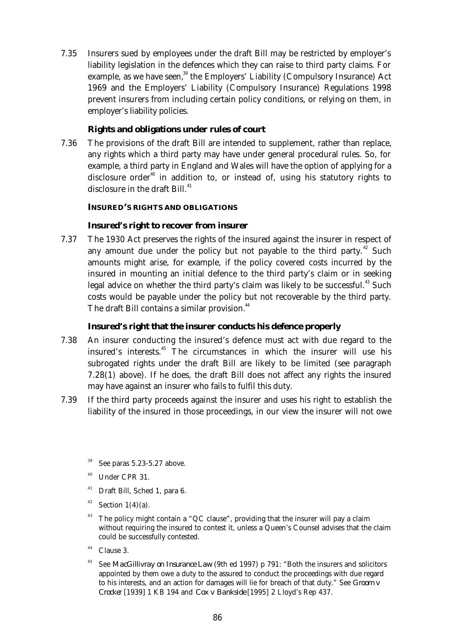7.35 Insurers sued by employees under the draft Bill may be restricted by employer's liability legislation in the defences which they can raise to third party claims. For example, as we have seen,<sup>39</sup> the Employers' Liability (Compulsory Insurance) Act 1969 and the Employers' Liability (Compulsory Insurance) Regulations 1998 prevent insurers from including certain policy conditions, or relying on them, in employer's liability policies.

## **Rights and obligations under rules of court**

 7.36 The provisions of the draft Bill are intended to supplement, rather than replace, any rights which a third party may have under general procedural rules. So, for example, a third party in England and Wales will have the option of applying for a disclosure order<sup>40</sup> in addition to, or instead of, using his statutory rights to disclosure in the draft Bill.<sup>41</sup>

## **INSURED'S RIGHTS AND OBLIGATIONS**

## **Insured's right to recover from insurer**

 7.37 The 1930 Act preserves the rights of the insured against the insurer in respect of any amount due under the policy but not payable to the third party.<sup>42</sup> Such amounts might arise, for example, if the policy covered costs incurred by the insured in mounting an initial defence to the third party's claim or in seeking legal advice on whether the third party's claim was likely to be successful.<sup>43</sup> Such costs would be payable under the policy but not recoverable by the third party. The draft Bill contains a similar provision.<sup>44</sup>

## **Insured's right that the insurer conducts his defence properly**

- 7.38 An insurer conducting the insured's defence must act with due regard to the insured's interests.<sup>45</sup> The circumstances in which the insurer will use his subrogated rights under the draft Bill are likely to be limited (see paragraph 7.28(1) above). If he does, the draft Bill does not affect any rights the insured may have against an insurer who fails to fulfil this duty.
- 7.39 If the third party proceeds against the insurer and uses his right to establish the liability of the insured in those proceedings, in our view the insurer will not owe
	- See paras 5.23-5.27 above.
	- Under CPR 31.
	- <sup>41</sup> Draft Bill, Sched 1, para 6.
	- $42$  Section 1(4)(a).
	- <sup>43</sup> The policy might contain a "QC clause", providing that the insurer will pay a claim without requiring the insured to contest it, unless a Queen's Counsel advises that the claim could be successfully contested.
	- $44$  Clause 3.
	- <sup>45</sup> See *MacGillivray on Insurance Law* (9th ed 1997) p 791: "Both the insurers and solicitors appointed by them owe a duty to the assured to conduct the proceedings with due regard to his interests, and an action for damages will lie for breach of that duty." See *Groom v Crocker* [1939] 1 KB 194 and *Cox v Bankside* [1995] 2 Lloyd's Rep 437.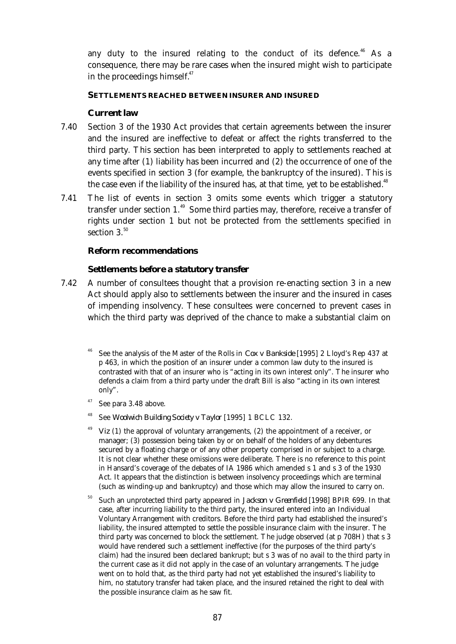any duty to the insured relating to the conduct of its defence.<sup>46</sup> As a consequence, there may be rare cases when the insured might wish to participate in the proceedings himself. $47$ 

#### **SETTLEMENTS REACHED BETWEEN INSURER AND INSURED**

#### **Current law**

- 7.40 Section 3 of the 1930 Act provides that certain agreements between the insurer and the insured are ineffective to defeat or affect the rights transferred to the third party. This section has been interpreted to apply to settlements reached at any time after (1) liability has been incurred and (2) the occurrence of one of the events specified in section 3 (for example, the bankruptcy of the insured). This is the case even if the liability of the insured has, at that time, yet to be established.<sup>48</sup>
- 7.41 The list of events in section 3 omits some events which trigger a statutory transfer under section  $1.^{49}$  Some third parties may, therefore, receive a transfer of rights under section 1 but not be protected from the settlements specified in section  $3<sup>50</sup>$

## **Reform recommendations**

#### *Settlements before a statutory transfer*

- 7.42 A number of consultees thought that a provision re-enacting section 3 in a new Act should apply also to settlements between the insurer and the insured in cases of impending insolvency. These consultees were concerned to prevent cases in which the third party was deprived of the chance to make a substantial claim on
	- <sup>46</sup> See the analysis of the Master of the Rolls in *Cox v Bankside* [1995] 2 Lloyd's Rep 437 at p 463, in which the position of an insurer under a common law duty to the insured is contrasted with that of an insurer who is "acting in its own interest only". The insurer who defends a claim from a third party under the draft Bill is also "acting in its own interest only".
	- $47$  See para 3.48 above.
	- <sup>48</sup> See *Woolwich Building Society v Taylor* [1995] 1 BCLC 132.
	- *Viz* (1) the approval of voluntary arrangements, (2) the appointment of a receiver, or manager; (3) possession being taken by or on behalf of the holders of any debentures secured by a floating charge or of any other property comprised in or subject to a charge. It is not clear whether these omissions were deliberate. There is no reference to this point in Hansard's coverage of the debates of IA 1986 which amended s 1 and s 3 of the 1930 Act. It appears that the distinction is between insolvency proceedings which are terminal (such as winding-up and bankruptcy) and those which may allow the insured to carry on.
	- <sup>50</sup> Such an unprotected third party appeared in *Jackson v Greenfield* [1998] BPIR 699. In that case, after incurring liability to the third party, the insured entered into an Individual Voluntary Arrangement with creditors. Before the third party had established the insured's liability, the insured attempted to settle the possible insurance claim with the insurer. The third party was concerned to block the settlement. The judge observed (at p 708H) that s 3 would have rendered such a settlement ineffective (for the purposes of the third party's claim) had the insured been declared bankrupt; but s 3 was of no avail to the third party in the current case as it did not apply in the case of an voluntary arrangements. The judge went on to hold that, as the third party had not yet established the insured's liability to him, no statutory transfer had taken place, and the insured retained the right to deal with the possible insurance claim as he saw fit.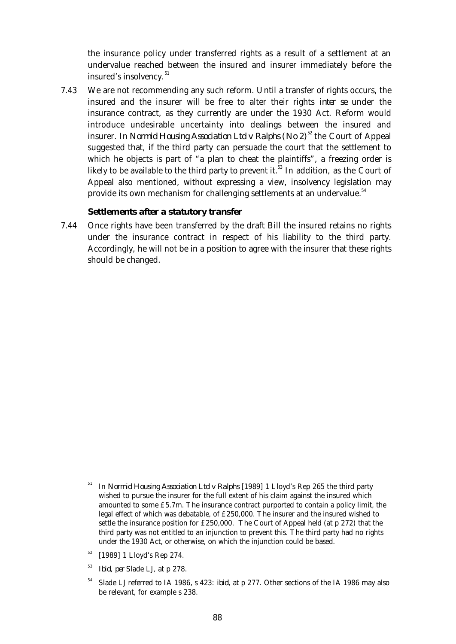the insurance policy under transferred rights as a result of a settlement at an undervalue reached between the insured and insurer immediately before the insured's insolvency.<sup>51</sup>

 7.43 We are not recommending any such reform. Until a transfer of rights occurs, the insured and the insurer will be free to alter their rights *inter se* under the insurance contract, as they currently are under the 1930 Act. Reform would introduce undesirable uncertainty into dealings between the insured and insurer. In *Normid Housing Association Ltd v Ralphs* (No  $2^{52}$  the Court of Appeal suggested that, if the third party can persuade the court that the settlement to which he objects is part of "a plan to cheat the plaintiffs", a freezing order is likely to be available to the third party to prevent it.<sup>53</sup> In addition, as the Court of Appeal also mentioned, without expressing a view, insolvency legislation may provide its own mechanism for challenging settlements at an undervalue.<sup>54</sup>

## *Settlements after a statutory transfer*

 7.44 Once rights have been transferred by the draft Bill the insured retains no rights under the insurance contract in respect of his liability to the third party. Accordingly, he will not be in a position to agree with the insurer that these rights should be changed.

- <sup>51</sup> In *Normid Housing Association Ltd v Ralphs* [1989] 1 Lloyd's Rep 265 the third party wished to pursue the insurer for the full extent of his claim against the insured which amounted to some £5.7m. The insurance contract purported to contain a policy limit, the legal effect of which was debatable, of £250,000. The insurer and the insured wished to settle the insurance position for £250,000. The Court of Appeal held (at p 272) that the third party was not entitled to an injunction to prevent this. The third party had no rights under the 1930 Act, or otherwise, on which the injunction could be based.
- <sup>52</sup> [1989] 1 Lloyd's Rep 274.
- <sup>53</sup> *Ibid, per* Slade LJ, at p 278.
- <sup>54</sup> Slade LJ referred to IA 1986, s 423: *ibid,* at p 277. Other sections of the IA 1986 may also be relevant, for example s 238.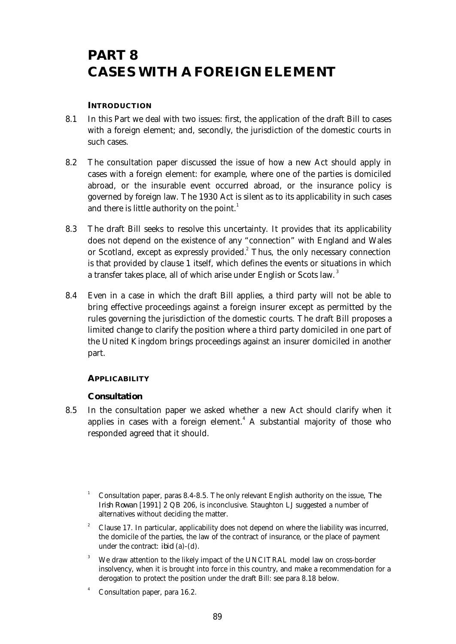# **PART 8 CASES WITH A FOREIGN ELEMENT**

## **INTRODUCTION**

- 8.1 In this Part we deal with two issues: first, the application of the draft Bill to cases with a foreign element; and, secondly, the jurisdiction of the domestic courts in such cases.
- 8.2 The consultation paper discussed the issue of how a new Act should apply in cases with a foreign element: for example, where one of the parties is domiciled abroad, or the insurable event occurred abroad, or the insurance policy is governed by foreign law. The 1930 Act is silent as to its applicability in such cases and there is little authority on the point.<sup>1</sup>
- 8.3 The draft Bill seeks to resolve this uncertainty. It provides that its applicability does not depend on the existence of any "connection" with England and Wales or Scotland, except as expressly provided.<sup>2</sup> Thus, the only necessary connection is that provided by clause 1 itself, which defines the events or situations in which a transfer takes place, all of which arise under English or Scots law.<sup>3</sup>
- 8.4 Even in a case in which the draft Bill applies, a third party will not be able to bring effective proceedings against a foreign insurer except as permitted by the rules governing the jurisdiction of the domestic courts. The draft Bill proposes a limited change to clarify the position where a third party domiciled in one part of the United Kingdom brings proceedings against an insurer domiciled in another part.

# **APPLICABILITY**

# **Consultation**

- 8.5 In the consultation paper we asked whether a new Act should clarify when it applies in cases with a foreign element.<sup>4</sup> A substantial majority of those who responded agreed that it should.
	- <sup>1</sup> Consultation paper, paras 8.4-8.5. The only relevant English authority on the issue, *The Irish Rowan* [1991] 2 QB 206, is inconclusive. Staughton LJ suggested a number of alternatives without deciding the matter.
	- <sup>2</sup> Clause 17. In particular, applicability does not depend on where the liability was incurred, the domicile of the parties, the law of the contract of insurance, or the place of payment under the contract: *ibid* (a)-(d).
	- We draw attention to the likely impact of the UNCITRAL model law on cross-border insolvency, when it is brought into force in this country, and make a recommendation for a derogation to protect the position under the draft Bill: see para 8.18 below.
	- Consultation paper, para 16.2.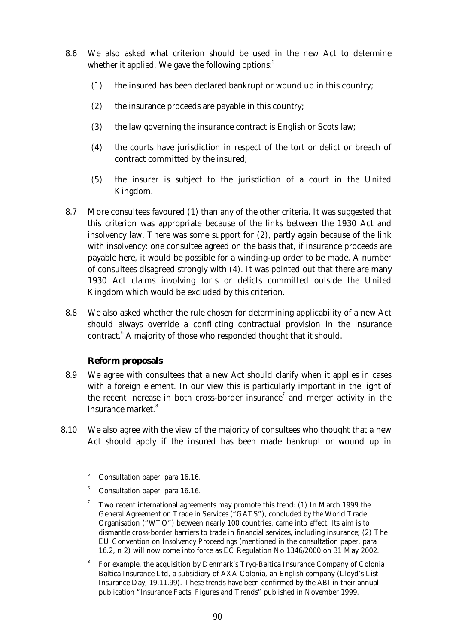- 8.6 We also asked what criterion should be used in the new Act to determine whether it applied. We gave the following options: $5$ 
	- (1) the insured has been declared bankrupt or wound up in this country;
	- (2) the insurance proceeds are payable in this country;
	- (3) the law governing the insurance contract is English or Scots law;
	- (4) the courts have jurisdiction in respect of the tort or delict or breach of contract committed by the insured;
	- (5) the insurer is subject to the jurisdiction of a court in the United Kingdom.
- 8.7 More consultees favoured (1) than any of the other criteria. It was suggested that this criterion was appropriate because of the links between the 1930 Act and insolvency law. There was some support for (2), partly again because of the link with insolvency: one consultee agreed on the basis that, if insurance proceeds are payable here, it would be possible for a winding-up order to be made. A number of consultees disagreed strongly with (4). It was pointed out that there are many 1930 Act claims involving torts or delicts committed outside the United Kingdom which would be excluded by this criterion.
- 8.8 We also asked whether the rule chosen for determining applicability of a new Act should always override a conflicting contractual provision in the insurance contract. $6$  A majority of those who responded thought that it should.

## **Reform proposals**

- 8.9 We agree with consultees that a new Act should clarify when it applies in cases with a foreign element. In our view this is particularly important in the light of the recent increase in both cross-border insurance<sup>7</sup> and merger activity in the insurance market.<sup>8</sup>
- 8.10 We also agree with the view of the majority of consultees who thought that a new Act should apply if the insured has been made bankrupt or wound up in
	- <sup>5</sup> Consultation paper, para 16.16.
	- <sup>6</sup> Consultation paper, para 16.16.
	- 7 Two recent international agreements may promote this trend: (1) In March 1999 the General Agreement on Trade in Services ("GATS"), concluded by the World Trade Organisation ("WTO") between nearly 100 countries, came into effect. Its aim is to dismantle cross-border barriers to trade in financial services, including insurance; (2) The EU Convention on Insolvency Proceedings (mentioned in the consultation paper, para 16.2, n 2) will now come into force as EC Regulation No 1346/2000 on 31 May 2002.
	- 8 For example, the acquisition by Denmark's Tryg-Baltica Insurance Company of Colonia Baltica Insurance Ltd, a subsidiary of AXA Colonia, an English company (Lloyd's List Insurance Day, 19.11.99). These trends have been confirmed by the ABI in their annual publication "Insurance Facts, Figures and Trends" published in November 1999.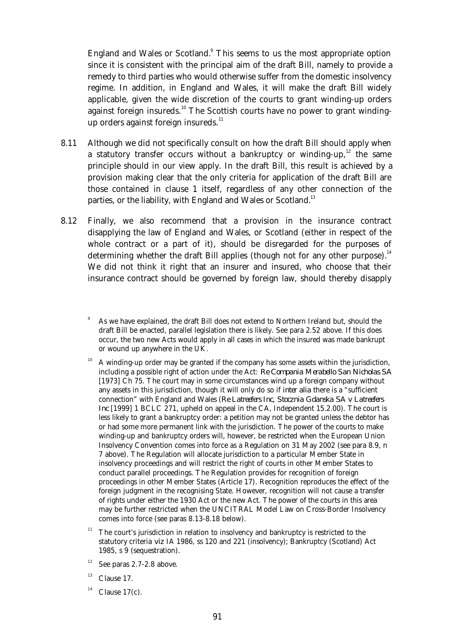England and Wales or Scotland.<sup>9</sup> This seems to us the most appropriate option since it is consistent with the principal aim of the draft Bill, namely to provide a remedy to third parties who would otherwise suffer from the domestic insolvency regime. In addition, in England and Wales, it will make the draft Bill widely applicable, given the wide discretion of the courts to grant winding-up orders against foreign insureds.<sup>10</sup> The Scottish courts have no power to grant windingup orders against foreign insureds. $^{11}$ 

- 8.11 Although we did not specifically consult on how the draft Bill should apply when a statutory transfer occurs without a bankruptcy or winding-up, $12$  the same principle should in our view apply. In the draft Bill, this result is achieved by a provision making clear that the only criteria for application of the draft Bill are those contained in clause 1 itself, regardless of any other connection of the parties, or the liability, with England and Wales or Scotland.<sup>13</sup>
- 8.12 Finally, we also recommend that a provision in the insurance contract disapplying the law of England and Wales, or Scotland (either in respect of the whole contract or a part of it), should be disregarded for the purposes of determining whether the draft Bill applies (though not for any other purpose).<sup>14</sup> We did not think it right that an insurer and insured, who choose that their insurance contract should be governed by foreign law, should thereby disapply

- $10$  A winding-up order may be granted if the company has some assets within the jurisdiction, including a possible right of action under the Act: *Re Compania Merabello San Nicholas SA* [1973] Ch 75. The court may in some circumstances wind up a foreign company without any assets in this jurisdiction, though it will only do so if *inter alia* there is a "sufficient connection" with England and Wales (*Re Latreefers Inc, Stocznia Gdanska SA v Latreefers Inc* [1999] 1 BCLC 271, upheld on appeal in the CA, Independent 15.2.00). The court is less likely to grant a bankruptcy order: a petition may not be granted unless the debtor has or had some more permanent link with the jurisdiction. The power of the courts to make winding-up and bankruptcy orders will, however, be restricted when the European Union Insolvency Convention comes into force as a Regulation on 31 May 2002 (see para 8.9, n 7 above). The Regulation will allocate jurisdiction to a particular Member State in insolvency proceedings and will restrict the right of courts in other Member States to conduct parallel proceedings. The Regulation provides for recognition of foreign proceedings in other Member States (Article 17). Recognition reproduces the effect of the foreign judgment in the recognising State. However, recognition will not cause a transfer of rights under either the 1930 Act or the new Act. The power of the courts in this area may be further restricted when the UNCITRAL Model Law on Cross-Border Insolvency comes into force (see paras 8.13-8.18 below).
- <sup>11</sup> The court's jurisdiction in relation to insolvency and bankruptcy is restricted to the statutory criteria *viz* IA 1986, ss 120 and 221 (insolvency); Bankruptcy (Scotland) Act 1985, s 9 (sequestration).
- $12$  See paras 2.7-2.8 above.
- $13$  Clause 17.
- $14$  Clause 17(c).

As we have explained, the draft Bill does not extend to Northern Ireland but, should the draft Bill be enacted, parallel legislation there is likely. See para 2.52 above. If this does occur, the two new Acts would apply in all cases in which the insured was made bankrupt or wound up anywhere in the UK.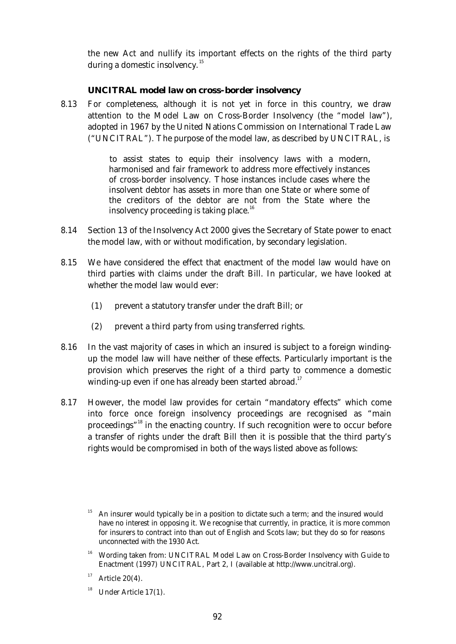the new Act and nullify its important effects on the rights of the third party during a domestic insolvency.<sup>15</sup>

## *UNCITRAL model law on cross-border insolvency*

 8.13 For completeness, although it is not yet in force in this country, we draw attention to the Model Law on Cross-Border Insolvency (the "model law"), adopted in 1967 by the United Nations Commission on International Trade Law ("UNCITRAL"). The purpose of the model law, as described by UNCITRAL, is

> to assist states to equip their insolvency laws with a modern, harmonised and fair framework to address more effectively instances of cross-border insolvency. Those instances include cases where the insolvent debtor has assets in more than one State or where some of the creditors of the debtor are not from the State where the insolvency proceeding is taking place.<sup>16</sup>

- 8.14 Section 13 of the Insolvency Act 2000 gives the Secretary of State power to enact the model law, with or without modification, by secondary legislation.
- 8.15 We have considered the effect that enactment of the model law would have on third parties with claims under the draft Bill. In particular, we have looked at whether the model law would ever:
	- (1) prevent a statutory transfer under the draft Bill; or
	- (2) prevent a third party from using transferred rights.
- 8.16 In the vast majority of cases in which an insured is subject to a foreign windingup the model law will have neither of these effects. Particularly important is the provision which preserves the right of a third party to commence a domestic winding-up even if one has already been started abroad.<sup>17</sup>
- 8.17 However, the model law provides for certain "mandatory effects" which come into force once foreign insolvency proceedings are recognised as "main proceedings"<sup>18</sup> in the enacting country. If such recognition were to occur before a transfer of rights under the draft Bill then it is possible that the third party's rights would be compromised in both of the ways listed above as follows:

<sup>16</sup> Wording taken from: UNCITRAL Model Law on Cross-Border Insolvency with Guide to Enactment (1997) UNCITRAL, Part 2, I (available at http://www.uncitral.org).

 $18$  Under Article 17(1).

An insurer would typically be in a position to dictate such a term; and the insured would have no interest in opposing it. We recognise that currently, in practice, it is more common for insurers to contract into than out of English and Scots law; but they do so for reasons unconnected with the 1930 Act.

 $17$  Article 20(4).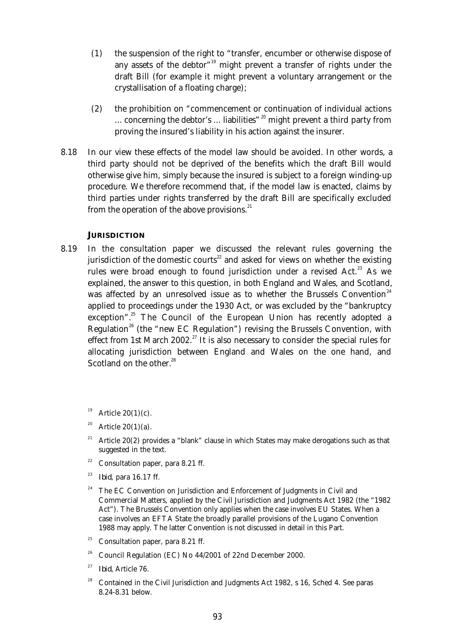- (1) the suspension of the right to "transfer, encumber or otherwise dispose of any assets of the debtor<sup>"19</sup> might prevent a transfer of rights under the draft Bill (for example it might prevent a voluntary arrangement or the crystallisation of a floating charge);
- (2) the prohibition on "commencement or continuation of individual actions ... concerning the debtor's ... liabilities"<sup>20</sup> might prevent a third party from proving the insured's liability in his action against the insurer.
- 8.18 In our view these effects of the model law should be avoided. In other words, a third party should not be deprived of the benefits which the draft Bill would otherwise give him, simply because the insured is subject to a foreign winding-up procedure. We therefore recommend that, if the model law is enacted, claims by third parties under rights transferred by the draft Bill are specifically excluded from the operation of the above provisions. $^{21}$

#### **JURISDICTION**

 8.19 In the consultation paper we discussed the relevant rules governing the jurisdiction of the domestic courts<sup>22</sup> and asked for views on whether the existing rules were broad enough to found jurisdiction under a revised Act.<sup>23</sup> As we explained, the answer to this question, in both England and Wales, and Scotland, was affected by an unresolved issue as to whether the Brussels Convention<sup>24</sup> applied to proceedings under the 1930 Act, or was excluded by the "bankruptcy exception".<sup>25</sup> The Council of the European Union has recently adopted a Regulation<sup>26</sup> (the "new EC Regulation") revising the Brussels Convention, with effect from 1st March 2002.<sup>27</sup> It is also necessary to consider the special rules for allocating jurisdiction between England and Wales on the one hand, and Scotland on the other.<sup>28</sup>

Article  $20(1)(c)$ .

- <sup>20</sup> Article 20(1)(a).
- <sup>21</sup> Article 20(2) provides a "blank" clause in which States may make derogations such as that suggested in the text.
- $22$  Consultation paper, para 8.21 ff.
- 23 *Ibid*, para 16.17 ff.
- The EC Convention on Jurisdiction and Enforcement of Judgments in Civil and Commercial Matters, applied by the Civil Jurisdiction and Judgments Act 1982 (the "1982 Act"). The Brussels Convention only applies when the case involves EU States. When a case involves an EFTA State the broadly parallel provisions of the Lugano Convention 1988 may apply. The latter Convention is not discussed in detail in this Part.
- <sup>25</sup> Consultation paper, para 8.21 ff.
- <sup>26</sup> Council Regulation (EC) No 44/2001 of 22nd December 2000.
- <sup>27</sup> *Ibid*, Article 76.
- <sup>28</sup> Contained in the Civil Jurisdiction and Judgments Act 1982, s 16, Sched 4. See paras 8.24-8.31 below.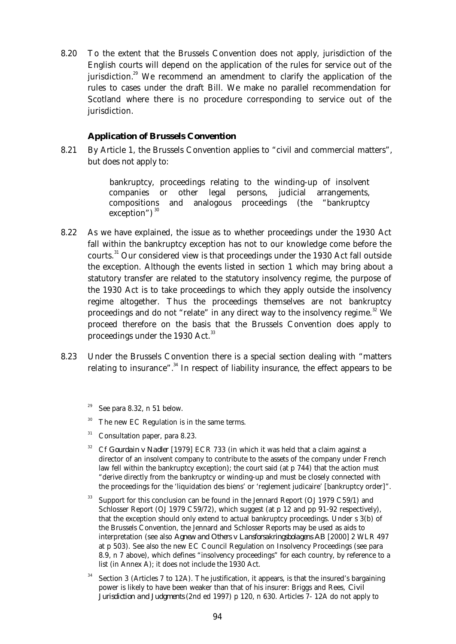8.20 To the extent that the Brussels Convention does not apply, jurisdiction of the English courts will depend on the application of the rules for service out of the jurisdiction.<sup>29</sup> We recommend an amendment to clarify the application of the rules to cases under the draft Bill. We make no parallel recommendation for Scotland where there is no procedure corresponding to service out of the jurisdiction.

#### **Application of Brussels Convention**

 8.21 By Article 1, the Brussels Convention applies to "civil and commercial matters", but does not apply to:

> bankruptcy, proceedings relating to the winding-up of insolvent companies or other legal persons, judicial arrangements, compositions and analogous proceedings (the "bankruptcy exception")  $30$

- 8.22 As we have explained, the issue as to whether proceedings under the 1930 Act fall within the bankruptcy exception has not to our knowledge come before the courts. $31$  Our considered view is that proceedings under the 1930 Act fall outside the exception. Although the events listed in section 1 which may bring about a statutory transfer are related to the statutory insolvency regime, the purpose of the 1930 Act is to take proceedings to which they apply outside the insolvency regime altogether. Thus the proceedings themselves are not bankruptcy proceedings and do not "relate" in any direct way to the insolvency regime. $32$  We proceed therefore on the basis that the Brussels Convention does apply to proceedings under the 1930 Act.<sup>33</sup>
- 8.23 Under the Brussels Convention there is a special section dealing with "matters relating to insurance".<sup>34</sup> In respect of liability insurance, the effect appears to be
	- See para 8.32, n 51 below.
	- The new EC Regulation is in the same terms.
	- $31$  Consultation paper, para 8.23.
	- <sup>32</sup> Cf *Gourdain v Nadler* [1979] ECR 733 (in which it was held that a claim against a director of an insolvent company to contribute to the assets of the company under French law fell within the bankruptcy exception); the court said (at p 744) that the action must "derive directly from the bankruptcy or winding-up and must be closely connected with the proceedings for the 'liquidation des biens' or 'reglement judicaire' [bankruptcy order]".
	- <sup>33</sup> Support for this conclusion can be found in the Jennard Report (OJ 1979 C59/1) and Schlosser Report (OJ 1979 C59/72), which suggest (at p 12 and pp 91-92 respectively), that the exception should only extend to actual bankruptcy proceedings. Under s 3(b) of the Brussels Convention, the Jennard and Schlosser Reports may be used as aids to interpretation (see also *Agnew and Others v Lansforsakringsbolagens AB* [2000] 2 WLR 497 at p 503). See also the new EC Council Regulation on Insolvency Proceedings (see para 8.9, n 7 above), which defines "insolvency proceedings" for each country, by reference to a list (in Annex A); it does not include the 1930 Act.
	- <sup>34</sup> Section 3 (Articles 7 to 12A). The justification, it appears, is that the insured's bargaining power is likely to have been weaker than that of his insurer: Briggs and Rees, *Civil Jurisdiction and Judgments* (2nd ed 1997) p 120, n 630. Articles 7- 12A do not apply to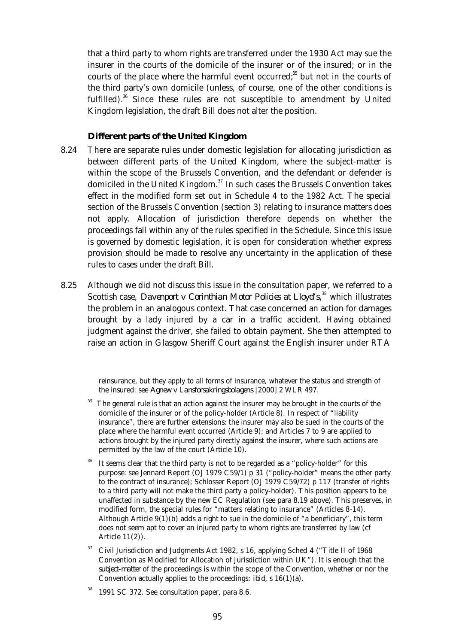that a third party to whom rights are transferred under the 1930 Act may sue the insurer in the courts of the domicile of the insurer or of the insured; or in the courts of the place where the harmful event occurred;<sup>35</sup> but not in the courts of the third party's own domicile (unless, of course, one of the other conditions is fulfilled). $36$  Since these rules are not susceptible to amendment by United Kingdom legislation, the draft Bill does not alter the position.

#### **Different parts of the United Kingdom**

- 8.24 There are separate rules under domestic legislation for allocating jurisdiction as between different parts of the United Kingdom, where the subject-matter is within the scope of the Brussels Convention, and the defendant or defender is domiciled in the United Kingdom.<sup>37</sup> In such cases the Brussels Convention takes effect in the modified form set out in Schedule 4 to the 1982 Act. The special section of the Brussels Convention (section 3) relating to insurance matters does not apply. Allocation of jurisdiction therefore depends on whether the proceedings fall within any of the rules specified in the Schedule. Since this issue is governed by domestic legislation, it is open for consideration whether express provision should be made to resolve any uncertainty in the application of these rules to cases under the draft Bill.
- 8.25 Although we did not discuss this issue in the consultation paper, we referred to a Scottish case, *Davenport v Corinthian Motor Policies at Lloyd's*, <sup>38</sup> which illustrates the problem in an analogous context. That case concerned an action for damages brought by a lady injured by a car in a traffic accident. Having obtained judgment against the driver, she failed to obtain payment. She then attempted to raise an action in Glasgow Sheriff Court against the English insurer under RTA

reinsurance, but they apply to all forms of insurance, whatever the status and strength of the insured: see *Agnew v Lansforsakringsbolagens* [2000] 2 WLR 497.

- The general rule is that an action against the insurer may be brought in the courts of the domicile of the insurer or of the policy-holder (Article 8). In respect of "liability insurance", there are further extensions: the insurer may also be sued in the courts of the place where the harmful event occurred (Article 9); and Articles 7 to 9 are applied to actions brought by the injured party directly against the insurer, where such actions are permitted by the law of the court (Article 10).
- It seems clear that the third party is not to be regarded as a "policy-holder" for this purpose: see Jennard Report (OJ 1979 C59/1) p 31 ("policy-holder" means the other party to the contract of insurance); Schlosser Report (OJ 1979 C59/72) p 117 (transfer of rights to a third party will not make the third party a policy-holder). This position appears to be unaffected in substance by the new EC Regulation (see para 8.19 above). This preserves, in modified form, the special rules for "matters relating to insurance" (Articles 8-14). Although Article  $9(1)(b)$  adds a right to sue in the domicile of "a beneficiary", this term does not seem apt to cover an injured party to whom rights are transferred by law (cf Article 11(2)).
- <sup>37</sup> Civil Jurisdiction and Judgments Act 1982, s 16, applying Sched 4 ("Title II of 1968 Convention as Modified for Allocation of Jurisdiction within UK"). It is enough that the *subject-matter* of the proceedings is within the scope of the Convention, whether or nor the Convention actually applies to the proceedings: *ibid*, s 16(1)(a).
- <sup>38</sup> 1991 SC 372. See consultation paper, para 8.6.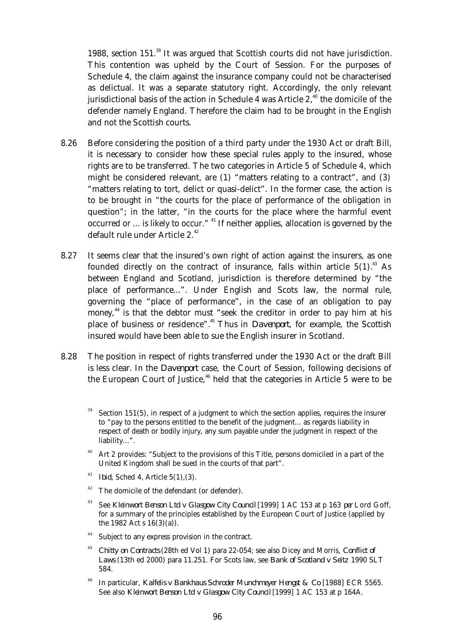1988, section  $151<sup>39</sup>$  It was argued that Scottish courts did not have jurisdiction. This contention was upheld by the Court of Session. For the purposes of Schedule 4, the claim against the insurance company could not be characterised as delictual. It was a separate statutory right. Accordingly, the only relevant jurisdictional basis of the action in Schedule 4 was Article  $2,40$  the domicile of the defender namely England. Therefore the claim had to be brought in the English and not the Scottish courts.

- 8.26 Before considering the position of a third party under the 1930 Act or draft Bill, it is necessary to consider how these special rules apply to the insured, whose rights are to be transferred. The two categories in Article 5 of Schedule 4, which might be considered relevant, are (1) "matters relating to a contract", and (3) "matters relating to tort, delict or quasi-delict". In the former case, the action is to be brought in "the courts for the place of performance of the obligation in question"; in the latter, "in the courts for the place where the harmful event occurred or ... is likely to occur."  $41$  If neither applies, allocation is governed by the default rule under Article 2.<sup>42</sup>
- 8.27 It seems clear that the insured's own right of action against the insurers, as one founded directly on the contract of insurance, falls within article  $5(1).^{43}$  As between England and Scotland, jurisdiction is therefore determined by "the place of performance...". Under English and Scots law, the normal rule, governing the "place of performance", in the case of an obligation to pay money,<sup>44</sup> is that the debtor must "seek the creditor in order to pay him at his place of business or residence".<sup>45</sup> Thus in *Davenport*, for example, the Scottish insured would have been able to sue the English insurer in Scotland.
- 8.28 The position in respect of rights transferred under the 1930 Act or the draft Bill is less clear. In the *Davenport* case, the Court of Session, following decisions of the European Court of Justice, $46$  held that the categories in Article 5 were to be
	- Section 151(5), in respect of a judgment to which the section applies, requires the insurer to "pay to the persons entitled to the benefit of the judgment... as regards liability in respect of death or bodily injury, any sum payable under the judgment in respect of the liability...".
	- Art 2 provides: "Subject to the provisions of this Title, persons domiciled in a part of the United Kingdom shall be sued in the courts of that part".
	- <sup>41</sup> *Ibid*, Sched 4, Article 5(1),(3).
	- $42$  The domicile of the defendant (or defender).
	- <sup>43</sup> See *Kleinwort Benson Ltd v Glasgow City Council* [1999] 1 AC 153 at p 163 *per* Lord Goff, for a summary of the principles established by the European Court of Justice (applied by the 1982 Act s 16(3)(a)).
	- <sup>44</sup> Subject to any express provision in the contract.
	- <sup>45</sup> *Chitty on Contracts* (28th ed Vol 1) para 22-054; see also Dicey and Morris, *Conflict of Laws* (13th ed 2000) para 11.251. For Scots law, see *Bank of Scotland v Seitz* 1990 SLT 584.
	- <sup>46</sup> In particular, *Kalfelis v Bankhaus Schroder Munchmeyer Hengst & Co* [1988] ECR 5565. See also *Kleinwort Benson Ltd v Glasgow City Council* [1999] 1 AC 153 at p 164A.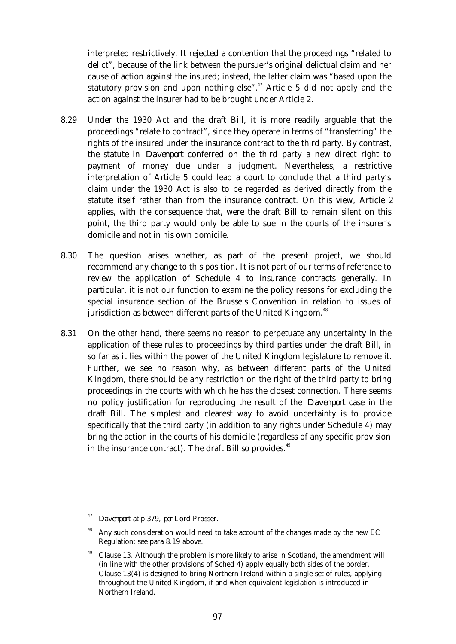interpreted restrictively. It rejected a contention that the proceedings "related to delict", because of the link between the pursuer's original delictual claim and her cause of action against the insured; instead, the latter claim was "based upon the statutory provision and upon nothing else".<sup>47</sup> Article 5 did not apply and the action against the insurer had to be brought under Article 2.

- 8.29 Under the 1930 Act and the draft Bill, it is more readily arguable that the proceedings "relate to contract", since they operate in terms of "transferring" the rights of the insured under the insurance contract to the third party. By contrast, the statute in *Davenport* conferred on the third party a new direct right to payment of money due under a judgment. Nevertheless, a restrictive interpretation of Article 5 could lead a court to conclude that a third party's claim under the 1930 Act is also to be regarded as derived directly from the statute itself rather than from the insurance contract. On this view, Article 2 applies, with the consequence that, were the draft Bill to remain silent on this point, the third party would only be able to sue in the courts of the insurer's domicile and not in his own domicile.
- 8.30 The question arises whether, as part of the present project, we should recommend any change to this position. It is not part of our terms of reference to review the application of Schedule 4 to insurance contracts generally. In particular, it is not our function to examine the policy reasons for excluding the special insurance section of the Brussels Convention in relation to issues of jurisdiction as between different parts of the United Kingdom.<sup>48</sup>
- 8.31 On the other hand, there seems no reason to perpetuate any uncertainty in the application of these rules to proceedings by third parties under the draft Bill, in so far as it lies within the power of the United Kingdom legislature to remove it. Further, we see no reason why, as between different parts of the United Kingdom, there should be any restriction on the right of the third party to bring proceedings in the courts with which he has the closest connection. There seems no policy justification for reproducing the result of the *Davenport* case in the draft Bill. The simplest and clearest way to avoid uncertainty is to provide specifically that the third party (in addition to any rights under Schedule 4) may bring the action in the courts of his domicile (regardless of any specific provision in the insurance contract). The draft Bill so provides.<sup>49</sup>

<sup>47</sup> *Davenport* at p 379, *per* Lord Prosser.

Any such consideration would need to take account of the changes made by the new EC Regulation: see para 8.19 above.

 $49$  Clause 13. Although the problem is more likely to arise in Scotland, the amendment will (in line with the other provisions of Sched 4) apply equally both sides of the border. Clause 13(4) is designed to bring Northern Ireland within a single set of rules, applying throughout the United Kingdom, if and when equivalent legislation is introduced in Northern Ireland.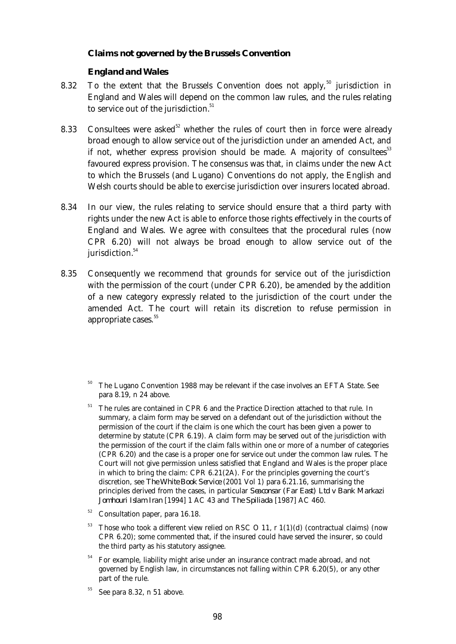## **Claims not governed by the Brussels Convention**

## *England and Wales*

- 8.32 To the extent that the Brussels Convention does not apply,<sup>50</sup> jurisdiction in England and Wales will depend on the common law rules, and the rules relating to service out of the jurisdiction. $51$
- 8.33 Consultees were asked<sup>52</sup> whether the rules of court then in force were already broad enough to allow service out of the jurisdiction under an amended Act, and if not, whether express provision should be made. A majority of consultees  $53$ favoured express provision. The consensus was that, in claims under the new Act to which the Brussels (and Lugano) Conventions do not apply, the English and Welsh courts should be able to exercise jurisdiction over insurers located abroad.
- 8.34 In our view, the rules relating to service should ensure that a third party with rights under the new Act is able to enforce those rights effectively in the courts of England and Wales. We agree with consultees that the procedural rules (now CPR 6.20) will not always be broad enough to allow service out of the jurisdiction.<sup>54</sup>
- 8.35 Consequently we recommend that grounds for service out of the jurisdiction with the permission of the court (under CPR 6.20), be amended by the addition of a new category expressly related to the jurisdiction of the court under the amended Act. The court will retain its discretion to refuse permission in appropriate cases.<sup>55</sup>

- <sup>52</sup> Consultation paper, para 16.18.
- Those who took a different view relied on RSC O 11, r  $1(1)(d)$  (contractual claims) (now CPR 6.20); some commented that, if the insured could have served the insurer, so could the third party as his statutory assignee.
- <sup>54</sup> For example, liability might arise under an insurance contract made abroad, and not governed by English law, in circumstances not falling within CPR 6.20(5), or any other part of the rule.
- See para 8.32, n 51 above.

The Lugano Convention 1988 may be relevant if the case involves an EFTA State. See para 8.19, n 24 above.

 $^{51}\,$  The rules are contained in CPR 6 and the Practice Direction attached to that rule. In summary, a claim form may be served on a defendant out of the jurisdiction without the permission of the court if the claim is one which the court has been given a power to determine by statute (CPR 6.19). A claim form may be served out of the jurisdiction with the permission of the court if the claim falls within one or more of a number of categories (CPR 6.20) and the case is a proper one for service out under the common law rules. The Court will not give permission unless satisfied that England and Wales is the proper place in which to bring the claim: CPR 6.21(2A). For the principles governing the court's discretion, see *The White Book Service* (2001 Vol 1) para 6.21.16, summarising the principles derived from the cases, in particular *Seaconsar (Far East) Ltd v Bank Markazi Jomhouri Islam Iran* [1994] 1 AC 43 and *The Spiliada* [1987] AC 460.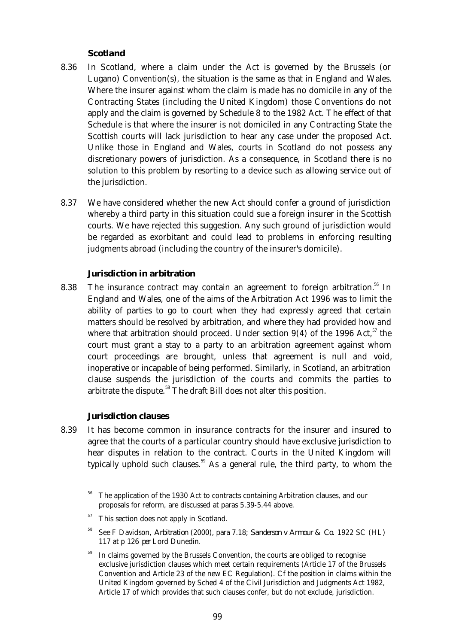## *Scotland*

- 8.36 In Scotland, where a claim under the Act is governed by the Brussels (or Lugano) Convention(s), the situation is the same as that in England and Wales. Where the insurer against whom the claim is made has no domicile in any of the Contracting States (including the United Kingdom) those Conventions do not apply and the claim is governed by Schedule 8 to the 1982 Act. The effect of that Schedule is that where the insurer is not domiciled in any Contracting State the Scottish courts will lack jurisdiction to hear any case under the proposed Act. Unlike those in England and Wales, courts in Scotland do not possess any discretionary powers of jurisdiction. As a consequence, in Scotland there is no solution to this problem by resorting to a device such as allowing service out of the jurisdiction.
- 8.37 We have considered whether the new Act should confer a ground of jurisdiction whereby a third party in this situation could sue a foreign insurer in the Scottish courts. We have rejected this suggestion. Any such ground of jurisdiction would be regarded as exorbitant and could lead to problems in enforcing resulting judgments abroad (including the country of the insurer's domicile).

## **Jurisdiction in arbitration**

8.38 The insurance contract may contain an agreement to foreign arbitration.<sup>56</sup> In England and Wales, one of the aims of the Arbitration Act 1996 was to limit the ability of parties to go to court when they had expressly agreed that certain matters should be resolved by arbitration, and where they had provided how and where that arbitration should proceed. Under section 9(4) of the 1996 Act,  $57$  the court must grant a stay to a party to an arbitration agreement against whom court proceedings are brought, unless that agreement is null and void, inoperative or incapable of being performed. Similarly, in Scotland, an arbitration clause suspends the jurisdiction of the courts and commits the parties to arbitrate the dispute.<sup>58</sup> The draft Bill does not alter this position.

## **Jurisdiction clauses**

 8.39 It has become common in insurance contracts for the insurer and insured to agree that the courts of a particular country should have exclusive jurisdiction to hear disputes in relation to the contract. Courts in the United Kingdom will typically uphold such clauses.<sup>59</sup> As a general rule, the third party, to whom the

 $57$  This section does not apply in Scotland.

In claims governed by the Brussels Convention, the courts are obliged to recognise exclusive jurisdiction clauses which meet certain requirements (Article 17 of the Brussels Convention and Article 23 of the new EC Regulation). Cf the position in claims within the United Kingdom governed by Sched 4 of the Civil Jurisdiction and Judgments Act 1982, Article 17 of which provides that such clauses confer, but do not exclude, jurisdiction.

<sup>&</sup>lt;sup>56</sup> The application of the 1930 Act to contracts containing Arbitration clauses, and our proposals for reform, are discussed at paras 5.39-5.44 above.

<sup>58</sup> See F Davidson, *Arbitration* (2000), para 7.18; *Sanderson v Armour & Co.* 1922 SC (HL) 117 at p 126 *per* Lord Dunedin.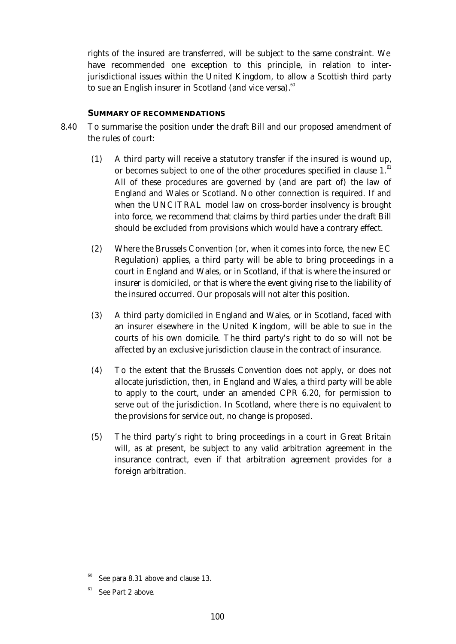rights of the insured are transferred, will be subject to the same constraint. We have recommended one exception to this principle, in relation to interjurisdictional issues within the United Kingdom, to allow a Scottish third party to sue an English insurer in Scotland (and vice versa).<sup>60</sup>

#### **SUMMARY OF RECOMMENDATIONS**

- 8.40 To summarise the position under the draft Bill and our proposed amendment of the rules of court:
	- (1) A third party will receive a statutory transfer if the insured is wound up, or becomes subject to one of the other procedures specified in clause 1.<sup>61</sup> All of these procedures are governed by (and are part of) the law of England and Wales or Scotland. No other connection is required. If and when the UNCITRAL model law on cross-border insolvency is brought into force, we recommend that claims by third parties under the draft Bill should be excluded from provisions which would have a contrary effect.
	- (2) Where the Brussels Convention (or, when it comes into force, the new EC Regulation) applies, a third party will be able to bring proceedings in a court in England and Wales, or in Scotland, if that is where the insured or insurer is domiciled, or that is where the event giving rise to the liability of the insured occurred. Our proposals will not alter this position.
	- (3) A third party domiciled in England and Wales, or in Scotland, faced with an insurer elsewhere in the United Kingdom, will be able to sue in the courts of his own domicile. The third party's right to do so will not be affected by an exclusive jurisdiction clause in the contract of insurance.
	- (4) To the extent that the Brussels Convention does not apply, or does not allocate jurisdiction, then, in England and Wales, a third party will be able to apply to the court, under an amended CPR 6.20, for permission to serve out of the jurisdiction. In Scotland, where there is no equivalent to the provisions for service out, no change is proposed.
	- (5) The third party's right to bring proceedings in a court in Great Britain will, as at present, be subject to any valid arbitration agreement in the insurance contract, even if that arbitration agreement provides for a foreign arbitration.

See para 8.31 above and clause 13.

See Part 2 above.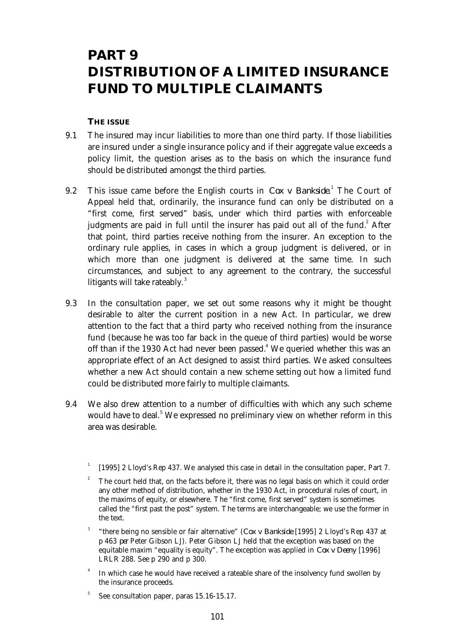### **PART 9 DISTRIBUTION OF A LIMITED INSURANCE FUND TO MULTIPLE CLAIMANTS**

#### **THE ISSUE**

- 9.1 The insured may incur liabilities to more than one third party. If those liabilities are insured under a single insurance policy and if their aggregate value exceeds a policy limit, the question arises as to the basis on which the insurance fund should be distributed amongst the third parties.
- 9.2 This issue came before the English courts in *Cox v Bankside*.<sup>1</sup> The Court of Appeal held that, ordinarily, the insurance fund can only be distributed on a "first come, first served" basis, under which third parties with enforceable judgments are paid in full until the insurer has paid out all of the fund. $^{2}$  After that point, third parties receive nothing from the insurer. An exception to the ordinary rule applies, in cases in which a group judgment is delivered, or in which more than one judgment is delivered at the same time. In such circumstances, and subject to any agreement to the contrary, the successful litigants will take rateably. $3$ 
	- 9.3 In the consultation paper, we set out some reasons why it might be thought desirable to alter the current position in a new Act. In particular, we drew attention to the fact that a third party who received nothing from the insurance fund (because he was too far back in the queue of third parties) would be worse off than if the 1930 Act had never been passed.<sup>4</sup> We queried whether this was an appropriate effect of an Act designed to assist third parties. We asked consultees whether a new Act should contain a new scheme setting out how a limited fund could be distributed more fairly to multiple claimants.
	- 9.4 We also drew attention to a number of difficulties with which any such scheme would have to deal.<sup>5</sup> We expressed no preliminary view on whether reform in this area was desirable.
		- 1 [1995] 2 Lloyd's Rep 437. We analysed this case in detail in the consultation paper, Part 7.
		- <sup>2</sup> The court held that, on the facts before it, there was no legal basis on which it could order any other method of distribution, whether in the 1930 Act, in procedural rules of court, in the maxims of equity, or elsewhere. The "first come, first served" system is sometimes called the "first past the post" system. The terms are interchangeable; we use the former in the text.
		- 3 "there being no sensible or fair alternative" (*Cox v Bankside* [1995] 2 Lloyd's Rep 437 at p 463 *per* Peter Gibson LJ). Peter Gibson LJ held that the exception was based on the equitable maxim "equality is equity". The exception was applied in *Cox v Deeny* [1996] LRLR 288. See p 290 and p 300.
		- 4 In which case he would have received a rateable share of the insolvency fund swollen by the insurance proceeds.
		- 5 See consultation paper, paras 15.16-15.17.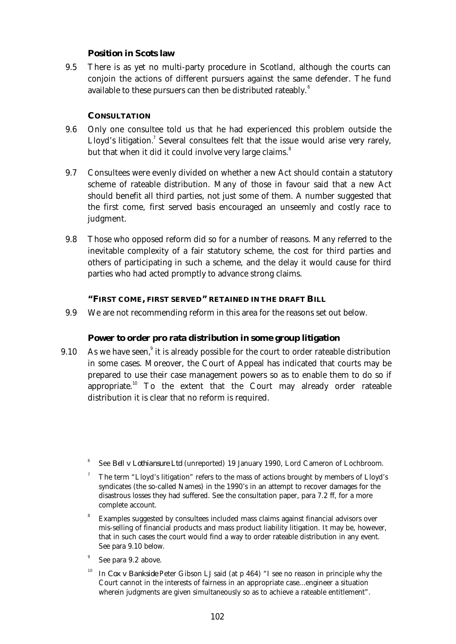#### **Position in Scots law**

 9.5 There is as yet no multi-party procedure in Scotland, although the courts can conjoin the actions of different pursuers against the same defender. The fund available to these pursuers can then be distributed rateably. $^6$ 

#### **CONSULTATION**

- 9.6 Only one consultee told us that he had experienced this problem outside the Lloyd's litigation.<sup>7</sup> Several consultees felt that the issue would arise very rarely, but that when it did it could involve very large claims.<sup>8</sup>
- 9.7 Consultees were evenly divided on whether a new Act should contain a statutory scheme of rateable distribution. Many of those in favour said that a new Act should benefit all third parties, not just some of them. A number suggested that the first come, first served basis encouraged an unseemly and costly race to judgment.
- 9.8 Those who opposed reform did so for a number of reasons. Many referred to the inevitable complexity of a fair statutory scheme, the cost for third parties and others of participating in such a scheme, and the delay it would cause for third parties who had acted promptly to advance strong claims.

#### **"FIRST COME, FIRST SERVED" RETAINED IN THE DRAFT BILL**

9.9 We are not recommending reform in this area for the reasons set out below.

#### **Power to order pro rata distribution in some group litigation**

- 9.10 As we have seen, $9$  it is already possible for the court to order rateable distribution in some cases. Moreover, the Court of Appeal has indicated that courts may be prepared to use their case management powers so as to enable them to do so if appropriate.<sup>10</sup> To the extent that the Court may already order rateable distribution it is clear that no reform is required.
	- 6 See *Bell v Lothiansure Ltd* (unreported) 19 January 1990, Lord Cameron of Lochbroom.
	- 7 The term "Lloyd's litigation" refers to the mass of actions brought by members of Lloyd's syndicates (the so-called Names) in the 1990's in an attempt to recover damages for the disastrous losses they had suffered. See the consultation paper, para 7.2 ff, for a more complete account.
	- 8 Examples suggested by consultees included mass claims against financial advisors over mis-selling of financial products and mass product liability litigation. It may be, however, that in such cases the court would find a way to order rateable distribution in any event. See para 9.10 below.
	- 9 See para 9.2 above.
	- <sup>10</sup> In *Cox v Bankside* Peter Gibson LJ said (at p 464) "I see no reason in principle why the Court cannot in the interests of fairness in an appropriate case...engineer a situation wherein judgments are given simultaneously so as to achieve a rateable entitlement".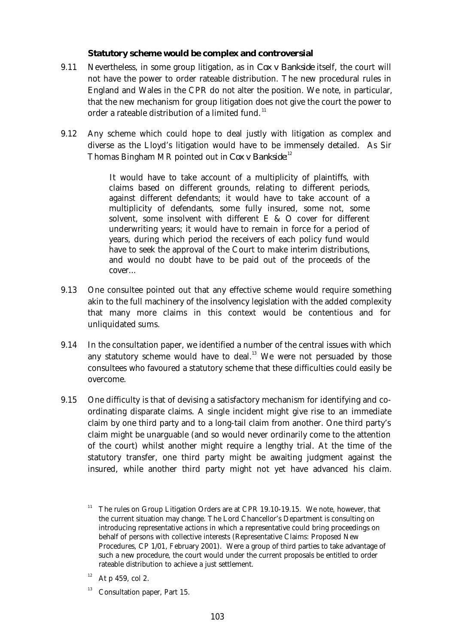#### **Statutory scheme would be complex and controversial**

- 9.11 Nevertheless, in some group litigation, as in *Cox v Bankside* itself, the court will not have the power to order rateable distribution. The new procedural rules in England and Wales in the CPR do not alter the position. We note, in particular, that the new mechanism for group litigation does not give the court the power to order a rateable distribution of a limited fund.<sup>11</sup>
- 9.12 Any scheme which could hope to deal justly with litigation as complex and diverse as the Lloyd's litigation would have to be immensely detailed. As Sir Thomas Bingham MR pointed out in *Cox v Bankside*: 12

It would have to take account of a multiplicity of plaintiffs, with claims based on different grounds, relating to different periods, against different defendants; it would have to take account of a multiplicity of defendants, some fully insured, some not, some solvent, some insolvent with different E & O cover for different underwriting years; it would have to remain in force for a period of years, during which period the receivers of each policy fund would have to seek the approval of the Court to make interim distributions, and would no doubt have to be paid out of the proceeds of the cover...

- 9.13 One consultee pointed out that any effective scheme would require something akin to the full machinery of the insolvency legislation with the added complexity that many more claims in this context would be contentious and for unliquidated sums.
- 9.14 In the consultation paper, we identified a number of the central issues with which any statutory scheme would have to deal. $13$  We were not persuaded by those consultees who favoured a statutory scheme that these difficulties could easily be overcome.
- 9.15 One difficulty is that of devising a satisfactory mechanism for identifying and coordinating disparate claims. A single incident might give rise to an immediate claim by one third party and to a long-tail claim from another. One third party's claim might be unarguable (and so would never ordinarily come to the attention of the court) whilst another might require a lengthy trial. At the time of the statutory transfer, one third party might be awaiting judgment against the insured, while another third party might not yet have advanced his claim.

<sup>11</sup> The rules on Group Litigation Orders are at CPR 19.10-19.15. We note, however, that the current situation may change. The Lord Chancellor's Department is consulting on introducing representative actions in which a representative could bring proceedings on behalf of persons with collective interests (Representative Claims: Proposed New Procedures, CP 1/01, February 2001). Were a group of third parties to take advantage of such a new procedure, the court would under the current proposals be entitled to order rateable distribution to achieve a just settlement.

 $12$  At p 459, col 2.

<sup>&</sup>lt;sup>13</sup> Consultation paper, Part 15.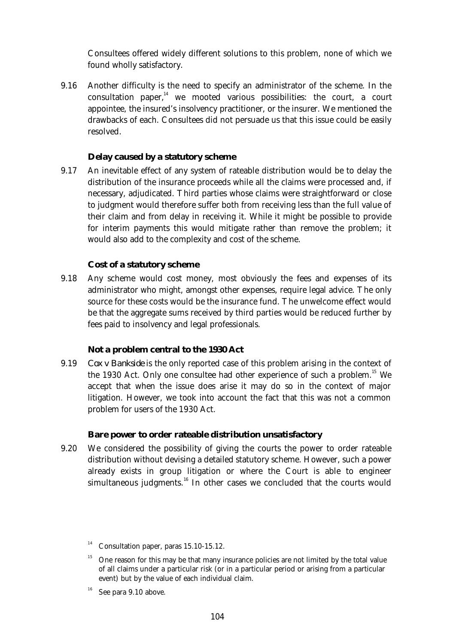Consultees offered widely different solutions to this problem, none of which we found wholly satisfactory.

 9.16 Another difficulty is the need to specify an administrator of the scheme. In the consultation paper, $^{14}$  we mooted various possibilities: the court, a court appointee, the insured's insolvency practitioner, or the insurer. We mentioned the drawbacks of each. Consultees did not persuade us that this issue could be easily resolved.

#### **Delay caused by a statutory scheme**

 9.17 An inevitable effect of any system of rateable distribution would be to delay the distribution of the insurance proceeds while all the claims were processed and, if necessary, adjudicated. Third parties whose claims were straightforward or close to judgment would therefore suffer both from receiving less than the full value of their claim and from delay in receiving it. While it might be possible to provide for interim payments this would mitigate rather than remove the problem; it would also add to the complexity and cost of the scheme.

#### **Cost of a statutory scheme**

 9.18 Any scheme would cost money, most obviously the fees and expenses of its administrator who might, amongst other expenses, require legal advice. The only source for these costs would be the insurance fund. The unwelcome effect would be that the aggregate sums received by third parties would be reduced further by fees paid to insolvency and legal professionals.

#### **Not a problem central to the 1930 Act**

 9.19 *Cox v Bankside* is the only reported case of this problem arising in the context of the 1930 Act. Only one consultee had other experience of such a problem.<sup>15</sup> We accept that when the issue does arise it may do so in the context of major litigation. However, we took into account the fact that this was not a common problem for users of the 1930 Act.

#### **Bare power to order rateable distribution unsatisfactory**

 9.20 We considered the possibility of giving the courts the power to order rateable distribution without devising a detailed statutory scheme. However, such a power already exists in group litigation or where the Court is able to engineer simultaneous judgments. $16$  In other cases we concluded that the courts would

 $14$  Consultation paper, paras 15.10-15.12.

<sup>&</sup>lt;sup>15</sup> One reason for this may be that many insurance policies are not limited by the total value of all claims under a particular risk (or in a particular period or arising from a particular event) but by the value of each individual claim.

 $16$  See para 9.10 above.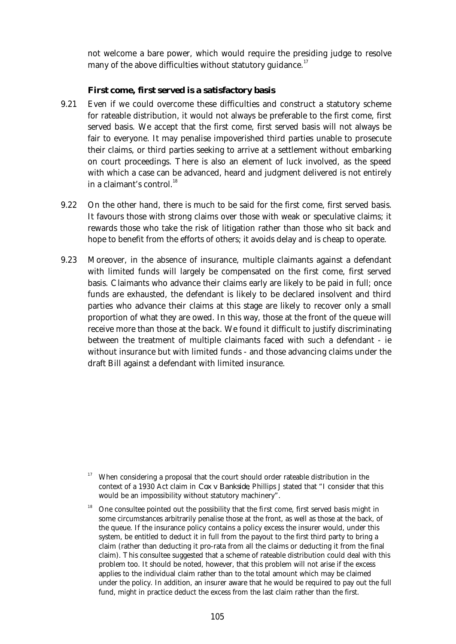not welcome a bare power, which would require the presiding judge to resolve many of the above difficulties without statutory guidance.<sup>17</sup>

#### **First come, first served is a satisfactory basis**

- 9.21 Even if we could overcome these difficulties and construct a statutory scheme for rateable distribution, it would not always be preferable to the first come, first served basis. We accept that the first come, first served basis will not always be fair to everyone. It may penalise impoverished third parties unable to prosecute their claims, or third parties seeking to arrive at a settlement without embarking on court proceedings. There is also an element of luck involved, as the speed with which a case can be advanced, heard and judgment delivered is not entirely in a claimant's control. $^{18}$
- 9.22 On the other hand, there is much to be said for the first come, first served basis. It favours those with strong claims over those with weak or speculative claims; it rewards those who take the risk of litigation rather than those who sit back and hope to benefit from the efforts of others; it avoids delay and is cheap to operate.
- 9.23 Moreover, in the absence of insurance, multiple claimants against a defendant with limited funds will largely be compensated on the first come, first served basis. Claimants who advance their claims early are likely to be paid in full; once funds are exhausted, the defendant is likely to be declared insolvent and third parties who advance their claims at this stage are likely to recover only a small proportion of what they are owed. In this way, those at the front of the queue will receive more than those at the back. We found it difficult to justify discriminating between the treatment of multiple claimants faced with such a defendant - ie without insurance but with limited funds - and those advancing claims under the draft Bill against a defendant with limited insurance.

<sup>&</sup>lt;sup>17</sup> When considering a proposal that the court should order rateable distribution in the context of a 1930 Act claim in *Cox v Bankside*, Phillips J stated that "I consider that this would be an impossibility without statutory machinery".

<sup>18</sup> One consultee pointed out the possibility that the first come, first served basis might in some circumstances arbitrarily penalise those at the front, as well as those at the back, of the queue. If the insurance policy contains a policy excess the insurer would, under this system, be entitled to deduct it in full from the payout to the first third party to bring a claim (rather than deducting it pro-rata from all the claims or deducting it from the final claim). This consultee suggested that a scheme of rateable distribution could deal with this problem too. It should be noted, however, that this problem will not arise if the excess applies to the individual claim rather than to the total amount which may be claimed under the policy. In addition, an insurer aware that he would be required to pay out the full fund, might in practice deduct the excess from the last claim rather than the first.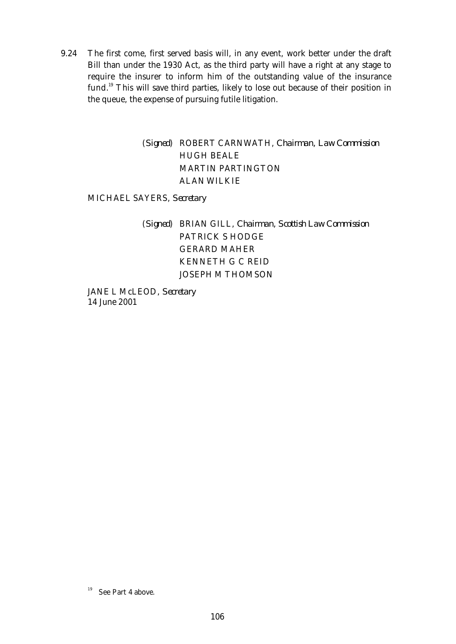9.24 The first come, first served basis will, in any event, work better under the draft Bill than under the 1930 Act, as the third party will have a right at any stage to require the insurer to inform him of the outstanding value of the insurance fund.<sup>19</sup> This will save third parties, likely to lose out because of their position in the queue, the expense of pursuing futile litigation.

#### (*Signed*) ROBERT CARNWATH, *Chairman, Law Commission* HUGH BEALE MARTIN PARTINGTON ALAN WILKIE

MICHAEL SAYERS, *Secretary*

#### (*Signed*) BRIAN GILL, *Chairman, Scottish Law Commission* PATRICK S HODGE GERARD MAHER KENNETH G C REID JOSEPH M THOMSON

JANE L McLEOD, *Secretary* 14 June 2001

<sup>&</sup>lt;sup>19</sup> See Part 4 above.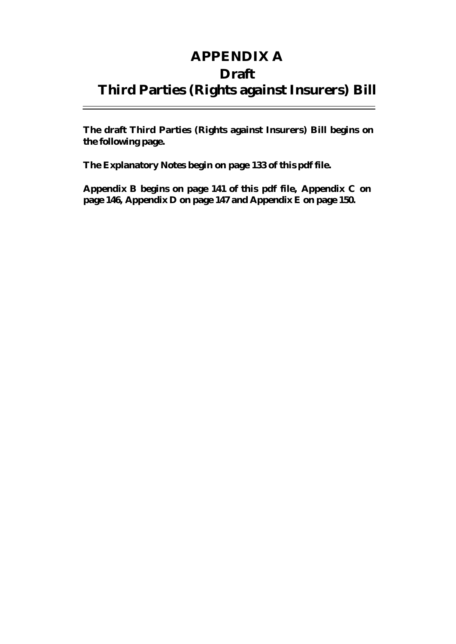### **APPENDIX A Draft Third Parties (Rights against Insurers) Bill**

**The draft Third Parties (Rights against Insurers) Bill begins on the following page.**

**The Explanatory Notes begin on page 133 of this pdf file.**

**Appendix B begins on page 141 of this pdf file, Appendix C on page 146, Appendix D on page 147 and Appendix E on page 150.**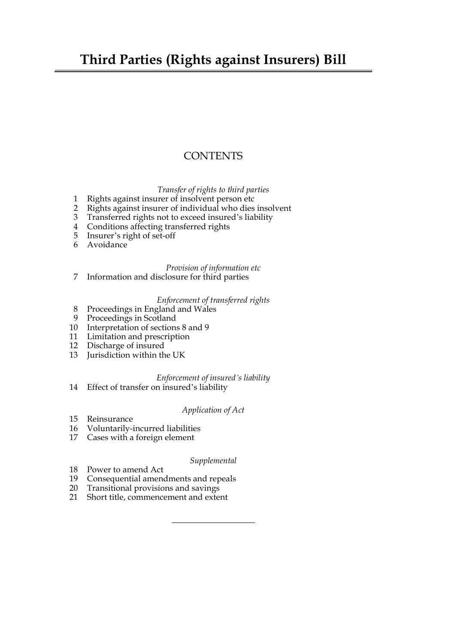### **Third Parties (Rights against Insurers) Bill**

#### **CONTENTS**

*Transfer of rights to third parties*

- [1 Rights against insurer of insolvent person etc](#page-141-0)
- [2 Rights against insurer of individual who dies insolvent](#page-141-0)<br>3 Transferred rights not to exceed insured's liability
- Transferred rights not to exceed insured's liability
- [4 Conditions affecting transferred rights](#page-141-0)
- [5 Insurer's right of set-off](#page-141-0)
- [6 Avoidance](#page-141-0)

#### *Provision of information etc*

[7 Information and disclosure for third parties](#page-141-0)

#### *Enforcement of transferred rights*

- [8 Proceedings in England and Wales](#page-141-0)
- [9 Proceedings in Scotland](#page-141-0)
- [10 Interpretation of sections](#page-141-0) [8 and 9](#page-122-0)
- [11 Limitation and prescription](#page-141-0)
- [12 Discharge of insured](#page-141-0)
- [13 Jurisdiction within the UK](#page-141-0)

#### *Enforcement of insured's liability*

[14 Effect of transfer on insured's liability](#page-141-0)

#### *Application of Act*

- [15 Reinsurance](#page-141-0)
- [16 Voluntarily-incurred liabilities](#page-141-0)
- [17 Cases with a foreign element](#page-141-0)

#### *Supplemental*

- [18 Power to amend Act](#page-141-0)
- [19 Consequential amendments and repeals](#page-141-0)
- [20 Transitional provisions and savings](#page-141-0)
- [21 Short title, commencement and extent](#page-141-0)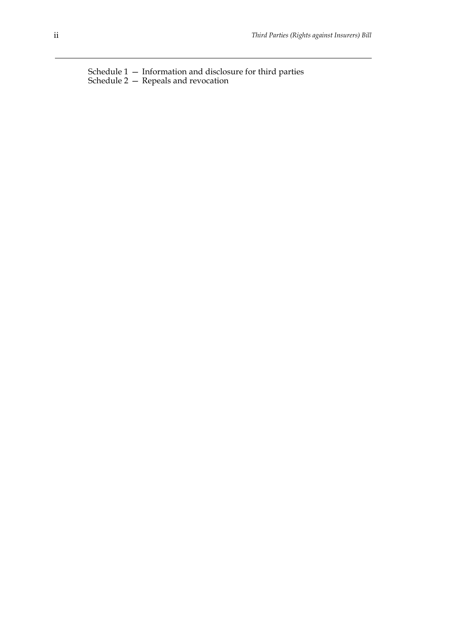[Schedule 1 — Information and disclosure for third parties](#page-141-0) [Schedule 2 — Repeals and revocation](#page-141-0)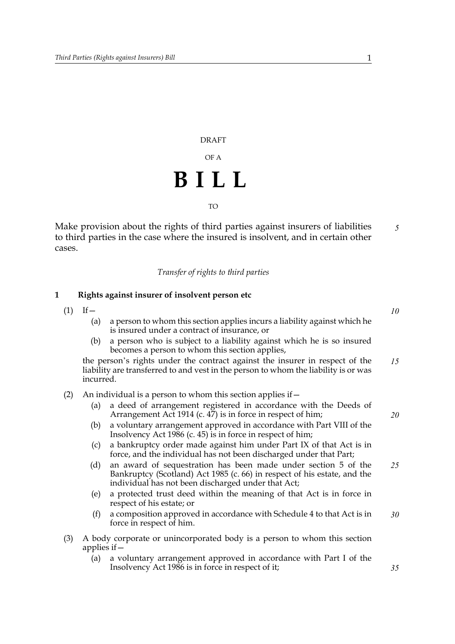## DRAFT OF A **BILL** TO

Make provision about the rights of third parties against insurers of liabilities to third parties in the case where the insured is insolvent, and in certain other cases. *5*

*Transfer of rights to third parties*

#### **1 Rights against insurer of insolvent person etc**

- $(1)$  If
	- (a) a person to whom this section applies incurs a liability against which he is insured under a contract of insurance, or
	- (b) a person who is subject to a liability against which he is so insured becomes a person to whom this section applies,

the person's rights under the contract against the insurer in respect of the liability are transferred to and vest in the person to whom the liability is or was incurred. *15*

- (2) An individual is a person to whom this section applies if  $-$ 
	- (a) a deed of arrangement registered in accordance with the Deeds of Arrangement Act 1914 (c.  $4\overline{7}$ ) is in force in respect of him;
	- (b) a voluntary arrangement approved in accordance with Part VIII of the Insolvency Act 1986 (c. 45) is in force in respect of him;
	- (c) a bankruptcy order made against him under Part IX of that Act is in force, and the individual has not been discharged under that Part;
	- (d) an award of sequestration has been made under section 5 of the Bankruptcy (Scotland) Act 1985 (c. 66) in respect of his estate, and the individual has not been discharged under that Act; *25*
	- (e) a protected trust deed within the meaning of that Act is in force in respect of his estate; or
	- (f) a composition approved in accordance with Schedule 4 to that Act is in force in respect of him. *30*
- (3) A body corporate or unincorporated body is a person to whom this section applies if—
	- (a) a voluntary arrangement approved in accordance with Part I of the Insolvency Act 1986 is in force in respect of it;

*10*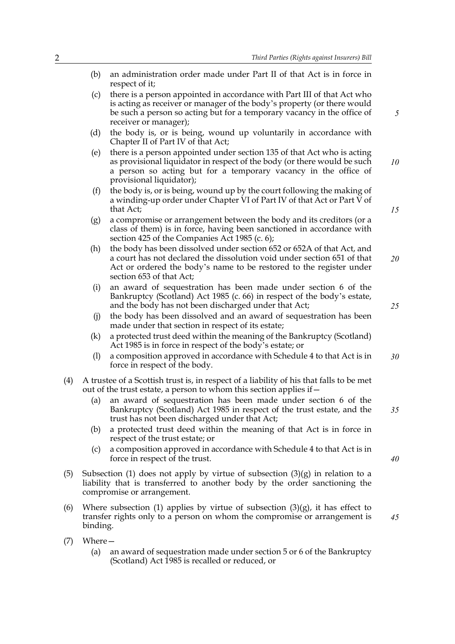- (b) an administration order made under Part II of that Act is in force in respect of it;
- (c) there is a person appointed in accordance with Part III of that Act who is acting as receiver or manager of the body's property (or there would be such a person so acting but for a temporary vacancy in the office of receiver or manager);
- (d) the body is, or is being, wound up voluntarily in accordance with Chapter II of Part IV of that Act;
- (e) there is a person appointed under section 135 of that Act who is acting as provisional liquidator in respect of the body (or there would be such a person so acting but for a temporary vacancy in the office of provisional liquidator); *10*
- (f) the body is, or is being, wound up by the court following the making of a winding-up order under Chapter VI of Part IV of that Act or Part V of that Act;
- (g) a compromise or arrangement between the body and its creditors (or a class of them) is in force, having been sanctioned in accordance with section 425 of the Companies Act 1985 (c. 6);
- (h) the body has been dissolved under section 652 or 652A of that Act, and a court has not declared the dissolution void under section 651 of that Act or ordered the body's name to be restored to the register under section 653 of that Act; *20*
- (i) an award of sequestration has been made under section 6 of the Bankruptcy (Scotland) Act 1985 (c. 66) in respect of the body's estate, and the body has not been discharged under that Act;
- (j) the body has been dissolved and an award of sequestration has been made under that section in respect of its estate;
- (k) a protected trust deed within the meaning of the Bankruptcy (Scotland) Act 1985 is in force in respect of the body's estate; or
- (l) a composition approved in accordance with Schedule 4 to that Act is in force in respect of the body. *30*
- (4) A trustee of a Scottish trust is, in respect of a liability of his that falls to be met out of the trust estate, a person to whom this section applies if—
	- (a) an award of sequestration has been made under section 6 of the Bankruptcy (Scotland) Act 1985 in respect of the trust estate, and the trust has not been discharged under that Act; *35*
	- (b) a protected trust deed within the meaning of that Act is in force in respect of the trust estate; or
	- (c) a composition approved in accordance with Schedule 4 to that Act is in force in respect of the trust.
- (5) Subsection (1) does not apply by virtue of subsection  $(3)(g)$  in relation to a liability that is transferred to another body by the order sanctioning the compromise or arrangement.
- (6) Where subsection (1) applies by virtue of subsection  $(3)(g)$ , it has effect to transfer rights only to a person on whom the compromise or arrangement is binding.
- (7) Where—
	- (a) an award of sequestration made under section 5 or 6 of the Bankruptcy (Scotland) Act 1985 is recalled or reduced, or

*15*

*25*

*40*

*45*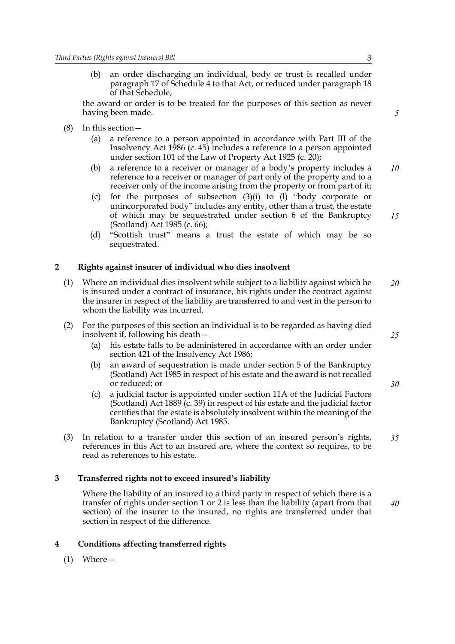(b) an order discharging an individual, body or trust is recalled under paragraph 17 of Schedule 4 to that Act, or reduced under paragraph 18 of that Schedule,

the award or order is to be treated for the purposes of this section as never having been made.

- (8) In this section—
	- (a) a reference to a person appointed in accordance with Part III of the Insolvency Act 1986 (c. 45) includes a reference to a person appointed under section 101 of the Law of Property Act 1925 (c. 20);
	- (b) a reference to a receiver or manager of a body's property includes a reference to a receiver or manager of part only of the property and to a receiver only of the income arising from the property or from part of it; *10*
	- (c) for the purposes of subsection (3)(i) to (l) "body corporate or unincorporated body" includes any entity, other than a trust, the estate of which may be sequestrated under section 6 of the Bankruptcy (Scotland) Act 1985 (c. 66);
	- (d) "Scottish trust" means a trust the estate of which may be so sequestrated.

#### <span id="page-120-1"></span><span id="page-120-0"></span>**2 Rights against insurer of individual who dies insolvent**

- (1) Where an individual dies insolvent while subject to a liability against which he is insured under a contract of insurance, his rights under the contract against the insurer in respect of the liability are transferred to and vest in the person to whom the liability was incurred. *20*
- (2) For the purposes of this section an individual is to be regarded as having died insolvent if, following his death—
	- (a) his estate falls to be administered in accordance with an order under section 421 of the Insolvency Act 1986;
	- (b) an award of sequestration is made under section 5 of the Bankruptcy (Scotland) Act 1985 in respect of his estate and the award is not recalled or reduced; or
	- (c) a judicial factor is appointed under section 11A of the Judicial Factors (Scotland) Act 1889 ( $\bar{c}$ . 39) in respect of his estate and the judicial factor certifies that the estate is absolutely insolvent within the meaning of the Bankruptcy (Scotland) Act 1985.
- (3) In relation to a transfer under this section of an insured person's rights, references in this Act to an insured are, where the context so requires, to be read as references to his estate. *35*

#### **3 Transferred rights not to exceed insured's liability**

Where the liability of an insured to a third party in respect of which there is a transfer of rights under section 1 or [2](#page-120-0) is less than the liability (apart from that section) of the insurer to the insured, no rights are transferred under that section in respect of the difference.

#### **4 Conditions affecting transferred rights**

(1) Where—

*25*

*5*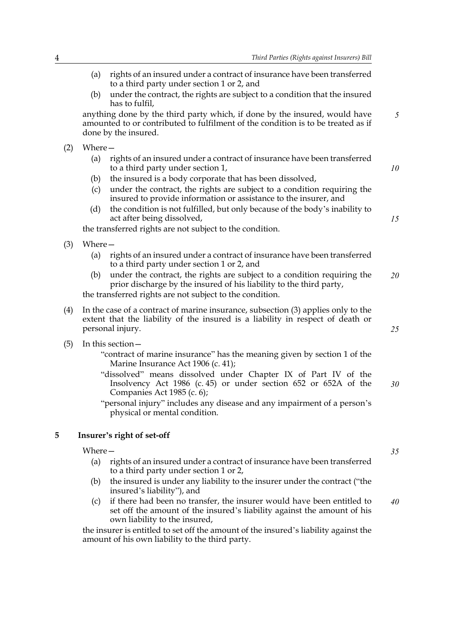(a) rights of an insured under a contract of insurance have been transferred to a third party under section 1 or [2,](#page-120-0) and (b) under the contract, the rights are subject to a condition that the insured has to fulfil, anything done by the third party which, if done by the insured, would have amounted to or contributed to fulfilment of the condition is to be treated as if done by the insured. (2) Where— (a) rights of an insured under a contract of insurance have been transferred to a third party under section 1, (b) the insured is a body corporate that has been dissolved, (c) under the contract, the rights are subject to a condition requiring the insured to provide information or assistance to the insurer, and (d) the condition is not fulfilled, but only because of the body's inability to act after being dissolved, the transferred rights are not subject to the condition. (3) Where— (a) rights of an insured under a contract of insurance have been transferred to a third party under section 1 or [2,](#page-120-0) and (b) under the contract, the rights are subject to a condition requiring the prior discharge by the insured of his liability to the third party, the transferred rights are not subject to the condition. (4) In the case of a contract of marine insurance, subsection (3) applies only to the extent that the liability of the insured is a liability in respect of death or personal injury. (5) In this section— "contract of marine insurance" has the meaning given by section 1 of the Marine Insurance Act 1906 (c. 41); "dissolved" means dissolved under Chapter IX of Part IV of the Insolvency Act 1986 (c. 45) or under section 652 or 652A of the Companies Act 1985 (c. 6); "personal injury" includes any disease and any impairment of a person's physical or mental condition. **5 Insurer's right of set-off** *5 10 15 20 25 30*

#### Where—

- (a) rights of an insured under a contract of insurance have been transferred to a third party under section 1 or [2,](#page-120-0)
- (b) the insured is under any liability to the insurer under the contract ("the insured's liability"), and
- (c) if there had been no transfer, the insurer would have been entitled to set off the amount of the insured's liability against the amount of his own liability to the insured, *40*

the insurer is entitled to set off the amount of the insured's liability against the amount of his own liability to the third party.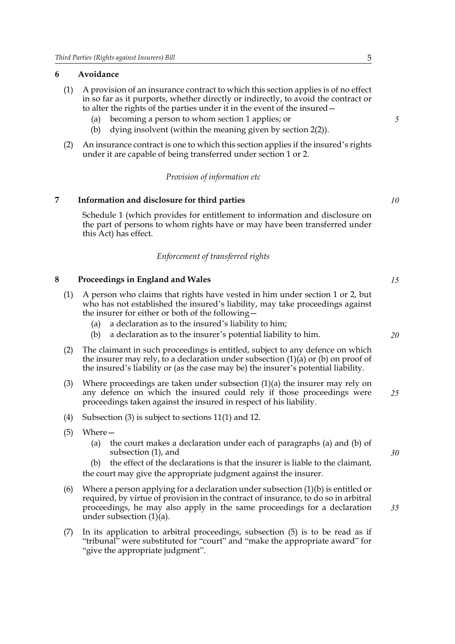#### **6 Avoidance**

- (1) A provision of an insurance contract to which this section applies is of no effect in so far as it purports, whether directly or indirectly, to avoid the contract or to alter the rights of the parties under it in the event of the insured—
	- (a) becoming a person to whom section 1 applies; or
	- (b) dying insolvent (within the meaning given by section [2](#page-120-0)(2)).
- (2) An insurance contract is one to which this section applies if the insured's rights under it are capable of being transferred under section 1 or [2.](#page-120-0)

#### *Provision of information etc*

#### **7 Information and disclosure for third parties**

<span id="page-122-2"></span>Schedule 1 (which provides for entitlement to information and disclosure on the part of persons to whom rights have or may have been transferred under this Act) has effect.

#### *Enforcement of transferred rights*

#### <span id="page-122-1"></span><span id="page-122-0"></span>**8 Proceedings in England and Wales**

- (1) A person who claims that rights have vested in him under section 1 or [2,](#page-120-0) but who has not established the insured's liability, may take proceedings against the insurer for either or both of the following—
	- (a) a declaration as to the insured's liability to him;
	- (b) a declaration as to the insurer's potential liability to him.
- (2) The claimant in such proceedings is entitled, subject to any defence on which the insurer may rely, to a declaration under subsection  $(1)(a)$  or  $(b)$  on proof of the insured's liability or (as the case may be) the insurer's potential liability.
- (3) Where proceedings are taken under subsection  $(1)(a)$  the insurer may rely on any defence on which the insured could rely if those proceedings were proceedings taken against the insured in respect of his liability. *25*
- (4) Subsection (3) is subject to sections [11](#page-123-0)(1) and [12](#page-124-0).
- (5) Where—
	- (a) the court makes a declaration under each of paragraphs (a) and (b) of subsection (1), and
	- (b) the effect of the declarations is that the insurer is liable to the claimant, the court may give the appropriate judgment against the insurer.
- (6) Where a person applying for a declaration under subsection  $(1)(b)$  is entitled or required, by virtue of provision in the contract of insurance, to do so in arbitral proceedings, he may also apply in the same proceedings for a declaration under subsection (1)(a).
- (7) In its application to arbitral proceedings, subsection (5) is to be read as if "tribunal" were substituted for "court" and "make the appropriate award" for "give the appropriate judgment".

*5*

*10*

*15*

*20*

*30*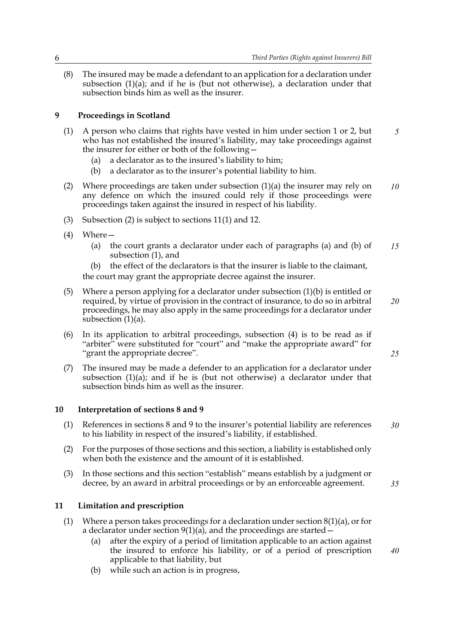(8) The insured may be made a defendant to an application for a declaration under subsection  $(1)(a)$ ; and if he is (but not otherwise), a declaration under that subsection binds him as well as the insurer.

#### **9 Proceedings in Scotland**

- (1) A person who claims that rights have vested in him under section 1 or [2,](#page-120-0) but who has not established the insured's liability, may take proceedings against the insurer for either or both of the following— *5*
	- (a) a declarator as to the insured's liability to him;
	- (b) a declarator as to the insurer's potential liability to him.
- (2) Where proceedings are taken under subsection  $(1)(a)$  the insurer may rely on any defence on which the insured could rely if those proceedings were proceedings taken against the insured in respect of his liability. *10*
- (3) Subsection (2) is subject to sections [11](#page-123-0)(1) and [12](#page-124-0).
- (4) Where—
	- (a) the court grants a declarator under each of paragraphs (a) and (b) of subsection (1), and *15*
	- (b) the effect of the declarators is that the insurer is liable to the claimant, the court may grant the appropriate decree against the insurer.
- (5) Where a person applying for a declarator under subsection (1)(b) is entitled or required, by virtue of provision in the contract of insurance, to do so in arbitral proceedings, he may also apply in the same proceedings for a declarator under subsection (1)(a). *20*
- (6) In its application to arbitral proceedings, subsection (4) is to be read as if "arbiter" were substituted for "court" and "make the appropriate award" for "grant the appropriate decree".
- (7) The insured may be made a defender to an application for a declarator under subsection  $(1)(a)$ ; and if he is (but not otherwise) a declarator under that subsection binds him as well as the insurer.

#### <span id="page-123-1"></span>**10 Interpretation of sections [8](#page-122-1) and 9**

- (1) References in sections [8](#page-122-1) and 9 to the insurer's potential liability are references to his liability in respect of the insured's liability, if established. *30*
- (2) For the purposes of those sections and this section, a liability is established only when both the existence and the amount of it is established.
- (3) In those sections and this section "establish" means establish by a judgment or decree, by an award in arbitral proceedings or by an enforceable agreement.

#### <span id="page-123-0"></span>**11 Limitation and prescription**

- (1) Where a person takes proceedings for a declaration under section  $8(1)(a)$ , or for a declarator under section  $9(1)(a)$ , and the proceedings are started -
	- (a) after the expiry of a period of limitation applicable to an action against the insured to enforce his liability, or of a period of prescription applicable to that liability, but
	- (b) while such an action is in progress,

*25*

*35*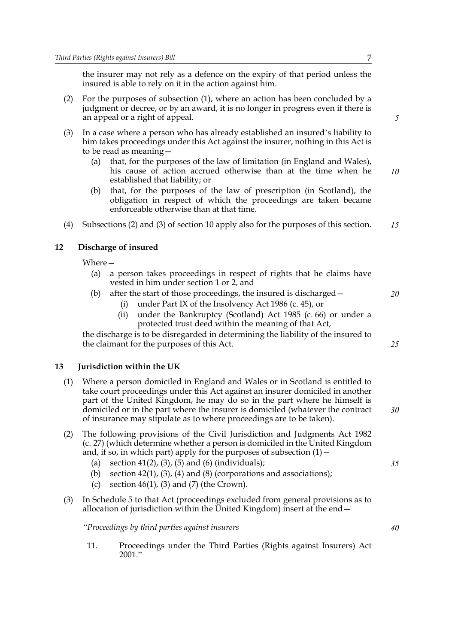the insurer may not rely as a defence on the expiry of that period unless the insured is able to rely on it in the action against him.

- (2) For the purposes of subsection (1), where an action has been concluded by a judgment or decree, or by an award, it is no longer in progress even if there is an appeal or a right of appeal.
- (3) In a case where a person who has already established an insured's liability to him takes proceedings under this Act against the insurer, nothing in this Act is to be read as meaning—
	- (a) that, for the purposes of the law of limitation (in England and Wales), his cause of action accrued otherwise than at the time when he established that liability; or *10*
	- (b) that, for the purposes of the law of prescription (in Scotland), the obligation in respect of which the proceedings are taken became enforceable otherwise than at that time.
- (4) Subsections (2) and (3) of section [10](#page-123-1) apply also for the purposes of this section. *15*

#### <span id="page-124-0"></span>**12 Discharge of insured**

Where—

- (a) a person takes proceedings in respect of rights that he claims have vested in him under section 1 or [2](#page-120-0), and
- (b) after the start of those proceedings, the insured is discharged—
	- (i) under Part IX of the Insolvency Act 1986 (c. 45), or
	- (ii) under the Bankruptcy (Scotland) Act 1985 (c. 66) or under a protected trust deed within the meaning of that Act,

the discharge is to be disregarded in determining the liability of the insured to the claimant for the purposes of this Act.

#### <span id="page-124-1"></span>**13 Jurisdiction within the UK**

- (1) Where a person domiciled in England and Wales or in Scotland is entitled to take court proceedings under this Act against an insurer domiciled in another part of the United Kingdom, he may do so in the part where he himself is domiciled or in the part where the insurer is domiciled (whatever the contract of insurance may stipulate as to where proceedings are to be taken).
- (2) The following provisions of the Civil Jurisdiction and Judgments Act 1982 (c. 27) (which determine whether a person is domiciled in the United Kingdom and, if so, in which part) apply for the purposes of subsection  $(1)$  –
	- (a) section  $41(2)$ ,  $(3)$ ,  $(5)$  and  $(6)$  (individuals);
	- (b) section  $42(1)$ ,  $(3)$ ,  $(4)$  and  $(8)$  (corporations and associations);
	- (c) section  $46(1)$ , (3) and (7) (the Crown).
- (3) In Schedule 5 to that Act (proceedings excluded from general provisions as to allocation of jurisdiction within the United Kingdom) insert at the end—

*"Proceedings by third parties against insurers*

11. Proceedings under the Third Parties (Rights against Insurers) Act 2001."

### *25*

*20*

*40*

*30*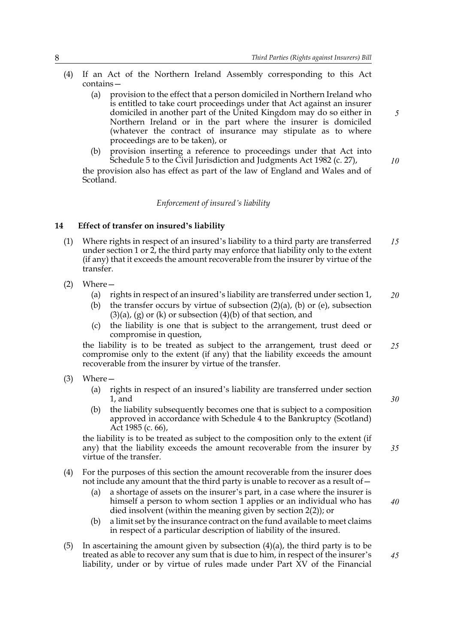- (4) If an Act of the Northern Ireland Assembly corresponding to this Act contains—
	- (a) provision to the effect that a person domiciled in Northern Ireland who is entitled to take court proceedings under that Act against an insurer domiciled in another part of the United Kingdom may do so either in Northern Ireland or in the part where the insurer is domiciled (whatever the contract of insurance may stipulate as to where proceedings are to be taken), or
	- (b) provision inserting a reference to proceedings under that Act into Schedule 5 to the Civil Jurisdiction and Judgments Act 1982 (c. 27),

the provision also has effect as part of the law of England and Wales and of Scotland.

#### *Enforcement of insured's liability*

#### **14 Effect of transfer on insured's liability**

- (1) Where rights in respect of an insured's liability to a third party are transferred under section 1 or  $2$ , the third party may enforce that liability only to the extent (if any) that it exceeds the amount recoverable from the insurer by virtue of the transfer. *15*
- (2) Where—
	- (a) rights in respect of an insured's liability are transferred under section 1, *20*
	- (b) the transfer occurs by virtue of subsection  $(2)(a)$ , (b) or (e), subsection  $(3)(a)$ ,  $(g)$  or  $(k)$  or subsection  $(4)(b)$  of that section, and
	- (c) the liability is one that is subject to the arrangement, trust deed or compromise in question,

the liability is to be treated as subject to the arrangement, trust deed or compromise only to the extent (if any) that the liability exceeds the amount recoverable from the insurer by virtue of the transfer. *25*

- (3) Where—
	- (a) rights in respect of an insured's liability are transferred under section 1, and
	- (b) the liability subsequently becomes one that is subject to a composition approved in accordance with Schedule 4 to the Bankruptcy (Scotland) Act 1985 (c. 66),

the liability is to be treated as subject to the composition only to the extent (if any) that the liability exceeds the amount recoverable from the insurer by virtue of the transfer.

- (4) For the purposes of this section the amount recoverable from the insurer does not include any amount that the third party is unable to recover as a result of—
	- (a) a shortage of assets on the insurer's part, in a case where the insurer is himself a person to whom section 1 applies or an individual who has died insolvent (within the meaning given by section [2\(](#page-120-0)2)); or
	- (b) a limit set by the insurance contract on the fund available to meet claims in respect of a particular description of liability of the insured.
- (5) In ascertaining the amount given by subsection  $(4)(a)$ , the third party is to be treated as able to recover any sum that is due to him, in respect of the insurer's liability, under or by virtue of rules made under Part XV of the Financial

*5*

*10*

*30*

*35*

*40*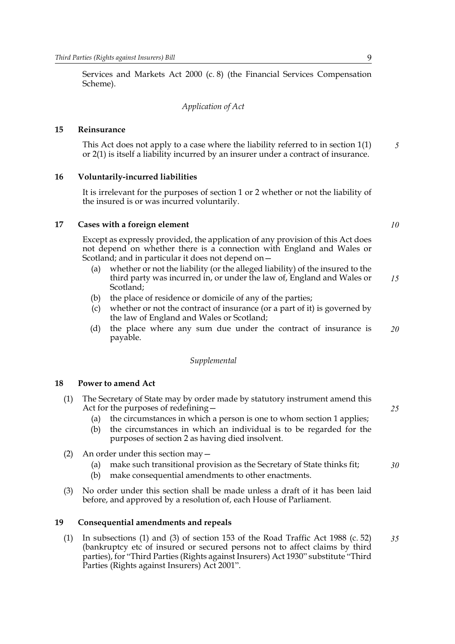Services and Markets Act 2000 (c. 8) (the Financial Services Compensation Scheme).

*Application of Act*

#### **15 Reinsurance**

This Act does not apply to a case where the liability referred to in section 1(1) or [2](#page-120-0)(1) is itself a liability incurred by an insurer under a contract of insurance.

#### **16 Voluntarily-incurred liabilities**

It is irrelevant for the purposes of section 1 or [2](#page-120-0) whether or not the liability of the insured is or was incurred voluntarily.

#### **17 Cases with a foreign element**

*10*

*25*

*30*

*5*

Except as expressly provided, the application of any provision of this Act does not depend on whether there is a connection with England and Wales or Scotland; and in particular it does not depend on—

- (a) whether or not the liability (or the alleged liability) of the insured to the third party was incurred in, or under the law of, England and Wales or Scotland; *15*
- (b) the place of residence or domicile of any of the parties;
- (c) whether or not the contract of insurance (or a part of it) is governed by the law of England and Wales or Scotland;
- (d) the place where any sum due under the contract of insurance is payable. *20*

#### *Supplemental*

#### **18 Power to amend Act**

- (1) The Secretary of State may by order made by statutory instrument amend this Act for the purposes of redefining—
	- (a) the circumstances in which a person is one to whom section 1 applies;
	- (b) the circumstances in which an individual is to be regarded for the purposes of section [2](#page-120-0) as having died insolvent.
- (2) An order under this section may—
	- (a) make such transitional provision as the Secretary of State thinks fit;
	- (b) make consequential amendments to other enactments.
- (3) No order under this section shall be made unless a draft of it has been laid before, and approved by a resolution of, each House of Parliament.

#### <span id="page-126-0"></span>**19 Consequential amendments and repeals**

(1) In subsections (1) and (3) of section 153 of the Road Traffic Act 1988 (c. 52) (bankruptcy etc of insured or secured persons not to affect claims by third parties), for "Third Parties (Rights against Insurers) Act 1930" substitute "Third Parties (Rights against Insurers) Act 2001". *35*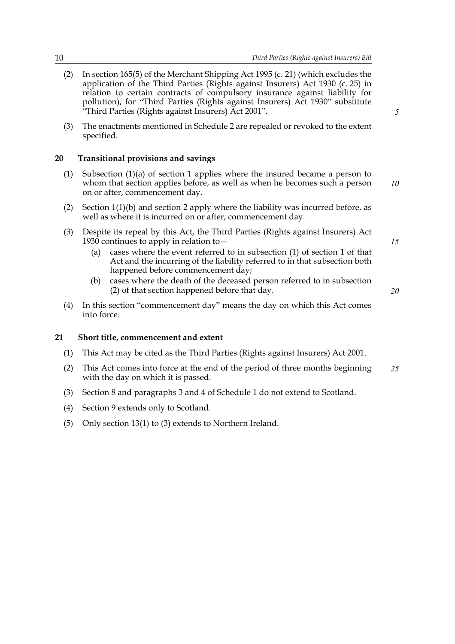- (2) In section 165(5) of the Merchant Shipping Act 1995 (c. 21) (which excludes the application of the Third Parties (Rights against Insurers) Act 1930 (c. 25) in relation to certain contracts of compulsory insurance against liability for pollution), for "Third Parties (Rights against Insurers) Act 1930" substitute "Third Parties (Rights against Insurers) Act 2001".
- (3) The enactments mentioned in Schedule [2](#page-131-0) are repealed or revoked to the extent specified.

#### **20 Transitional provisions and savings**

- (1) Subsection (1)(a) of section 1 applies where the insured became a person to whom that section applies before, as well as when he becomes such a person on or after, commencement day. *10*
- ([2](#page-120-0)) Section  $1(1)(b)$  and section 2 apply where the liability was incurred before, as well as where it is incurred on or after, commencement day.
- (3) Despite its repeal by this Act, the Third Parties (Rights against Insurers) Act 1930 continues to apply in relation to  $-$ 
	- (a) cases where the event referred to in subsection (1) of section 1 of that Act and the incurring of the liability referred to in that subsection both happened before commencement day;
	- (b) cases where the death of the deceased person referred to in subsection (2) of that section happened before that day.
- (4) In this section "commencement day" means the day on which this Act comes into force.

#### **21 Short title, commencement and extent**

- (1) This Act may be cited as the Third Parties (Rights against Insurers) Act 2001.
- (2) This Act comes into force at the end of the period of three months beginning with the day on which it is passed. *25*
- (3) Section [8](#page-122-1) and paragraphs 3 and 4 of Schedule 1 do not extend to Scotland.
- (4) Section 9 extends only to Scotland.
- (5) Only section [13\(](#page-124-1)1) to (3) extends to Northern Ireland.

*5*

*15*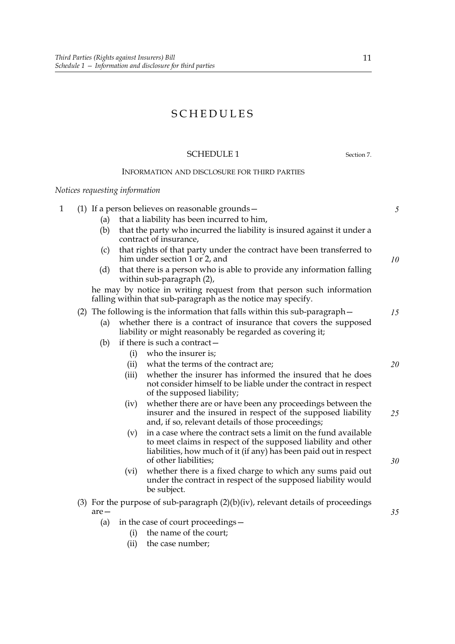### SCHEDULES

#### SCHEDULE 1 Section [7.](#page-122-2)

#### INFORMATION AND DISCLOSURE FOR THIRD PARTIES

#### *Notices requesting information*

| 1 | (1) If a person believes on reasonable grounds $-$                                                            |                                                                                                    |                                                                                                                                                                                                                                | 5  |  |  |
|---|---------------------------------------------------------------------------------------------------------------|----------------------------------------------------------------------------------------------------|--------------------------------------------------------------------------------------------------------------------------------------------------------------------------------------------------------------------------------|----|--|--|
|   | (a)                                                                                                           |                                                                                                    | that a liability has been incurred to him,                                                                                                                                                                                     |    |  |  |
|   | (b)                                                                                                           |                                                                                                    | that the party who incurred the liability is insured against it under a<br>contract of insurance,                                                                                                                              |    |  |  |
|   | that rights of that party under the contract have been transferred to<br>(c)<br>him under section 1 or 2, and |                                                                                                    |                                                                                                                                                                                                                                |    |  |  |
|   | (d)                                                                                                           | that there is a person who is able to provide any information falling<br>within sub-paragraph (2), |                                                                                                                                                                                                                                |    |  |  |
|   |                                                                                                               |                                                                                                    | he may by notice in writing request from that person such information<br>falling within that sub-paragraph as the notice may specify.                                                                                          |    |  |  |
|   |                                                                                                               |                                                                                                    | (2) The following is the information that falls within this sub-paragraph –                                                                                                                                                    | 15 |  |  |
|   | (a)                                                                                                           |                                                                                                    | whether there is a contract of insurance that covers the supposed<br>liability or might reasonably be regarded as covering it;                                                                                                 |    |  |  |
|   | (b)                                                                                                           |                                                                                                    | if there is such a contract -                                                                                                                                                                                                  |    |  |  |
|   |                                                                                                               | (i)                                                                                                | who the insurer is;                                                                                                                                                                                                            |    |  |  |
|   |                                                                                                               | (ii)                                                                                               | what the terms of the contract are;                                                                                                                                                                                            | 20 |  |  |
|   |                                                                                                               | (iii)                                                                                              | whether the insurer has informed the insured that he does<br>not consider himself to be liable under the contract in respect<br>of the supposed liability;                                                                     |    |  |  |
|   |                                                                                                               | (iv)                                                                                               | whether there are or have been any proceedings between the<br>insurer and the insured in respect of the supposed liability<br>and, if so, relevant details of those proceedings;                                               | 25 |  |  |
|   |                                                                                                               | (v)                                                                                                | in a case where the contract sets a limit on the fund available<br>to meet claims in respect of the supposed liability and other<br>liabilities, how much of it (if any) has been paid out in respect<br>of other liabilities; | 30 |  |  |
|   |                                                                                                               | (vi)                                                                                               | whether there is a fixed charge to which any sums paid out<br>under the contract in respect of the supposed liability would<br>be subject.                                                                                     |    |  |  |
|   | $are-$                                                                                                        | (3) For the purpose of sub-paragraph $(2)(b)(iv)$ , relevant details of proceedings                |                                                                                                                                                                                                                                |    |  |  |
|   | (a)                                                                                                           |                                                                                                    | in the case of court proceedings –                                                                                                                                                                                             |    |  |  |
|   |                                                                                                               | (i)                                                                                                | the name of the court;                                                                                                                                                                                                         |    |  |  |
|   |                                                                                                               | (ii)                                                                                               | the case number;                                                                                                                                                                                                               |    |  |  |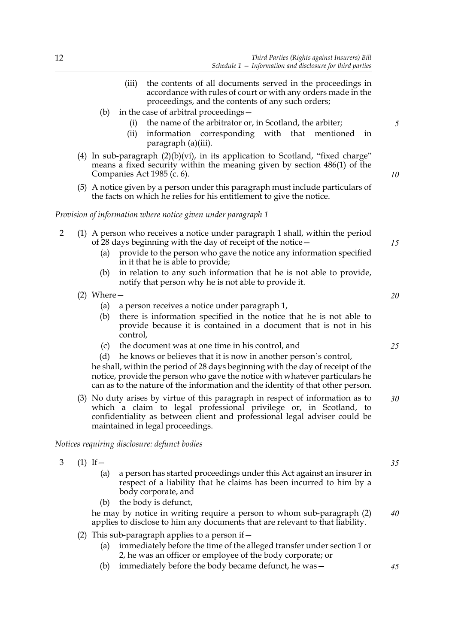- (iii) the contents of all documents served in the proceedings in accordance with rules of court or with any orders made in the proceedings, and the contents of any such orders;
- (b) in the case of arbitral proceedings—
	- (i) the name of the arbitrator or, in Scotland, the arbiter;
	- (ii) information corresponding with that mentioned in paragraph (a)(iii).
- (4) In sub-paragraph  $(2)(b)(vi)$ , in its application to Scotland, "fixed charge" means a fixed security within the meaning given by section 486(1) of the Companies Act 1985 (c. 6).
- (5) A notice given by a person under this paragraph must include particulars of the facts on which he relies for his entitlement to give the notice.

#### *Provision of information where notice given under paragraph 1*

|  | (1) A person who receives a notice under paragraph 1 shall, within the period |
|--|-------------------------------------------------------------------------------|
|  | of 28 days beginning with the day of receipt of the notice $-$                |

- (a) provide to the person who gave the notice any information specified in it that he is able to provide;
- (b) in relation to any such information that he is not able to provide, notify that person why he is not able to provide it.
- (2) Where—
	- (a) a person receives a notice under paragraph 1,
	- (b) there is information specified in the notice that he is not able to provide because it is contained in a document that is not in his control,
	- (c) the document was at one time in his control, and

(d) he knows or believes that it is now in another person's control, he shall, within the period of 28 days beginning with the day of receipt of the notice, provide the person who gave the notice with whatever particulars he can as to the nature of the information and the identity of that other person.

(3) No duty arises by virtue of this paragraph in respect of information as to which a claim to legal professional privilege or, in Scotland, to confidentiality as between client and professional legal adviser could be maintained in legal proceedings. *30*

#### *Notices requiring disclosure: defunct bodies*

- 3  $(1)$  If  $-$ 
	- (a) a person has started proceedings under this Act against an insurer in respect of a liability that he claims has been incurred to him by a body corporate, and
	- (b) the body is defunct,

he may by notice in writing require a person to whom sub-paragraph (2) applies to disclose to him any documents that are relevant to that liability. *40*

- (2) This sub-paragraph applies to a person if  $-$ 
	- (a) immediately before the time of the alleged transfer under section 1 or [2](#page-120-1), he was an officer or employee of the body corporate; or
	- (b) immediately before the body became defunct, he was—

*35*

*45*

*15*

*5*

*10*



*25*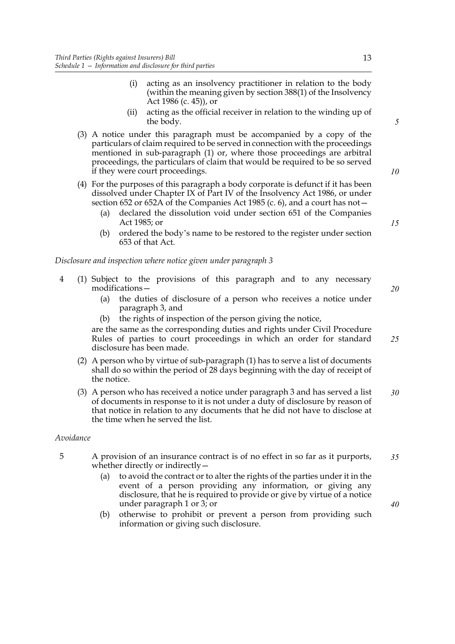- (i) acting as an insolvency practitioner in relation to the body (within the meaning given by section 388(1) of the Insolvency Act 1986 (c. 45)), or
- (ii) acting as the official receiver in relation to the winding up of the body.
- (3) A notice under this paragraph must be accompanied by a copy of the particulars of claim required to be served in connection with the proceedings mentioned in sub-paragraph (1) or, where those proceedings are arbitral proceedings, the particulars of claim that would be required to be so served if they were court proceedings.
- (4) For the purposes of this paragraph a body corporate is defunct if it has been dissolved under Chapter IX of Part IV of the Insolvency Act 1986, or under section 652 or 652A of the Companies Act 1985 (c. 6), and a court has not—
	- (a) declared the dissolution void under section 651 of the Companies Act 1985; or
	- (b) ordered the body's name to be restored to the register under section 653 of that Act.

*Disclosure and inspection where notice given under paragraph 3*

- 4 (1) Subject to the provisions of this paragraph and to any necessary modifications—
	- (a) the duties of disclosure of a person who receives a notice under paragraph 3, and
	- (b) the rights of inspection of the person giving the notice,

are the same as the corresponding duties and rights under Civil Procedure Rules of parties to court proceedings in which an order for standard disclosure has been made.

- (2) A person who by virtue of sub-paragraph (1) has to serve a list of documents shall do so within the period of 28 days beginning with the day of receipt of the notice.
- (3) A person who has received a notice under paragraph 3 and has served a list of documents in response to it is not under a duty of disclosure by reason of that notice in relation to any documents that he did not have to disclose at the time when he served the list. *30*

#### *Avoidance*

- 5 A provision of an insurance contract is of no effect in so far as it purports, whether directly or indirectly— *35*
	- (a) to avoid the contract or to alter the rights of the parties under it in the event of a person providing any information, or giving any disclosure, that he is required to provide or give by virtue of a notice under paragraph 1 or 3; or
	- (b) otherwise to prohibit or prevent a person from providing such information or giving such disclosure.

*5*

*10*

*15*

*20*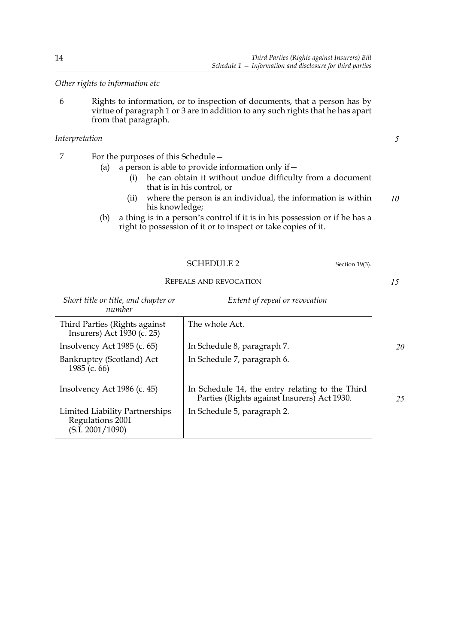*Other rights to information etc*

6 Rights to information, or to inspection of documents, that a person has by virtue of paragraph 1 or 3 are in addition to any such rights that he has apart from that paragraph.

#### *Interpretation*

- 7 For the purposes of this Schedule—
	- (a) a person is able to provide information only if  $-$ 
		- (i) he can obtain it without undue difficulty from a document that is in his control, or
		- (ii) where the person is an individual, the information is within his knowledge; *10*
	- (b) a thing is in a person's control if it is in his possession or if he has a right to possession of it or to inspect or take copies of it.

<span id="page-131-0"></span>

|                                      | SCHEDULE 2                     |  |  |
|--------------------------------------|--------------------------------|--|--|
| REPEALS AND REVOCATION               |                                |  |  |
| Short title or title, and chapter or | Extent of repeal or revocation |  |  |

| number                                                                 |                                                                                                |    |
|------------------------------------------------------------------------|------------------------------------------------------------------------------------------------|----|
| Third Parties (Rights against<br>Insurers) Act 1930 (c. 25)            | The whole Act.                                                                                 |    |
| Insolvency Act 1985 (c. 65)                                            | In Schedule 8, paragraph 7.                                                                    | 20 |
| Bankruptcy (Scotland) Act<br>1985 (c. 66)                              | In Schedule 7, paragraph 6.                                                                    |    |
| Insolvency Act 1986 (c. 45)                                            | In Schedule 14, the entry relating to the Third<br>Parties (Rights against Insurers) Act 1930. | 25 |
| Limited Liability Partnerships<br>Regulations 2001<br>(S.I. 2001/1090) | In Schedule 5, paragraph 2.                                                                    |    |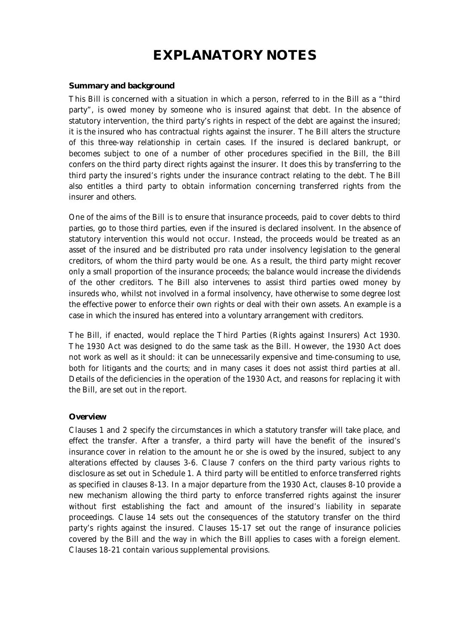### **EXPLANATORY NOTES**

#### **Summary and background**

This Bill is concerned with a situation in which a person, referred to in the Bill as a "third party", is owed money by someone who is insured against that debt. In the absence of statutory intervention, the third party's rights in respect of the debt are against the insured; it is the insured who has contractual rights against the insurer. The Bill alters the structure of this three-way relationship in certain cases. If the insured is declared bankrupt, or becomes subject to one of a number of other procedures specified in the Bill, the Bill confers on the third party direct rights against the insurer. It does this by transferring to the third party the insured's rights under the insurance contract relating to the debt. The Bill also entitles a third party to obtain information concerning transferred rights from the insurer and others.

One of the aims of the Bill is to ensure that insurance proceeds, paid to cover debts to third parties, go to those third parties, even if the insured is declared insolvent. In the absence of statutory intervention this would not occur. Instead, the proceeds would be treated as an asset of the insured and be distributed pro rata under insolvency legislation to the general creditors, of whom the third party would be one. As a result, the third party might recover only a small proportion of the insurance proceeds; the balance would increase the dividends of the other creditors. The Bill also intervenes to assist third parties owed money by insureds who, whilst not involved in a formal insolvency, have otherwise to some degree lost the effective power to enforce their own rights or deal with their own assets. An example is a case in which the insured has entered into a voluntary arrangement with creditors.

The Bill, if enacted, would replace the Third Parties (Rights against Insurers) Act 1930. The 1930 Act was designed to do the same task as the Bill. However, the 1930 Act does not work as well as it should: it can be unnecessarily expensive and time-consuming to use, both for litigants and the courts; and in many cases it does not assist third parties at all. Details of the deficiencies in the operation of the 1930 Act, and reasons for replacing it with the Bill, are set out in the report.

#### **Overview**

Clauses 1 and 2 specify the circumstances in which a statutory transfer will take place, and effect the transfer. After a transfer, a third party will have the benefit of the insured's insurance cover in relation to the amount he or she is owed by the insured, subject to any alterations effected by clauses 3-6. Clause 7 confers on the third party various rights to disclosure as set out in Schedule 1. A third party will be entitled to enforce transferred rights as specified in clauses 8-13. In a major departure from the 1930 Act, clauses 8-10 provide a new mechanism allowing the third party to enforce transferred rights against the insurer without first establishing the fact and amount of the insured's liability in separate proceedings. Clause 14 sets out the consequences of the statutory transfer on the third party's rights against the insured. Clauses 15-17 set out the range of insurance policies covered by the Bill and the way in which the Bill applies to cases with a foreign element. Clauses 18-21 contain various supplemental provisions.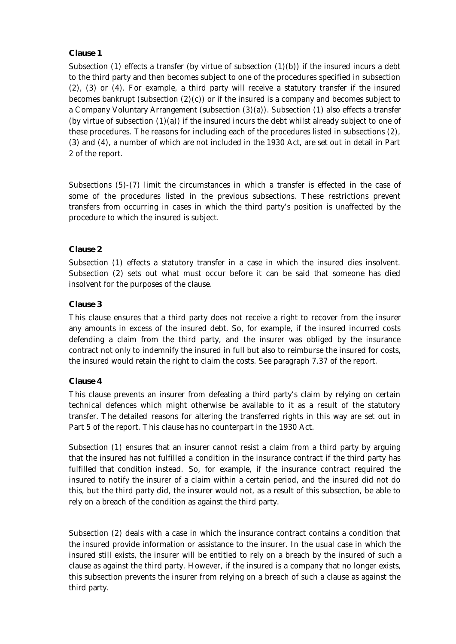#### **Clause 1**

Subsection (1) effects a transfer (by virtue of subsection  $(1)(b)$ ) if the insured incurs a debt to the third party and then becomes subject to one of the procedures specified in subsection (2), (3) or (4). For example, a third party will receive a statutory transfer if the insured becomes bankrupt (subsection  $(2)(c)$ ) or if the insured is a company and becomes subject to a Company Voluntary Arrangement (subsection (3)(a)). Subsection (1) also effects a transfer (by virtue of subsection  $(1)(a)$ ) if the insured incurs the debt whilst already subject to one of these procedures. The reasons for including each of the procedures listed in subsections (2), (3) and (4), a number of which are not included in the 1930 Act, are set out in detail in Part 2 of the report.

Subsections (5)-(7) limit the circumstances in which a transfer is effected in the case of some of the procedures listed in the previous subsections. These restrictions prevent transfers from occurring in cases in which the third party's position is unaffected by the procedure to which the insured is subject.

#### **Clause 2**

Subsection (1) effects a statutory transfer in a case in which the insured dies insolvent. Subsection (2) sets out what must occur before it can be said that someone has died insolvent for the purposes of the clause.

#### **Clause 3**

This clause ensures that a third party does not receive a right to recover from the insurer any amounts in excess of the insured debt. So, for example, if the insured incurred costs defending a claim from the third party, and the insurer was obliged by the insurance contract not only to indemnify the insured in full but also to reimburse the insured for costs, the insured would retain the right to claim the costs. See paragraph 7.37 of the report.

#### **Clause 4**

This clause prevents an insurer from defeating a third party's claim by relying on certain technical defences which might otherwise be available to it as a result of the statutory transfer. The detailed reasons for altering the transferred rights in this way are set out in Part 5 of the report. This clause has no counterpart in the 1930 Act.

Subsection (1) ensures that an insurer cannot resist a claim from a third party by arguing that the insured has not fulfilled a condition in the insurance contract if the third party has fulfilled that condition instead. So, for example, if the insurance contract required the insured to notify the insurer of a claim within a certain period, and the insured did not do this, but the third party did, the insurer would not, as a result of this subsection, be able to rely on a breach of the condition as against the third party.

Subsection (2) deals with a case in which the insurance contract contains a condition that the insured provide information or assistance to the insurer. In the usual case in which the insured still exists, the insurer will be entitled to rely on a breach by the insured of such a clause as against the third party. However, if the insured is a company that no longer exists, this subsection prevents the insurer from relying on a breach of such a clause as against the third party.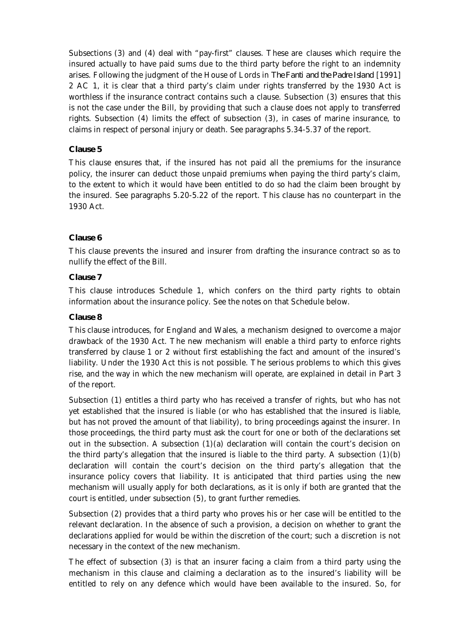Subsections (3) and (4) deal with "pay-first" clauses. These are clauses which require the insured actually to have paid sums due to the third party before the right to an indemnity arises. Following the judgment of the House of Lords in *The Fanti and the Padre Island* [1991] 2 AC 1, it is clear that a third party's claim under rights transferred by the 1930 Act is worthless if the insurance contract contains such a clause. Subsection (3) ensures that this is not the case under the Bill, by providing that such a clause does not apply to transferred rights. Subsection (4) limits the effect of subsection (3), in cases of marine insurance, to claims in respect of personal injury or death. See paragraphs 5.34-5.37 of the report.

#### **Clause 5**

This clause ensures that, if the insured has not paid all the premiums for the insurance policy, the insurer can deduct those unpaid premiums when paying the third party's claim, to the extent to which it would have been entitled to do so had the claim been brought by the insured. See paragraphs 5.20-5.22 of the report. This clause has no counterpart in the 1930 Act.

#### **Clause 6**

This clause prevents the insured and insurer from drafting the insurance contract so as to nullify the effect of the Bill.

#### **Clause 7**

This clause introduces Schedule 1, which confers on the third party rights to obtain information about the insurance policy. See the notes on that Schedule below.

#### **Clause 8**

This clause introduces, for England and Wales, a mechanism designed to overcome a major drawback of the 1930 Act. The new mechanism will enable a third party to enforce rights transferred by clause 1 or 2 without first establishing the fact and amount of the insured's liability. Under the 1930 Act this is not possible. The serious problems to which this gives rise, and the way in which the new mechanism will operate, are explained in detail in Part 3 of the report.

Subsection (1) entitles a third party who has received a transfer of rights, but who has not yet established that the insured is liable (or who has established that the insured is liable, but has not proved the amount of that liability), to bring proceedings against the insurer. In those proceedings, the third party must ask the court for one or both of the declarations set out in the subsection. A subsection  $(1)(a)$  declaration will contain the court's decision on the third party's allegation that the insured is liable to the third party. A subsection  $(1)(b)$ declaration will contain the court's decision on the third party's allegation that the insurance policy covers that liability. It is anticipated that third parties using the new mechanism will usually apply for both declarations, as it is only if both are granted that the court is entitled, under subsection (5), to grant further remedies.

Subsection (2) provides that a third party who proves his or her case will be entitled to the relevant declaration. In the absence of such a provision, a decision on whether to grant the declarations applied for would be within the discretion of the court; such a discretion is not necessary in the context of the new mechanism.

The effect of subsection (3) is that an insurer facing a claim from a third party using the mechanism in this clause and claiming a declaration as to the insured's liability will be entitled to rely on any defence which would have been available to the insured. So, for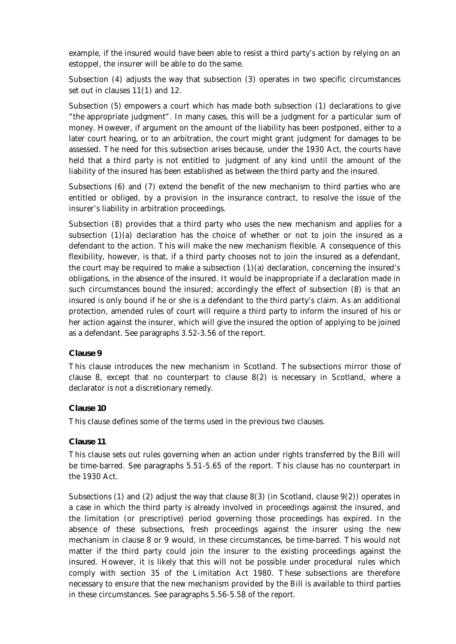example, if the insured would have been able to resist a third party's action by relying on an estoppel, the insurer will be able to do the same.

Subsection (4) adjusts the way that subsection (3) operates in two specific circumstances set out in clauses 11(1) and 12.

Subsection (5) empowers a court which has made both subsection (1) declarations to give "the appropriate judgment". In many cases, this will be a judgment for a particular sum of money. However, if argument on the amount of the liability has been postponed, either to a later court hearing, or to an arbitration, the court might grant judgment for damages to be assessed. The need for this subsection arises because, under the 1930 Act, the courts have held that a third party is not entitled to judgment of any kind until the amount of the liability of the insured has been established as between the third party and the insured.

Subsections (6) and (7) extend the benefit of the new mechanism to third parties who are entitled or obliged, by a provision in the insurance contract, to resolve the issue of the insurer's liability in arbitration proceedings.

Subsection (8) provides that a third party who uses the new mechanism and applies for a subsection  $(1)(a)$  declaration has the choice of whether or not to join the insured as a defendant to the action. This will make the new mechanism flexible. A consequence of this flexibility, however, is that, if a third party chooses not to join the insured as a defendant, the court may be required to make a subsection  $(1)(a)$  declaration, concerning the insured's obligations, in the absence of the insured. It would be inappropriate if a declaration made in such circumstances bound the insured; accordingly the effect of subsection (8) is that an insured is only bound if he or she is a defendant to the third party's claim. As an additional protection, amended rules of court will require a third party to inform the insured of his or her action against the insurer, which will give the insured the option of applying to be joined as a defendant. See paragraphs 3.52-3.56 of the report.

#### **Clause 9**

This clause introduces the new mechanism in Scotland. The subsections mirror those of clause 8, except that no counterpart to clause 8(2) is necessary in Scotland, where a declarator is not a discretionary remedy.

#### **Clause 10**

This clause defines some of the terms used in the previous two clauses.

#### **Clause 11**

This clause sets out rules governing when an action under rights transferred by the Bill will be time-barred. See paragraphs 5.51-5.65 of the report. This clause has no counterpart in the 1930 Act.

Subsections (1) and (2) adjust the way that clause  $8(3)$  (in Scotland, clause  $9(2)$ ) operates in a case in which the third party is already involved in proceedings against the insured, and the limitation (or prescriptive) period governing those proceedings has expired. In the absence of these subsections, fresh proceedings against the insurer using the new mechanism in clause 8 or 9 would, in these circumstances, be time-barred. This would not matter if the third party could join the insurer to the existing proceedings against the insured. However, it is likely that this will not be possible under procedural rules which comply with section 35 of the Limitation Act 1980. These subsections are therefore necessary to ensure that the new mechanism provided by the Bill is available to third parties in these circumstances. See paragraphs 5.56-5.58 of the report.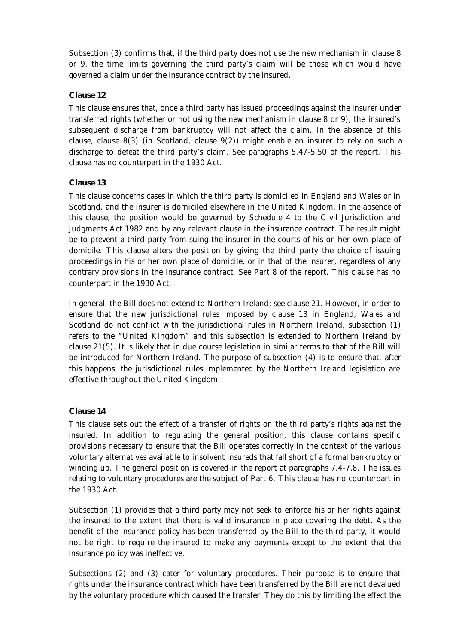Subsection (3) confirms that, if the third party does not use the new mechanism in clause 8 or 9, the time limits governing the third party's claim will be those which would have governed a claim under the insurance contract by the insured.

#### **Clause 12**

This clause ensures that, once a third party has issued proceedings against the insurer under transferred rights (whether or not using the new mechanism in clause 8 or 9), the insured's subsequent discharge from bankruptcy will not affect the claim. In the absence of this clause, clause  $8(3)$  (in Scotland, clause  $9(2)$ ) might enable an insurer to rely on such a discharge to defeat the third party's claim. See paragraphs 5.47-5.50 of the report. This clause has no counterpart in the 1930 Act.

#### **Clause 13**

This clause concerns cases in which the third party is domiciled in England and Wales or in Scotland, and the insurer is domiciled elsewhere in the United Kingdom. In the absence of this clause, the position would be governed by Schedule 4 to the Civil Jurisdiction and Judgments Act 1982 and by any relevant clause in the insurance contract. The result might be to prevent a third party from suing the insurer in the courts of his or her own place of domicile. This clause alters the position by giving the third party the choice of issuing proceedings in his or her own place of domicile, or in that of the insurer, regardless of any contrary provisions in the insurance contract. See Part 8 of the report. This clause has no counterpart in the 1930 Act.

In general, the Bill does not extend to Northern Ireland: see clause 21. However, in order to ensure that the new jurisdictional rules imposed by clause 13 in England, Wales and Scotland do not conflict with the jurisdictional rules in Northern Ireland, subsection (1) refers to the "United Kingdom" and this subsection is extended to Northern Ireland by clause 21(5). It is likely that in due course legislation in similar terms to that of the Bill will be introduced for Northern Ireland. The purpose of subsection (4) is to ensure that, after this happens, the jurisdictional rules implemented by the Northern Ireland legislation are effective throughout the United Kingdom.

#### **Clause 14**

This clause sets out the effect of a transfer of rights on the third party's rights against the insured. In addition to regulating the general position, this clause contains specific provisions necessary to ensure that the Bill operates correctly in the context of the various voluntary alternatives available to insolvent insureds that fall short of a formal bankruptcy or winding up. The general position is covered in the report at paragraphs 7.4-7.8. The issues relating to voluntary procedures are the subject of Part 6. This clause has no counterpart in the 1930 Act.

Subsection (1) provides that a third party may not seek to enforce his or her rights against the insured to the extent that there is valid insurance in place covering the debt. As the benefit of the insurance policy has been transferred by the Bill to the third party, it would not be right to require the insured to make any payments except to the extent that the insurance policy was ineffective.

Subsections (2) and (3) cater for voluntary procedures. Their purpose is to ensure that rights under the insurance contract which have been transferred by the Bill are not devalued by the voluntary procedure which caused the transfer. They do this by limiting the effect the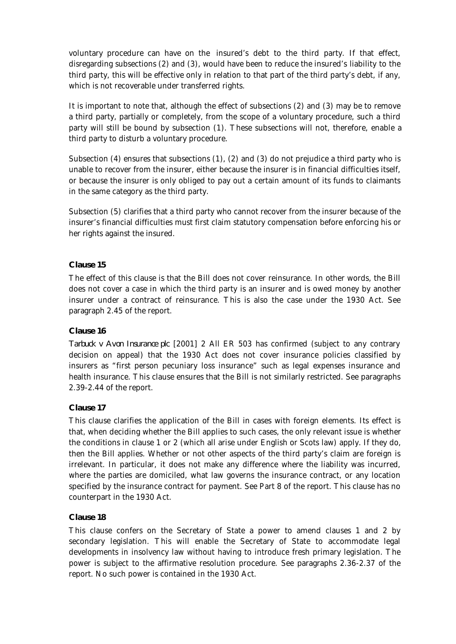voluntary procedure can have on the insured's debt to the third party. If that effect, disregarding subsections (2) and (3), would have been to reduce the insured's liability to the third party, this will be effective only in relation to that part of the third party's debt, if any, which is not recoverable under transferred rights.

It is important to note that, although the effect of subsections (2) and (3) may be to remove a third party, partially or completely, from the scope of a voluntary procedure, such a third party will still be bound by subsection (1). These subsections will not, therefore, enable a third party to disturb a voluntary procedure.

Subsection (4) ensures that subsections (1), (2) and (3) do not prejudice a third party who is unable to recover from the insurer, either because the insurer is in financial difficulties itself, or because the insurer is only obliged to pay out a certain amount of its funds to claimants in the same category as the third party.

Subsection (5) clarifies that a third party who cannot recover from the insurer because of the insurer's financial difficulties must first claim statutory compensation before enforcing his or her rights against the insured.

#### **Clause 15**

The effect of this clause is that the Bill does not cover reinsurance. In other words, the Bill does not cover a case in which the third party is an insurer and is owed money by another insurer under a contract of reinsurance. This is also the case under the 1930 Act. See paragraph 2.45 of the report.

#### **Clause 16**

*Tarbuck v Avon Insurance plc* [2001] 2 All ER 503 has confirmed (subject to any contrary decision on appeal) that the 1930 Act does not cover insurance policies classified by insurers as "first person pecuniary loss insurance" such as legal expenses insurance and health insurance. This clause ensures that the Bill is not similarly restricted. See paragraphs 2.39-2.44 of the report.

#### **Clause 17**

This clause clarifies the application of the Bill in cases with foreign elements. Its effect is that, when deciding whether the Bill applies to such cases, the only relevant issue is whether the conditions in clause 1 or 2 (which all arise under English or Scots law) apply. If they do, then the Bill applies. Whether or not other aspects of the third party's claim are foreign is irrelevant. In particular, it does not make any difference where the liability was incurred, where the parties are domiciled, what law governs the insurance contract, or any location specified by the insurance contract for payment. See Part 8 of the report. This clause has no counterpart in the 1930 Act.

#### **Clause 18**

This clause confers on the Secretary of State a power to amend clauses 1 and 2 by secondary legislation. This will enable the Secretary of State to accommodate legal developments in insolvency law without having to introduce fresh primary legislation. The power is subject to the affirmative resolution procedure. See paragraphs 2.36-2.37 of the report. No such power is contained in the 1930 Act.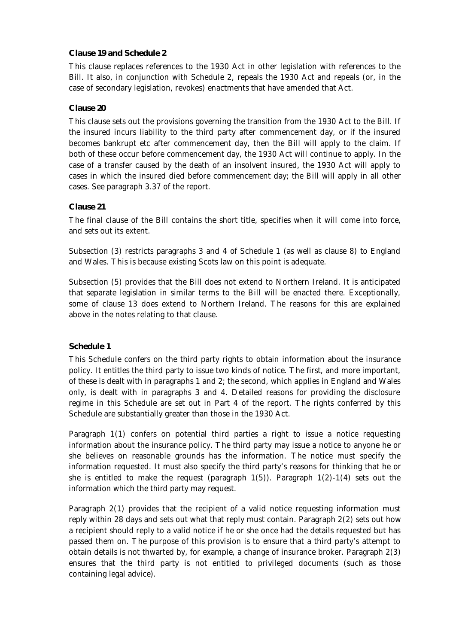#### **Clause 19 and Schedule 2**

This clause replaces references to the 1930 Act in other legislation with references to the Bill. It also, in conjunction with Schedule 2, repeals the 1930 Act and repeals (or, in the case of secondary legislation, revokes) enactments that have amended that Act.

#### **Clause 20**

This clause sets out the provisions governing the transition from the 1930 Act to the Bill. If the insured incurs liability to the third party after commencement day, or if the insured becomes bankrupt etc after commencement day, then the Bill will apply to the claim. If both of these occur before commencement day, the 1930 Act will continue to apply. In the case of a transfer caused by the death of an insolvent insured, the 1930 Act will apply to cases in which the insured died before commencement day; the Bill will apply in all other cases. See paragraph 3.37 of the report.

#### **Clause 21**

The final clause of the Bill contains the short title, specifies when it will come into force, and sets out its extent.

Subsection (3) restricts paragraphs 3 and 4 of Schedule 1 (as well as clause 8) to England and Wales. This is because existing Scots law on this point is adequate.

Subsection (5) provides that the Bill does not extend to Northern Ireland. It is anticipated that separate legislation in similar terms to the Bill will be enacted there. Exceptionally, some of clause 13 does extend to Northern Ireland. The reasons for this are explained above in the notes relating to that clause.

#### **Schedule 1**

This Schedule confers on the third party rights to obtain information about the insurance policy. It entitles the third party to issue two kinds of notice. The first, and more important, of these is dealt with in paragraphs 1 and 2; the second, which applies in England and Wales only, is dealt with in paragraphs 3 and 4. Detailed reasons for providing the disclosure regime in this Schedule are set out in Part 4 of the report. The rights conferred by this Schedule are substantially greater than those in the 1930 Act.

Paragraph 1(1) confers on potential third parties a right to issue a notice requesting information about the insurance policy. The third party may issue a notice to anyone he or she believes on reasonable grounds has the information. The notice must specify the information requested. It must also specify the third party's reasons for thinking that he or she is entitled to make the request (paragraph  $1(5)$ ). Paragraph  $1(2)-1(4)$  sets out the information which the third party may request.

Paragraph 2(1) provides that the recipient of a valid notice requesting information must reply within 28 days and sets out what that reply must contain. Paragraph 2(2) sets out how a recipient should reply to a valid notice if he or she once had the details requested but has passed them on. The purpose of this provision is to ensure that a third party's attempt to obtain details is not thwarted by, for example, a change of insurance broker. Paragraph 2(3) ensures that the third party is not entitled to privileged documents (such as those containing legal advice).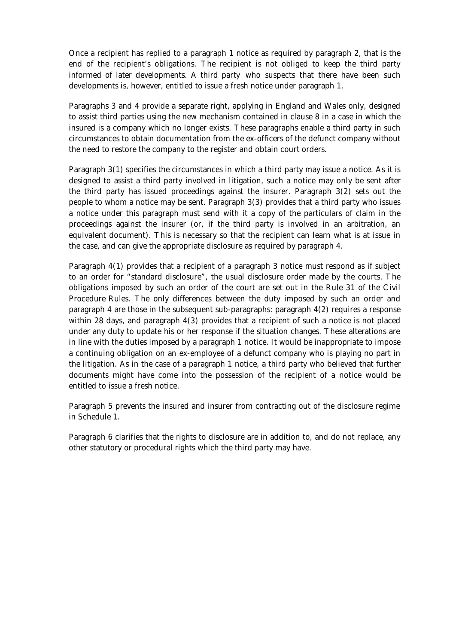Once a recipient has replied to a paragraph 1 notice as required by paragraph 2, that is the end of the recipient's obligations. The recipient is not obliged to keep the third party informed of later developments. A third party who suspects that there have been such developments is, however, entitled to issue a fresh notice under paragraph 1.

Paragraphs 3 and 4 provide a separate right, applying in England and Wales only, designed to assist third parties using the new mechanism contained in clause 8 in a case in which the insured is a company which no longer exists. These paragraphs enable a third party in such circumstances to obtain documentation from the ex-officers of the defunct company without the need to restore the company to the register and obtain court orders.

Paragraph 3(1) specifies the circumstances in which a third party may issue a notice. As it is designed to assist a third party involved in litigation, such a notice may only be sent after the third party has issued proceedings against the insurer. Paragraph 3(2) sets out the people to whom a notice may be sent. Paragraph 3(3) provides that a third party who issues a notice under this paragraph must send with it a copy of the particulars of claim in the proceedings against the insurer (or, if the third party is involved in an arbitration, an equivalent document). This is necessary so that the recipient can learn what is at issue in the case, and can give the appropriate disclosure as required by paragraph 4.

Paragraph 4(1) provides that a recipient of a paragraph 3 notice must respond as if subject to an order for "standard disclosure", the usual disclosure order made by the courts. The obligations imposed by such an order of the court are set out in the Rule 31 of the Civil Procedure Rules. The only differences between the duty imposed by such an order and paragraph 4 are those in the subsequent sub-paragraphs: paragraph 4(2) requires a response within 28 days, and paragraph 4(3) provides that a recipient of such a notice is not placed under any duty to update his or her response if the situation changes. These alterations are in line with the duties imposed by a paragraph 1 notice. It would be inappropriate to impose a continuing obligation on an ex-employee of a defunct company who is playing no part in the litigation. As in the case of a paragraph 1 notice, a third party who believed that further documents might have come into the possession of the recipient of a notice would be entitled to issue a fresh notice.

Paragraph 5 prevents the insured and insurer from contracting out of the disclosure regime in Schedule 1.

Paragraph 6 clarifies that the rights to disclosure are in addition to, and do not replace, any other statutory or procedural rights which the third party may have.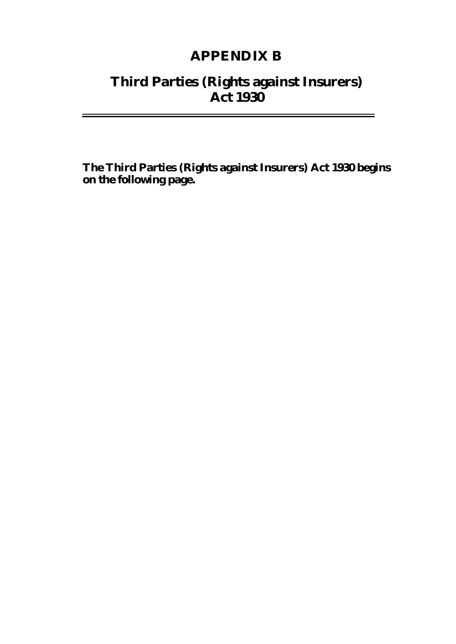### **APPENDIX B**

### **Third Parties (Rights against Insurers) Act 1930**

 $\equiv$ 

**The Third Parties (Rights against Insurers) Act 1930 begins on the following page.**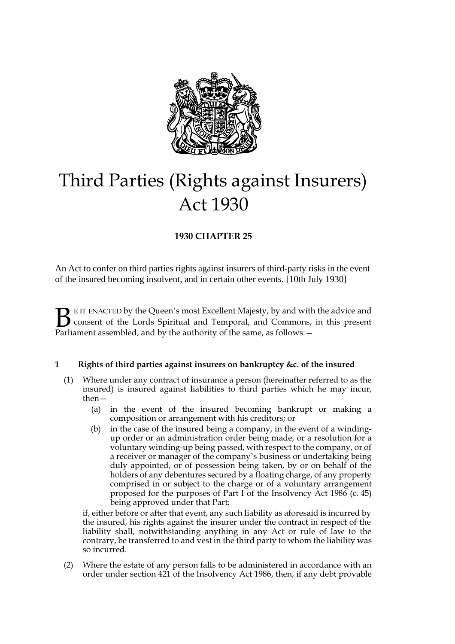<span id="page-141-0"></span>

# Third Parties (Rights against Insurers) **Act 1930**

#### **1930 CHAPTER 25**

An Act to confer on third parties rights against insurers of third-party risks in the event of the insured becoming insolvent, and in certain other events. [10th July 1930]

 $\blacktriangleright$  E IT ENACTED by the Queen's most Excellent Majesty, by and with the advice and consent of the Lords Spiritual and Temporal, and Commons, in this present Parliament assembled, and by the authority of the same, as follows:  $\mathbf{B}_{\text{rel}}$ 

#### **5LJKWVRIWKLUGSDUWLHVDJDLQVWLQVXUHUVRQEDQNUXSWF\ FRIWKHLQVXUHG**

- $(1)$  Where under any contract of insurance a person (hereinafter referred to as the insured) is insured against liabilities to third parties which he may incur,  $then$   $-$ 
	- (a) in the event of the insured becoming bankrupt or making a composition or arrangement with his creditors; or
	- (b) in the case of the insured being a company, in the event of a windingup order or an administration order being made, or a resolution for a voluntary winding-up being passed, with respect to the company, or of a receiver or manager of the company's business or undertaking being duly appointed, or of possession being taken, by or on behalf of the holders of any debentures secured by a floating charge, of any property comprised in or subject to the charge or of a voluntary arrangement proposed for the purposes of Part I of the Insolvency Act 1986 (c. 45) being approved under that Part;

if, either before or after that event, any such liability as aforesaid is incurred by the insured, his rights against the insurer under the contract in respect of the liability shall, notwithstanding anything in any Act or rule of law to the contrary, be transferred to and vest in the third party to whom the liability was so incurred.

(2) Where the estate of any person falls to be administered in accordance with an order under section 421 of the Insolvency Act 1986, then, if any debt provable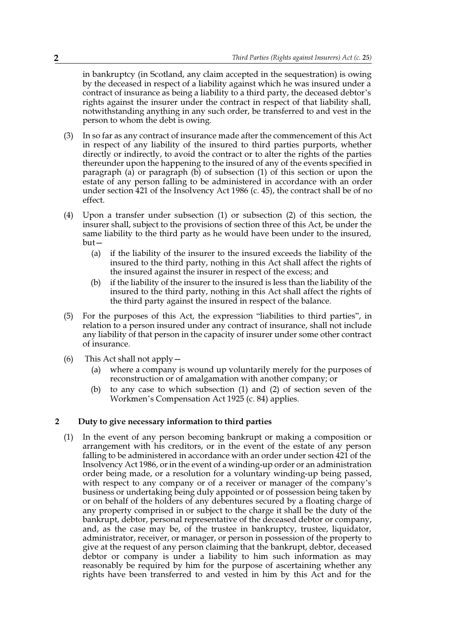in bankruptcy (in Scotland, any claim accepted in the sequestration) is owing by the deceased in respect of a liability against which he was insured under a contract of insurance as being a liability to a third party, the deceased debtor's rights against the insurer under the contract in respect of that liability shall, notwithstanding anything in any such order, be transferred to and vest in the person to whom the debt is owing.

- $(3)$  In so far as any contract of insurance made after the commencement of this Act in respect of any liability of the insured to third parties purports, whether directly or indirectly, to avoid the contract or to alter the rights of the parties the events specified in the happening to the insured of any of the events specified in paragraph (a) or paragraph (b) of subsection (1) of this section or upon the estate of any person falling to be administered in accordance with an order under section 421 of the Insolvency Act 1986 (c. 45), the contract shall be of no effect.
- $(4)$  Upon a transfer under subsection  $(1)$  or subsection  $(2)$  of this section, the insurer shall, subject to the provisions of section three of this Act, be under the same liability to the third party as he would have been under to the insured,  $but -$ 
	- (a) if the liability of the insurer to the insured exceeds the liability of the insured to the third party, nothing in this Act shall affect the rights of the insured against the insurer in respect of the excess; and
	- $(b)$  if the liability of the insurer to the insured is less than the liability of the insured to the third party, nothing in this Act shall affect the rights of the third party against the insured in respect of the balance.
- (5) For the purposes of this Act, the expression "liabilities to third parties", in relation to a person insured under any contract of insurance, shall not include any liability of that person in the capacity of insurer under some other contract of insurance.
- (6) This Act shall not apply  $-$ 
	- (a) where a company is wound up voluntarily merely for the purposes of reconstruction or of amalgamation with another company; or
	- (b) to any case to which subsection  $(1)$  and  $(2)$  of section seven of the Workmen's Compensation Act 1925 (c. 84) applies.

#### **2** Duty to give necessary information to third parties

 $(1)$  In the event of any person becoming bankrupt or making a composition or arrangement with his creditors, or in the event of the estate of any person falling to be administered in accordance with an order under section 421 of the Insolvency Act 1986, or in the event of a winding-up order or an administration order being made, or a resolution for a voluntary winding-up being passed, with respect to any company or of a receiver or manager of the company's business or undertaking being duly appointed or of possession being taken by or on behalf of the holders of any debentures secured by a floating charge of any property comprised in or subject to the charge it shall be the duty of the bankrupt, debtor, personal representative of the deceased debtor or company, and, as the case may be, of the trustee in bankruptcy, trustee, liquidator, administrator, receiver, or manager, or person in possession of the property to give at the request of any person claiming that the bankrupt, debtor, deceased debtor or company is under a liability to him such information as may reasonably be required by him for the purpose of ascertaining whether any rights have been transferred to and vested in him by this Act and for the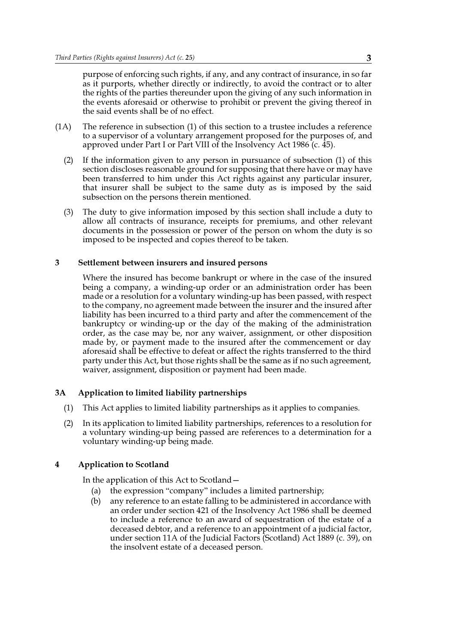purpose of enforcing such rights, if any, and any contract of insurance, in so far as it purports, whether directly or indirectly, to avoid the contract or to alter the rights of the parties thereunder upon the giving of any such information in the events aforesaid or otherwise to prohibit or prevent the giving thereof in the said events shall be of no effect.

- $(1A)$  The reference in subsection  $(1)$  of this section to a trustee includes a reference to a supervisor of a voluntary arrangement proposed for the purposes of, and approved under Part I or Part VIII of the Insolvency Act 1986 (c.  $\overline{45}$ ).
	- $(2)$  If the information given to any person in pursuance of subsection  $(1)$  of this section discloses reasonable ground for supposing that there have or may have been transferred to him under this Act rights against any particular insurer, that insurer shall be subject to the same duty as is imposed by the said subsection on the persons therein mentioned.
	- (3) The duty to give information imposed by this section shall include a duty to allow all contracts of insurance, receipts for premiums, and other relevant documents in the possession or power of the person on whom the duty is so imposed to be inspected and copies thereof to be taken.

#### **6HWWOHPHQWEHWZHHQLQVXUHUVDQGLQVXUHGSHUVRQV**

Where the insured has become bankrupt or where in the case of the insured being a company, a winding-up order or an administration order has been made or a resolution for a voluntary winding-up has been passed, with respect to the company, no agreement made between the insurer and the insured after liability has been incurred to a third party and after the commencement of the bankruptcy or winding-up or the day of the making of the administration order, as the case may be, nor any waiver, assignment, or other disposition made by, or payment made to the insured after the commencement or day aforesaid shall be effective to defeat or affect the rights transferred to the third party under this Act, but those rights shall be the same as if no such agreement, waiver, assignment, disposition or payment had been made.

#### **3A** Application to limited liability partnerships

- $(1)$  This Act applies to limited liability partnerships as it applies to companies.
- $(2)$  In its application to limited liability partnerships, references to a resolution for a voluntary winding-up being passed are references to a determination for a voluntary winding-up being made.

#### **4 Application to Scotland**

In the application of this Act to Scotland  $-$ 

- (a) the expression "company" includes a limited partnership;
- (b) any reference to an estate falling to be administered in accordance with an order under section 421 of the Insolvency Act 1986 shall be deemed to include a reference to an award of sequestration of the estate of a deceased debtor, and a reference to an appointment of a judicial factor, under section 11A of the Judicial Factors (Scotland) Act 1889 (c. 39), on the insolvent estate of a deceased person.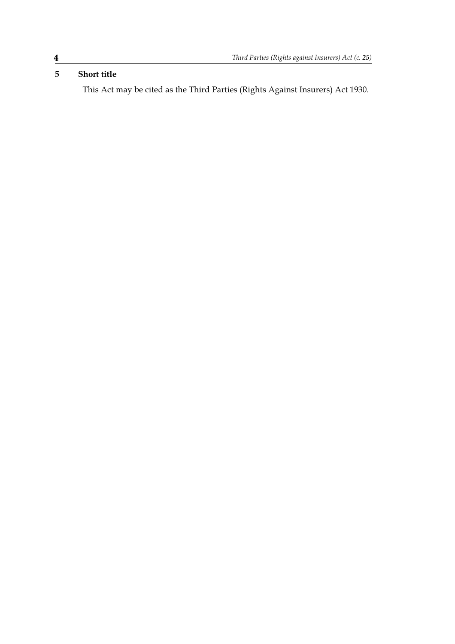# **5** Short title

This Act may be cited as the Third Parties (Rights Against Insurers) Act 1930.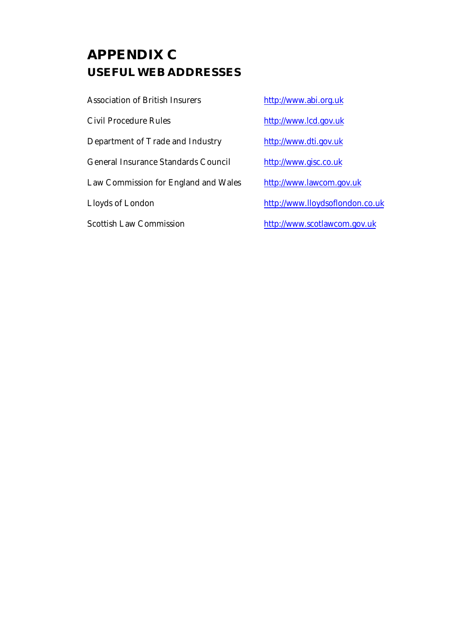# **APPENDIX C USEFUL WEB ADDRESSES**

Association of British Insurers http://www.abi.org.uk Civil Procedure Rules http://www.lcd.gov.uk Department of Trade and Industry http://www.dti.gov.uk General Insurance Standards Council http://www.gisc.co.uk Law Commission for England and Wales http://www.lawcom.gov.uk Lloyds of London http://www.lloydsoflondon.co.uk Scottish Law Commission http://www.scotlawcom.gov.uk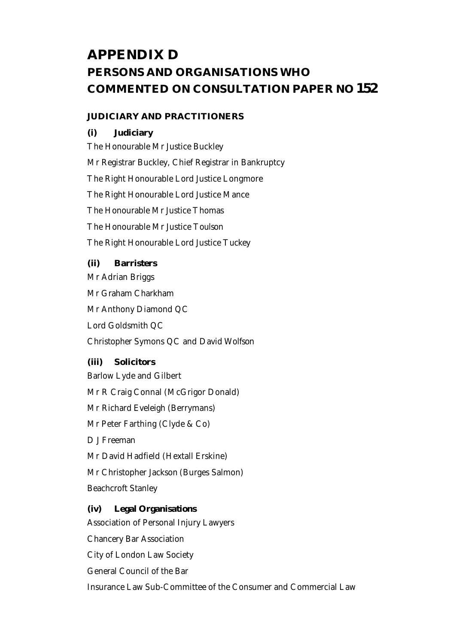# **APPENDIX D PERSONS AND ORGANISATIONS WHO COMMENTED ON CONSULTATION PAPER NO 152**

#### **JUDICIARY AND PRACTITIONERS**

#### **(i) Judiciary**

The Honourable Mr Justice Buckley Mr Registrar Buckley, Chief Registrar in Bankruptcy The Right Honourable Lord Justice Longmore The Right Honourable Lord Justice Mance The Honourable Mr Justice Thomas The Honourable Mr Justice Toulson The Right Honourable Lord Justice Tuckey

### **(ii) Barristers**

Mr Adrian Briggs Mr Graham Charkham Mr Anthony Diamond QC Lord Goldsmith QC Christopher Symons QC and David Wolfson

#### **(iii) Solicitors**

Barlow Lyde and Gilbert Mr R Craig Connal (McGrigor Donald) Mr Richard Eveleigh (Berrymans) Mr Peter Farthing (Clyde & Co) D J Freeman Mr David Hadfield (Hextall Erskine) Mr Christopher Jackson (Burges Salmon) Beachcroft Stanley

## **(iv) Legal Organisations**

Association of Personal Injury Lawyers Chancery Bar Association City of London Law Society General Council of the Bar Insurance Law Sub-Committee of the Consumer and Commercial Law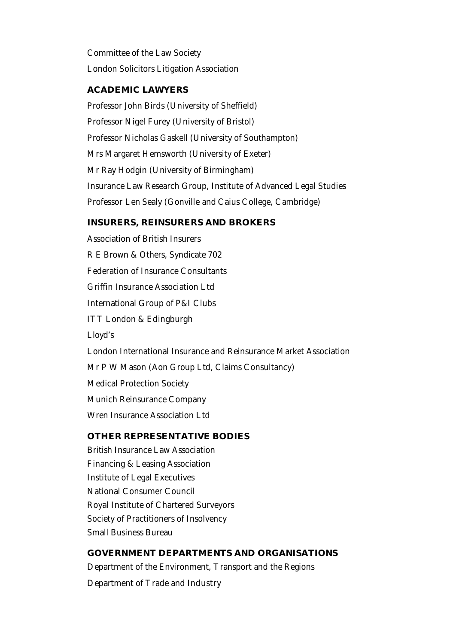Committee of the Law Society London Solicitors Litigation Association

# **ACADEMIC LAWYERS**

Professor John Birds (University of Sheffield) Professor Nigel Furey (University of Bristol) Professor Nicholas Gaskell (University of Southampton) Mrs Margaret Hemsworth (University of Exeter) Mr Ray Hodgin (University of Birmingham) Insurance Law Research Group, Institute of Advanced Legal Studies Professor Len Sealy (Gonville and Caius College, Cambridge)

#### **INSURERS, REINSURERS AND BROKERS**

Association of British Insurers R E Brown & Others, Syndicate 702 Federation of Insurance Consultants Griffin Insurance Association Ltd International Group of P&I Clubs ITT London & Edingburgh Lloyd's London International Insurance and Reinsurance Market Association Mr P W Mason (Aon Group Ltd, Claims Consultancy) Medical Protection Society Munich Reinsurance Company Wren Insurance Association Ltd

# **OTHER REPRESENTATIVE BODIES**

British Insurance Law Association Financing & Leasing Association Institute of Legal Executives National Consumer Council Royal Institute of Chartered Surveyors Society of Practitioners of Insolvency Small Business Bureau

#### **GOVERNMENT DEPARTMENTS AND ORGANISATIONS**

Department of the Environment, Transport and the Regions Department of Trade and Industry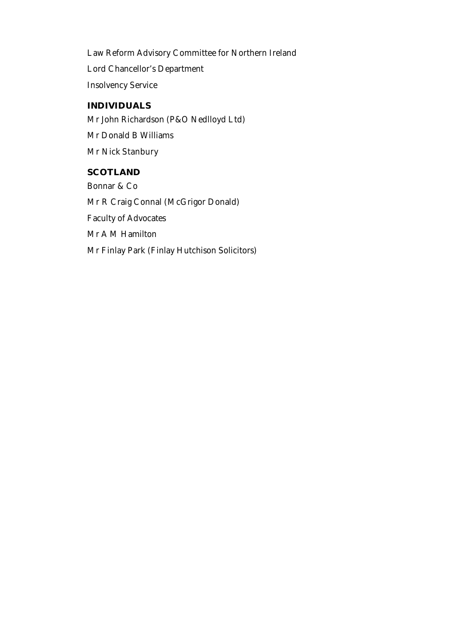Law Reform Advisory Committee for Northern Ireland Lord Chancellor's Department Insolvency Service

# **INDIVIDUALS**

Mr John Richardson (P&O Nedlloyd Ltd) Mr Donald B Williams Mr Nick Stanbury

# **SCOTLAND**

Bonnar & Co Mr R Craig Connal (McGrigor Donald) Faculty of Advocates Mr A M Hamilton Mr Finlay Park (Finlay Hutchison Solicitors)